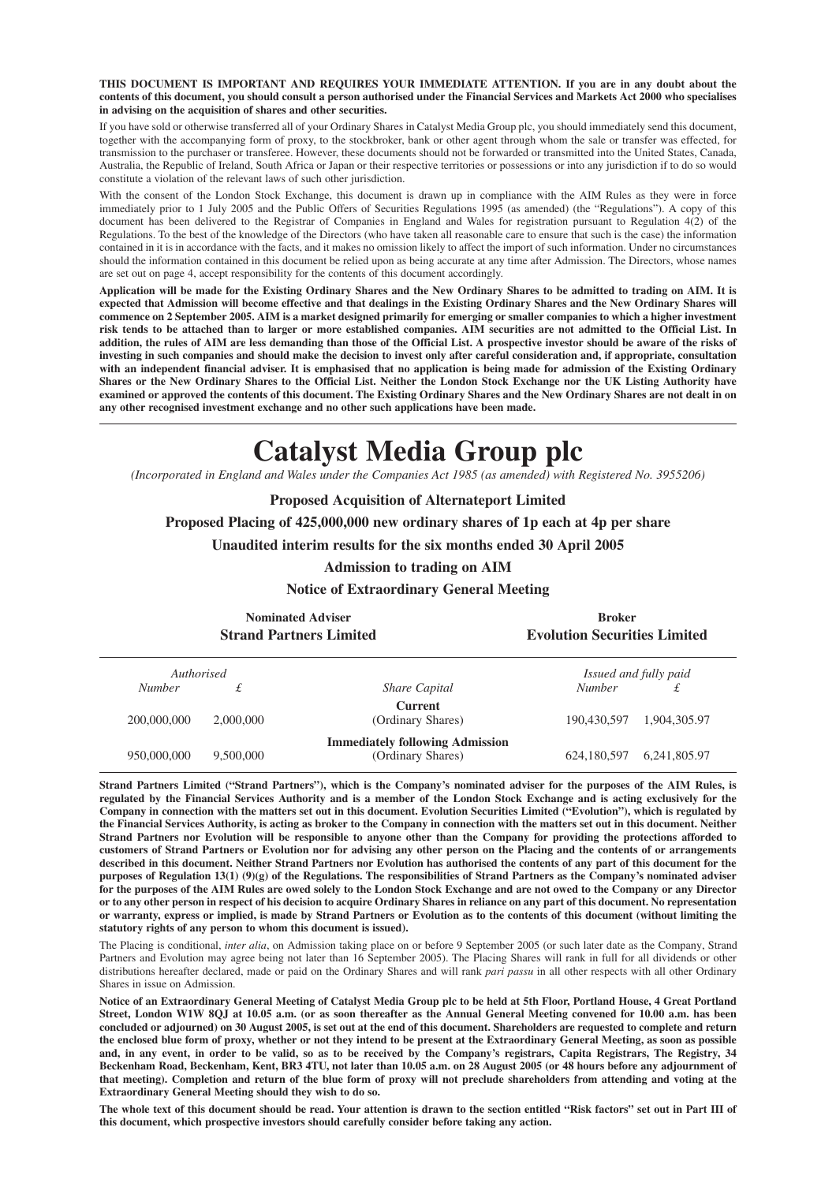**THIS DOCUMENT IS IMPORTANT AND REQUIRES YOUR IMMEDIATE ATTENTION. If you are in any doubt about the contents of this document, you should consult a person authorised under the Financial Services and Markets Act 2000 who specialises in advising on the acquisition of shares and other securities.**

If you have sold or otherwise transferred all of your Ordinary Shares in Catalyst Media Group plc, you should immediately send this document, together with the accompanying form of proxy, to the stockbroker, bank or other agent through whom the sale or transfer was effected, for transmission to the purchaser or transferee. However, these documents should not be forwarded or transmitted into the United States, Canada, Australia, the Republic of Ireland, South Africa or Japan or their respective territories or possessions or into any jurisdiction if to do so would constitute a violation of the relevant laws of such other jurisdiction.

With the consent of the London Stock Exchange, this document is drawn up in compliance with the AIM Rules as they were in force immediately prior to 1 July 2005 and the Public Offers of Securities Regulations 1995 (as amended) (the "Regulations"). A copy of this document has been delivered to the Registrar of Companies in England and Wales for registration pursuant to Regulation 4(2) of the Regulations. To the best of the knowledge of the Directors (who have taken all reasonable care to ensure that such is the case) the information contained in it is in accordance with the facts, and it makes no omission likely to affect the import of such information. Under no circumstances should the information contained in this document be relied upon as being accurate at any time after Admission. The Directors, whose names are set out on page 4, accept responsibility for the contents of this document accordingly.

**Application will be made for the Existing Ordinary Shares and the New Ordinary Shares to be admitted to trading on AIM. It is expected that Admission will become effective and that dealings in the Existing Ordinary Shares and the New Ordinary Shares will commence on 2 September 2005. AIM is a market designed primarily for emerging or smaller companies to which a higher investment risk tends to be attached than to larger or more established companies. AIM securities are not admitted to the Official List. In addition, the rules of AIM are less demanding than those of the Official List. A prospective investor should be aware of the risks of investing in such companies and should make the decision to invest only after careful consideration and, if appropriate, consultation with an independent financial adviser. It is emphasised that no application is being made for admission of the Existing Ordinary Shares or the New Ordinary Shares to the Official List. Neither the London Stock Exchange nor the UK Listing Authority have examined or approved the contents of this document. The Existing Ordinary Shares and the New Ordinary Shares are not dealt in on any other recognised investment exchange and no other such applications have been made.**

# **Catalyst Media Group plc**

*(Incorporated in England and Wales under the Companies Act 1985 (as amended) with Registered No. 3955206)*

**Proposed Acquisition of Alternateport Limited**

**Proposed Placing of 425,000,000 new ordinary shares of 1p each at 4p per share**

**Unaudited interim results for the six months ended 30 April 2005**

#### **Admission to trading on AIM**

**Notice of Extraordinary General Meeting**

**Nominated Adviser Broker** Broker

**Strand Partners Limited Evolution Securities Limited**

| Authorised    |           |                                                             |               | Issued and fully paid |
|---------------|-----------|-------------------------------------------------------------|---------------|-----------------------|
| <b>Number</b> |           | <b>Share Capital</b>                                        | <i>Number</i> |                       |
| 200,000,000   | 2,000,000 | <b>Current</b><br>(Ordinary Shares)                         | 190.430.597   | 1.904.305.97          |
| 950,000,000   | 9.500,000 | <b>Immediately following Admission</b><br>(Ordinary Shares) | 624,180,597   | 6.241.805.97          |

**Strand Partners Limited ("Strand Partners"), which is the Company's nominated adviser for the purposes of the AIM Rules, is regulated by the Financial Services Authority and is a member of the London Stock Exchange and is acting exclusively for the Company in connection with the matters set out in this document. Evolution Securities Limited ("Evolution"), which is regulated by the Financial Services Authority, is acting as broker to the Company in connection with the matters set out in this document. Neither Strand Partners nor Evolution will be responsible to anyone other than the Company for providing the protections afforded to customers of Strand Partners or Evolution nor for advising any other person on the Placing and the contents of or arrangements described in this document. Neither Strand Partners nor Evolution has authorised the contents of any part of this document for the purposes of Regulation 13(1) (9)(g) of the Regulations. The responsibilities of Strand Partners as the Company's nominated adviser for the purposes of the AIM Rules are owed solely to the London Stock Exchange and are not owed to the Company or any Director or to any other person in respect of his decision to acquire Ordinary Shares in reliance on any part of this document. No representation or warranty, express or implied, is made by Strand Partners or Evolution as to the contents of this document (without limiting the statutory rights of any person to whom this document is issued).**

The Placing is conditional, *inter alia*, on Admission taking place on or before 9 September 2005 (or such later date as the Company, Strand Partners and Evolution may agree being not later than 16 September 2005). The Placing Shares will rank in full for all dividends or other distributions hereafter declared, made or paid on the Ordinary Shares and will rank *pari passu* in all other respects with all other Ordinary Shares in issue on Admission.

**Notice of an Extraordinary General Meeting of Catalyst Media Group plc to be held at 5th Floor, Portland House, 4 Great Portland Street, London W1W 8QJ at 10.05 a.m. (or as soon thereafter as the Annual General Meeting convened for 10.00 a.m. has been concluded or adjourned) on 30 August 2005, is set out at the end of this document. Shareholders are requested to complete and return the enclosed blue form of proxy, whether or not they intend to be present at the Extraordinary General Meeting, as soon as possible and, in any event, in order to be valid, so as to be received by the Company's registrars, Capita Registrars, The Registry, 34 Beckenham Road, Beckenham, Kent, BR3 4TU, not later than 10.05 a.m. on 28 August 2005 (or 48 hours before any adjournment of that meeting). Completion and return of the blue form of proxy will not preclude shareholders from attending and voting at the Extraordinary General Meeting should they wish to do so.**

**The whole text of this document should be read. Your attention is drawn to the section entitled "Risk factors" set out in Part III of this document, which prospective investors should carefully consider before taking any action.**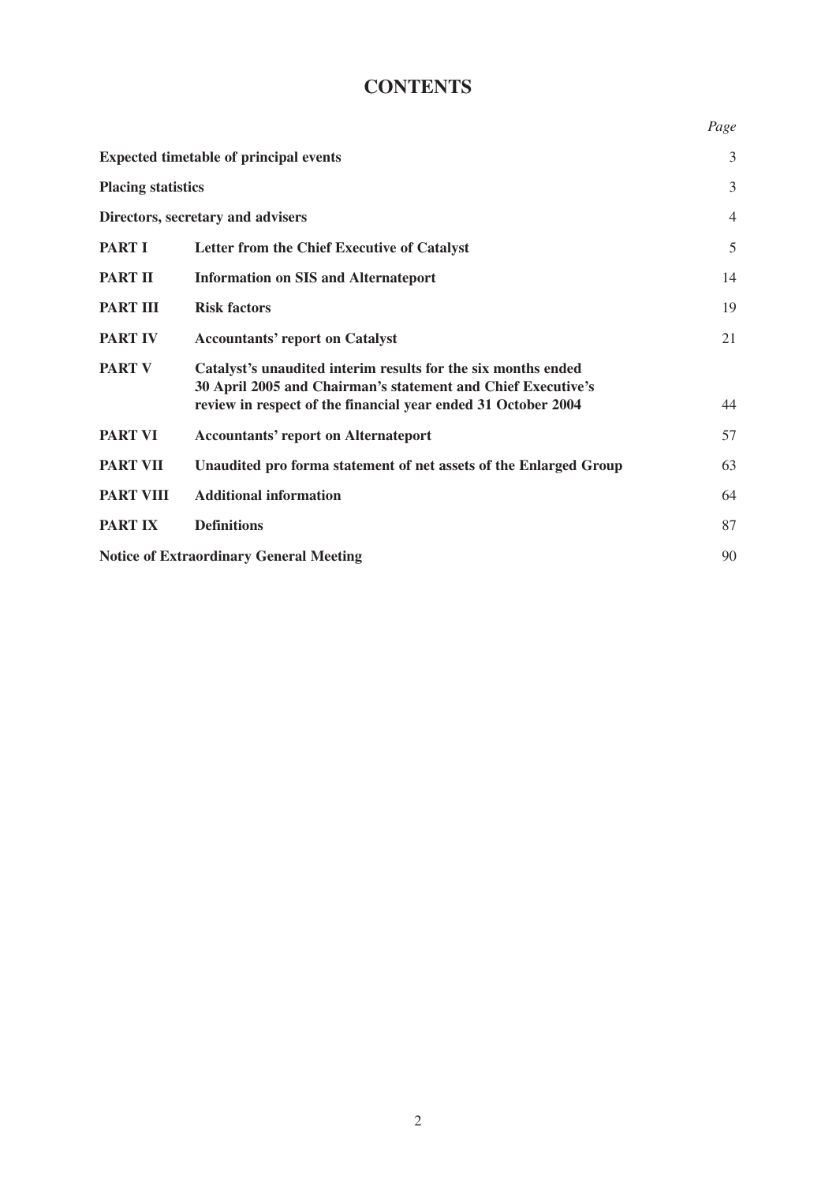## **CONTENTS**

|                           |                                                                                                                                                                                                | Page           |
|---------------------------|------------------------------------------------------------------------------------------------------------------------------------------------------------------------------------------------|----------------|
|                           | <b>Expected timetable of principal events</b>                                                                                                                                                  | 3              |
| <b>Placing statistics</b> |                                                                                                                                                                                                | 3              |
|                           | Directors, secretary and advisers                                                                                                                                                              | $\overline{4}$ |
| <b>PART I</b>             | Letter from the Chief Executive of Catalyst                                                                                                                                                    | 5              |
| <b>PART II</b>            | <b>Information on SIS and Alternateport</b>                                                                                                                                                    | 14             |
| <b>PART III</b>           | <b>Risk factors</b>                                                                                                                                                                            | 19             |
| <b>PART IV</b>            | <b>Accountants' report on Catalyst</b>                                                                                                                                                         | 21             |
| <b>PART V</b>             | Catalyst's unaudited interim results for the six months ended<br>30 April 2005 and Chairman's statement and Chief Executive's<br>review in respect of the financial year ended 31 October 2004 | 44             |
| <b>PART VI</b>            | <b>Accountants' report on Alternateport</b>                                                                                                                                                    | 57             |
| <b>PART VII</b>           | Unaudited pro forma statement of net assets of the Enlarged Group                                                                                                                              | 63             |
| <b>PART VIII</b>          | <b>Additional information</b>                                                                                                                                                                  | 64             |
| <b>PART IX</b>            | <b>Definitions</b>                                                                                                                                                                             | 87             |
|                           | <b>Notice of Extraordinary General Meeting</b>                                                                                                                                                 | 90             |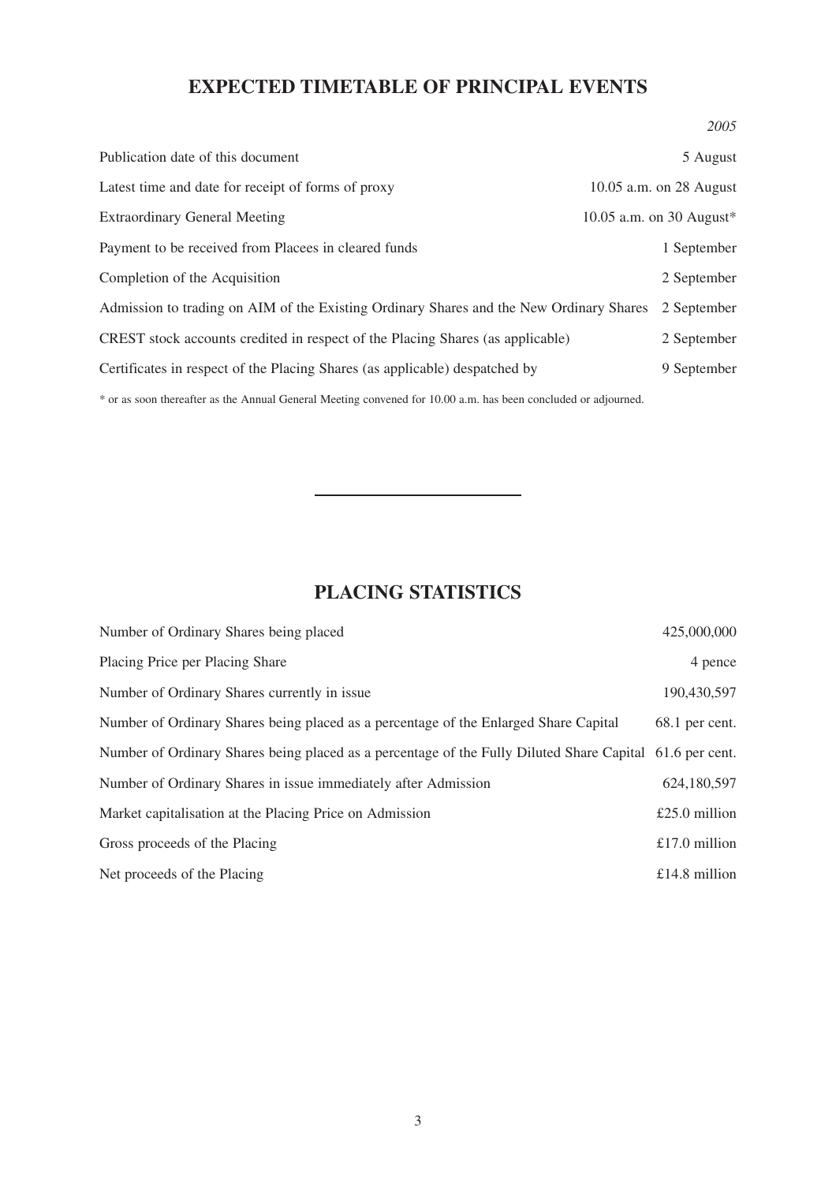## **EXPECTED TIMETABLE OF PRINCIPAL EVENTS**

|                                                                                         | 2005                     |
|-----------------------------------------------------------------------------------------|--------------------------|
| Publication date of this document                                                       | 5 August                 |
| Latest time and date for receipt of forms of proxy                                      | 10.05 a.m. on 28 August  |
| <b>Extraordinary General Meeting</b>                                                    | 10.05 a.m. on 30 August* |
| Payment to be received from Placees in cleared funds                                    | 1 September              |
| Completion of the Acquisition                                                           | 2 September              |
| Admission to trading on AIM of the Existing Ordinary Shares and the New Ordinary Shares | 2 September              |
| CREST stock accounts credited in respect of the Placing Shares (as applicable)          | 2 September              |
| Certificates in respect of the Placing Shares (as applicable) despatched by             | 9 September              |
|                                                                                         |                          |

\* or as soon thereafter as the Annual General Meeting convened for 10.00 a.m. has been concluded or adjourned.

## **PLACING STATISTICS**

| Number of Ordinary Shares being placed                                                                   | 425,000,000    |
|----------------------------------------------------------------------------------------------------------|----------------|
| Placing Price per Placing Share                                                                          | 4 pence        |
| Number of Ordinary Shares currently in issue                                                             | 190,430,597    |
| Number of Ordinary Shares being placed as a percentage of the Enlarged Share Capital                     | 68.1 per cent. |
| Number of Ordinary Shares being placed as a percentage of the Fully Diluted Share Capital 61.6 per cent. |                |
| Number of Ordinary Shares in issue immediately after Admission                                           | 624,180,597    |
| Market capitalisation at the Placing Price on Admission                                                  | £25.0 million  |
| Gross proceeds of the Placing                                                                            | £17.0 million  |
| Net proceeds of the Placing                                                                              | £14.8 million  |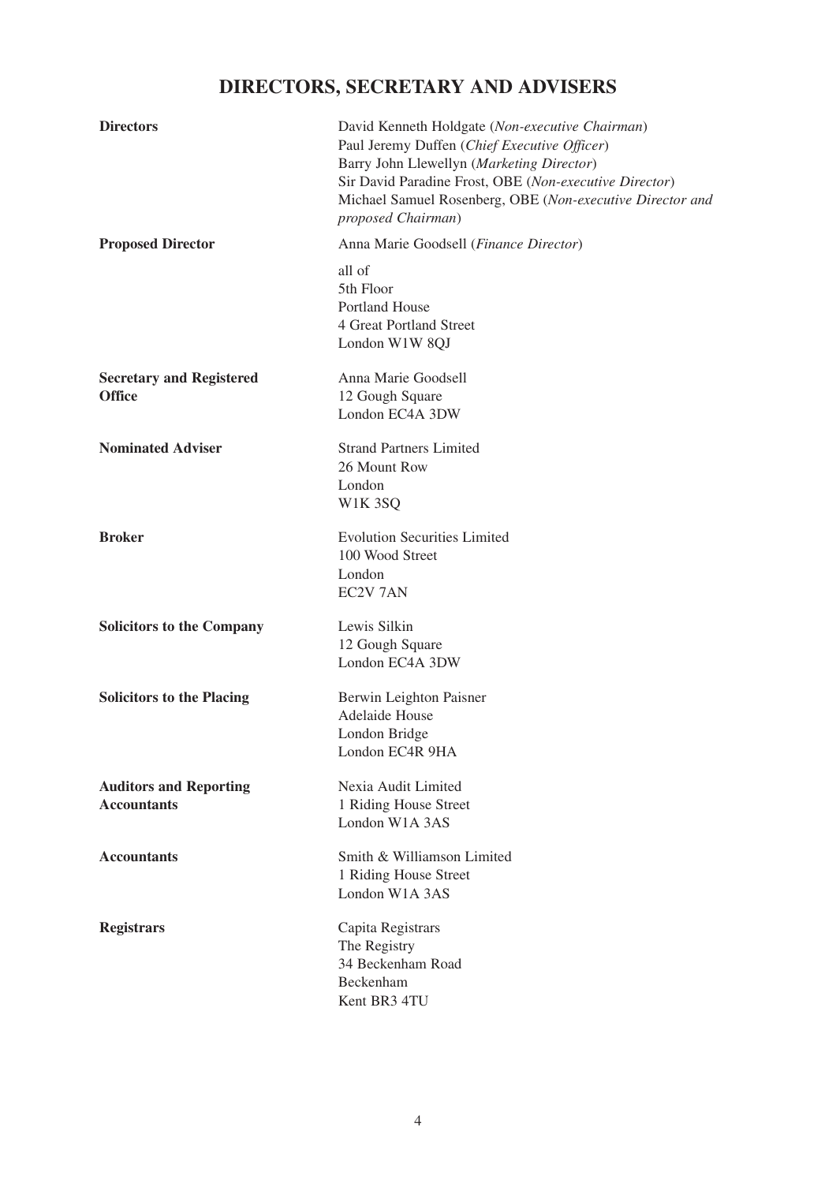## **DIRECTORS, SECRETARY AND ADVISERS**

| <b>Directors</b>                                    | David Kenneth Holdgate (Non-executive Chairman)<br>Paul Jeremy Duffen (Chief Executive Officer)<br>Barry John Llewellyn (Marketing Director)<br>Sir David Paradine Frost, OBE (Non-executive Director)<br>Michael Samuel Rosenberg, OBE (Non-executive Director and<br>proposed Chairman) |
|-----------------------------------------------------|-------------------------------------------------------------------------------------------------------------------------------------------------------------------------------------------------------------------------------------------------------------------------------------------|
| <b>Proposed Director</b>                            | Anna Marie Goodsell (Finance Director)                                                                                                                                                                                                                                                    |
|                                                     | all of<br>5th Floor<br><b>Portland House</b><br>4 Great Portland Street<br>London W1W 8QJ                                                                                                                                                                                                 |
| <b>Secretary and Registered</b><br><b>Office</b>    | Anna Marie Goodsell<br>12 Gough Square<br>London EC4A 3DW                                                                                                                                                                                                                                 |
| <b>Nominated Adviser</b>                            | <b>Strand Partners Limited</b><br>26 Mount Row<br>London<br>W1K3SQ                                                                                                                                                                                                                        |
| <b>Broker</b>                                       | <b>Evolution Securities Limited</b><br>100 Wood Street<br>London<br>EC2V 7AN                                                                                                                                                                                                              |
| <b>Solicitors to the Company</b>                    | Lewis Silkin<br>12 Gough Square<br>London EC4A 3DW                                                                                                                                                                                                                                        |
| <b>Solicitors to the Placing</b>                    | Berwin Leighton Paisner<br><b>Adelaide House</b><br>London Bridge<br>London EC4R 9HA                                                                                                                                                                                                      |
| <b>Auditors and Reporting</b><br><b>Accountants</b> | Nexia Audit Limited<br>1 Riding House Street<br>London W1A 3AS                                                                                                                                                                                                                            |
| <b>Accountants</b>                                  | Smith & Williamson Limited<br>1 Riding House Street<br>London W1A 3AS                                                                                                                                                                                                                     |
| <b>Registrars</b>                                   | Capita Registrars<br>The Registry<br>34 Beckenham Road<br>Beckenham<br>Kent BR3 4TU                                                                                                                                                                                                       |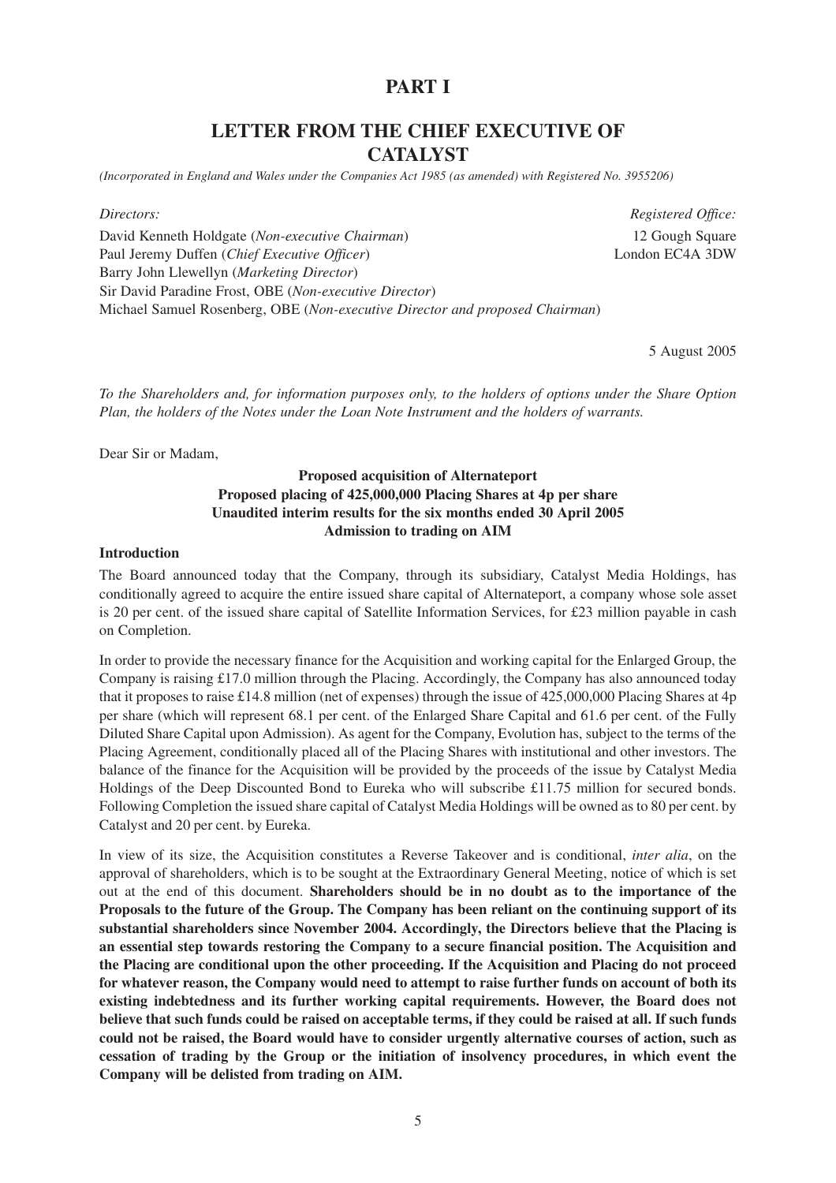## **PART I**

## **LETTER FROM THE CHIEF EXECUTIVE OF CATALYST**

*(Incorporated in England and Wales under the Companies Act 1985 (as amended) with Registered No. 3955206)*

David Kenneth Holdgate (*Non-executive Chairman*) 12 Gough Square Paul Jeremy Duffen (*Chief Executive Officer*) London EC4A 3DW Barry John Llewellyn (*Marketing Director*) Sir David Paradine Frost, OBE (*Non-executive Director*) Michael Samuel Rosenberg, OBE (*Non-executive Director and proposed Chairman*)

*Directors: Registered Office:*

5 August 2005

*To the Shareholders and, for information purposes only, to the holders of options under the Share Option Plan, the holders of the Notes under the Loan Note Instrument and the holders of warrants.*

Dear Sir or Madam,

## **Proposed acquisition of Alternateport Proposed placing of 425,000,000 Placing Shares at 4p per share Unaudited interim results for the six months ended 30 April 2005 Admission to trading on AIM**

#### **Introduction**

The Board announced today that the Company, through its subsidiary, Catalyst Media Holdings, has conditionally agreed to acquire the entire issued share capital of Alternateport, a company whose sole asset is 20 per cent. of the issued share capital of Satellite Information Services, for £23 million payable in cash on Completion.

In order to provide the necessary finance for the Acquisition and working capital for the Enlarged Group, the Company is raising £17.0 million through the Placing. Accordingly, the Company has also announced today that it proposes to raise £14.8 million (net of expenses) through the issue of 425,000,000 Placing Shares at 4p per share (which will represent 68.1 per cent. of the Enlarged Share Capital and 61.6 per cent. of the Fully Diluted Share Capital upon Admission). As agent for the Company, Evolution has, subject to the terms of the Placing Agreement, conditionally placed all of the Placing Shares with institutional and other investors. The balance of the finance for the Acquisition will be provided by the proceeds of the issue by Catalyst Media Holdings of the Deep Discounted Bond to Eureka who will subscribe £11.75 million for secured bonds. Following Completion the issued share capital of Catalyst Media Holdings will be owned as to 80 per cent. by Catalyst and 20 per cent. by Eureka.

In view of its size, the Acquisition constitutes a Reverse Takeover and is conditional, *inter alia*, on the approval of shareholders, which is to be sought at the Extraordinary General Meeting, notice of which is set out at the end of this document. **Shareholders should be in no doubt as to the importance of the Proposals to the future of the Group. The Company has been reliant on the continuing support of its substantial shareholders since November 2004. Accordingly, the Directors believe that the Placing is an essential step towards restoring the Company to a secure financial position. The Acquisition and the Placing are conditional upon the other proceeding. If the Acquisition and Placing do not proceed for whatever reason, the Company would need to attempt to raise further funds on account of both its existing indebtedness and its further working capital requirements. However, the Board does not believe that such funds could be raised on acceptable terms, if they could be raised at all. If such funds could not be raised, the Board would have to consider urgently alternative courses of action, such as cessation of trading by the Group or the initiation of insolvency procedures, in which event the Company will be delisted from trading on AIM.**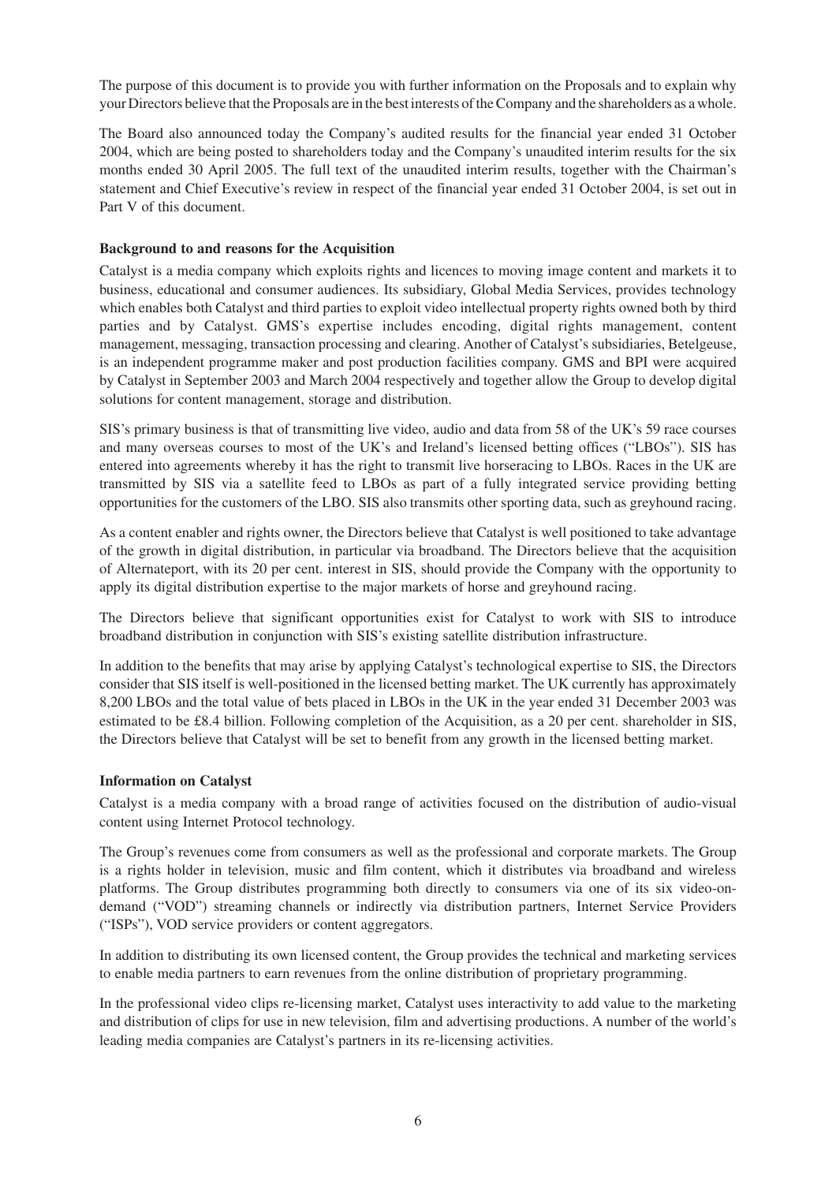The purpose of this document is to provide you with further information on the Proposals and to explain why your Directors believe that the Proposals are in the best interests of the Company and the shareholders as a whole.

The Board also announced today the Company's audited results for the financial year ended 31 October 2004, which are being posted to shareholders today and the Company's unaudited interim results for the six months ended 30 April 2005. The full text of the unaudited interim results, together with the Chairman's statement and Chief Executive's review in respect of the financial year ended 31 October 2004, is set out in Part V of this document.

## **Background to and reasons for the Acquisition**

Catalyst is a media company which exploits rights and licences to moving image content and markets it to business, educational and consumer audiences. Its subsidiary, Global Media Services, provides technology which enables both Catalyst and third parties to exploit video intellectual property rights owned both by third parties and by Catalyst. GMS's expertise includes encoding, digital rights management, content management, messaging, transaction processing and clearing. Another of Catalyst's subsidiaries, Betelgeuse, is an independent programme maker and post production facilities company. GMS and BPI were acquired by Catalyst in September 2003 and March 2004 respectively and together allow the Group to develop digital solutions for content management, storage and distribution.

SIS's primary business is that of transmitting live video, audio and data from 58 of the UK's 59 race courses and many overseas courses to most of the UK's and Ireland's licensed betting offices ("LBOs"). SIS has entered into agreements whereby it has the right to transmit live horseracing to LBOs. Races in the UK are transmitted by SIS via a satellite feed to LBOs as part of a fully integrated service providing betting opportunities for the customers of the LBO. SIS also transmits other sporting data, such as greyhound racing.

As a content enabler and rights owner, the Directors believe that Catalyst is well positioned to take advantage of the growth in digital distribution, in particular via broadband. The Directors believe that the acquisition of Alternateport, with its 20 per cent. interest in SIS, should provide the Company with the opportunity to apply its digital distribution expertise to the major markets of horse and greyhound racing.

The Directors believe that significant opportunities exist for Catalyst to work with SIS to introduce broadband distribution in conjunction with SIS's existing satellite distribution infrastructure.

In addition to the benefits that may arise by applying Catalyst's technological expertise to SIS, the Directors consider that SIS itself is well-positioned in the licensed betting market. The UK currently has approximately 8,200 LBOs and the total value of bets placed in LBOs in the UK in the year ended 31 December 2003 was estimated to be £8.4 billion. Following completion of the Acquisition, as a 20 per cent. shareholder in SIS, the Directors believe that Catalyst will be set to benefit from any growth in the licensed betting market.

## **Information on Catalyst**

Catalyst is a media company with a broad range of activities focused on the distribution of audio-visual content using Internet Protocol technology.

The Group's revenues come from consumers as well as the professional and corporate markets. The Group is a rights holder in television, music and film content, which it distributes via broadband and wireless platforms. The Group distributes programming both directly to consumers via one of its six video-ondemand ("VOD") streaming channels or indirectly via distribution partners, Internet Service Providers ("ISPs"), VOD service providers or content aggregators.

In addition to distributing its own licensed content, the Group provides the technical and marketing services to enable media partners to earn revenues from the online distribution of proprietary programming.

In the professional video clips re-licensing market, Catalyst uses interactivity to add value to the marketing and distribution of clips for use in new television, film and advertising productions. A number of the world's leading media companies are Catalyst's partners in its re-licensing activities.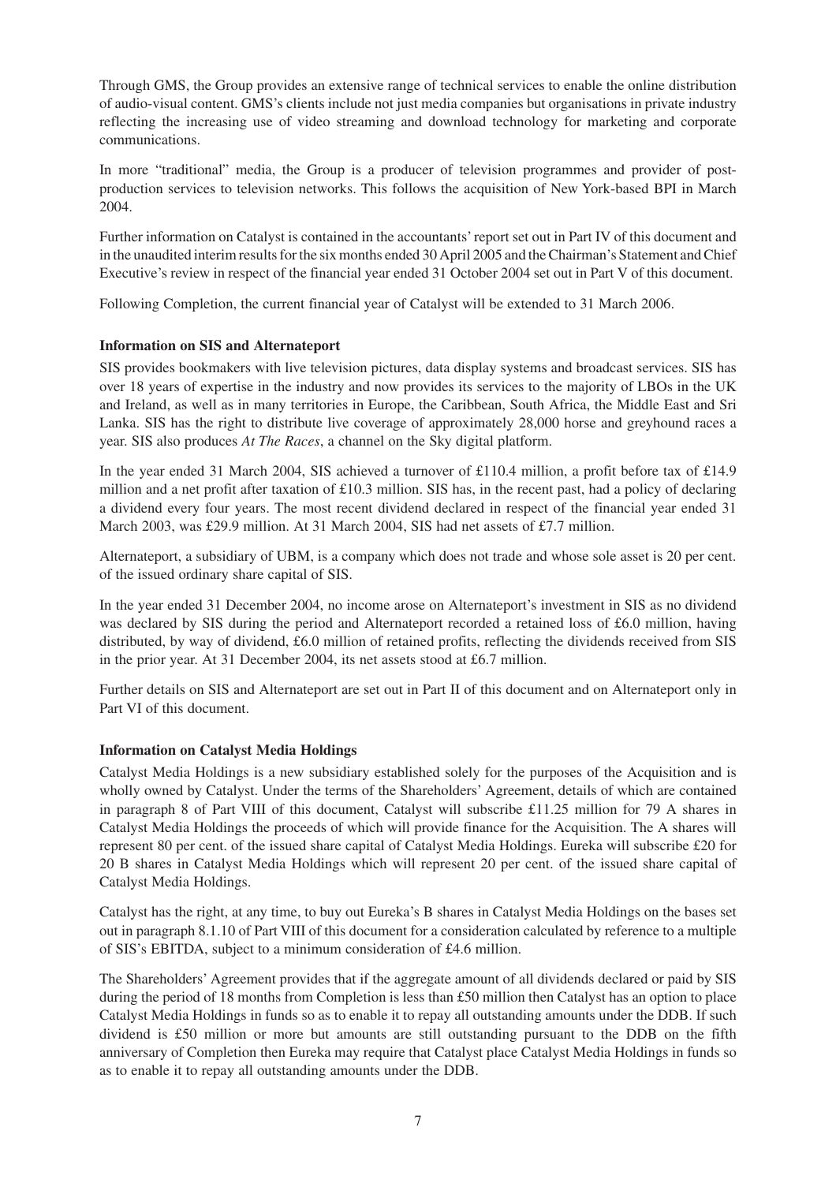Through GMS, the Group provides an extensive range of technical services to enable the online distribution of audio-visual content. GMS's clients include not just media companies but organisations in private industry reflecting the increasing use of video streaming and download technology for marketing and corporate communications.

In more "traditional" media, the Group is a producer of television programmes and provider of postproduction services to television networks. This follows the acquisition of New York-based BPI in March 2004.

Further information on Catalyst is contained in the accountants' report set out in Part IV of this document and in the unaudited interim results for the six months ended 30 April 2005 and the Chairman's Statement and Chief Executive's review in respect of the financial year ended 31 October 2004 set out in Part V of this document.

Following Completion, the current financial year of Catalyst will be extended to 31 March 2006.

## **Information on SIS and Alternateport**

SIS provides bookmakers with live television pictures, data display systems and broadcast services. SIS has over 18 years of expertise in the industry and now provides its services to the majority of LBOs in the UK and Ireland, as well as in many territories in Europe, the Caribbean, South Africa, the Middle East and Sri Lanka. SIS has the right to distribute live coverage of approximately 28,000 horse and greyhound races a year. SIS also produces *At The Races*, a channel on the Sky digital platform.

In the year ended 31 March 2004, SIS achieved a turnover of £110.4 million, a profit before tax of £14.9 million and a net profit after taxation of £10.3 million. SIS has, in the recent past, had a policy of declaring a dividend every four years. The most recent dividend declared in respect of the financial year ended 31 March 2003, was £29.9 million. At 31 March 2004, SIS had net assets of £7.7 million.

Alternateport, a subsidiary of UBM, is a company which does not trade and whose sole asset is 20 per cent. of the issued ordinary share capital of SIS.

In the year ended 31 December 2004, no income arose on Alternateport's investment in SIS as no dividend was declared by SIS during the period and Alternateport recorded a retained loss of £6.0 million, having distributed, by way of dividend, £6.0 million of retained profits, reflecting the dividends received from SIS in the prior year. At 31 December 2004, its net assets stood at £6.7 million.

Further details on SIS and Alternateport are set out in Part II of this document and on Alternateport only in Part VI of this document.

#### **Information on Catalyst Media Holdings**

Catalyst Media Holdings is a new subsidiary established solely for the purposes of the Acquisition and is wholly owned by Catalyst. Under the terms of the Shareholders' Agreement, details of which are contained in paragraph 8 of Part VIII of this document, Catalyst will subscribe £11.25 million for 79 A shares in Catalyst Media Holdings the proceeds of which will provide finance for the Acquisition. The A shares will represent 80 per cent. of the issued share capital of Catalyst Media Holdings. Eureka will subscribe £20 for 20 B shares in Catalyst Media Holdings which will represent 20 per cent. of the issued share capital of Catalyst Media Holdings.

Catalyst has the right, at any time, to buy out Eureka's B shares in Catalyst Media Holdings on the bases set out in paragraph 8.1.10 of Part VIII of this document for a consideration calculated by reference to a multiple of SIS's EBITDA, subject to a minimum consideration of £4.6 million.

The Shareholders' Agreement provides that if the aggregate amount of all dividends declared or paid by SIS during the period of 18 months from Completion is less than £50 million then Catalyst has an option to place Catalyst Media Holdings in funds so as to enable it to repay all outstanding amounts under the DDB. If such dividend is £50 million or more but amounts are still outstanding pursuant to the DDB on the fifth anniversary of Completion then Eureka may require that Catalyst place Catalyst Media Holdings in funds so as to enable it to repay all outstanding amounts under the DDB.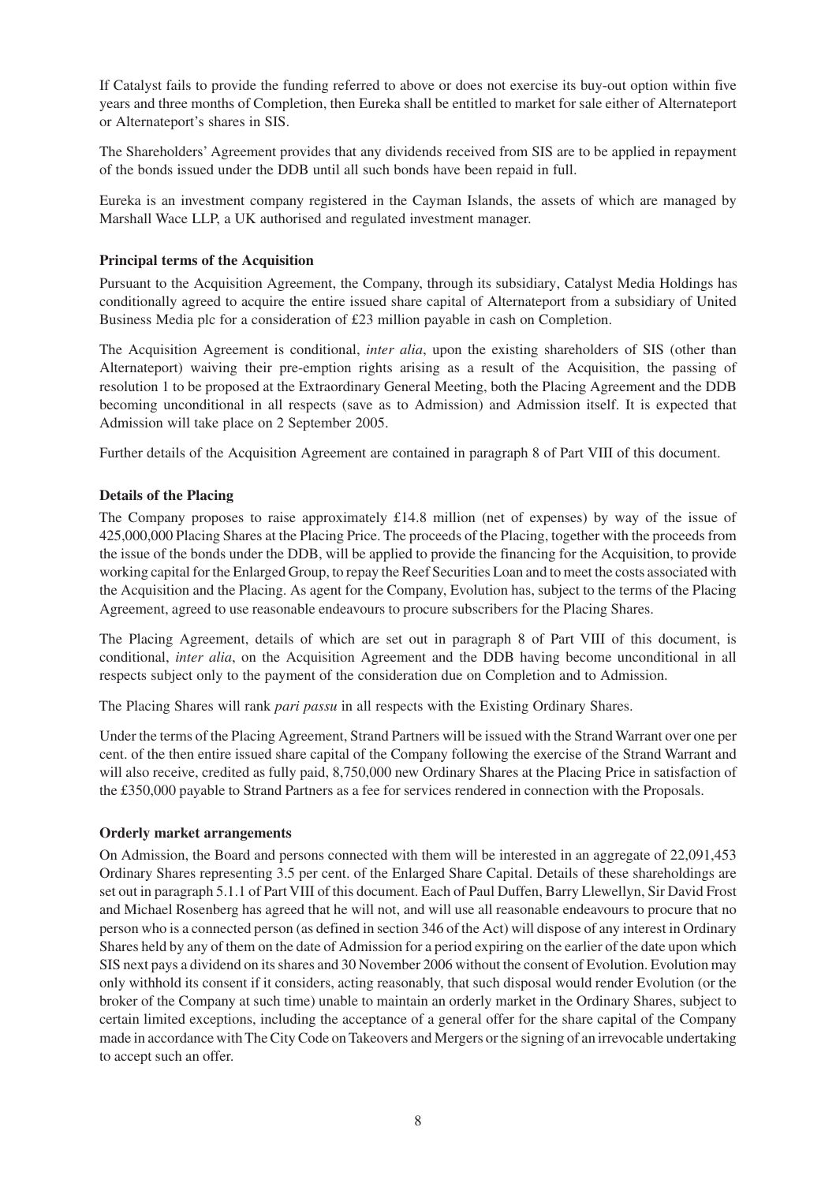If Catalyst fails to provide the funding referred to above or does not exercise its buy-out option within five years and three months of Completion, then Eureka shall be entitled to market for sale either of Alternateport or Alternateport's shares in SIS.

The Shareholders' Agreement provides that any dividends received from SIS are to be applied in repayment of the bonds issued under the DDB until all such bonds have been repaid in full.

Eureka is an investment company registered in the Cayman Islands, the assets of which are managed by Marshall Wace LLP, a UK authorised and regulated investment manager.

## **Principal terms of the Acquisition**

Pursuant to the Acquisition Agreement, the Company, through its subsidiary, Catalyst Media Holdings has conditionally agreed to acquire the entire issued share capital of Alternateport from a subsidiary of United Business Media plc for a consideration of £23 million payable in cash on Completion.

The Acquisition Agreement is conditional, *inter alia*, upon the existing shareholders of SIS (other than Alternateport) waiving their pre-emption rights arising as a result of the Acquisition, the passing of resolution 1 to be proposed at the Extraordinary General Meeting, both the Placing Agreement and the DDB becoming unconditional in all respects (save as to Admission) and Admission itself. It is expected that Admission will take place on 2 September 2005.

Further details of the Acquisition Agreement are contained in paragraph 8 of Part VIII of this document.

#### **Details of the Placing**

The Company proposes to raise approximately £14.8 million (net of expenses) by way of the issue of 425,000,000 Placing Shares at the Placing Price. The proceeds of the Placing, together with the proceeds from the issue of the bonds under the DDB, will be applied to provide the financing for the Acquisition, to provide working capital for the Enlarged Group, to repay the Reef Securities Loan and to meet the costs associated with the Acquisition and the Placing. As agent for the Company, Evolution has, subject to the terms of the Placing Agreement, agreed to use reasonable endeavours to procure subscribers for the Placing Shares.

The Placing Agreement, details of which are set out in paragraph 8 of Part VIII of this document, is conditional, *inter alia*, on the Acquisition Agreement and the DDB having become unconditional in all respects subject only to the payment of the consideration due on Completion and to Admission.

The Placing Shares will rank *pari passu* in all respects with the Existing Ordinary Shares.

Under the terms of the Placing Agreement, Strand Partners will be issued with the Strand Warrant over one per cent. of the then entire issued share capital of the Company following the exercise of the Strand Warrant and will also receive, credited as fully paid, 8,750,000 new Ordinary Shares at the Placing Price in satisfaction of the £350,000 payable to Strand Partners as a fee for services rendered in connection with the Proposals.

#### **Orderly market arrangements**

On Admission, the Board and persons connected with them will be interested in an aggregate of 22,091,453 Ordinary Shares representing 3.5 per cent. of the Enlarged Share Capital. Details of these shareholdings are set out in paragraph 5.1.1 of Part VIII of this document. Each of Paul Duffen, Barry Llewellyn, Sir David Frost and Michael Rosenberg has agreed that he will not, and will use all reasonable endeavours to procure that no person who is a connected person (as defined in section 346 of the Act) will dispose of any interest in Ordinary Shares held by any of them on the date of Admission for a period expiring on the earlier of the date upon which SIS next pays a dividend on its shares and 30 November 2006 without the consent of Evolution. Evolution may only withhold its consent if it considers, acting reasonably, that such disposal would render Evolution (or the broker of the Company at such time) unable to maintain an orderly market in the Ordinary Shares, subject to certain limited exceptions, including the acceptance of a general offer for the share capital of the Company made in accordance with The City Code on Takeovers and Mergers or the signing of an irrevocable undertaking to accept such an offer.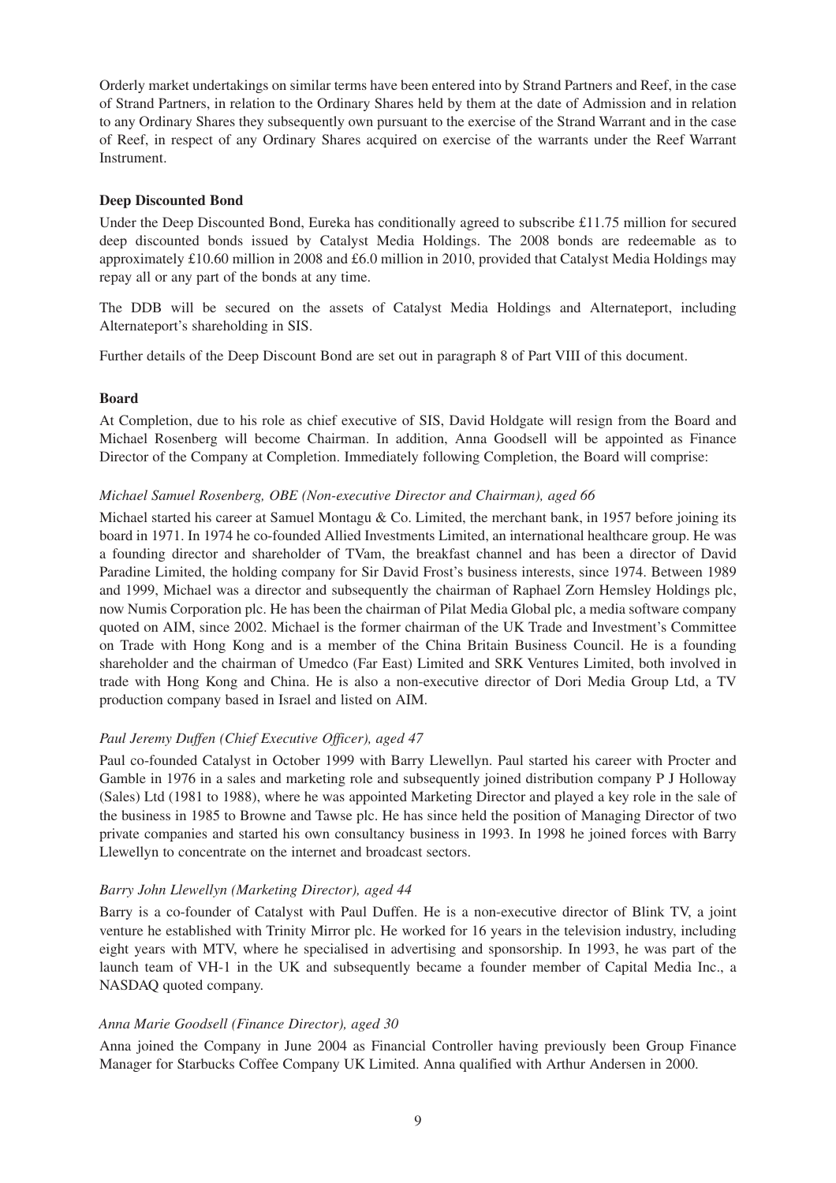Orderly market undertakings on similar terms have been entered into by Strand Partners and Reef, in the case of Strand Partners, in relation to the Ordinary Shares held by them at the date of Admission and in relation to any Ordinary Shares they subsequently own pursuant to the exercise of the Strand Warrant and in the case of Reef, in respect of any Ordinary Shares acquired on exercise of the warrants under the Reef Warrant Instrument.

### **Deep Discounted Bond**

Under the Deep Discounted Bond, Eureka has conditionally agreed to subscribe £11.75 million for secured deep discounted bonds issued by Catalyst Media Holdings. The 2008 bonds are redeemable as to approximately £10.60 million in 2008 and £6.0 million in 2010, provided that Catalyst Media Holdings may repay all or any part of the bonds at any time.

The DDB will be secured on the assets of Catalyst Media Holdings and Alternateport, including Alternateport's shareholding in SIS.

Further details of the Deep Discount Bond are set out in paragraph 8 of Part VIII of this document.

#### **Board**

At Completion, due to his role as chief executive of SIS, David Holdgate will resign from the Board and Michael Rosenberg will become Chairman. In addition, Anna Goodsell will be appointed as Finance Director of the Company at Completion. Immediately following Completion, the Board will comprise:

#### *Michael Samuel Rosenberg, OBE (Non-executive Director and Chairman), aged 66*

Michael started his career at Samuel Montagu & Co. Limited, the merchant bank, in 1957 before joining its board in 1971. In 1974 he co-founded Allied Investments Limited, an international healthcare group. He was a founding director and shareholder of TVam, the breakfast channel and has been a director of David Paradine Limited, the holding company for Sir David Frost's business interests, since 1974. Between 1989 and 1999, Michael was a director and subsequently the chairman of Raphael Zorn Hemsley Holdings plc, now Numis Corporation plc. He has been the chairman of Pilat Media Global plc, a media software company quoted on AIM, since 2002. Michael is the former chairman of the UK Trade and Investment's Committee on Trade with Hong Kong and is a member of the China Britain Business Council. He is a founding shareholder and the chairman of Umedco (Far East) Limited and SRK Ventures Limited, both involved in trade with Hong Kong and China. He is also a non-executive director of Dori Media Group Ltd, a TV production company based in Israel and listed on AIM.

## *Paul Jeremy Duffen (Chief Executive Officer), aged 47*

Paul co-founded Catalyst in October 1999 with Barry Llewellyn. Paul started his career with Procter and Gamble in 1976 in a sales and marketing role and subsequently joined distribution company P J Holloway (Sales) Ltd (1981 to 1988), where he was appointed Marketing Director and played a key role in the sale of the business in 1985 to Browne and Tawse plc. He has since held the position of Managing Director of two private companies and started his own consultancy business in 1993. In 1998 he joined forces with Barry Llewellyn to concentrate on the internet and broadcast sectors.

#### *Barry John Llewellyn (Marketing Director), aged 44*

Barry is a co-founder of Catalyst with Paul Duffen. He is a non-executive director of Blink TV, a joint venture he established with Trinity Mirror plc. He worked for 16 years in the television industry, including eight years with MTV, where he specialised in advertising and sponsorship. In 1993, he was part of the launch team of VH-1 in the UK and subsequently became a founder member of Capital Media Inc., a NASDAQ quoted company.

## *Anna Marie Goodsell (Finance Director), aged 30*

Anna joined the Company in June 2004 as Financial Controller having previously been Group Finance Manager for Starbucks Coffee Company UK Limited. Anna qualified with Arthur Andersen in 2000.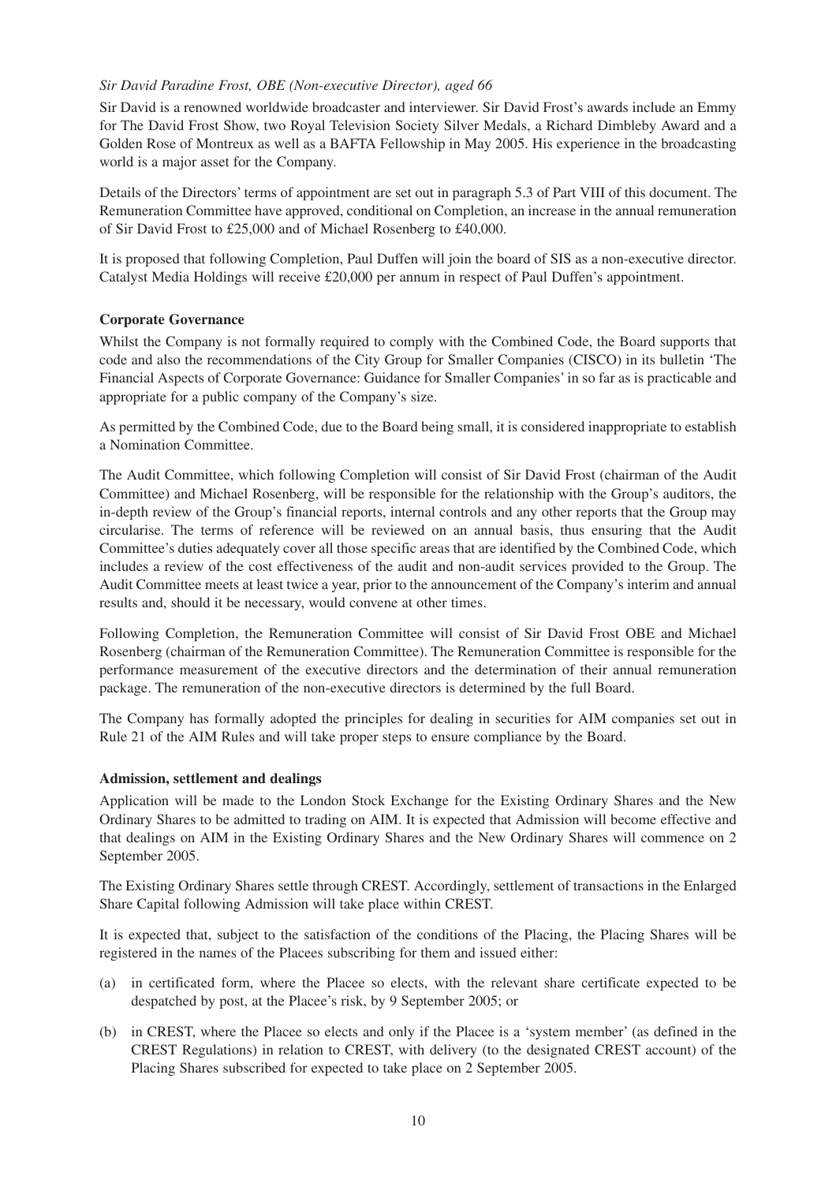#### *Sir David Paradine Frost, OBE (Non-executive Director), aged 66*

Sir David is a renowned worldwide broadcaster and interviewer. Sir David Frost's awards include an Emmy for The David Frost Show, two Royal Television Society Silver Medals, a Richard Dimbleby Award and a Golden Rose of Montreux as well as a BAFTA Fellowship in May 2005. His experience in the broadcasting world is a major asset for the Company.

Details of the Directors' terms of appointment are set out in paragraph 5.3 of Part VIII of this document. The Remuneration Committee have approved, conditional on Completion, an increase in the annual remuneration of Sir David Frost to £25,000 and of Michael Rosenberg to £40,000.

It is proposed that following Completion, Paul Duffen will join the board of SIS as a non-executive director. Catalyst Media Holdings will receive £20,000 per annum in respect of Paul Duffen's appointment.

## **Corporate Governance**

Whilst the Company is not formally required to comply with the Combined Code, the Board supports that code and also the recommendations of the City Group for Smaller Companies (CISCO) in its bulletin 'The Financial Aspects of Corporate Governance: Guidance for Smaller Companies' in so far as is practicable and appropriate for a public company of the Company's size.

As permitted by the Combined Code, due to the Board being small, it is considered inappropriate to establish a Nomination Committee.

The Audit Committee, which following Completion will consist of Sir David Frost (chairman of the Audit Committee) and Michael Rosenberg, will be responsible for the relationship with the Group's auditors, the in-depth review of the Group's financial reports, internal controls and any other reports that the Group may circularise. The terms of reference will be reviewed on an annual basis, thus ensuring that the Audit Committee's duties adequately cover all those specific areas that are identified by the Combined Code, which includes a review of the cost effectiveness of the audit and non-audit services provided to the Group. The Audit Committee meets at least twice a year, prior to the announcement of the Company's interim and annual results and, should it be necessary, would convene at other times.

Following Completion, the Remuneration Committee will consist of Sir David Frost OBE and Michael Rosenberg (chairman of the Remuneration Committee). The Remuneration Committee is responsible for the performance measurement of the executive directors and the determination of their annual remuneration package. The remuneration of the non-executive directors is determined by the full Board.

The Company has formally adopted the principles for dealing in securities for AIM companies set out in Rule 21 of the AIM Rules and will take proper steps to ensure compliance by the Board.

## **Admission, settlement and dealings**

Application will be made to the London Stock Exchange for the Existing Ordinary Shares and the New Ordinary Shares to be admitted to trading on AIM. It is expected that Admission will become effective and that dealings on AIM in the Existing Ordinary Shares and the New Ordinary Shares will commence on 2 September 2005.

The Existing Ordinary Shares settle through CREST. Accordingly, settlement of transactions in the Enlarged Share Capital following Admission will take place within CREST.

It is expected that, subject to the satisfaction of the conditions of the Placing, the Placing Shares will be registered in the names of the Placees subscribing for them and issued either:

- (a) in certificated form, where the Placee so elects, with the relevant share certificate expected to be despatched by post, at the Placee's risk, by 9 September 2005; or
- (b) in CREST, where the Placee so elects and only if the Placee is a 'system member' (as defined in the CREST Regulations) in relation to CREST, with delivery (to the designated CREST account) of the Placing Shares subscribed for expected to take place on 2 September 2005.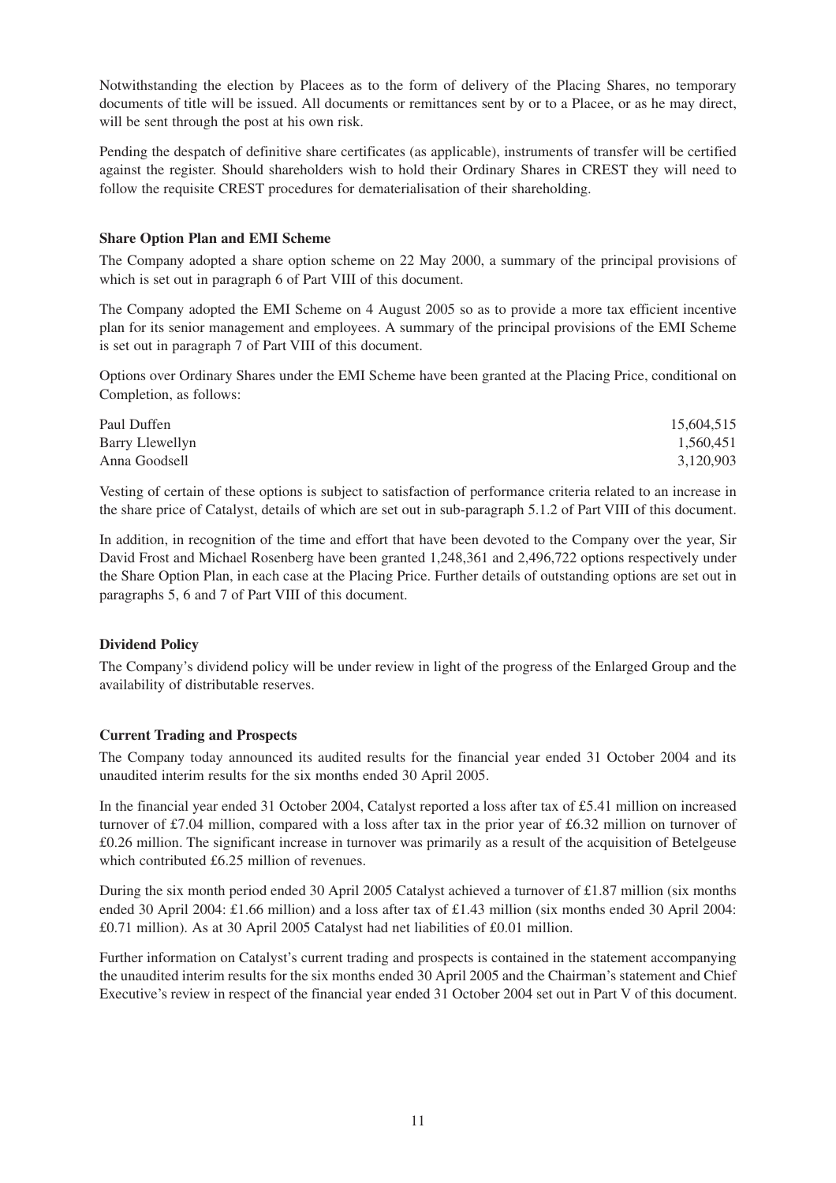Notwithstanding the election by Placees as to the form of delivery of the Placing Shares, no temporary documents of title will be issued. All documents or remittances sent by or to a Placee, or as he may direct, will be sent through the post at his own risk.

Pending the despatch of definitive share certificates (as applicable), instruments of transfer will be certified against the register. Should shareholders wish to hold their Ordinary Shares in CREST they will need to follow the requisite CREST procedures for dematerialisation of their shareholding.

## **Share Option Plan and EMI Scheme**

The Company adopted a share option scheme on 22 May 2000, a summary of the principal provisions of which is set out in paragraph 6 of Part VIII of this document.

The Company adopted the EMI Scheme on 4 August 2005 so as to provide a more tax efficient incentive plan for its senior management and employees. A summary of the principal provisions of the EMI Scheme is set out in paragraph 7 of Part VIII of this document.

Options over Ordinary Shares under the EMI Scheme have been granted at the Placing Price, conditional on Completion, as follows:

| Paul Duffen     | 15.604.515 |
|-----------------|------------|
| Barry Llewellyn | 1,560,451  |
| Anna Goodsell   | 3,120,903  |

Vesting of certain of these options is subject to satisfaction of performance criteria related to an increase in the share price of Catalyst, details of which are set out in sub-paragraph 5.1.2 of Part VIII of this document.

In addition, in recognition of the time and effort that have been devoted to the Company over the year, Sir David Frost and Michael Rosenberg have been granted 1,248,361 and 2,496,722 options respectively under the Share Option Plan, in each case at the Placing Price. Further details of outstanding options are set out in paragraphs 5, 6 and 7 of Part VIII of this document.

## **Dividend Policy**

The Company's dividend policy will be under review in light of the progress of the Enlarged Group and the availability of distributable reserves.

## **Current Trading and Prospects**

The Company today announced its audited results for the financial year ended 31 October 2004 and its unaudited interim results for the six months ended 30 April 2005.

In the financial year ended 31 October 2004, Catalyst reported a loss after tax of £5.41 million on increased turnover of £7.04 million, compared with a loss after tax in the prior year of £6.32 million on turnover of £0.26 million. The significant increase in turnover was primarily as a result of the acquisition of Betelgeuse which contributed £6.25 million of revenues.

During the six month period ended 30 April 2005 Catalyst achieved a turnover of £1.87 million (six months ended 30 April 2004: £1.66 million) and a loss after tax of £1.43 million (six months ended 30 April 2004: £0.71 million). As at 30 April 2005 Catalyst had net liabilities of £0.01 million.

Further information on Catalyst's current trading and prospects is contained in the statement accompanying the unaudited interim results for the six months ended 30 April 2005 and the Chairman's statement and Chief Executive's review in respect of the financial year ended 31 October 2004 set out in Part V of this document.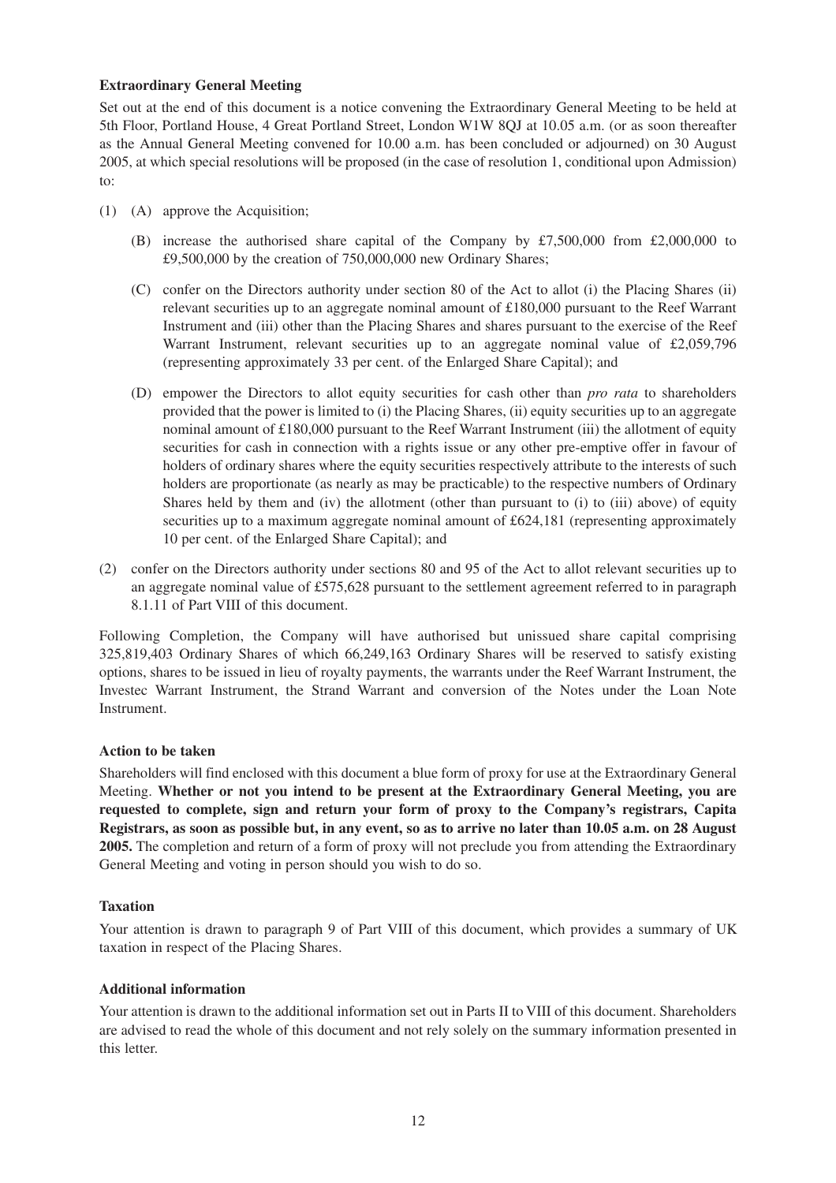## **Extraordinary General Meeting**

Set out at the end of this document is a notice convening the Extraordinary General Meeting to be held at 5th Floor, Portland House, 4 Great Portland Street, London W1W 8QJ at 10.05 a.m. (or as soon thereafter as the Annual General Meeting convened for 10.00 a.m. has been concluded or adjourned) on 30 August 2005, at which special resolutions will be proposed (in the case of resolution 1, conditional upon Admission) to:

- (1) (A) approve the Acquisition;
	- (B) increase the authorised share capital of the Company by £7,500,000 from £2,000,000 to £9,500,000 by the creation of 750,000,000 new Ordinary Shares;
	- (C) confer on the Directors authority under section 80 of the Act to allot (i) the Placing Shares (ii) relevant securities up to an aggregate nominal amount of £180,000 pursuant to the Reef Warrant Instrument and (iii) other than the Placing Shares and shares pursuant to the exercise of the Reef Warrant Instrument, relevant securities up to an aggregate nominal value of £2,059,796 (representing approximately 33 per cent. of the Enlarged Share Capital); and
	- (D) empower the Directors to allot equity securities for cash other than *pro rata* to shareholders provided that the power is limited to (i) the Placing Shares, (ii) equity securities up to an aggregate nominal amount of £180,000 pursuant to the Reef Warrant Instrument (iii) the allotment of equity securities for cash in connection with a rights issue or any other pre-emptive offer in favour of holders of ordinary shares where the equity securities respectively attribute to the interests of such holders are proportionate (as nearly as may be practicable) to the respective numbers of Ordinary Shares held by them and (iv) the allotment (other than pursuant to (i) to (iii) above) of equity securities up to a maximum aggregate nominal amount of £624,181 (representing approximately 10 per cent. of the Enlarged Share Capital); and
- (2) confer on the Directors authority under sections 80 and 95 of the Act to allot relevant securities up to an aggregate nominal value of £575,628 pursuant to the settlement agreement referred to in paragraph 8.1.11 of Part VIII of this document.

Following Completion, the Company will have authorised but unissued share capital comprising 325,819,403 Ordinary Shares of which 66,249,163 Ordinary Shares will be reserved to satisfy existing options, shares to be issued in lieu of royalty payments, the warrants under the Reef Warrant Instrument, the Investec Warrant Instrument, the Strand Warrant and conversion of the Notes under the Loan Note **Instrument** 

#### **Action to be taken**

Shareholders will find enclosed with this document a blue form of proxy for use at the Extraordinary General Meeting. **Whether or not you intend to be present at the Extraordinary General Meeting, you are requested to complete, sign and return your form of proxy to the Company's registrars, Capita Registrars, as soon as possible but, in any event, so as to arrive no later than 10.05 a.m. on 28 August 2005.** The completion and return of a form of proxy will not preclude you from attending the Extraordinary General Meeting and voting in person should you wish to do so.

#### **Taxation**

Your attention is drawn to paragraph 9 of Part VIII of this document, which provides a summary of UK taxation in respect of the Placing Shares.

#### **Additional information**

Your attention is drawn to the additional information set out in Parts II to VIII of this document. Shareholders are advised to read the whole of this document and not rely solely on the summary information presented in this letter.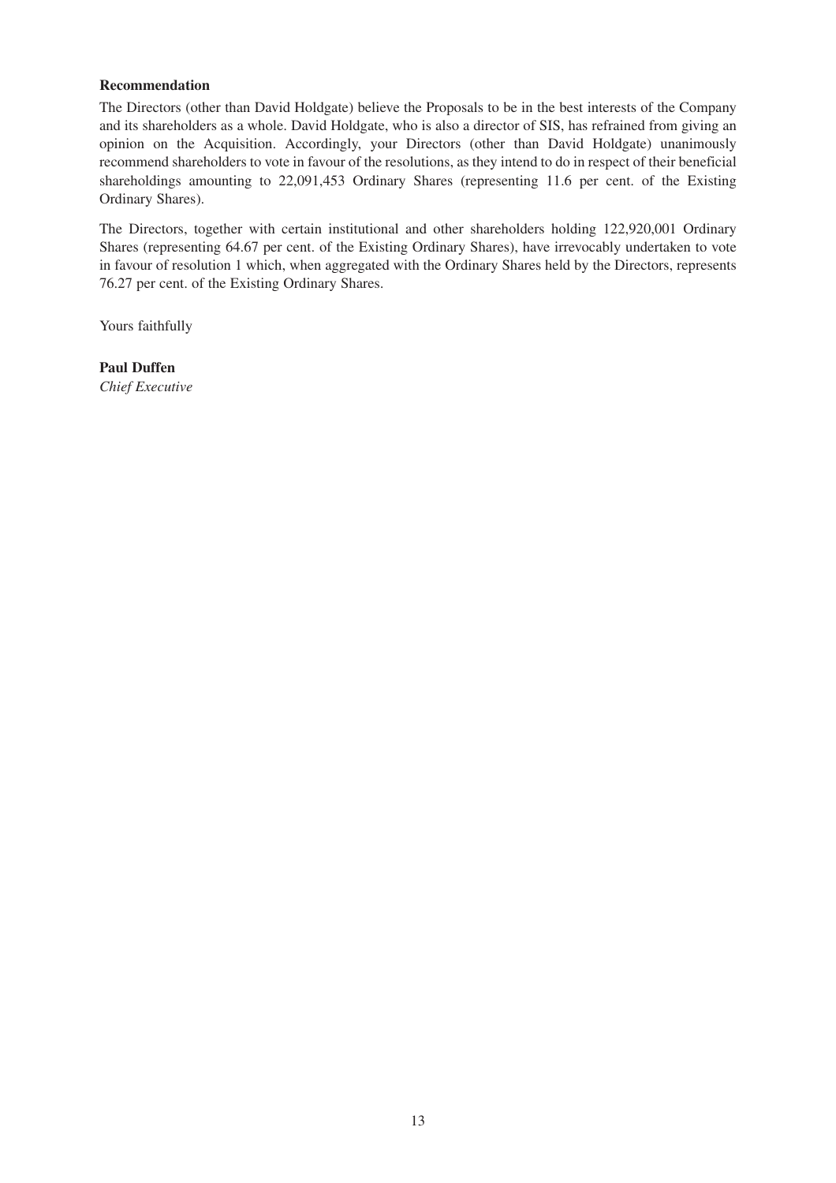#### **Recommendation**

The Directors (other than David Holdgate) believe the Proposals to be in the best interests of the Company and its shareholders as a whole. David Holdgate, who is also a director of SIS, has refrained from giving an opinion on the Acquisition. Accordingly, your Directors (other than David Holdgate) unanimously recommend shareholders to vote in favour of the resolutions, as they intend to do in respect of their beneficial shareholdings amounting to 22,091,453 Ordinary Shares (representing 11.6 per cent. of the Existing Ordinary Shares).

The Directors, together with certain institutional and other shareholders holding 122,920,001 Ordinary Shares (representing 64.67 per cent. of the Existing Ordinary Shares), have irrevocably undertaken to vote in favour of resolution 1 which, when aggregated with the Ordinary Shares held by the Directors, represents 76.27 per cent. of the Existing Ordinary Shares.

Yours faithfully

**Paul Duffen** *Chief Executive*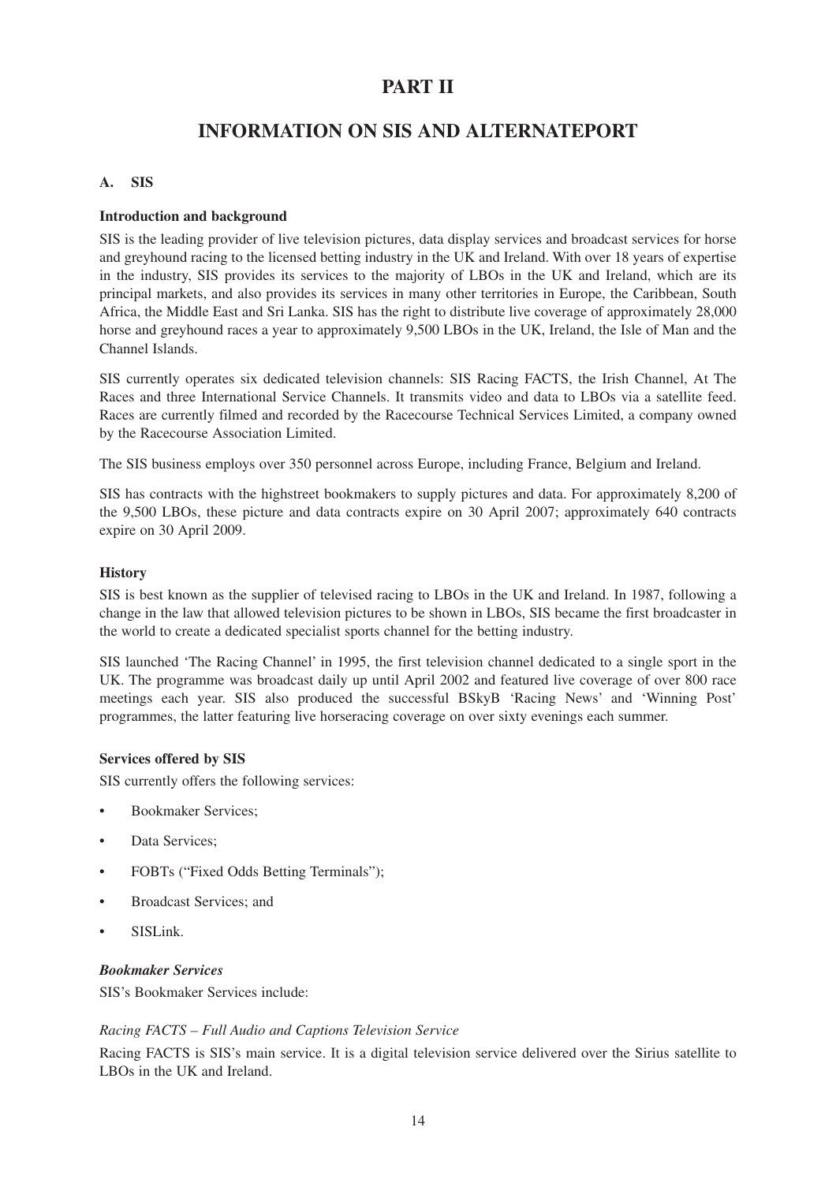## **PART II**

## **INFORMATION ON SIS AND ALTERNATEPORT**

## **A. SIS**

### **Introduction and background**

SIS is the leading provider of live television pictures, data display services and broadcast services for horse and greyhound racing to the licensed betting industry in the UK and Ireland. With over 18 years of expertise in the industry, SIS provides its services to the majority of LBOs in the UK and Ireland, which are its principal markets, and also provides its services in many other territories in Europe, the Caribbean, South Africa, the Middle East and Sri Lanka. SIS has the right to distribute live coverage of approximately 28,000 horse and greyhound races a year to approximately 9,500 LBOs in the UK, Ireland, the Isle of Man and the Channel Islands.

SIS currently operates six dedicated television channels: SIS Racing FACTS, the Irish Channel, At The Races and three International Service Channels. It transmits video and data to LBOs via a satellite feed. Races are currently filmed and recorded by the Racecourse Technical Services Limited, a company owned by the Racecourse Association Limited.

The SIS business employs over 350 personnel across Europe, including France, Belgium and Ireland.

SIS has contracts with the highstreet bookmakers to supply pictures and data. For approximately 8,200 of the 9,500 LBOs, these picture and data contracts expire on 30 April 2007; approximately 640 contracts expire on 30 April 2009.

#### **History**

SIS is best known as the supplier of televised racing to LBOs in the UK and Ireland. In 1987, following a change in the law that allowed television pictures to be shown in LBOs, SIS became the first broadcaster in the world to create a dedicated specialist sports channel for the betting industry.

SIS launched 'The Racing Channel' in 1995, the first television channel dedicated to a single sport in the UK. The programme was broadcast daily up until April 2002 and featured live coverage of over 800 race meetings each year. SIS also produced the successful BSkyB 'Racing News' and 'Winning Post' programmes, the latter featuring live horseracing coverage on over sixty evenings each summer.

## **Services offered by SIS**

SIS currently offers the following services:

- Bookmaker Services;
- Data Services:
- FOBTs ("Fixed Odds Betting Terminals");
- Broadcast Services; and
- SISLink.

#### *Bookmaker Services*

SIS's Bookmaker Services include:

## *Racing FACTS – Full Audio and Captions Television Service*

Racing FACTS is SIS's main service. It is a digital television service delivered over the Sirius satellite to LBOs in the UK and Ireland.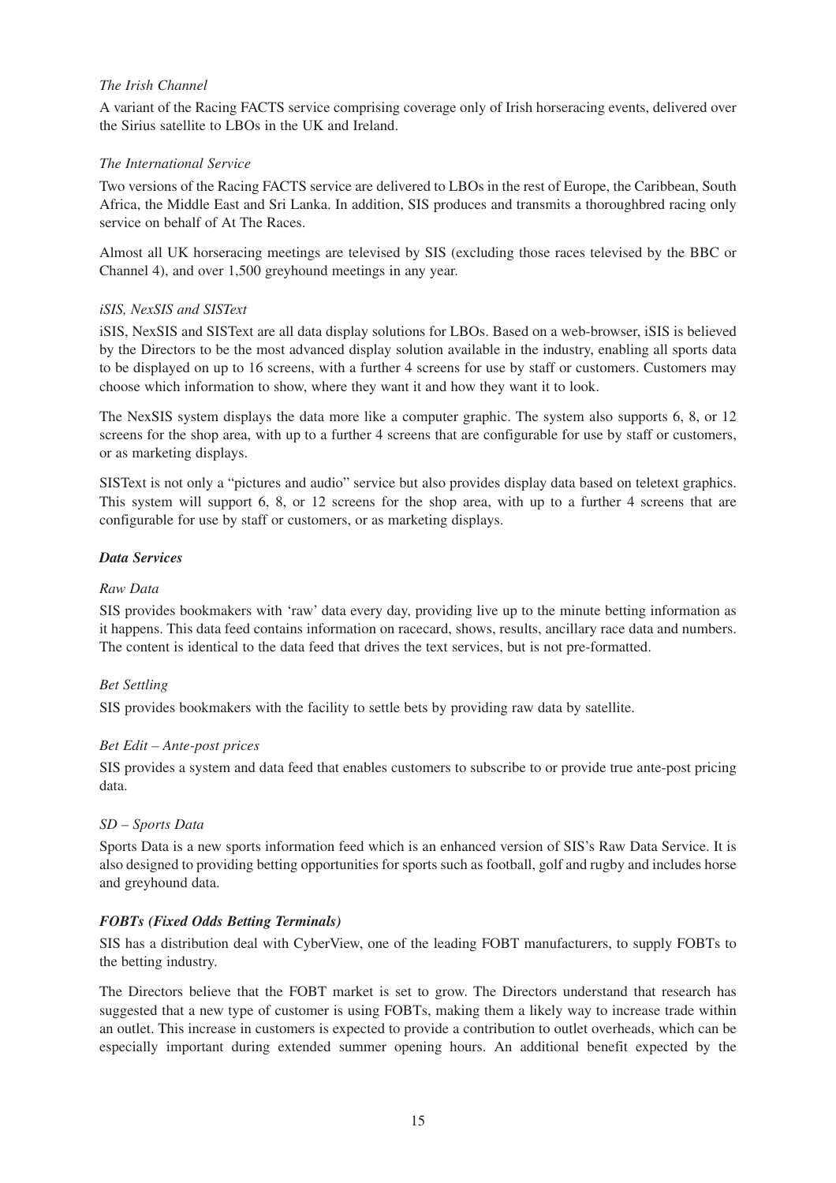## *The Irish Channel*

A variant of the Racing FACTS service comprising coverage only of Irish horseracing events, delivered over the Sirius satellite to LBOs in the UK and Ireland.

## *The International Service*

Two versions of the Racing FACTS service are delivered to LBOs in the rest of Europe, the Caribbean, South Africa, the Middle East and Sri Lanka. In addition, SIS produces and transmits a thoroughbred racing only service on behalf of At The Races.

Almost all UK horseracing meetings are televised by SIS (excluding those races televised by the BBC or Channel 4), and over 1,500 greyhound meetings in any year.

## *iSIS, NexSIS and SISText*

iSIS, NexSIS and SISText are all data display solutions for LBOs. Based on a web-browser, iSIS is believed by the Directors to be the most advanced display solution available in the industry, enabling all sports data to be displayed on up to 16 screens, with a further 4 screens for use by staff or customers. Customers may choose which information to show, where they want it and how they want it to look.

The NexSIS system displays the data more like a computer graphic. The system also supports 6, 8, or 12 screens for the shop area, with up to a further 4 screens that are configurable for use by staff or customers, or as marketing displays.

SISText is not only a "pictures and audio" service but also provides display data based on teletext graphics. This system will support 6, 8, or 12 screens for the shop area, with up to a further 4 screens that are configurable for use by staff or customers, or as marketing displays.

## *Data Services*

## *Raw Data*

SIS provides bookmakers with 'raw' data every day, providing live up to the minute betting information as it happens. This data feed contains information on racecard, shows, results, ancillary race data and numbers. The content is identical to the data feed that drives the text services, but is not pre-formatted.

## *Bet Settling*

SIS provides bookmakers with the facility to settle bets by providing raw data by satellite.

## *Bet Edit – Ante-post prices*

SIS provides a system and data feed that enables customers to subscribe to or provide true ante-post pricing data.

## *SD – Sports Data*

Sports Data is a new sports information feed which is an enhanced version of SIS's Raw Data Service. It is also designed to providing betting opportunities for sports such as football, golf and rugby and includes horse and greyhound data.

## *FOBTs (Fixed Odds Betting Terminals)*

SIS has a distribution deal with CyberView, one of the leading FOBT manufacturers, to supply FOBTs to the betting industry.

The Directors believe that the FOBT market is set to grow. The Directors understand that research has suggested that a new type of customer is using FOBTs, making them a likely way to increase trade within an outlet. This increase in customers is expected to provide a contribution to outlet overheads, which can be especially important during extended summer opening hours. An additional benefit expected by the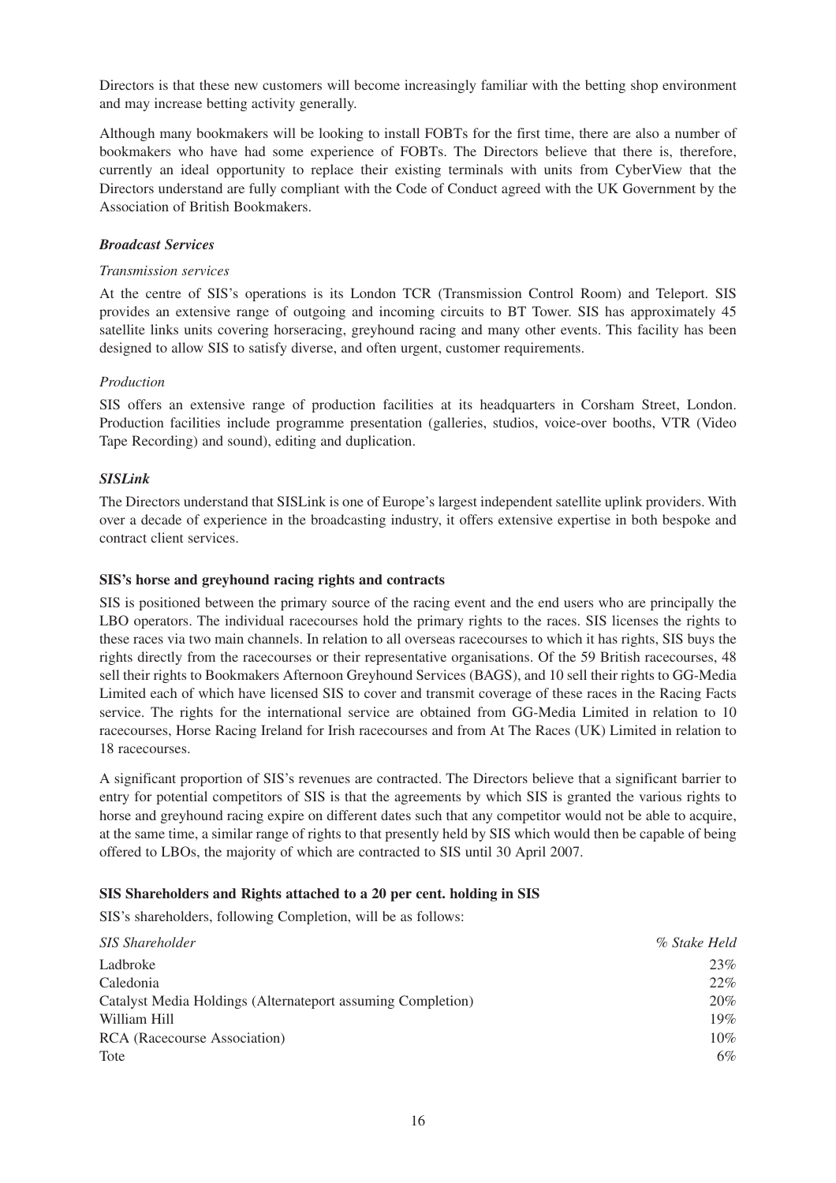Directors is that these new customers will become increasingly familiar with the betting shop environment and may increase betting activity generally.

Although many bookmakers will be looking to install FOBTs for the first time, there are also a number of bookmakers who have had some experience of FOBTs. The Directors believe that there is, therefore, currently an ideal opportunity to replace their existing terminals with units from CyberView that the Directors understand are fully compliant with the Code of Conduct agreed with the UK Government by the Association of British Bookmakers.

## *Broadcast Services*

#### *Transmission services*

At the centre of SIS's operations is its London TCR (Transmission Control Room) and Teleport. SIS provides an extensive range of outgoing and incoming circuits to BT Tower. SIS has approximately 45 satellite links units covering horseracing, greyhound racing and many other events. This facility has been designed to allow SIS to satisfy diverse, and often urgent, customer requirements.

#### *Production*

SIS offers an extensive range of production facilities at its headquarters in Corsham Street, London. Production facilities include programme presentation (galleries, studios, voice-over booths, VTR (Video Tape Recording) and sound), editing and duplication.

#### *SISLink*

The Directors understand that SISLink is one of Europe's largest independent satellite uplink providers. With over a decade of experience in the broadcasting industry, it offers extensive expertise in both bespoke and contract client services.

#### **SIS's horse and greyhound racing rights and contracts**

SIS is positioned between the primary source of the racing event and the end users who are principally the LBO operators. The individual racecourses hold the primary rights to the races. SIS licenses the rights to these races via two main channels. In relation to all overseas racecourses to which it has rights, SIS buys the rights directly from the racecourses or their representative organisations. Of the 59 British racecourses, 48 sell their rights to Bookmakers Afternoon Greyhound Services (BAGS), and 10 sell their rights to GG-Media Limited each of which have licensed SIS to cover and transmit coverage of these races in the Racing Facts service. The rights for the international service are obtained from GG-Media Limited in relation to 10 racecourses, Horse Racing Ireland for Irish racecourses and from At The Races (UK) Limited in relation to 18 racecourses.

A significant proportion of SIS's revenues are contracted. The Directors believe that a significant barrier to entry for potential competitors of SIS is that the agreements by which SIS is granted the various rights to horse and greyhound racing expire on different dates such that any competitor would not be able to acquire, at the same time, a similar range of rights to that presently held by SIS which would then be capable of being offered to LBOs, the majority of which are contracted to SIS until 30 April 2007.

#### **SIS Shareholders and Rights attached to a 20 per cent. holding in SIS**

SIS's shareholders, following Completion, will be as follows:

| <b>SIS</b> Shareholder                                      | % Stake Held |
|-------------------------------------------------------------|--------------|
| Ladbroke                                                    | 23%          |
| Caledonia                                                   | 22%          |
| Catalyst Media Holdings (Alternateport assuming Completion) | 20%          |
| William Hill                                                | 19%          |
| RCA (Racecourse Association)                                | 10%          |
| Tote                                                        | 6%           |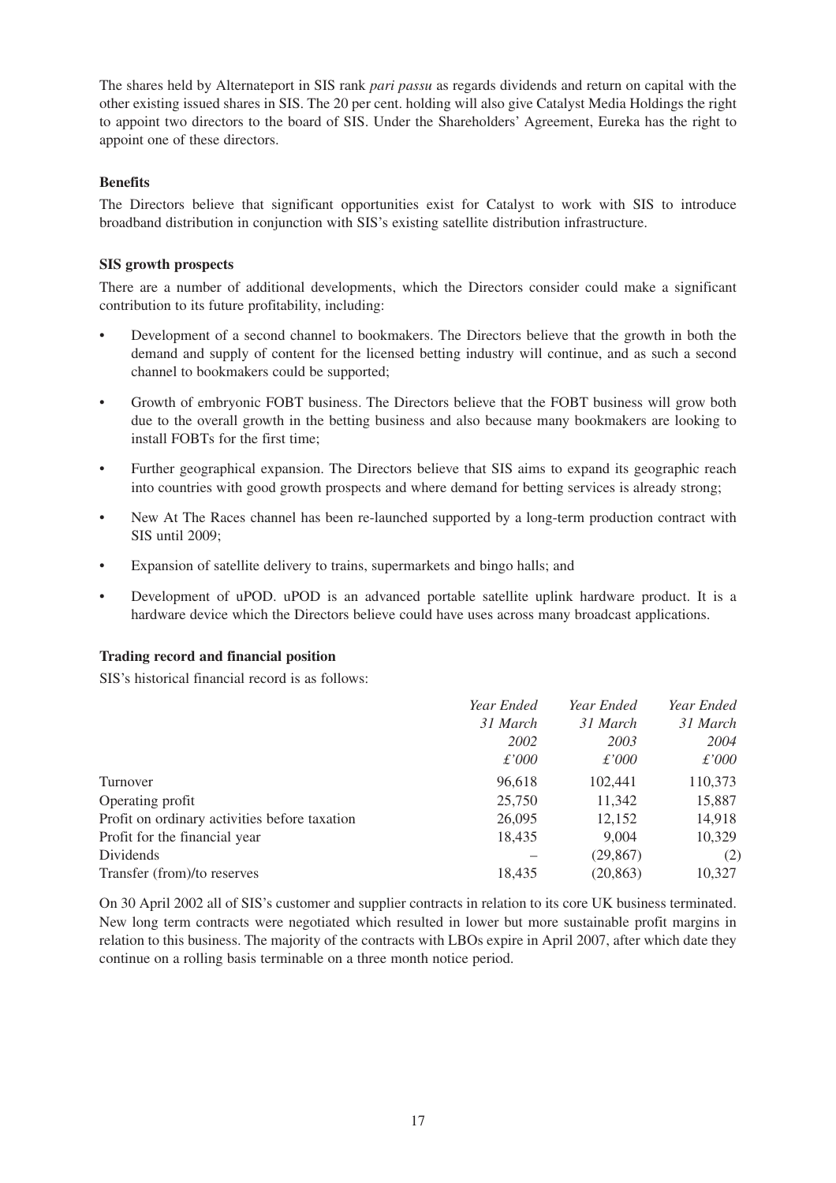The shares held by Alternateport in SIS rank *pari passu* as regards dividends and return on capital with the other existing issued shares in SIS. The 20 per cent. holding will also give Catalyst Media Holdings the right to appoint two directors to the board of SIS. Under the Shareholders' Agreement, Eureka has the right to appoint one of these directors.

## **Benefits**

The Directors believe that significant opportunities exist for Catalyst to work with SIS to introduce broadband distribution in conjunction with SIS's existing satellite distribution infrastructure.

## **SIS growth prospects**

There are a number of additional developments, which the Directors consider could make a significant contribution to its future profitability, including:

- Development of a second channel to bookmakers. The Directors believe that the growth in both the demand and supply of content for the licensed betting industry will continue, and as such a second channel to bookmakers could be supported;
- Growth of embryonic FOBT business. The Directors believe that the FOBT business will grow both due to the overall growth in the betting business and also because many bookmakers are looking to install FOBTs for the first time;
- Further geographical expansion. The Directors believe that SIS aims to expand its geographic reach into countries with good growth prospects and where demand for betting services is already strong;
- New At The Races channel has been re-launched supported by a long-term production contract with SIS until 2009;
- Expansion of satellite delivery to trains, supermarkets and bingo halls; and
- Development of uPOD. uPOD is an advanced portable satellite uplink hardware product. It is a hardware device which the Directors believe could have uses across many broadcast applications.

## **Trading record and financial position**

SIS's historical financial record is as follows:

|                                               | Year Ended    | Year Ended    | Year Ended    |
|-----------------------------------------------|---------------|---------------|---------------|
|                                               | 31 March      | 31 March      | 31 March      |
|                                               | 2002          | 2003          | 2004          |
|                                               | $\pounds'000$ | $\pounds'000$ | $\pounds'000$ |
| Turnover                                      | 96,618        | 102,441       | 110,373       |
| Operating profit                              | 25,750        | 11,342        | 15,887        |
| Profit on ordinary activities before taxation | 26,095        | 12,152        | 14,918        |
| Profit for the financial year                 | 18,435        | 9,004         | 10,329        |
| Dividends                                     |               | (29, 867)     | (2)           |
| Transfer (from)/to reserves                   | 18,435        | (20, 863)     | 10,327        |
|                                               |               |               |               |

On 30 April 2002 all of SIS's customer and supplier contracts in relation to its core UK business terminated. New long term contracts were negotiated which resulted in lower but more sustainable profit margins in relation to this business. The majority of the contracts with LBOs expire in April 2007, after which date they continue on a rolling basis terminable on a three month notice period.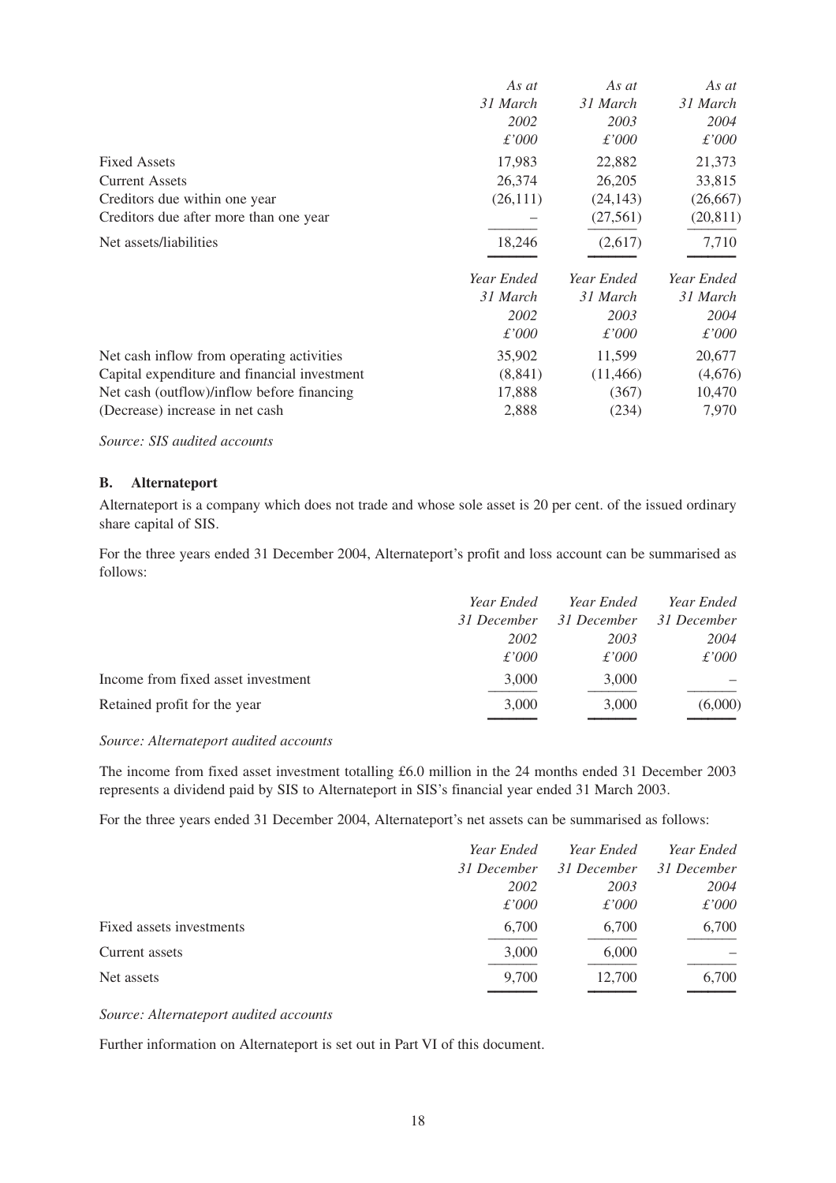| As at         | As at         | As at      |
|---------------|---------------|------------|
| 31 March      | 31 March      | 31 March   |
| 2002          | 2003          | 2004       |
| £'000         | $\pounds'000$ | £'000      |
| 17,983        | 22,882        | 21,373     |
| 26,374        | 26,205        | 33,815     |
| (26, 111)     | (24, 143)     | (26, 667)  |
|               | (27, 561)     | (20, 811)  |
| 18,246        | (2,617)       | 7,710      |
|               |               | Year Ended |
| 31 March      | 31 March      | 31 March   |
| 2002          | 2003          | 2004       |
| $\pounds'000$ | $\pounds'000$ | £'000      |
| 35,902        | 11,599        | 20,677     |
| (8, 841)      | (11, 466)     | (4,676)    |
| 17,888        | (367)         | 10,470     |
| 2,888         | (234)         | 7,970      |
|               | Year Ended    | Year Ended |

*Source: SIS audited accounts*

#### **B. Alternateport**

Alternateport is a company which does not trade and whose sole asset is 20 per cent. of the issued ordinary share capital of SIS.

For the three years ended 31 December 2004, Alternateport's profit and loss account can be summarised as follows:

|                                    | Year Ended  | Year Ended    | Year Ended  |
|------------------------------------|-------------|---------------|-------------|
|                                    | 31 December | 31 December   | 31 December |
|                                    | 2002        | 2003          | 2004        |
|                                    | £'000       | $\pounds'000$ | £'000       |
| Income from fixed asset investment | 3,000       | 3,000         |             |
| Retained profit for the year       | 3,000       | 3,000         | (6,000)     |
|                                    |             |               |             |

#### *Source: Alternateport audited accounts*

The income from fixed asset investment totalling £6.0 million in the 24 months ended 31 December 2003 represents a dividend paid by SIS to Alternateport in SIS's financial year ended 31 March 2003.

For the three years ended 31 December 2004, Alternateport's net assets can be summarised as follows:

|                          | Year Ended    | Year Ended    | Year Ended    |
|--------------------------|---------------|---------------|---------------|
|                          | 31 December   | 31 December   | 31 December   |
|                          | 2002          | 2003          | 2004          |
|                          | $\pounds'000$ | $\pounds'000$ | $\pounds'000$ |
| Fixed assets investments | 6,700         | 6,700         | 6,700         |
| Current assets           | 3,000         | 6,000         |               |
| Net assets               | 9,700         | 12,700        | 6,700         |
|                          |               |               |               |

#### *Source: Alternateport audited accounts*

Further information on Alternateport is set out in Part VI of this document.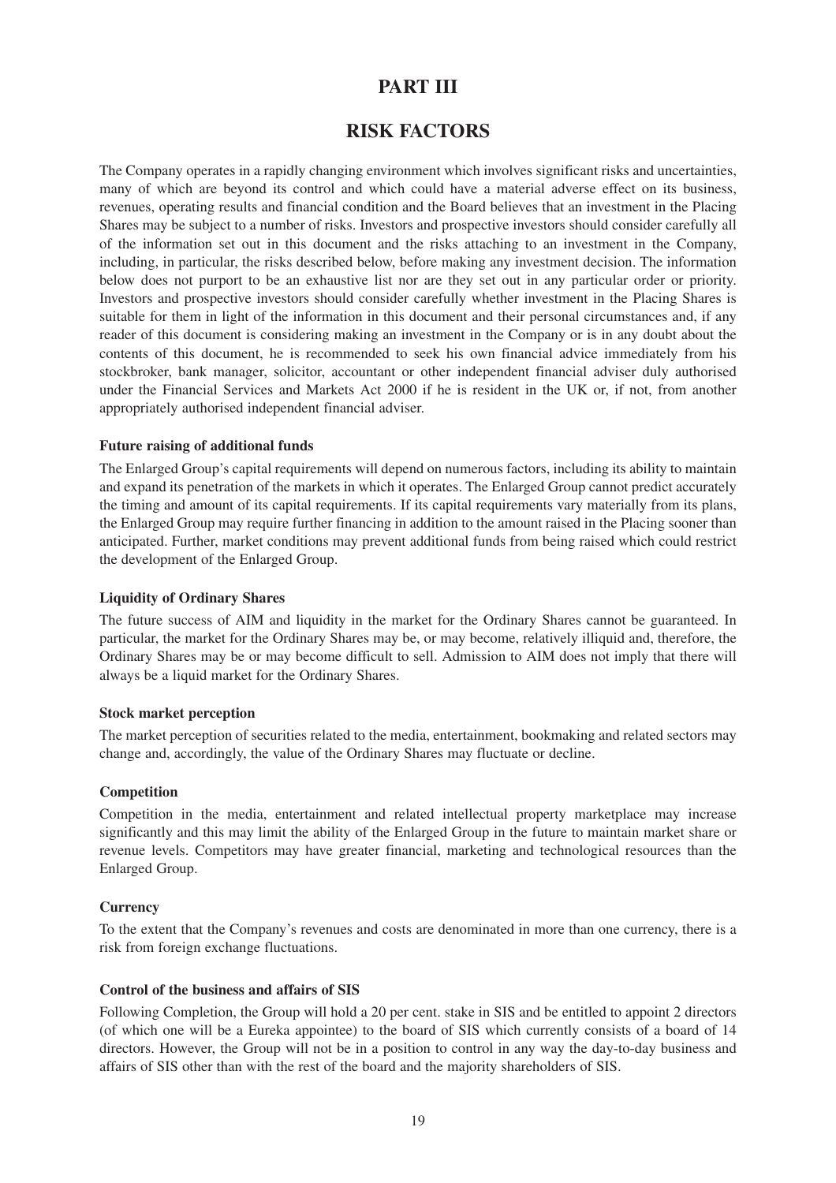## **PART III**

## **RISK FACTORS**

The Company operates in a rapidly changing environment which involves significant risks and uncertainties, many of which are beyond its control and which could have a material adverse effect on its business, revenues, operating results and financial condition and the Board believes that an investment in the Placing Shares may be subject to a number of risks. Investors and prospective investors should consider carefully all of the information set out in this document and the risks attaching to an investment in the Company, including, in particular, the risks described below, before making any investment decision. The information below does not purport to be an exhaustive list nor are they set out in any particular order or priority. Investors and prospective investors should consider carefully whether investment in the Placing Shares is suitable for them in light of the information in this document and their personal circumstances and, if any reader of this document is considering making an investment in the Company or is in any doubt about the contents of this document, he is recommended to seek his own financial advice immediately from his stockbroker, bank manager, solicitor, accountant or other independent financial adviser duly authorised under the Financial Services and Markets Act 2000 if he is resident in the UK or, if not, from another appropriately authorised independent financial adviser.

## **Future raising of additional funds**

The Enlarged Group's capital requirements will depend on numerous factors, including its ability to maintain and expand its penetration of the markets in which it operates. The Enlarged Group cannot predict accurately the timing and amount of its capital requirements. If its capital requirements vary materially from its plans, the Enlarged Group may require further financing in addition to the amount raised in the Placing sooner than anticipated. Further, market conditions may prevent additional funds from being raised which could restrict the development of the Enlarged Group.

### **Liquidity of Ordinary Shares**

The future success of AIM and liquidity in the market for the Ordinary Shares cannot be guaranteed. In particular, the market for the Ordinary Shares may be, or may become, relatively illiquid and, therefore, the Ordinary Shares may be or may become difficult to sell. Admission to AIM does not imply that there will always be a liquid market for the Ordinary Shares.

## **Stock market perception**

The market perception of securities related to the media, entertainment, bookmaking and related sectors may change and, accordingly, the value of the Ordinary Shares may fluctuate or decline.

#### **Competition**

Competition in the media, entertainment and related intellectual property marketplace may increase significantly and this may limit the ability of the Enlarged Group in the future to maintain market share or revenue levels. Competitors may have greater financial, marketing and technological resources than the Enlarged Group.

## **Currency**

To the extent that the Company's revenues and costs are denominated in more than one currency, there is a risk from foreign exchange fluctuations.

#### **Control of the business and affairs of SIS**

Following Completion, the Group will hold a 20 per cent. stake in SIS and be entitled to appoint 2 directors (of which one will be a Eureka appointee) to the board of SIS which currently consists of a board of 14 directors. However, the Group will not be in a position to control in any way the day-to-day business and affairs of SIS other than with the rest of the board and the majority shareholders of SIS.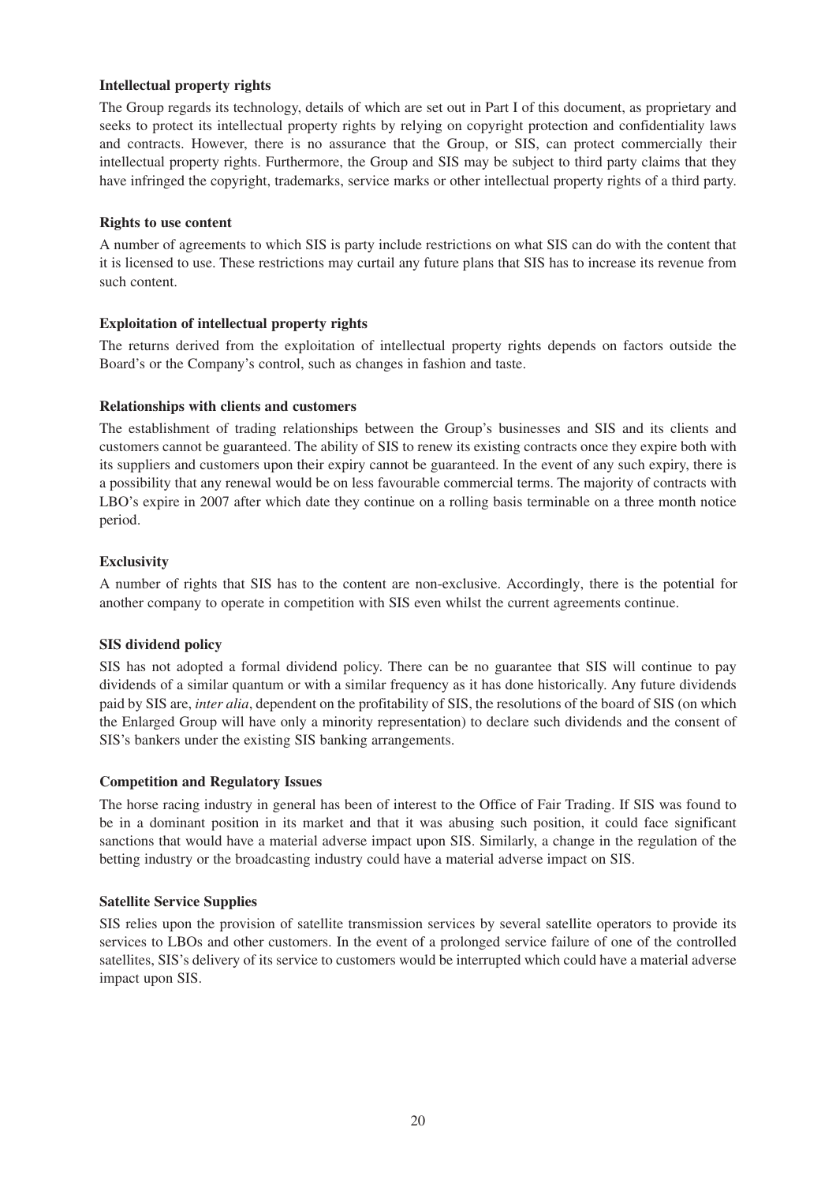## **Intellectual property rights**

The Group regards its technology, details of which are set out in Part I of this document, as proprietary and seeks to protect its intellectual property rights by relying on copyright protection and confidentiality laws and contracts. However, there is no assurance that the Group, or SIS, can protect commercially their intellectual property rights. Furthermore, the Group and SIS may be subject to third party claims that they have infringed the copyright, trademarks, service marks or other intellectual property rights of a third party.

#### **Rights to use content**

A number of agreements to which SIS is party include restrictions on what SIS can do with the content that it is licensed to use. These restrictions may curtail any future plans that SIS has to increase its revenue from such content.

## **Exploitation of intellectual property rights**

The returns derived from the exploitation of intellectual property rights depends on factors outside the Board's or the Company's control, such as changes in fashion and taste.

## **Relationships with clients and customers**

The establishment of trading relationships between the Group's businesses and SIS and its clients and customers cannot be guaranteed. The ability of SIS to renew its existing contracts once they expire both with its suppliers and customers upon their expiry cannot be guaranteed. In the event of any such expiry, there is a possibility that any renewal would be on less favourable commercial terms. The majority of contracts with LBO's expire in 2007 after which date they continue on a rolling basis terminable on a three month notice period.

## **Exclusivity**

A number of rights that SIS has to the content are non-exclusive. Accordingly, there is the potential for another company to operate in competition with SIS even whilst the current agreements continue.

## **SIS dividend policy**

SIS has not adopted a formal dividend policy. There can be no guarantee that SIS will continue to pay dividends of a similar quantum or with a similar frequency as it has done historically. Any future dividends paid by SIS are, *inter alia*, dependent on the profitability of SIS, the resolutions of the board of SIS (on which the Enlarged Group will have only a minority representation) to declare such dividends and the consent of SIS's bankers under the existing SIS banking arrangements.

## **Competition and Regulatory Issues**

The horse racing industry in general has been of interest to the Office of Fair Trading. If SIS was found to be in a dominant position in its market and that it was abusing such position, it could face significant sanctions that would have a material adverse impact upon SIS. Similarly, a change in the regulation of the betting industry or the broadcasting industry could have a material adverse impact on SIS.

## **Satellite Service Supplies**

SIS relies upon the provision of satellite transmission services by several satellite operators to provide its services to LBOs and other customers. In the event of a prolonged service failure of one of the controlled satellites, SIS's delivery of its service to customers would be interrupted which could have a material adverse impact upon SIS.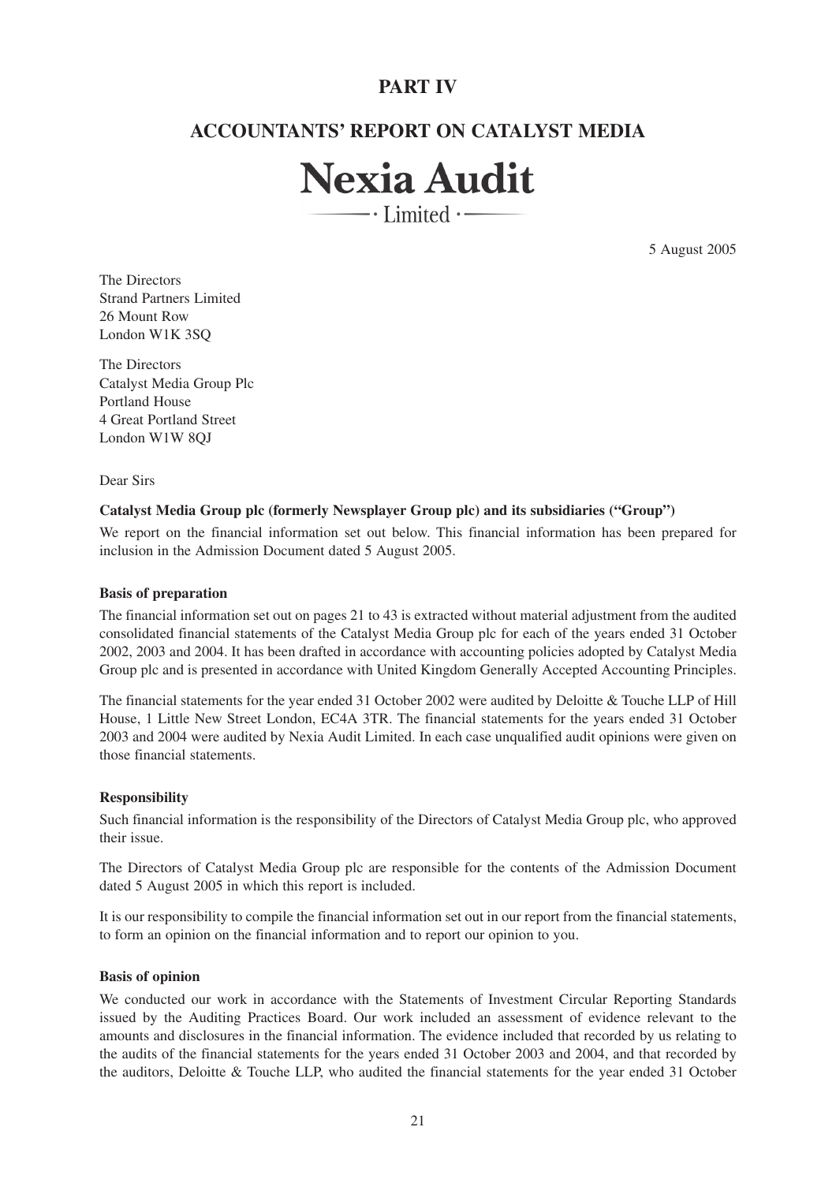## **PART IV**

## **ACCOUNTANTS' REPORT ON CATALYST MEDIA**



5 August 2005

The Directors Strand Partners Limited 26 Mount Row London W1K 3SO

The Directors Catalyst Media Group Plc Portland House 4 Great Portland Street London W1W 8QJ

Dear Sirs

#### **Catalyst Media Group plc (formerly Newsplayer Group plc) and its subsidiaries ("Group")**

We report on the financial information set out below. This financial information has been prepared for inclusion in the Admission Document dated 5 August 2005.

#### **Basis of preparation**

The financial information set out on pages 21 to 43 is extracted without material adjustment from the audited consolidated financial statements of the Catalyst Media Group plc for each of the years ended 31 October 2002, 2003 and 2004. It has been drafted in accordance with accounting policies adopted by Catalyst Media Group plc and is presented in accordance with United Kingdom Generally Accepted Accounting Principles.

The financial statements for the year ended 31 October 2002 were audited by Deloitte & Touche LLP of Hill House, 1 Little New Street London, EC4A 3TR. The financial statements for the years ended 31 October 2003 and 2004 were audited by Nexia Audit Limited. In each case unqualified audit opinions were given on those financial statements.

#### **Responsibility**

Such financial information is the responsibility of the Directors of Catalyst Media Group plc, who approved their issue.

The Directors of Catalyst Media Group plc are responsible for the contents of the Admission Document dated 5 August 2005 in which this report is included.

It is our responsibility to compile the financial information set out in our report from the financial statements, to form an opinion on the financial information and to report our opinion to you.

#### **Basis of opinion**

We conducted our work in accordance with the Statements of Investment Circular Reporting Standards issued by the Auditing Practices Board. Our work included an assessment of evidence relevant to the amounts and disclosures in the financial information. The evidence included that recorded by us relating to the audits of the financial statements for the years ended 31 October 2003 and 2004, and that recorded by the auditors, Deloitte & Touche LLP, who audited the financial statements for the year ended 31 October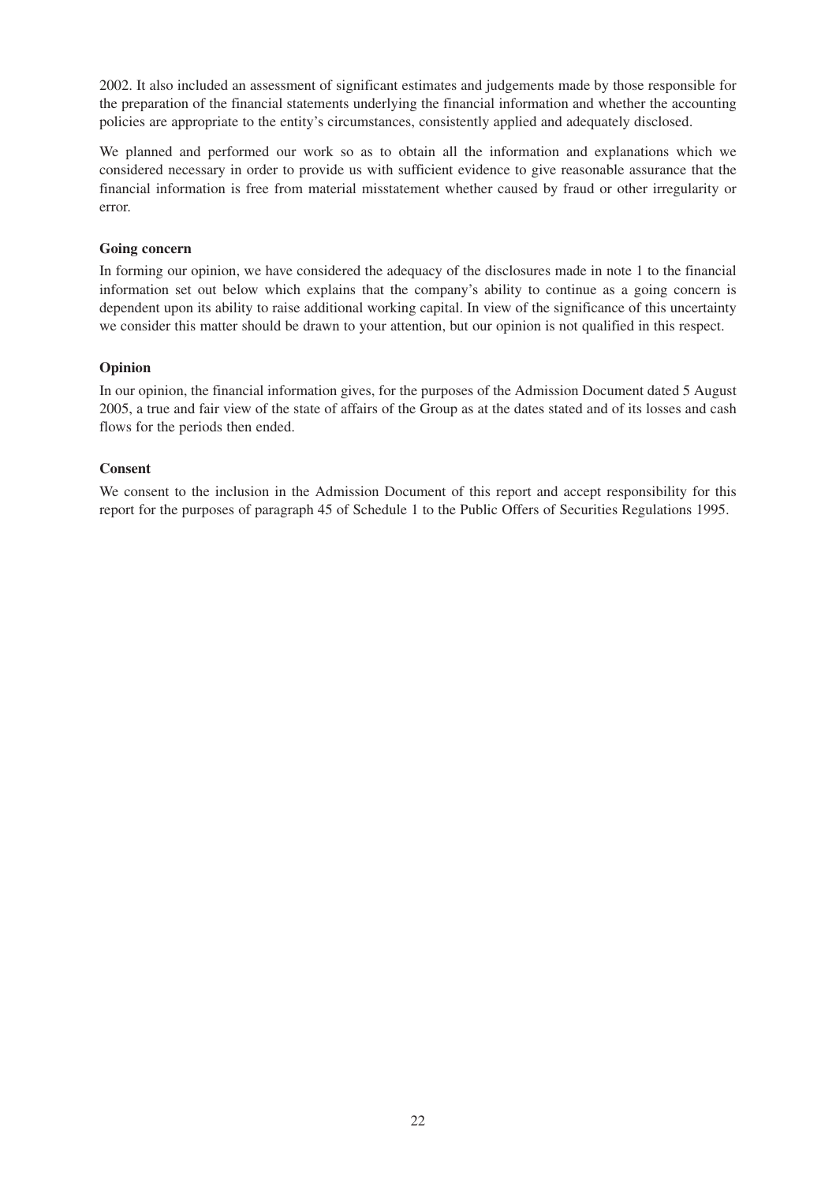2002. It also included an assessment of significant estimates and judgements made by those responsible for the preparation of the financial statements underlying the financial information and whether the accounting policies are appropriate to the entity's circumstances, consistently applied and adequately disclosed.

We planned and performed our work so as to obtain all the information and explanations which we considered necessary in order to provide us with sufficient evidence to give reasonable assurance that the financial information is free from material misstatement whether caused by fraud or other irregularity or error.

#### **Going concern**

In forming our opinion, we have considered the adequacy of the disclosures made in note 1 to the financial information set out below which explains that the company's ability to continue as a going concern is dependent upon its ability to raise additional working capital. In view of the significance of this uncertainty we consider this matter should be drawn to your attention, but our opinion is not qualified in this respect.

## **Opinion**

In our opinion, the financial information gives, for the purposes of the Admission Document dated 5 August 2005, a true and fair view of the state of affairs of the Group as at the dates stated and of its losses and cash flows for the periods then ended.

#### **Consent**

We consent to the inclusion in the Admission Document of this report and accept responsibility for this report for the purposes of paragraph 45 of Schedule 1 to the Public Offers of Securities Regulations 1995.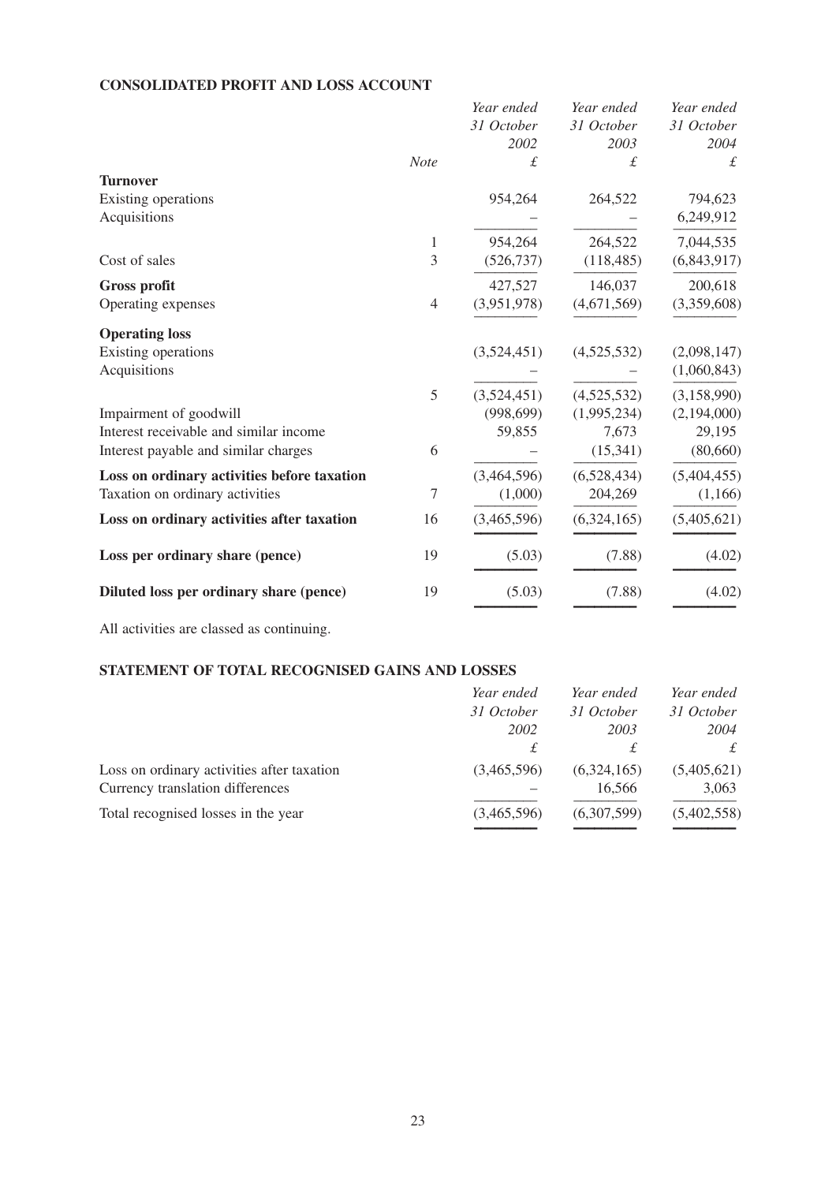## **CONSOLIDATED PROFIT AND LOSS ACCOUNT**

|                | Year ended  | Year ended  | Year ended    |
|----------------|-------------|-------------|---------------|
|                | 31 October  | 31 October  | 31 October    |
|                | 2002        | 2003        | 2004          |
| <b>Note</b>    | £           | £           | £             |
|                |             |             |               |
|                | 954,264     | 264,522     | 794,623       |
|                |             |             | 6,249,912     |
| 1              | 954,264     | 264,522     | 7,044,535     |
| 3              | (526, 737)  | (118, 485)  | (6,843,917)   |
|                | 427,527     | 146,037     | 200,618       |
| $\overline{4}$ | (3,951,978) | (4,671,569) | (3,359,608)   |
|                |             |             |               |
|                |             |             | (2,098,147)   |
|                |             |             | (1,060,843)   |
| 5              | (3,524,451) | (4,525,532) | (3, 158, 990) |
|                | (998, 699)  | (1,995,234) | (2,194,000)   |
|                | 59,855      | 7,673       | 29,195        |
| 6              |             | (15,341)    | (80,660)      |
|                | (3,464,596) | (6,528,434) | (5,404,455)   |
| $\overline{7}$ | (1,000)     | 204,269     | (1,166)       |
| 16             | (3,465,596) | (6,324,165) | (5,405,621)   |
| 19             | (5.03)      | (7.88)      | (4.02)        |
| 19             | (5.03)      | (7.88)      | (4.02)        |
|                |             | (3,524,451) | (4,525,532)   |

All activities are classed as continuing.

## **STATEMENT OF TOTAL RECOGNISED GAINS AND LOSSES**

|                                            | Year ended  | Year ended  | Year ended  |
|--------------------------------------------|-------------|-------------|-------------|
|                                            | 31 October  | 31 October  | 31 October  |
|                                            | 2002        | 2003        | 2004        |
|                                            | £           | £           |             |
| Loss on ordinary activities after taxation | (3,465,596) | (6,324,165) | (5,405,621) |
| Currency translation differences           |             | 16,566      | 3,063       |
| Total recognised losses in the year        | (3,465,596) | (6,307,599) | (5,402,558) |
|                                            |             |             |             |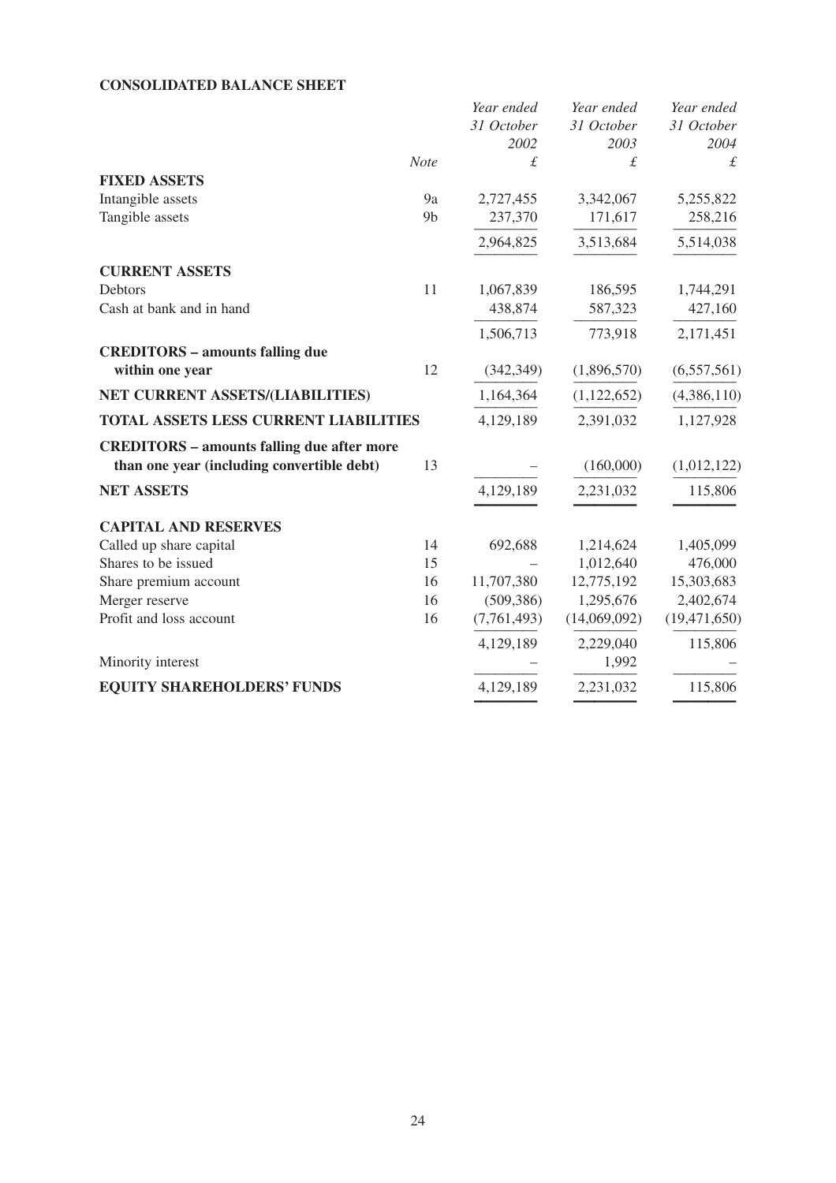## **CONSOLIDATED BALANCE SHEET**

|                                                   |                | Year ended  | Year ended    | Year ended     |
|---------------------------------------------------|----------------|-------------|---------------|----------------|
|                                                   |                | 31 October  | 31 October    | 31 October     |
|                                                   |                | 2002        | 2003          | 2004           |
|                                                   | Note           | £           | £             | £              |
| <b>FIXED ASSETS</b>                               |                |             |               |                |
| Intangible assets                                 | 9a             | 2,727,455   | 3,342,067     | 5,255,822      |
| Tangible assets                                   | 9 <sub>b</sub> | 237,370     | 171,617       | 258,216        |
|                                                   |                | 2,964,825   | 3,513,684     | 5,514,038      |
| <b>CURRENT ASSETS</b>                             |                |             |               |                |
| Debtors                                           | 11             | 1,067,839   | 186,595       | 1,744,291      |
| Cash at bank and in hand                          |                | 438,874     | 587,323       | 427,160        |
|                                                   |                | 1,506,713   | 773,918       | 2,171,451      |
| <b>CREDITORS - amounts falling due</b>            |                |             |               |                |
| within one year                                   | 12             | (342, 349)  | (1,896,570)   | (6, 557, 561)  |
| NET CURRENT ASSETS/(LIABILITIES)                  |                | 1,164,364   | (1, 122, 652) | (4,386,110)    |
| <b>TOTAL ASSETS LESS CURRENT LIABILITIES</b>      |                | 4,129,189   | 2,391,032     | 1,127,928      |
| <b>CREDITORS - amounts falling due after more</b> |                |             |               |                |
| than one year (including convertible debt)        | 13             |             | (160,000)     | (1,012,122)    |
| <b>NET ASSETS</b>                                 |                | 4,129,189   | 2,231,032     | 115,806        |
| <b>CAPITAL AND RESERVES</b>                       |                |             |               |                |
| Called up share capital                           | 14             | 692,688     | 1,214,624     | 1,405,099      |
| Shares to be issued                               | 15             |             | 1,012,640     | 476,000        |
| Share premium account                             | 16             | 11,707,380  | 12,775,192    | 15,303,683     |
| Merger reserve                                    | 16             | (509, 386)  | 1,295,676     | 2,402,674      |
| Profit and loss account                           | 16             | (7,761,493) | (14,069,092)  | (19, 471, 650) |
|                                                   |                | 4,129,189   | 2,229,040     | 115,806        |
| Minority interest                                 |                |             | 1,992         |                |
| <b>EQUITY SHAREHOLDERS' FUNDS</b>                 |                | 4,129,189   | 2,231,032     | 115,806        |
|                                                   |                |             |               |                |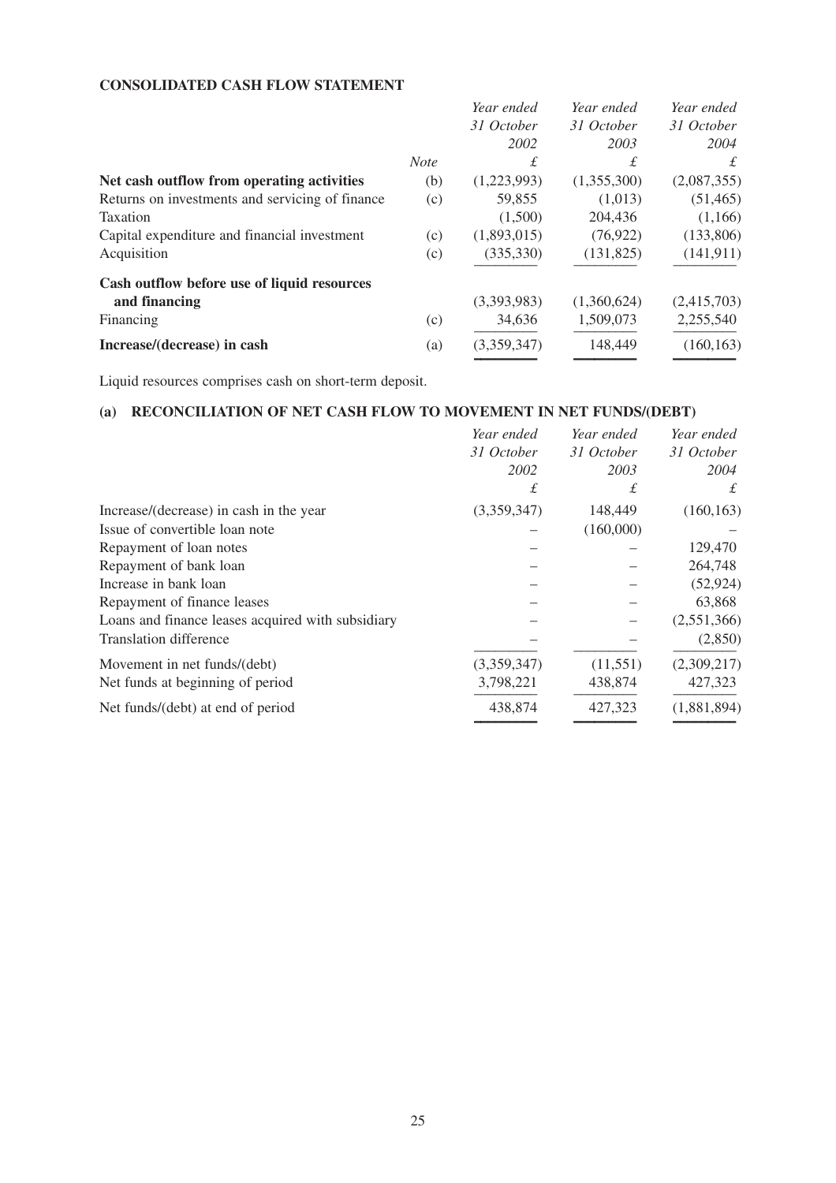## **CONSOLIDATED CASH FLOW STATEMENT**

|                                                 |             | Year ended  | Year ended  | Year ended  |
|-------------------------------------------------|-------------|-------------|-------------|-------------|
|                                                 |             | 31 October  | 31 October  | 31 October  |
|                                                 |             | 2002        | 2003        | 2004        |
|                                                 | <b>Note</b> | £           | £           | £           |
| Net cash outflow from operating activities      | (b)         | (1,223,993) | (1,355,300) | (2,087,355) |
| Returns on investments and servicing of finance | (c)         | 59,855      | (1,013)     | (51, 465)   |
| Taxation                                        |             | (1,500)     | 204,436     | (1,166)     |
| Capital expenditure and financial investment    | (c)         | (1,893,015) | (76, 922)   | (133,806)   |
| Acquisition                                     | (c)         | (335, 330)  | (131, 825)  | (141, 911)  |
| Cash outflow before use of liquid resources     |             |             |             |             |
| and financing                                   |             | (3,393,983) | (1,360,624) | (2,415,703) |
| Financing                                       | (c)         | 34,636      | 1,509,073   | 2,255,540   |
| Increase/(decrease) in cash                     | (a)         | (3,359,347) | 148,449     | (160, 163)  |
|                                                 |             |             |             |             |

Liquid resources comprises cash on short-term deposit.

## **(a) RECONCILIATION OF NET CASH FLOW TO MOVEMENT IN NET FUNDS/(DEBT)**

|                                                   | Year ended  | Year ended | Year ended  |
|---------------------------------------------------|-------------|------------|-------------|
|                                                   | 31 October  | 31 October | 31 October  |
|                                                   | 2002        | 2003       | 2004        |
|                                                   | £           | £          | £           |
| Increase/(decrease) in cash in the year           | (3,359,347) | 148,449    | (160, 163)  |
| Issue of convertible loan note                    |             | (160,000)  |             |
| Repayment of loan notes                           |             |            | 129,470     |
| Repayment of bank loan                            |             |            | 264,748     |
| Increase in bank loan                             |             |            | (52, 924)   |
| Repayment of finance leases                       |             |            | 63,868      |
| Loans and finance leases acquired with subsidiary |             |            | (2,551,366) |
| <b>Translation difference</b>                     |             |            | (2,850)     |
| Movement in net funds/(debt)                      | (3,359,347) | (11,551)   | (2,309,217) |
| Net funds at beginning of period                  | 3,798,221   | 438,874    | 427,323     |
| Net funds/(debt) at end of period                 | 438,874     | 427,323    | (1,881,894) |
|                                                   |             |            |             |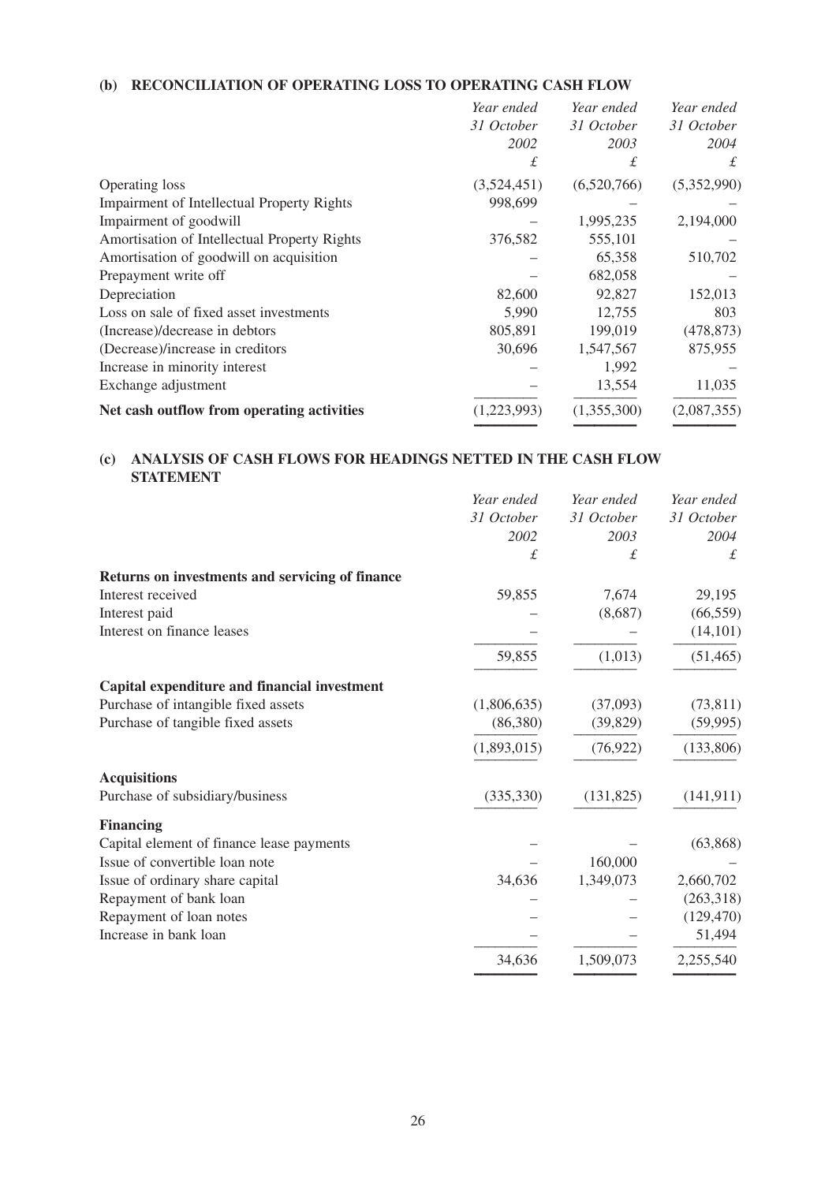## **(b) RECONCILIATION OF OPERATING LOSS TO OPERATING CASH FLOW**

|                                                   | Year ended  | Year ended  | Year ended  |
|---------------------------------------------------|-------------|-------------|-------------|
|                                                   | 31 October  | 31 October  | 31 October  |
|                                                   | 2002        | 2003        | 2004        |
|                                                   | £           | £           | £           |
| Operating loss                                    | (3,524,451) | (6,520,766) | (5,352,990) |
| <b>Impairment of Intellectual Property Rights</b> | 998,699     |             |             |
| Impairment of goodwill                            |             | 1,995,235   | 2,194,000   |
| Amortisation of Intellectual Property Rights      | 376,582     | 555,101     |             |
| Amortisation of goodwill on acquisition           |             | 65,358      | 510,702     |
| Prepayment write off                              |             | 682,058     |             |
| Depreciation                                      | 82,600      | 92,827      | 152,013     |
| Loss on sale of fixed asset investments           | 5,990       | 12,755      | 803         |
| (Increase)/decrease in debtors                    | 805,891     | 199,019     | (478, 873)  |
| (Decrease)/increase in creditors                  | 30,696      | 1,547,567   | 875,955     |
| Increase in minority interest                     |             | 1,992       |             |
| Exchange adjustment                               |             | 13,554      | 11,035      |
| Net cash outflow from operating activities        | (1,223,993) | (1,355,300) | (2,087,355) |

––––––––– ––––––––– –––––––––

## **(c) ANALYSIS OF CASH FLOWS FOR HEADINGS NETTED IN THE CASH FLOW STATEMENT**

| Year ended  | Year ended | Year ended |
|-------------|------------|------------|
| 31 October  | 31 October | 31 October |
| 2002        | 2003       | 2004       |
| $\pounds$   | £          | £          |
|             |            |            |
| 59,855      | 7,674      | 29,195     |
|             | (8,687)    | (66, 559)  |
|             |            | (14, 101)  |
| 59,855      | (1,013)    | (51, 465)  |
|             |            |            |
| (1,806,635) | (37,093)   | (73, 811)  |
| (86,380)    | (39, 829)  | (59, 995)  |
| (1,893,015) | (76, 922)  | (133,806)  |
|             |            |            |
| (335,330)   | (131, 825) | (141, 911) |
|             |            |            |
|             |            | (63,868)   |
|             | 160,000    |            |
| 34,636      | 1,349,073  | 2,660,702  |
|             |            | (263,318)  |
|             |            | (129, 470) |
|             |            | 51,494     |
| 34,636      | 1,509,073  | 2,255,540  |
|             |            |            |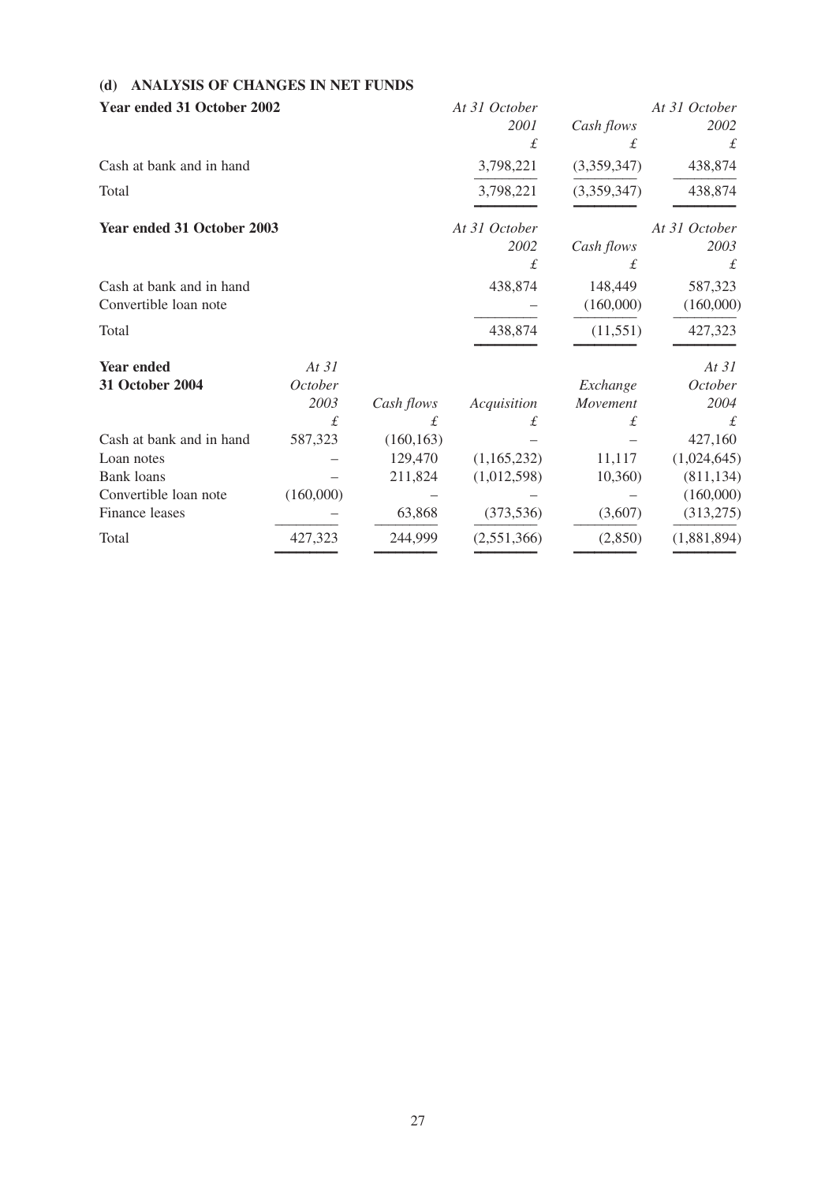## **(d) ANALYSIS OF CHANGES IN NET FUNDS**

| Year ended 31 October 2002 |                |            | At 31 October |             | At 31 October |
|----------------------------|----------------|------------|---------------|-------------|---------------|
|                            |                |            | 2001          | Cash flows  | 2002          |
|                            |                |            | £             | £           | £             |
| Cash at bank and in hand   |                |            | 3,798,221     | (3,359,347) | 438,874       |
| Total                      |                |            | 3,798,221     | (3,359,347) | 438,874       |
| Year ended 31 October 2003 |                |            | At 31 October |             | At 31 October |
|                            |                |            | 2002          | Cash flows  | 2003          |
|                            |                |            | £             | £           | £             |
| Cash at bank and in hand   |                |            | 438,874       | 148,449     | 587,323       |
| Convertible loan note      |                |            |               | (160,000)   | (160,000)     |
| Total                      |                |            | 438,874       | (11, 551)   | 427,323       |
| <b>Year ended</b>          | At $31$        |            |               |             | At $31$       |
| 31 October 2004            | <b>October</b> |            |               | Exchange    | October       |
|                            | 2003           | Cash flows | Acquisition   | Movement    | 2004          |
|                            | £              | £          | £             | £           | £             |
| Cash at bank and in hand   | 587,323        | (160, 163) |               |             | 427,160       |
| Loan notes                 |                | 129,470    | (1,165,232)   | 11,117      | (1,024,645)   |
| <b>Bank loans</b>          |                | 211,824    | (1,012,598)   | 10,360      | (811, 134)    |
| Convertible loan note      | (160,000)      |            |               |             | (160,000)     |
| Finance leases             |                | 63,868     | (373, 536)    | (3,607)     | (313,275)     |
| Total                      | 427,323        | 244,999    | (2,551,366)   | (2,850)     | (1,881,894)   |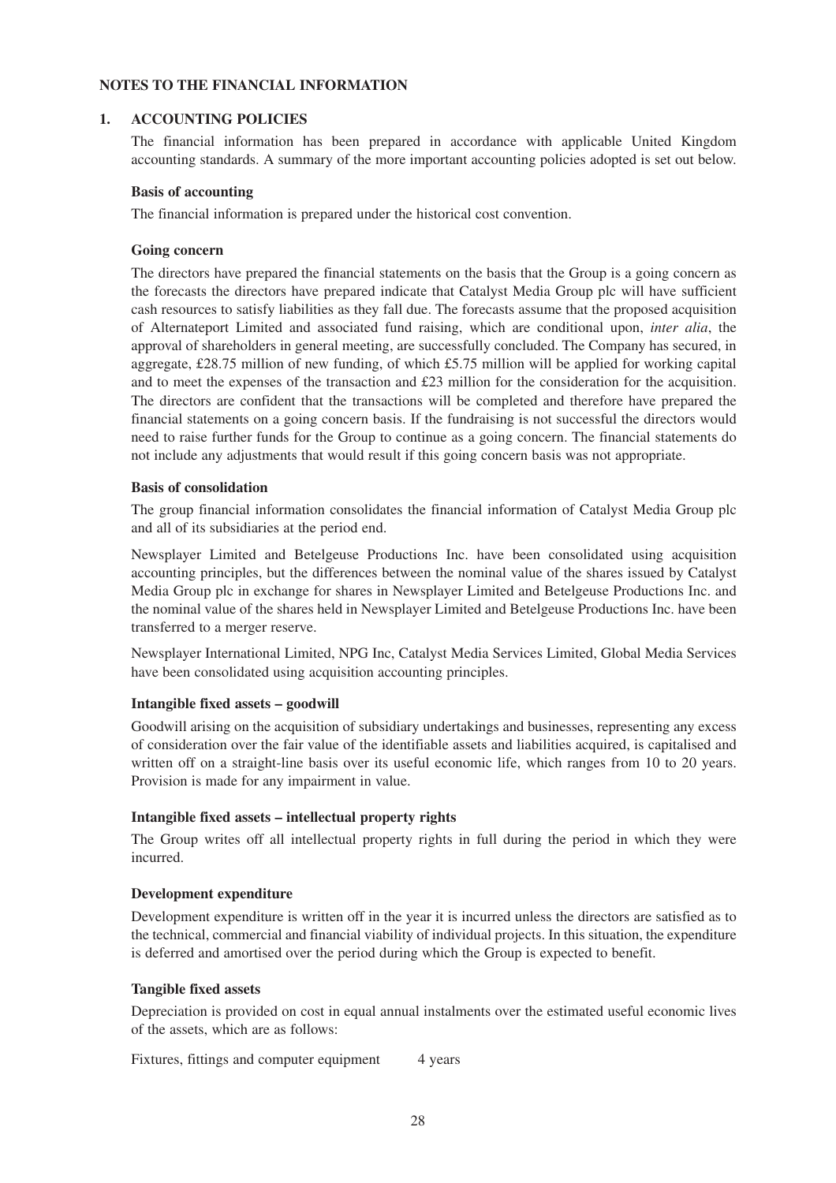## **NOTES TO THE FINANCIAL INFORMATION**

#### **1. ACCOUNTING POLICIES**

The financial information has been prepared in accordance with applicable United Kingdom accounting standards. A summary of the more important accounting policies adopted is set out below.

#### **Basis of accounting**

The financial information is prepared under the historical cost convention.

#### **Going concern**

The directors have prepared the financial statements on the basis that the Group is a going concern as the forecasts the directors have prepared indicate that Catalyst Media Group plc will have sufficient cash resources to satisfy liabilities as they fall due. The forecasts assume that the proposed acquisition of Alternateport Limited and associated fund raising, which are conditional upon, *inter alia*, the approval of shareholders in general meeting, are successfully concluded. The Company has secured, in aggregate, £28.75 million of new funding, of which £5.75 million will be applied for working capital and to meet the expenses of the transaction and  $£23$  million for the consideration for the acquisition. The directors are confident that the transactions will be completed and therefore have prepared the financial statements on a going concern basis. If the fundraising is not successful the directors would need to raise further funds for the Group to continue as a going concern. The financial statements do not include any adjustments that would result if this going concern basis was not appropriate.

#### **Basis of consolidation**

The group financial information consolidates the financial information of Catalyst Media Group plc and all of its subsidiaries at the period end.

Newsplayer Limited and Betelgeuse Productions Inc. have been consolidated using acquisition accounting principles, but the differences between the nominal value of the shares issued by Catalyst Media Group plc in exchange for shares in Newsplayer Limited and Betelgeuse Productions Inc. and the nominal value of the shares held in Newsplayer Limited and Betelgeuse Productions Inc. have been transferred to a merger reserve.

Newsplayer International Limited, NPG Inc, Catalyst Media Services Limited, Global Media Services have been consolidated using acquisition accounting principles.

#### **Intangible fixed assets – goodwill**

Goodwill arising on the acquisition of subsidiary undertakings and businesses, representing any excess of consideration over the fair value of the identifiable assets and liabilities acquired, is capitalised and written off on a straight-line basis over its useful economic life, which ranges from 10 to 20 years. Provision is made for any impairment in value.

#### **Intangible fixed assets – intellectual property rights**

The Group writes off all intellectual property rights in full during the period in which they were incurred.

#### **Development expenditure**

Development expenditure is written off in the year it is incurred unless the directors are satisfied as to the technical, commercial and financial viability of individual projects. In this situation, the expenditure is deferred and amortised over the period during which the Group is expected to benefit.

#### **Tangible fixed assets**

Depreciation is provided on cost in equal annual instalments over the estimated useful economic lives of the assets, which are as follows:

Fixtures, fittings and computer equipment 4 years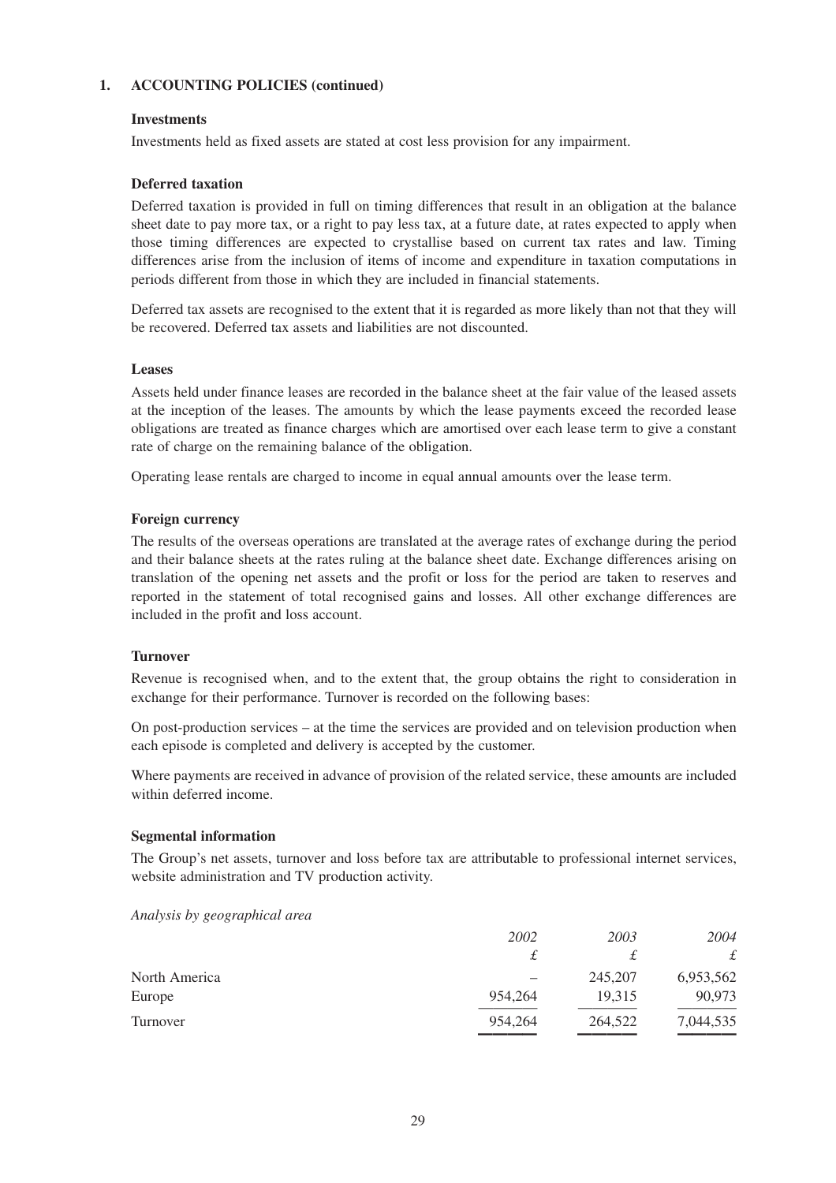### **1. ACCOUNTING POLICIES (continued)**

#### **Investments**

Investments held as fixed assets are stated at cost less provision for any impairment.

#### **Deferred taxation**

Deferred taxation is provided in full on timing differences that result in an obligation at the balance sheet date to pay more tax, or a right to pay less tax, at a future date, at rates expected to apply when those timing differences are expected to crystallise based on current tax rates and law. Timing differences arise from the inclusion of items of income and expenditure in taxation computations in periods different from those in which they are included in financial statements.

Deferred tax assets are recognised to the extent that it is regarded as more likely than not that they will be recovered. Deferred tax assets and liabilities are not discounted.

#### **Leases**

Assets held under finance leases are recorded in the balance sheet at the fair value of the leased assets at the inception of the leases. The amounts by which the lease payments exceed the recorded lease obligations are treated as finance charges which are amortised over each lease term to give a constant rate of charge on the remaining balance of the obligation.

Operating lease rentals are charged to income in equal annual amounts over the lease term.

#### **Foreign currency**

The results of the overseas operations are translated at the average rates of exchange during the period and their balance sheets at the rates ruling at the balance sheet date. Exchange differences arising on translation of the opening net assets and the profit or loss for the period are taken to reserves and reported in the statement of total recognised gains and losses. All other exchange differences are included in the profit and loss account.

#### **Turnover**

Revenue is recognised when, and to the extent that, the group obtains the right to consideration in exchange for their performance. Turnover is recorded on the following bases:

On post-production services – at the time the services are provided and on television production when each episode is completed and delivery is accepted by the customer.

Where payments are received in advance of provision of the related service, these amounts are included within deferred income.

#### **Segmental information**

The Group's net assets, turnover and loss before tax are attributable to professional internet services, website administration and TV production activity.

*Analysis by geographical area*

|               | 2002    | 2003    | 2004      |
|---------------|---------|---------|-----------|
|               |         | £       | £         |
| North America |         | 245,207 | 6,953,562 |
| Europe        | 954,264 | 19,315  | 90,973    |
| Turnover      | 954,264 | 264,522 | 7,044,535 |
|               |         |         |           |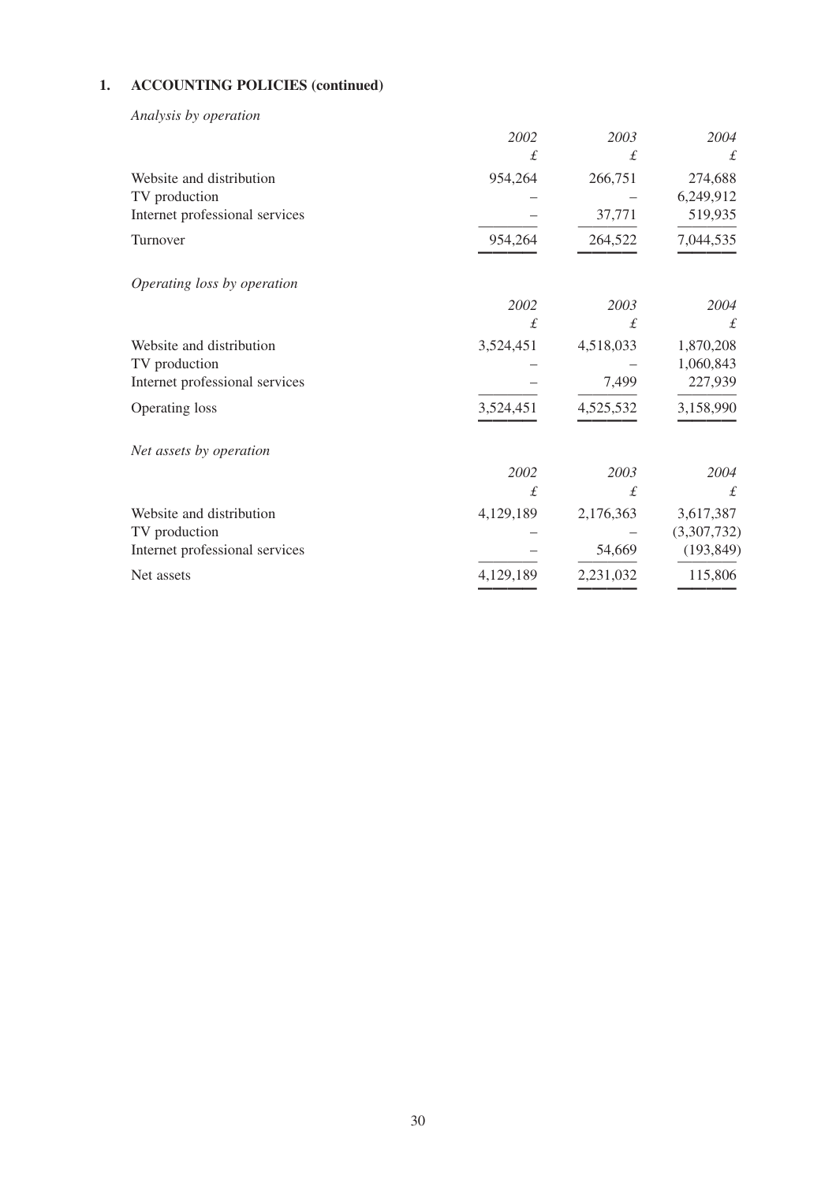## **1. ACCOUNTING POLICIES (continued)**

*Analysis by operation*

|                                | 2002      | 2003      | 2004        |
|--------------------------------|-----------|-----------|-------------|
|                                | £         | $\pounds$ | £           |
| Website and distribution       | 954,264   | 266,751   | 274,688     |
| TV production                  |           |           | 6,249,912   |
| Internet professional services |           | 37,771    | 519,935     |
| Turnover                       | 954,264   | 264,522   | 7,044,535   |
| Operating loss by operation    |           |           |             |
|                                | 2002      | 2003      | 2004        |
|                                | £         | £         | £           |
| Website and distribution       | 3,524,451 | 4,518,033 | 1,870,208   |
| TV production                  |           |           | 1,060,843   |
| Internet professional services |           | 7,499     | 227,939     |
| Operating loss                 | 3,524,451 | 4,525,532 | 3,158,990   |
| Net assets by operation        |           |           |             |
|                                | 2002      | 2003      | 2004        |
|                                | £         | £         | £           |
| Website and distribution       | 4,129,189 | 2,176,363 | 3,617,387   |
| TV production                  |           |           | (3,307,732) |
| Internet professional services |           | 54,669    | (193, 849)  |
| Net assets                     | 4,129,189 | 2,231,032 | 115,806     |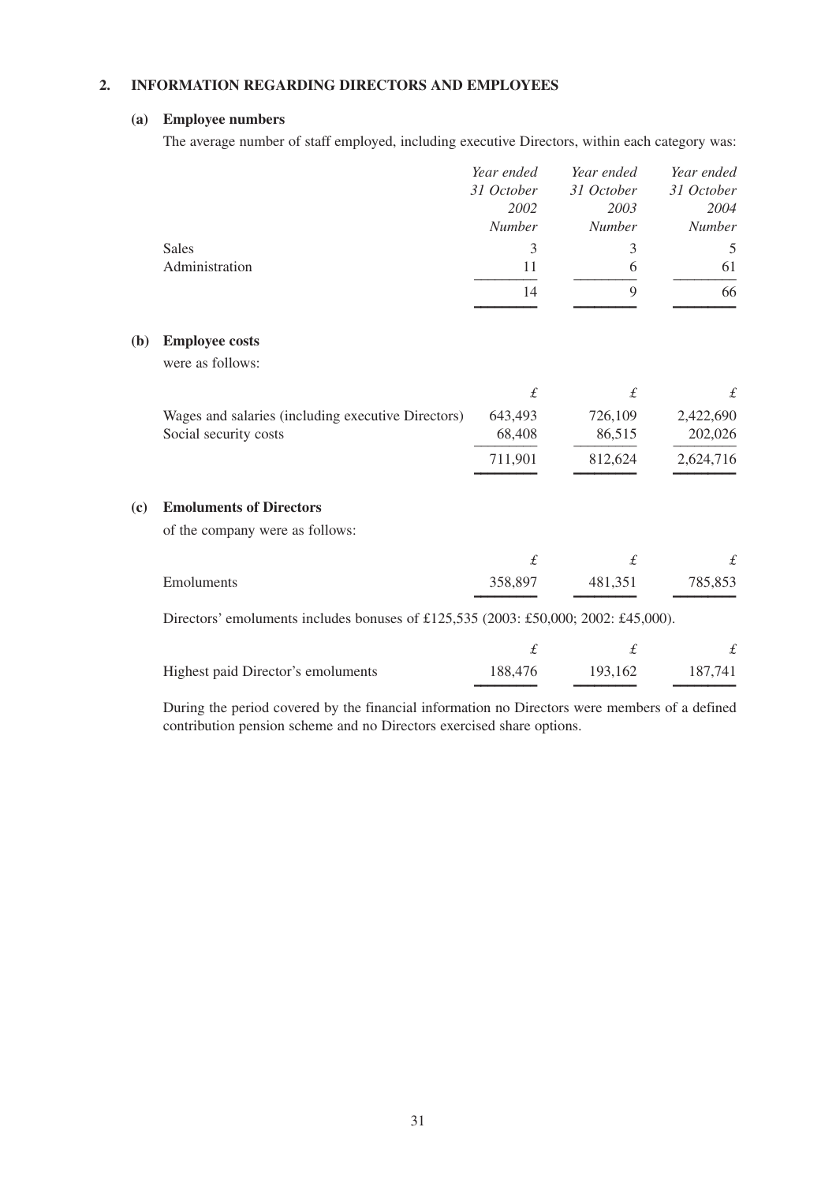## **2. INFORMATION REGARDING DIRECTORS AND EMPLOYEES**

## **(a) Employee numbers**

The average number of staff employed, including executive Directors, within each category was:

|     |                                                                                    | Year ended    | Year ended    | Year ended    |
|-----|------------------------------------------------------------------------------------|---------------|---------------|---------------|
|     |                                                                                    | 31 October    | 31 October    | 31 October    |
|     |                                                                                    | 2002          | 2003          | 2004          |
|     |                                                                                    | <b>Number</b> | <b>Number</b> | <b>Number</b> |
|     | <b>Sales</b>                                                                       | 3             | 3             | 5             |
|     | Administration                                                                     | 11            | 6             | 61            |
|     |                                                                                    | 14            | 9             | 66            |
| (b) | <b>Employee costs</b>                                                              |               |               |               |
|     | were as follows:                                                                   |               |               |               |
|     |                                                                                    | $\pounds$     | $\pounds$     | £             |
|     | Wages and salaries (including executive Directors)                                 | 643,493       | 726,109       | 2,422,690     |
|     | Social security costs                                                              | 68,408        | 86,515        | 202,026       |
|     |                                                                                    | 711,901       | 812,624       | 2,624,716     |
| (c) | <b>Emoluments of Directors</b>                                                     |               |               |               |
|     | of the company were as follows:                                                    |               |               |               |
|     |                                                                                    | $\pounds$     | $\pounds$     | £             |
|     | Emoluments                                                                         | 358,897       | 481,351       | 785,853       |
|     | Directors' emoluments includes bonuses of £125,535 (2003: £50,000; 2002: £45,000). |               |               |               |
|     |                                                                                    | $\pounds$     | $\pounds$     | $\pounds$     |

During the period covered by the financial information no Directors were members of a defined contribution pension scheme and no Directors exercised share options.

––––––––– ––––––––– –––––––––

Highest paid Director's emoluments 188,476 193,162 187,741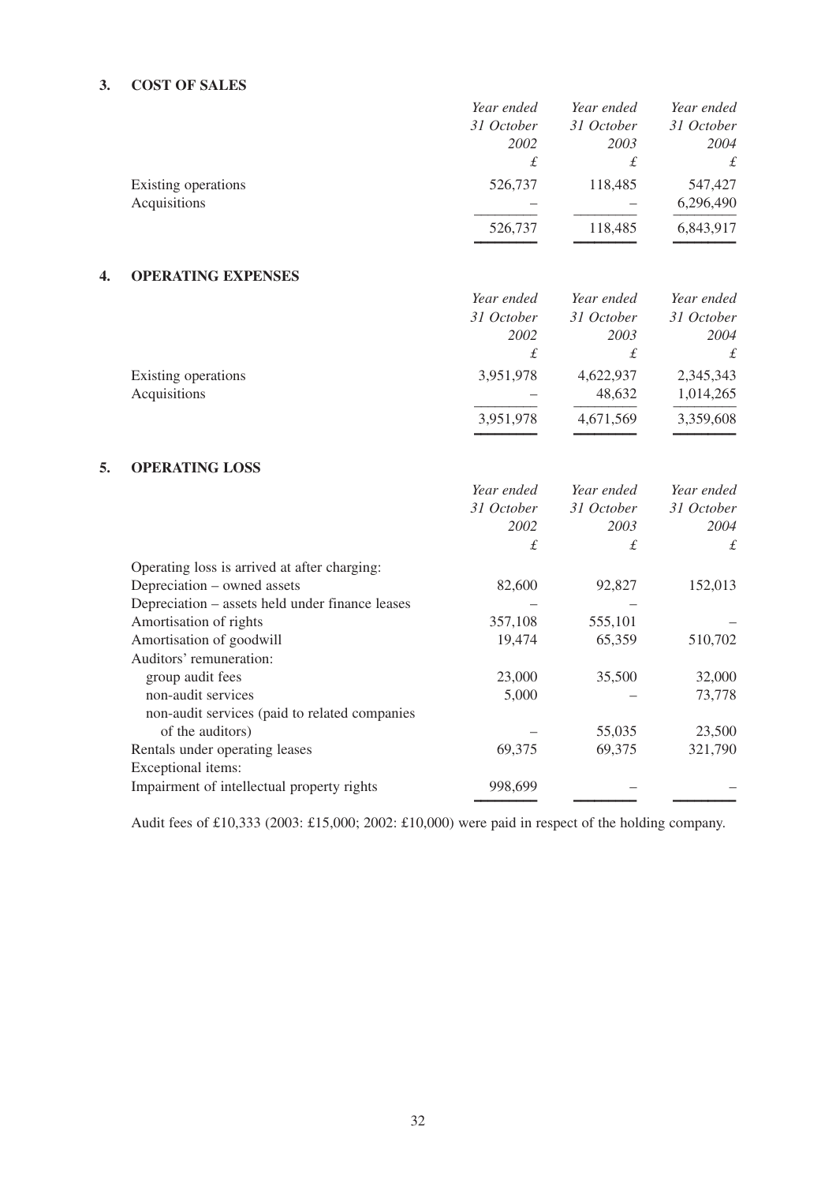## **3. COST OF SALES**

|                     | Year ended | Year ended | Year ended |
|---------------------|------------|------------|------------|
|                     | 31 October | 31 October | 31 October |
|                     | 2002       | 2003       | 2004       |
|                     | £          | £          | £          |
| Existing operations | 526,737    | 118,485    | 547,427    |
| Acquisitions        |            |            | 6,296,490  |
|                     | 526,737    | 118,485    | 6,843,917  |
|                     |            |            |            |

## **4. OPERATING EXPENSES**

|                                     | Year ended<br>31 October<br>2002 | Year ended<br>31 October<br>2003 | Year ended<br>31 October<br>2004 |
|-------------------------------------|----------------------------------|----------------------------------|----------------------------------|
|                                     | £                                | £                                | £                                |
| Existing operations<br>Acquisitions | 3,951,978                        | 4,622,937<br>48,632              | 2,345,343<br>1,014,265           |
|                                     | 3,951,978                        | 4,671,569                        | 3,359,608                        |

## **5. OPERATING LOSS**

|                                                 | Year ended | Year ended | Year ended |
|-------------------------------------------------|------------|------------|------------|
|                                                 | 31 October | 31 October | 31 October |
|                                                 | 2002       | 2003       | 2004       |
|                                                 | £          | £          | £          |
| Operating loss is arrived at after charging:    |            |            |            |
| Depreciation – owned assets                     | 82,600     | 92,827     | 152,013    |
| Depreciation – assets held under finance leases |            |            |            |
| Amortisation of rights                          | 357,108    | 555,101    |            |
| Amortisation of goodwill                        | 19,474     | 65,359     | 510,702    |
| Auditors' remuneration:                         |            |            |            |
| group audit fees                                | 23,000     | 35,500     | 32,000     |
| non-audit services                              | 5,000      |            | 73,778     |
| non-audit services (paid to related companies   |            |            |            |
| of the auditors)                                |            | 55,035     | 23,500     |
| Rentals under operating leases                  | 69,375     | 69,375     | 321,790    |
| Exceptional items:                              |            |            |            |
| Impairment of intellectual property rights      | 998,699    |            |            |
|                                                 |            |            |            |

Audit fees of £10,333 (2003: £15,000; 2002: £10,000) were paid in respect of the holding company.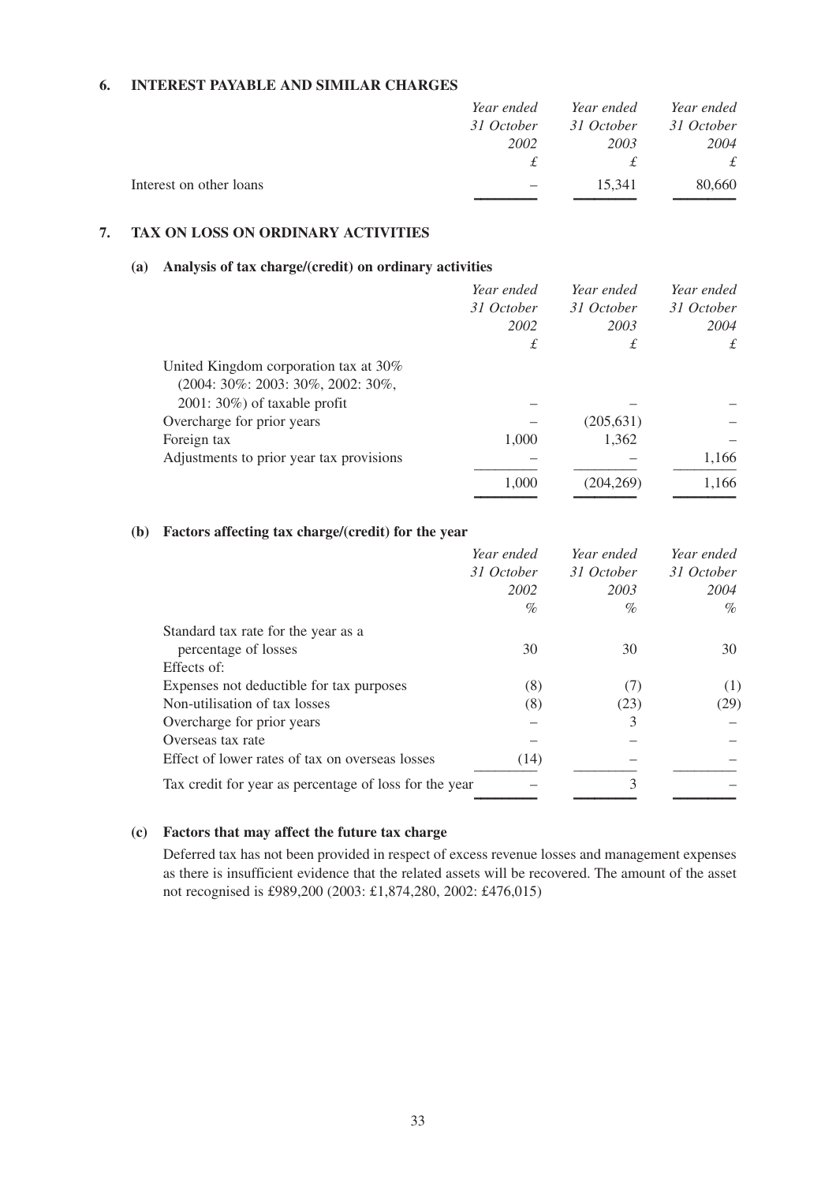## **6. INTEREST PAYABLE AND SIMILAR CHARGES**

|                         | Year ended | Year ended | Year ended |
|-------------------------|------------|------------|------------|
|                         | 31 October | 31 October | 31 October |
|                         | 2002       | 2003       | 2004       |
|                         | £          |            | £          |
| Interest on other loans |            | 15.341     | 80,660     |
|                         |            |            |            |

## **7. TAX ON LOSS ON ORDINARY ACTIVITIES**

### **(a) Analysis of tax charge/(credit) on ordinary activities**

|                                          | Year ended | Year ended | Year ended |
|------------------------------------------|------------|------------|------------|
|                                          | 31 October | 31 October | 31 October |
|                                          | 2002       | 2003       | 2004       |
|                                          | £          | £          | £          |
| United Kingdom corporation tax at 30%    |            |            |            |
| (2004: 30%: 2003: 30%, 2002: 30%,        |            |            |            |
| $2001:30\%$ of taxable profit            |            |            |            |
| Overcharge for prior years               |            | (205, 631) |            |
| Foreign tax                              | 1,000      | 1,362      |            |
| Adjustments to prior year tax provisions |            |            | 1,166      |
|                                          | 1,000      | (204, 269) | 1,166      |
|                                          |            |            |            |

## **(b) Factors affecting tax charge/(credit) for the year**

|                                                        | Year ended | Year ended | Year ended |
|--------------------------------------------------------|------------|------------|------------|
|                                                        | 31 October | 31 October | 31 October |
|                                                        | 2002       | 2003       | 2004       |
|                                                        | $\%$       | $\%$       | $\%$       |
| Standard tax rate for the year as a                    |            |            |            |
| percentage of losses                                   | 30         | 30         | 30         |
| Effects of:                                            |            |            |            |
| Expenses not deductible for tax purposes               | (8)        | (7)        | (1)        |
| Non-utilisation of tax losses                          | (8)        | (23)       | (29)       |
| Overcharge for prior years                             |            | 3          |            |
| Overseas tax rate                                      |            |            |            |
| Effect of lower rates of tax on overseas losses        | (14)       |            |            |
| Tax credit for year as percentage of loss for the year |            | 3          |            |
|                                                        |            |            |            |

## **(c) Factors that may affect the future tax charge**

Deferred tax has not been provided in respect of excess revenue losses and management expenses as there is insufficient evidence that the related assets will be recovered. The amount of the asset not recognised is £989,200 (2003: £1,874,280, 2002: £476,015)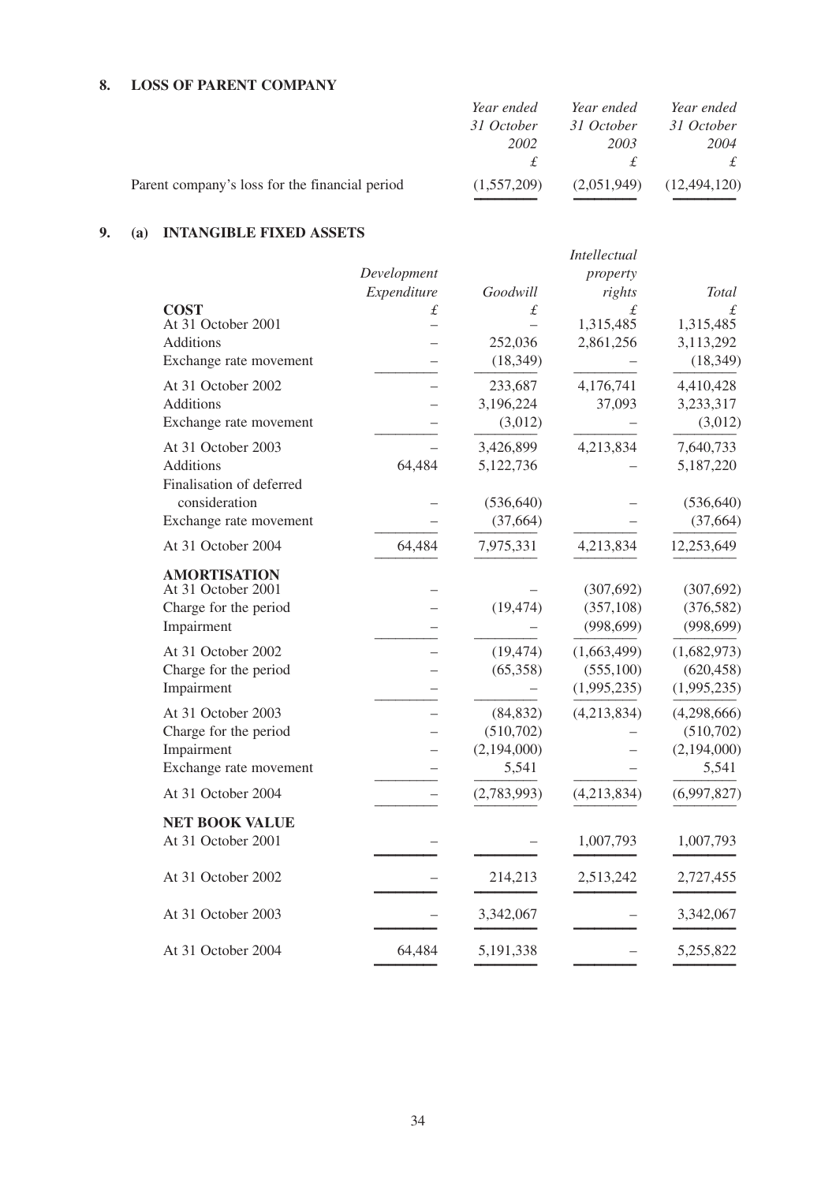## **8. LOSS OF PARENT COMPANY**

|                                                | Year ended  | Year ended  | Year ended     |
|------------------------------------------------|-------------|-------------|----------------|
|                                                | 31 October  | 31 October  | 31 October     |
|                                                | <i>2002</i> | 2003        | 2004           |
|                                                |             | $+$         |                |
| Parent company's loss for the financial period | (1,557,209) | (2,051,949) | (12, 494, 120) |
|                                                |             |             |                |

## **9. (a) INTANGIBLE FIXED ASSETS**

|                          |             |             | Intellectual |              |
|--------------------------|-------------|-------------|--------------|--------------|
|                          | Development |             | property     |              |
|                          | Expenditure | Goodwill    | rights       | <b>Total</b> |
| <b>COST</b>              | £           | £           | £            | £            |
| At 31 October 2001       |             |             | 1,315,485    | 1,315,485    |
| Additions                |             | 252,036     | 2,861,256    | 3,113,292    |
| Exchange rate movement   |             | (18, 349)   |              | (18, 349)    |
| At 31 October 2002       |             | 233,687     | 4,176,741    | 4,410,428    |
| <b>Additions</b>         |             | 3,196,224   | 37,093       | 3,233,317    |
| Exchange rate movement   |             | (3,012)     |              | (3,012)      |
| At 31 October 2003       |             | 3,426,899   | 4,213,834    | 7,640,733    |
| <b>Additions</b>         | 64,484      | 5,122,736   |              | 5,187,220    |
| Finalisation of deferred |             |             |              |              |
| consideration            |             | (536, 640)  |              | (536, 640)   |
| Exchange rate movement   |             | (37, 664)   |              | (37, 664)    |
| At 31 October 2004       | 64,484      | 7,975,331   | 4,213,834    | 12,253,649   |
| <b>AMORTISATION</b>      |             |             |              |              |
| At 31 October 2001       |             |             | (307, 692)   | (307, 692)   |
| Charge for the period    |             | (19, 474)   | (357, 108)   | (376, 582)   |
| Impairment               |             |             | (998, 699)   | (998, 699)   |
| At 31 October 2002       |             | (19, 474)   | (1,663,499)  | (1,682,973)  |
| Charge for the period    |             | (65,358)    | (555,100)    | (620, 458)   |
| Impairment               |             |             | (1,995,235)  | (1,995,235)  |
| At 31 October 2003       |             | (84, 832)   | (4,213,834)  | (4,298,666)  |
| Charge for the period    |             | (510, 702)  |              | (510, 702)   |
| Impairment               |             | (2,194,000) |              | (2,194,000)  |
| Exchange rate movement   |             | 5,541       |              | 5,541        |
| At 31 October 2004       |             | (2,783,993) | (4,213,834)  | (6,997,827)  |
| <b>NET BOOK VALUE</b>    |             |             |              |              |
| At 31 October 2001       |             |             | 1,007,793    | 1,007,793    |
| At 31 October 2002       |             | 214,213     | 2,513,242    | 2,727,455    |
| At 31 October 2003       |             | 3,342,067   |              | 3,342,067    |
| At 31 October 2004       | 64,484      | 5,191,338   |              | 5,255,822    |
|                          |             |             |              |              |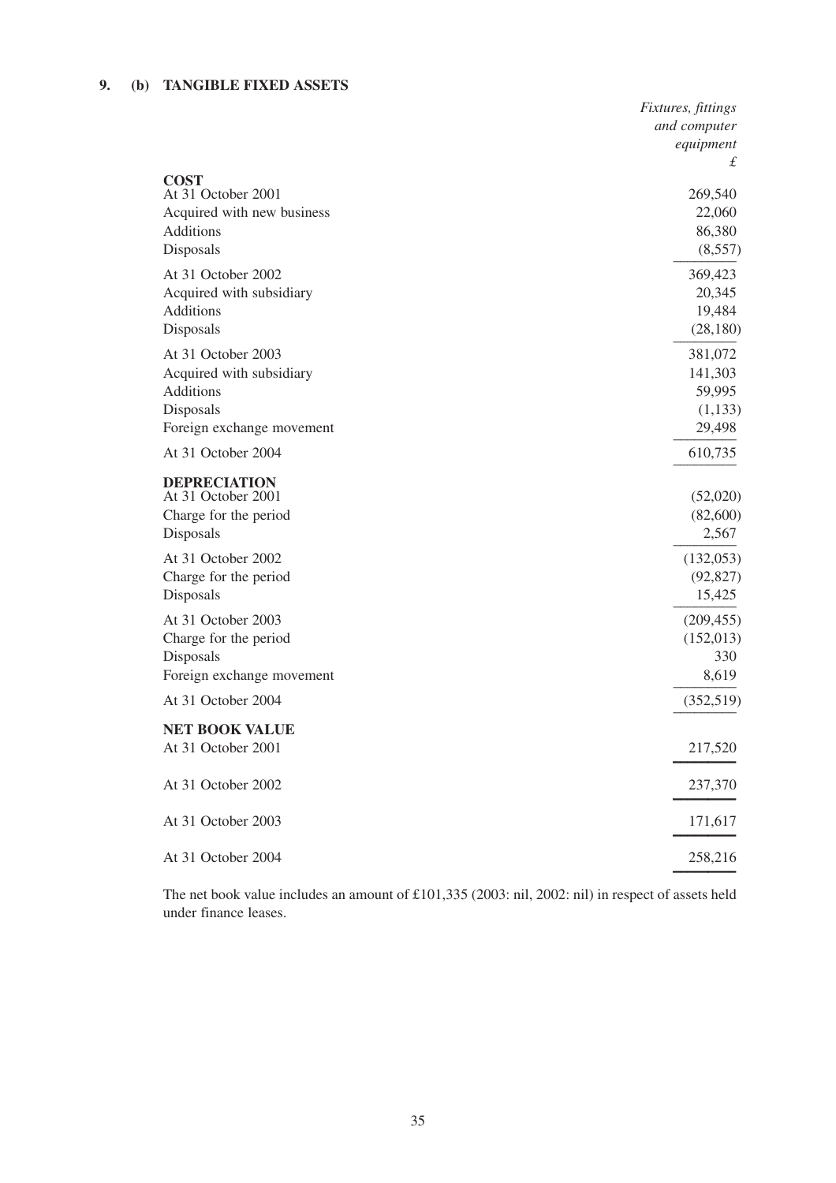## **9. (b) TANGIBLE FIXED ASSETS**

|                                                                                                              | Fixtures, fittings<br>and computer<br>equipment<br>£ |
|--------------------------------------------------------------------------------------------------------------|------------------------------------------------------|
| <b>COST</b><br>At 31 October 2001<br>Acquired with new business<br><b>Additions</b><br>Disposals             | 269,540<br>22,060<br>86,380<br>(8,557)               |
| At 31 October 2002<br>Acquired with subsidiary<br>Additions<br>Disposals                                     | 369,423<br>20,345<br>19,484<br>(28, 180)             |
| At 31 October 2003<br>Acquired with subsidiary<br><b>Additions</b><br>Disposals<br>Foreign exchange movement | 381,072<br>141,303<br>59,995<br>(1,133)<br>29,498    |
| At 31 October 2004                                                                                           | 610,735                                              |
| <b>DEPRECIATION</b><br>At 31 October 2001<br>Charge for the period<br>Disposals                              | (52,020)<br>(82,600)<br>2,567                        |
| At 31 October 2002<br>Charge for the period<br>Disposals                                                     | (132,053)<br>(92, 827)<br>15,425                     |
| At 31 October 2003<br>Charge for the period<br>Disposals<br>Foreign exchange movement                        | (209, 455)<br>(152,013)<br>330<br>8,619              |
| At 31 October 2004                                                                                           | (352,519)                                            |
| <b>NET BOOK VALUE</b><br>At 31 October 2001                                                                  | 217,520                                              |
| At 31 October 2002                                                                                           | 237,370                                              |
| At 31 October 2003                                                                                           | 171,617                                              |
| At 31 October 2004                                                                                           | 258,216                                              |
|                                                                                                              |                                                      |

The net book value includes an amount of £101,335 (2003: nil, 2002: nil) in respect of assets held under finance leases.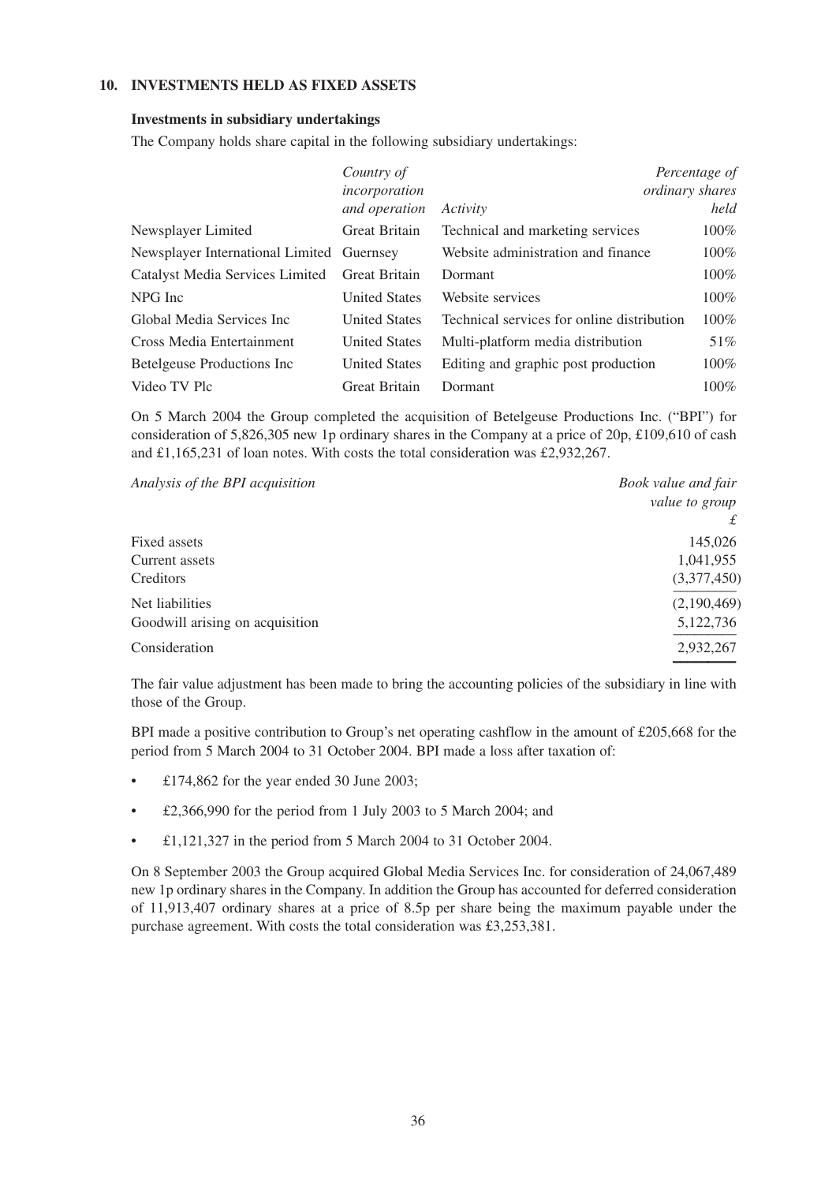## **10. INVESTMENTS HELD AS FIXED ASSETS**

#### **Investments in subsidiary undertakings**

The Company holds share capital in the following subsidiary undertakings:

|                                           | Country of<br>incorporation |                                            | Percentage of<br>ordinary shares |
|-------------------------------------------|-----------------------------|--------------------------------------------|----------------------------------|
|                                           | and operation               | Activity                                   | held                             |
| Newsplayer Limited                        | <b>Great Britain</b>        | Technical and marketing services           | 100%                             |
| Newsplayer International Limited Guernsey |                             | Website administration and finance         | 100%                             |
| Catalyst Media Services Limited           | <b>Great Britain</b>        | Dormant                                    | 100%                             |
| NPG Inc                                   | <b>United States</b>        | Website services                           | 100%                             |
| Global Media Services Inc                 | <b>United States</b>        | Technical services for online distribution | 100%                             |
| Cross Media Entertainment                 | <b>United States</b>        | Multi-platform media distribution          | 51%                              |
| <b>Betelgeuse Productions Inc.</b>        | <b>United States</b>        | Editing and graphic post production        | 100%                             |
| Video TV Plc                              | <b>Great Britain</b>        | Dormant                                    | $100\%$                          |

On 5 March 2004 the Group completed the acquisition of Betelgeuse Productions Inc. ("BPI") for consideration of 5,826,305 new 1p ordinary shares in the Company at a price of 20p, £109,610 of cash and £1,165,231 of loan notes. With costs the total consideration was £2,932,267.

| Analysis of the BPI acquisition | Book value and fair |
|---------------------------------|---------------------|
|                                 | value to group      |
|                                 | £                   |
| Fixed assets                    | 145,026             |
| Current assets                  | 1,041,955           |
| Creditors                       | (3,377,450)         |
| Net liabilities                 | (2,190,469)         |
| Goodwill arising on acquisition | 5,122,736           |
| Consideration                   | 2,932,267           |
|                                 |                     |

The fair value adjustment has been made to bring the accounting policies of the subsidiary in line with those of the Group.

BPI made a positive contribution to Group's net operating cashflow in the amount of £205,668 for the period from 5 March 2004 to 31 October 2004. BPI made a loss after taxation of:

- $£174,862$  for the year ended 30 June 2003;
- £2,366,990 for the period from 1 July 2003 to 5 March 2004; and
- £1,121,327 in the period from 5 March 2004 to 31 October 2004.

On 8 September 2003 the Group acquired Global Media Services Inc. for consideration of 24,067,489 new 1p ordinary shares in the Company. In addition the Group has accounted for deferred consideration of 11,913,407 ordinary shares at a price of 8.5p per share being the maximum payable under the purchase agreement. With costs the total consideration was £3,253,381.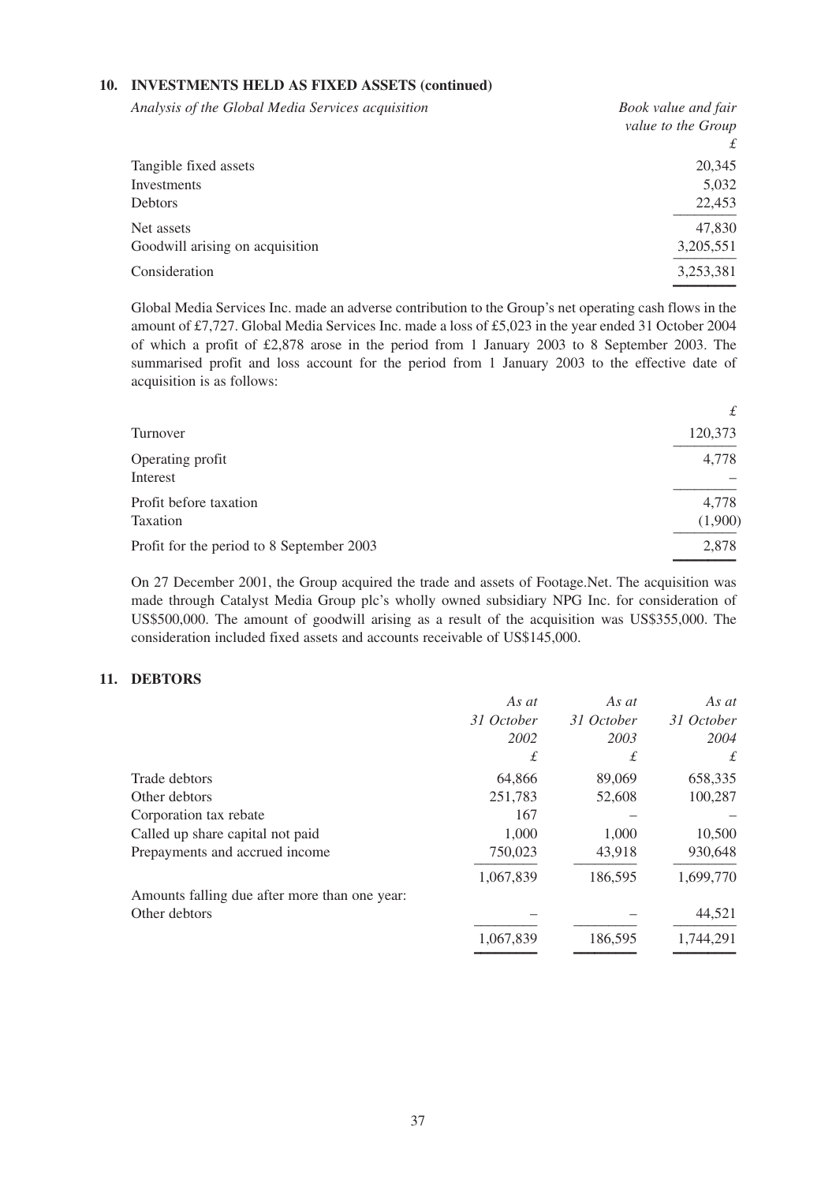# **10. INVESTMENTS HELD AS FIXED ASSETS (continued)**

| Analysis of the Global Media Services acquisition | Book value and fair |  |  |  |
|---------------------------------------------------|---------------------|--|--|--|
|                                                   | value to the Group  |  |  |  |
|                                                   | £                   |  |  |  |
| Tangible fixed assets                             | 20,345              |  |  |  |
| Investments                                       | 5,032               |  |  |  |
| <b>Debtors</b>                                    | 22,453              |  |  |  |
| Net assets                                        | 47,830              |  |  |  |
| Goodwill arising on acquisition                   | 3,205,551           |  |  |  |
| Consideration                                     | 3,253,381           |  |  |  |
|                                                   |                     |  |  |  |

Global Media Services Inc. made an adverse contribution to the Group's net operating cash flows in the amount of £7,727. Global Media Services Inc. made a loss of £5,023 in the year ended 31 October 2004 of which a profit of £2,878 arose in the period from 1 January 2003 to 8 September 2003. The summarised profit and loss account for the period from 1 January 2003 to the effective date of acquisition is as follows:

|                                           | £                |
|-------------------------------------------|------------------|
| Turnover                                  | 120,373          |
| Operating profit<br>Interest              | 4,778            |
| Profit before taxation<br>Taxation        | 4,778<br>(1,900) |
| Profit for the period to 8 September 2003 | 2,878            |

On 27 December 2001, the Group acquired the trade and assets of Footage.Net. The acquisition was made through Catalyst Media Group plc's wholly owned subsidiary NPG Inc. for consideration of US\$500,000. The amount of goodwill arising as a result of the acquisition was US\$355,000. The consideration included fixed assets and accounts receivable of US\$145,000.

### **11. DEBTORS**

|                                               | As at                    | As at   | As at      |
|-----------------------------------------------|--------------------------|---------|------------|
|                                               | 31 October<br>31 October |         | 31 October |
|                                               | 2002                     | 2003    | 2004       |
|                                               | £                        | £       | £          |
| Trade debtors                                 | 64.866                   | 89,069  | 658,335    |
| Other debtors                                 | 251,783                  | 52,608  | 100,287    |
| Corporation tax rebate                        | 167                      |         |            |
| Called up share capital not paid              | 1,000                    | 1,000   | 10,500     |
| Prepayments and accrued income                | 750,023                  | 43,918  | 930,648    |
|                                               | 1,067,839                | 186,595 | 1,699,770  |
| Amounts falling due after more than one year: |                          |         |            |
| Other debtors                                 |                          |         | 44,521     |
|                                               | 1,067,839                | 186,595 | 1,744,291  |

––––––––– ––––––––– –––––––––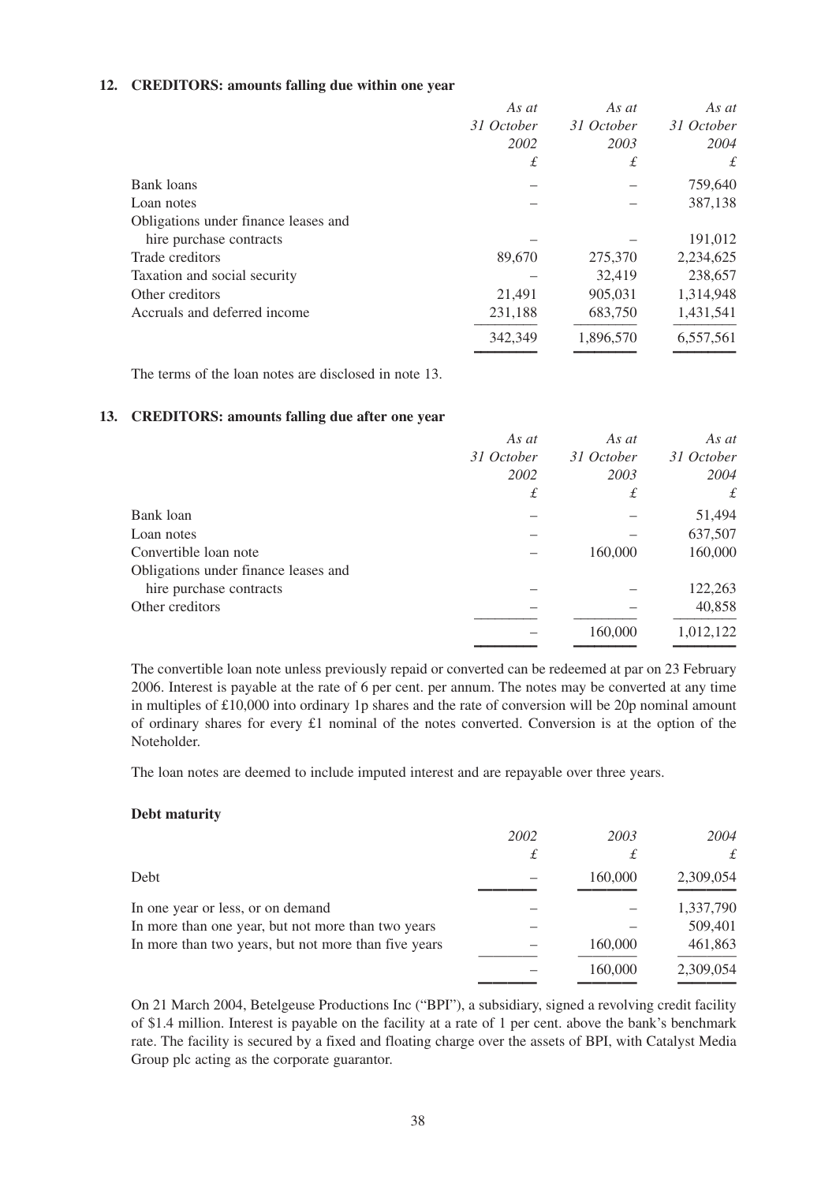### **12. CREDITORS: amounts falling due within one year**

|                                      | As at      | As at      | As at      |
|--------------------------------------|------------|------------|------------|
|                                      | 31 October | 31 October | 31 October |
|                                      | 2002       | 2003       | 2004       |
|                                      | £          | £          | £          |
| Bank loans                           |            |            | 759,640    |
| Loan notes                           |            |            | 387,138    |
| Obligations under finance leases and |            |            |            |
| hire purchase contracts              |            |            | 191,012    |
| Trade creditors                      | 89,670     | 275,370    | 2,234,625  |
| Taxation and social security         |            | 32,419     | 238,657    |
| Other creditors                      | 21,491     | 905,031    | 1,314,948  |
| Accruals and deferred income         | 231,188    | 683,750    | 1,431,541  |
|                                      | 342,349    | 1,896,570  | 6,557,561  |
|                                      |            |            |            |

The terms of the loan notes are disclosed in note 13.

# **13. CREDITORS: amounts falling due after one year**

|                                      | As at      | As at      | As at      |
|--------------------------------------|------------|------------|------------|
|                                      | 31 October | 31 October | 31 October |
|                                      | 2002       | 2003       | 2004       |
|                                      | £          | £          | £          |
| Bank loan                            |            |            | 51,494     |
| Loan notes                           |            |            | 637,507    |
| Convertible loan note                |            | 160,000    | 160,000    |
| Obligations under finance leases and |            |            |            |
| hire purchase contracts              |            |            | 122,263    |
| Other creditors                      |            |            | 40,858     |
|                                      |            | 160,000    | 1,012,122  |
|                                      |            |            |            |

The convertible loan note unless previously repaid or converted can be redeemed at par on 23 February 2006. Interest is payable at the rate of 6 per cent. per annum. The notes may be converted at any time in multiples of  $\pounds 10,000$  into ordinary 1p shares and the rate of conversion will be 20p nominal amount of ordinary shares for every  $\pounds 1$  nominal of the notes converted. Conversion is at the option of the Noteholder.

The loan notes are deemed to include imputed interest and are repayable over three years.

### **Debt maturity**

|                                                      | 2002 | 2003    | 2004        |
|------------------------------------------------------|------|---------|-------------|
|                                                      | £    | £       | $\mathbf f$ |
| Debt                                                 |      | 160,000 | 2,309,054   |
| In one year or less, or on demand                    |      |         | 1,337,790   |
| In more than one year, but not more than two years   |      |         | 509,401     |
| In more than two years, but not more than five years |      | 160,000 | 461,863     |
|                                                      |      | 160,000 | 2,309,054   |
|                                                      |      |         |             |

On 21 March 2004, Betelgeuse Productions Inc ("BPI"), a subsidiary, signed a revolving credit facility of \$1.4 million. Interest is payable on the facility at a rate of 1 per cent. above the bank's benchmark rate. The facility is secured by a fixed and floating charge over the assets of BPI, with Catalyst Media Group plc acting as the corporate guarantor.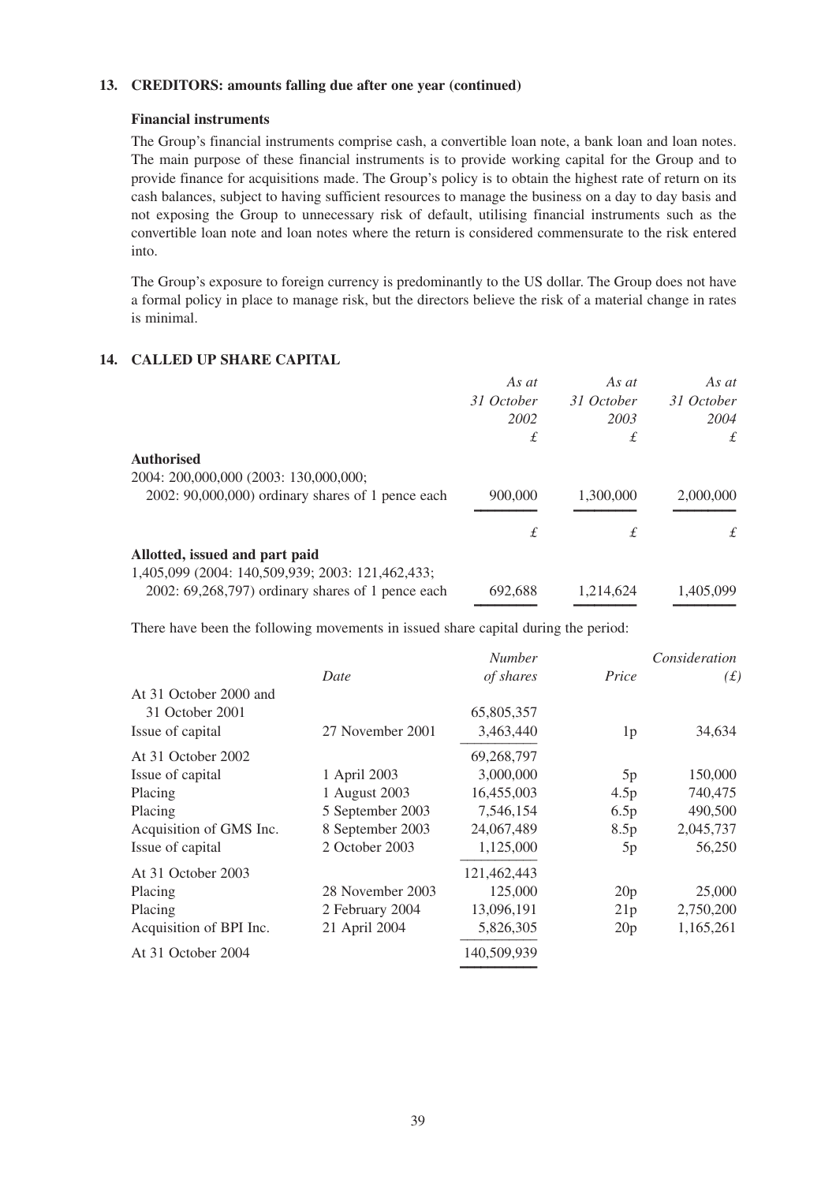## **13. CREDITORS: amounts falling due after one year (continued)**

### **Financial instruments**

The Group's financial instruments comprise cash, a convertible loan note, a bank loan and loan notes. The main purpose of these financial instruments is to provide working capital for the Group and to provide finance for acquisitions made. The Group's policy is to obtain the highest rate of return on its cash balances, subject to having sufficient resources to manage the business on a day to day basis and not exposing the Group to unnecessary risk of default, utilising financial instruments such as the convertible loan note and loan notes where the return is considered commensurate to the risk entered into.

The Group's exposure to foreign currency is predominantly to the US dollar. The Group does not have a formal policy in place to manage risk, but the directors believe the risk of a material change in rates is minimal.

### **14. CALLED UP SHARE CAPITAL**

|                                                    | As at      | As at      | As at      |
|----------------------------------------------------|------------|------------|------------|
|                                                    | 31 October | 31 October | 31 October |
|                                                    | 2002       | 2003       | 2004       |
|                                                    | £          | £          | £          |
| <b>Authorised</b>                                  |            |            |            |
| 2004: 200,000,000 (2003: 130,000,000;              |            |            |            |
| $2002: 90,000,000$ ordinary shares of 1 pence each | 900,000    | 1,300,000  | 2,000,000  |
|                                                    |            |            |            |
|                                                    | £          | £          | £          |
| Allotted, issued and part paid                     |            |            |            |
| 1,405,099 (2004: 140,509,939; 2003: 121,462,433;   |            |            |            |
| $2002: 69,268,797$ ordinary shares of 1 pence each | 692,688    | 1,214,624  | 1,405,099  |

––––––––– ––––––––– –––––––––

There have been the following movements in issued share capital during the period:

|                         | <i>Number</i>    |             |                | Consideration |
|-------------------------|------------------|-------------|----------------|---------------|
|                         | Date             | of shares   | Price          | (f)           |
| At 31 October 2000 and  |                  |             |                |               |
| 31 October 2001         |                  | 65,805,357  |                |               |
| Issue of capital        | 27 November 2001 | 3,463,440   | 1 <sub>p</sub> | 34,634        |
| At 31 October 2002      |                  | 69,268,797  |                |               |
| Issue of capital        | 1 April 2003     | 3,000,000   | 5 <sub>p</sub> | 150,000       |
| Placing                 | 1 August 2003    | 16,455,003  | 4.5p           | 740,475       |
| Placing                 | 5 September 2003 | 7,546,154   | 6.5p           | 490,500       |
| Acquisition of GMS Inc. | 8 September 2003 | 24,067,489  | 8.5p           | 2,045,737     |
| Issue of capital        | 2 October 2003   | 1,125,000   | 5p             | 56,250        |
| At 31 October 2003      |                  | 121,462,443 |                |               |
| Placing                 | 28 November 2003 | 125,000     | 20p            | 25,000        |
| Placing                 | 2 February 2004  | 13,096,191  | 21p            | 2,750,200     |
| Acquisition of BPI Inc. | 21 April 2004    | 5,826,305   | 20p            | 1,165,261     |
| At 31 October 2004      |                  | 140,509,939 |                |               |
|                         |                  |             |                |               |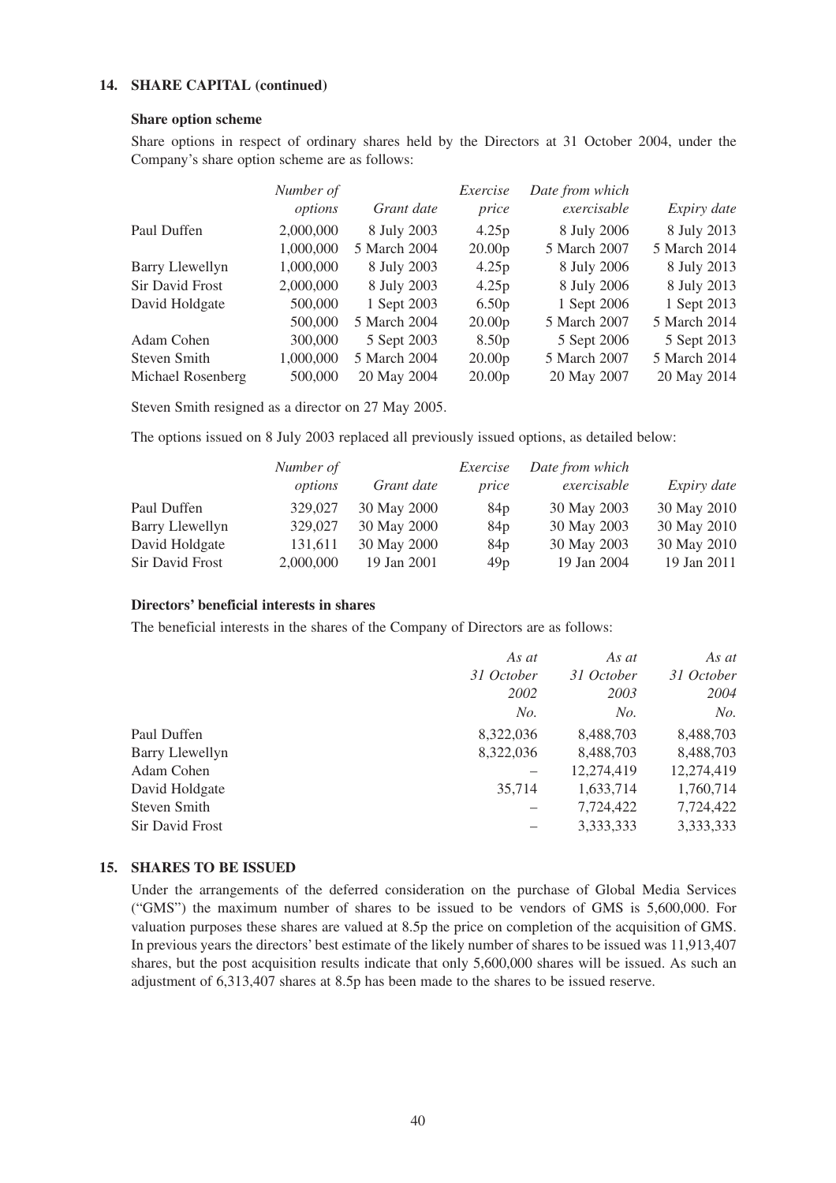## **14. SHARE CAPITAL (continued)**

### **Share option scheme**

Share options in respect of ordinary shares held by the Directors at 31 October 2004, under the Company's share option scheme are as follows:

|                        | Number of |              | Exercise           | Date from which |              |
|------------------------|-----------|--------------|--------------------|-----------------|--------------|
|                        | options   | Grant date   | price              | exercisable     | Expiry date  |
| Paul Duffen            | 2,000,000 | 8 July 2003  | 4.25p              | 8 July 2006     | 8 July 2013  |
|                        | 1,000,000 | 5 March 2004 | 20.00 <sub>p</sub> | 5 March 2007    | 5 March 2014 |
| <b>Barry Llewellyn</b> | 1,000,000 | 8 July 2003  | 4.25p              | 8 July 2006     | 8 July 2013  |
| Sir David Frost        | 2,000,000 | 8 July 2003  | 4.25p              | 8 July 2006     | 8 July 2013  |
| David Holdgate         | 500,000   | 1 Sept 2003  | 6.50 <sub>p</sub>  | 1 Sept 2006     | 1 Sept 2013  |
|                        | 500,000   | 5 March 2004 | 20.00 <sub>p</sub> | 5 March 2007    | 5 March 2014 |
| Adam Cohen             | 300,000   | 5 Sept 2003  | 8.50 <sub>p</sub>  | 5 Sept 2006     | 5 Sept 2013  |
| Steven Smith           | 1,000,000 | 5 March 2004 | 20.00 <sub>p</sub> | 5 March 2007    | 5 March 2014 |
| Michael Rosenberg      | 500,000   | 20 May 2004  | 20.00 <sub>p</sub> | 20 May 2007     | 20 May 2014  |

Steven Smith resigned as a director on 27 May 2005.

The options issued on 8 July 2003 replaced all previously issued options, as detailed below:

|                        | Number of |             | Exercise        | Date from which |                    |
|------------------------|-----------|-------------|-----------------|-----------------|--------------------|
|                        | options   | Grant date  | price           | exercisable     | <i>Expiry date</i> |
| Paul Duffen            | 329,027   | 30 May 2000 | 84 <sub>p</sub> | 30 May 2003     | 30 May 2010        |
| Barry Llewellyn        | 329,027   | 30 May 2000 | 84 <sub>p</sub> | 30 May 2003     | 30 May 2010        |
| David Holdgate         | 131,611   | 30 May 2000 | 84 <sub>p</sub> | 30 May 2003     | 30 May 2010        |
| <b>Sir David Frost</b> | 2,000,000 | 19 Jan 2001 | 49p             | 19 Jan 2004     | 19 Jan 2011        |

### **Directors' beneficial interests in shares**

The beneficial interests in the shares of the Company of Directors are as follows:

|                        | As at      | As at      | As at      |
|------------------------|------------|------------|------------|
|                        | 31 October | 31 October | 31 October |
|                        | 2002       | 2003       | 2004       |
|                        | No.        | No.        | No.        |
| Paul Duffen            | 8,322,036  | 8,488,703  | 8,488,703  |
| <b>Barry Llewellyn</b> | 8,322,036  | 8,488,703  | 8,488,703  |
| Adam Cohen             |            | 12,274,419 | 12,274,419 |
| David Holdgate         | 35,714     | 1,633,714  | 1,760,714  |
| Steven Smith           |            | 7,724,422  | 7,724,422  |
| <b>Sir David Frost</b> |            | 3,333,333  | 3,333,333  |

### **15. SHARES TO BE ISSUED**

Under the arrangements of the deferred consideration on the purchase of Global Media Services ("GMS") the maximum number of shares to be issued to be vendors of GMS is 5,600,000. For valuation purposes these shares are valued at 8.5p the price on completion of the acquisition of GMS. In previous years the directors' best estimate of the likely number of shares to be issued was 11,913,407 shares, but the post acquisition results indicate that only 5,600,000 shares will be issued. As such an adjustment of 6,313,407 shares at 8.5p has been made to the shares to be issued reserve.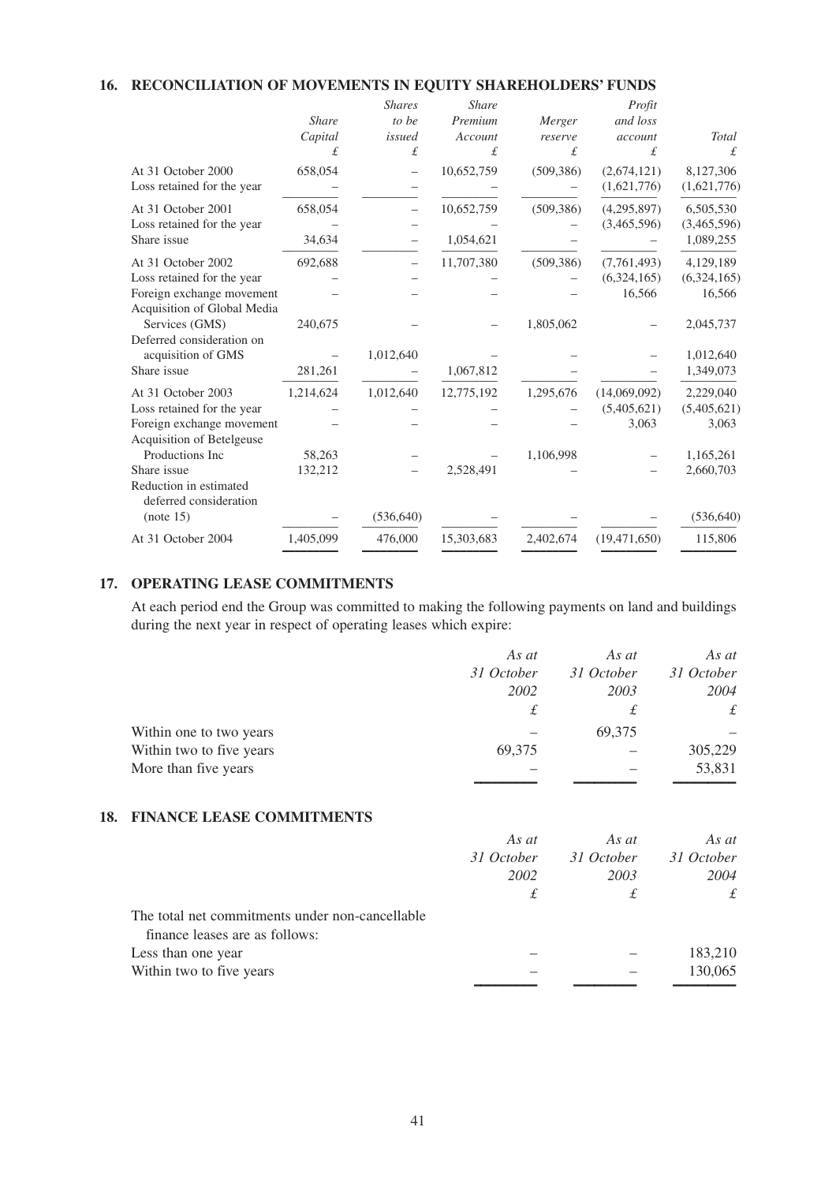# **16. RECONCILIATION OF MOVEMENTS IN EQUITY SHAREHOLDERS' FUNDS**

|                                                          |              | <b>Shares</b> | <b>Share</b> |            | Profit         |             |
|----------------------------------------------------------|--------------|---------------|--------------|------------|----------------|-------------|
|                                                          | <b>Share</b> | to be         | Premium      | Merger     | and loss       |             |
|                                                          | Capital      | issued        | Account      | reserve    | account        | Total       |
|                                                          | £            | £             | £            | £          | £              | £           |
| At 31 October 2000                                       | 658,054      |               | 10,652,759   | (509, 386) | (2,674,121)    | 8,127,306   |
| Loss retained for the year                               |              |               |              |            | (1,621,776)    | (1,621,776) |
| At 31 October 2001                                       | 658,054      |               | 10,652,759   | (509, 386) | (4,295,897)    | 6,505,530   |
| Loss retained for the year                               |              |               |              |            | (3,465,596)    | (3,465,596) |
| Share issue                                              | 34,634       |               | 1,054,621    |            |                | 1,089,255   |
| At 31 October 2002                                       | 692,688      |               | 11,707,380   | (509, 386) | (7,761,493)    | 4,129,189   |
| Loss retained for the year                               |              |               |              |            | (6,324,165)    | (6,324,165) |
| Foreign exchange movement<br>Acquisition of Global Media |              |               |              |            | 16,566         | 16,566      |
| Services (GMS)                                           | 240,675      |               |              | 1,805,062  |                | 2,045,737   |
| Deferred consideration on                                |              |               |              |            |                |             |
| acquisition of GMS                                       |              | 1,012,640     |              |            |                | 1,012,640   |
| Share issue                                              | 281,261      |               | 1,067,812    |            |                | 1,349,073   |
| At 31 October 2003                                       | 1,214,624    | 1,012,640     | 12,775,192   | 1,295,676  | (14,069,092)   | 2,229,040   |
| Loss retained for the year                               |              |               |              |            | (5,405,621)    | (5,405,621) |
| Foreign exchange movement                                |              |               |              |            | 3,063          | 3,063       |
| Acquisition of Betelgeuse                                |              |               |              |            |                |             |
| Productions Inc                                          | 58,263       |               |              | 1,106,998  |                | 1,165,261   |
| Share issue                                              | 132,212      |               | 2,528,491    |            |                | 2,660,703   |
| Reduction in estimated<br>deferred consideration         |              |               |              |            |                |             |
| (note 15)                                                |              | (536, 640)    |              |            |                | (536, 640)  |
| At 31 October 2004                                       | 1,405,099    | 476,000       | 15,303,683   | 2,402,674  | (19, 471, 650) | 115,806     |
|                                                          |              |               |              |            |                |             |

# **17. OPERATING LEASE COMMITMENTS**

At each period end the Group was committed to making the following payments on land and buildings during the next year in respect of operating leases which expire:

|                          | As at      | As at      | As at         |
|--------------------------|------------|------------|---------------|
|                          | 31 October | 31 October | 31 October    |
|                          | 2002       | 2003       | 2004          |
|                          | £          | £          | $\mathcal{L}$ |
| Within one to two years  |            | 69,375     |               |
| Within two to five years | 69,375     |            | 305,229       |
| More than five years     |            |            | 53,831        |
|                          |            |            |               |

# **18. FINANCE LEASE COMMITMENTS**

|                                                                                   | As at      | As at      | As at      |
|-----------------------------------------------------------------------------------|------------|------------|------------|
|                                                                                   | 31 October | 31 October | 31 October |
|                                                                                   | 2002       | 2003       | 2004       |
|                                                                                   | £          | £          | £          |
| The total net commitments under non-cancellable<br>finance leases are as follows: |            |            |            |
| Less than one year                                                                |            |            | 183,210    |
| Within two to five years                                                          |            |            | 130,065    |
|                                                                                   |            |            |            |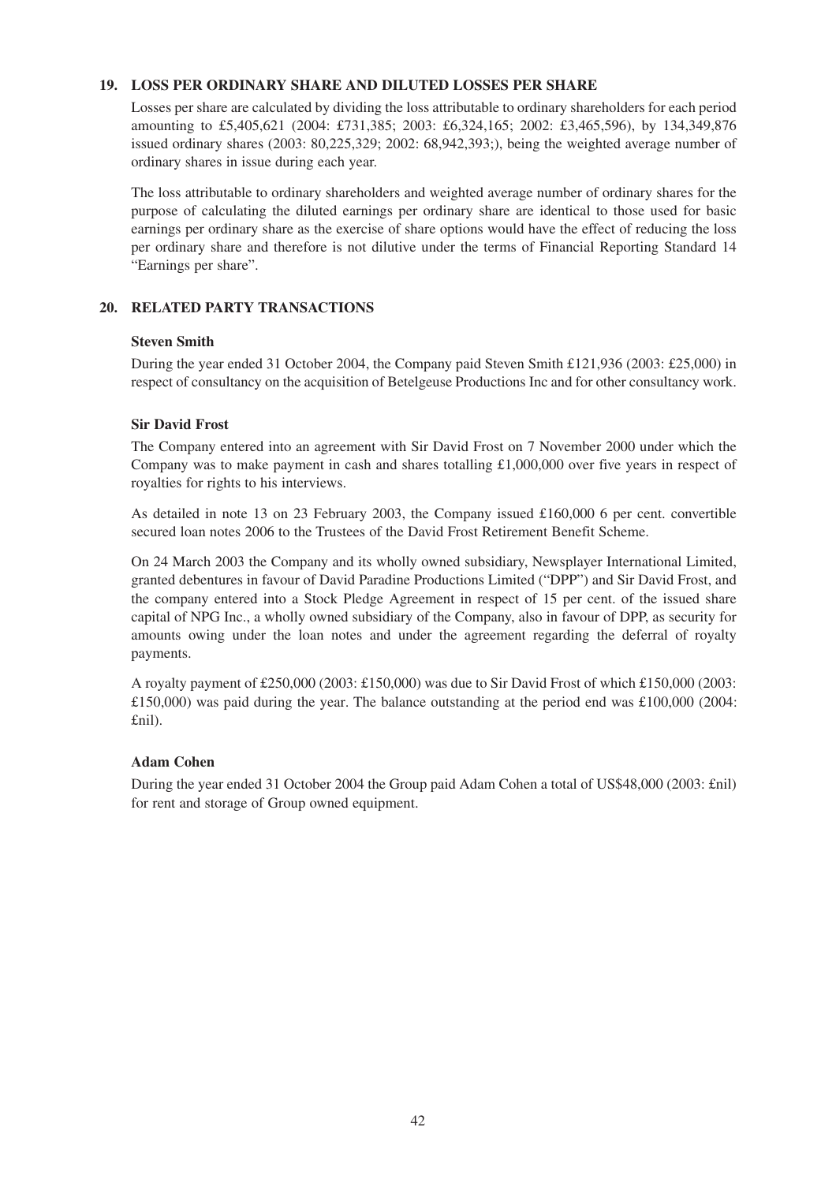### **19. LOSS PER ORDINARY SHARE AND DILUTED LOSSES PER SHARE**

Losses per share are calculated by dividing the loss attributable to ordinary shareholders for each period amounting to £5,405,621 (2004: £731,385; 2003: £6,324,165; 2002: £3,465,596), by 134,349,876 issued ordinary shares (2003: 80,225,329; 2002: 68,942,393;), being the weighted average number of ordinary shares in issue during each year.

The loss attributable to ordinary shareholders and weighted average number of ordinary shares for the purpose of calculating the diluted earnings per ordinary share are identical to those used for basic earnings per ordinary share as the exercise of share options would have the effect of reducing the loss per ordinary share and therefore is not dilutive under the terms of Financial Reporting Standard 14 "Earnings per share".

# **20. RELATED PARTY TRANSACTIONS**

### **Steven Smith**

During the year ended 31 October 2004, the Company paid Steven Smith £121,936 (2003: £25,000) in respect of consultancy on the acquisition of Betelgeuse Productions Inc and for other consultancy work.

### **Sir David Frost**

The Company entered into an agreement with Sir David Frost on 7 November 2000 under which the Company was to make payment in cash and shares totalling  $\pounds$ 1,000,000 over five years in respect of royalties for rights to his interviews.

As detailed in note 13 on 23 February 2003, the Company issued £160,000 6 per cent. convertible secured loan notes 2006 to the Trustees of the David Frost Retirement Benefit Scheme.

On 24 March 2003 the Company and its wholly owned subsidiary, Newsplayer International Limited, granted debentures in favour of David Paradine Productions Limited ("DPP") and Sir David Frost, and the company entered into a Stock Pledge Agreement in respect of 15 per cent. of the issued share capital of NPG Inc., a wholly owned subsidiary of the Company, also in favour of DPP, as security for amounts owing under the loan notes and under the agreement regarding the deferral of royalty payments.

A royalty payment of £250,000 (2003: £150,000) was due to Sir David Frost of which £150,000 (2003: £150,000) was paid during the year. The balance outstanding at the period end was £100,000 (2004: £nil).

# **Adam Cohen**

During the year ended 31 October 2004 the Group paid Adam Cohen a total of US\$48,000 (2003: £nil) for rent and storage of Group owned equipment.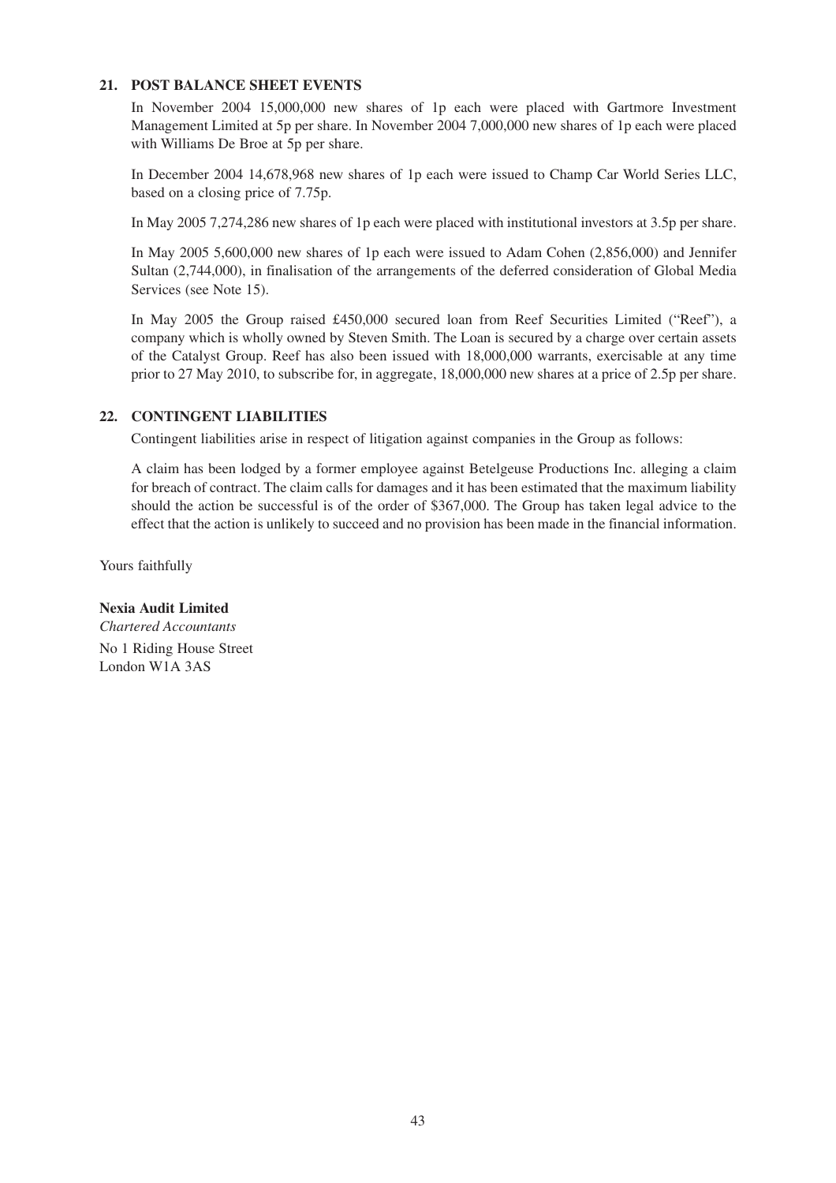### **21. POST BALANCE SHEET EVENTS**

In November 2004 15,000,000 new shares of 1p each were placed with Gartmore Investment Management Limited at 5p per share. In November 2004 7,000,000 new shares of 1p each were placed with Williams De Broe at 5p per share.

In December 2004 14,678,968 new shares of 1p each were issued to Champ Car World Series LLC, based on a closing price of 7.75p.

In May 2005 7,274,286 new shares of 1p each were placed with institutional investors at 3.5p per share.

In May 2005 5,600,000 new shares of 1p each were issued to Adam Cohen (2,856,000) and Jennifer Sultan (2,744,000), in finalisation of the arrangements of the deferred consideration of Global Media Services (see Note 15).

In May 2005 the Group raised £450,000 secured loan from Reef Securities Limited ("Reef"), a company which is wholly owned by Steven Smith. The Loan is secured by a charge over certain assets of the Catalyst Group. Reef has also been issued with 18,000,000 warrants, exercisable at any time prior to 27 May 2010, to subscribe for, in aggregate, 18,000,000 new shares at a price of 2.5p per share.

# **22. CONTINGENT LIABILITIES**

Contingent liabilities arise in respect of litigation against companies in the Group as follows:

A claim has been lodged by a former employee against Betelgeuse Productions Inc. alleging a claim for breach of contract. The claim calls for damages and it has been estimated that the maximum liability should the action be successful is of the order of \$367,000. The Group has taken legal advice to the effect that the action is unlikely to succeed and no provision has been made in the financial information.

Yours faithfully

### **Nexia Audit Limited**

*Chartered Accountants* No 1 Riding House Street London W1A 3AS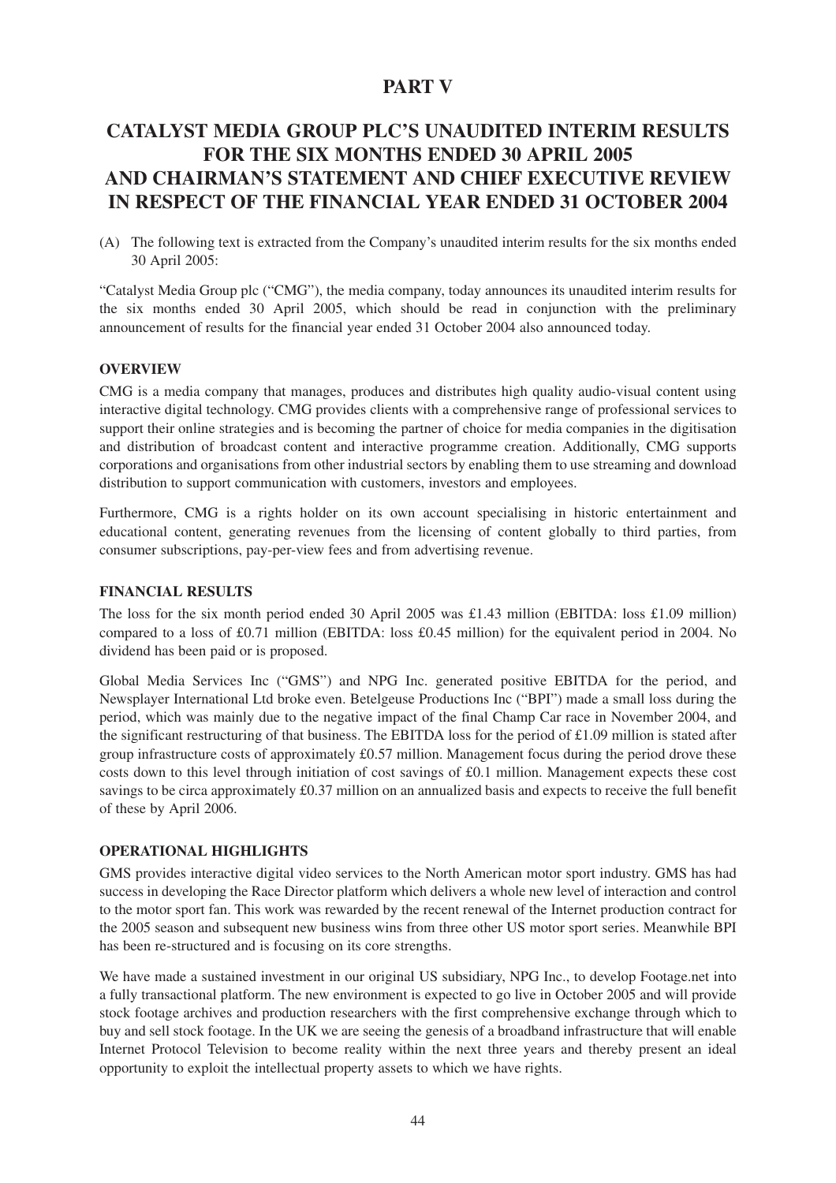# **PART V**

# **CATALYST MEDIA GROUP PLC'S UNAUDITED INTERIM RESULTS FOR THE SIX MONTHS ENDED 30 APRIL 2005 AND CHAIRMAN'S STATEMENT AND CHIEF EXECUTIVE REVIEW IN RESPECT OF THE FINANCIAL YEAR ENDED 31 OCTOBER 2004**

(A) The following text is extracted from the Company's unaudited interim results for the six months ended 30 April 2005:

"Catalyst Media Group plc ("CMG"), the media company, today announces its unaudited interim results for the six months ended 30 April 2005, which should be read in conjunction with the preliminary announcement of results for the financial year ended 31 October 2004 also announced today.

# **OVERVIEW**

CMG is a media company that manages, produces and distributes high quality audio-visual content using interactive digital technology. CMG provides clients with a comprehensive range of professional services to support their online strategies and is becoming the partner of choice for media companies in the digitisation and distribution of broadcast content and interactive programme creation. Additionally, CMG supports corporations and organisations from other industrial sectors by enabling them to use streaming and download distribution to support communication with customers, investors and employees.

Furthermore, CMG is a rights holder on its own account specialising in historic entertainment and educational content, generating revenues from the licensing of content globally to third parties, from consumer subscriptions, pay-per-view fees and from advertising revenue.

### **FINANCIAL RESULTS**

The loss for the six month period ended 30 April 2005 was £1.43 million (EBITDA: loss £1.09 million) compared to a loss of £0.71 million (EBITDA: loss £0.45 million) for the equivalent period in 2004. No dividend has been paid or is proposed.

Global Media Services Inc ("GMS") and NPG Inc. generated positive EBITDA for the period, and Newsplayer International Ltd broke even. Betelgeuse Productions Inc ("BPI") made a small loss during the period, which was mainly due to the negative impact of the final Champ Car race in November 2004, and the significant restructuring of that business. The EBITDA loss for the period of £1.09 million is stated after group infrastructure costs of approximately £0.57 million. Management focus during the period drove these costs down to this level through initiation of cost savings of £0.1 million. Management expects these cost savings to be circa approximately £0.37 million on an annualized basis and expects to receive the full benefit of these by April 2006.

### **OPERATIONAL HIGHLIGHTS**

GMS provides interactive digital video services to the North American motor sport industry. GMS has had success in developing the Race Director platform which delivers a whole new level of interaction and control to the motor sport fan. This work was rewarded by the recent renewal of the Internet production contract for the 2005 season and subsequent new business wins from three other US motor sport series. Meanwhile BPI has been re-structured and is focusing on its core strengths.

We have made a sustained investment in our original US subsidiary, NPG Inc., to develop Footage.net into a fully transactional platform. The new environment is expected to go live in October 2005 and will provide stock footage archives and production researchers with the first comprehensive exchange through which to buy and sell stock footage. In the UK we are seeing the genesis of a broadband infrastructure that will enable Internet Protocol Television to become reality within the next three years and thereby present an ideal opportunity to exploit the intellectual property assets to which we have rights.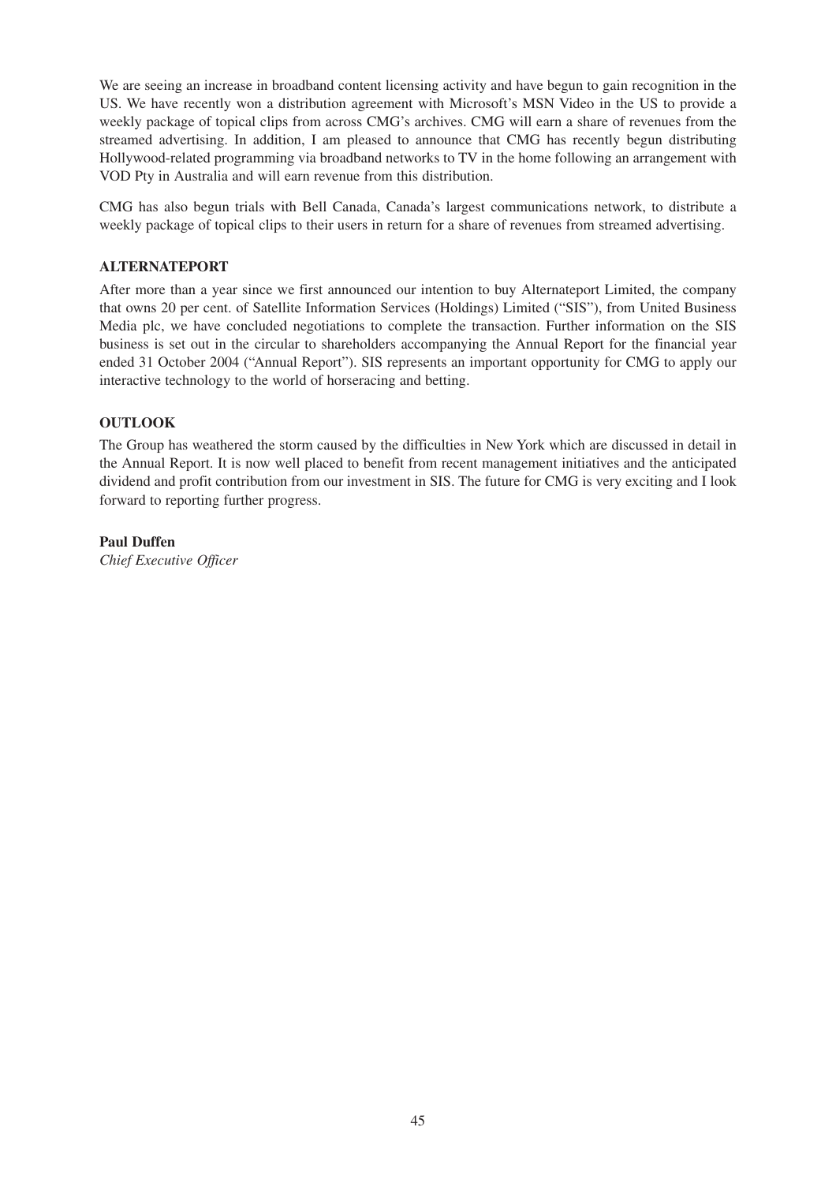We are seeing an increase in broadband content licensing activity and have begun to gain recognition in the US. We have recently won a distribution agreement with Microsoft's MSN Video in the US to provide a weekly package of topical clips from across CMG's archives. CMG will earn a share of revenues from the streamed advertising. In addition, I am pleased to announce that CMG has recently begun distributing Hollywood-related programming via broadband networks to TV in the home following an arrangement with VOD Pty in Australia and will earn revenue from this distribution.

CMG has also begun trials with Bell Canada, Canada's largest communications network, to distribute a weekly package of topical clips to their users in return for a share of revenues from streamed advertising.

# **ALTERNATEPORT**

After more than a year since we first announced our intention to buy Alternateport Limited, the company that owns 20 per cent. of Satellite Information Services (Holdings) Limited ("SIS"), from United Business Media plc, we have concluded negotiations to complete the transaction. Further information on the SIS business is set out in the circular to shareholders accompanying the Annual Report for the financial year ended 31 October 2004 ("Annual Report"). SIS represents an important opportunity for CMG to apply our interactive technology to the world of horseracing and betting.

# **OUTLOOK**

The Group has weathered the storm caused by the difficulties in New York which are discussed in detail in the Annual Report. It is now well placed to benefit from recent management initiatives and the anticipated dividend and profit contribution from our investment in SIS. The future for CMG is very exciting and I look forward to reporting further progress.

# **Paul Duffen**

*Chief Executive Officer*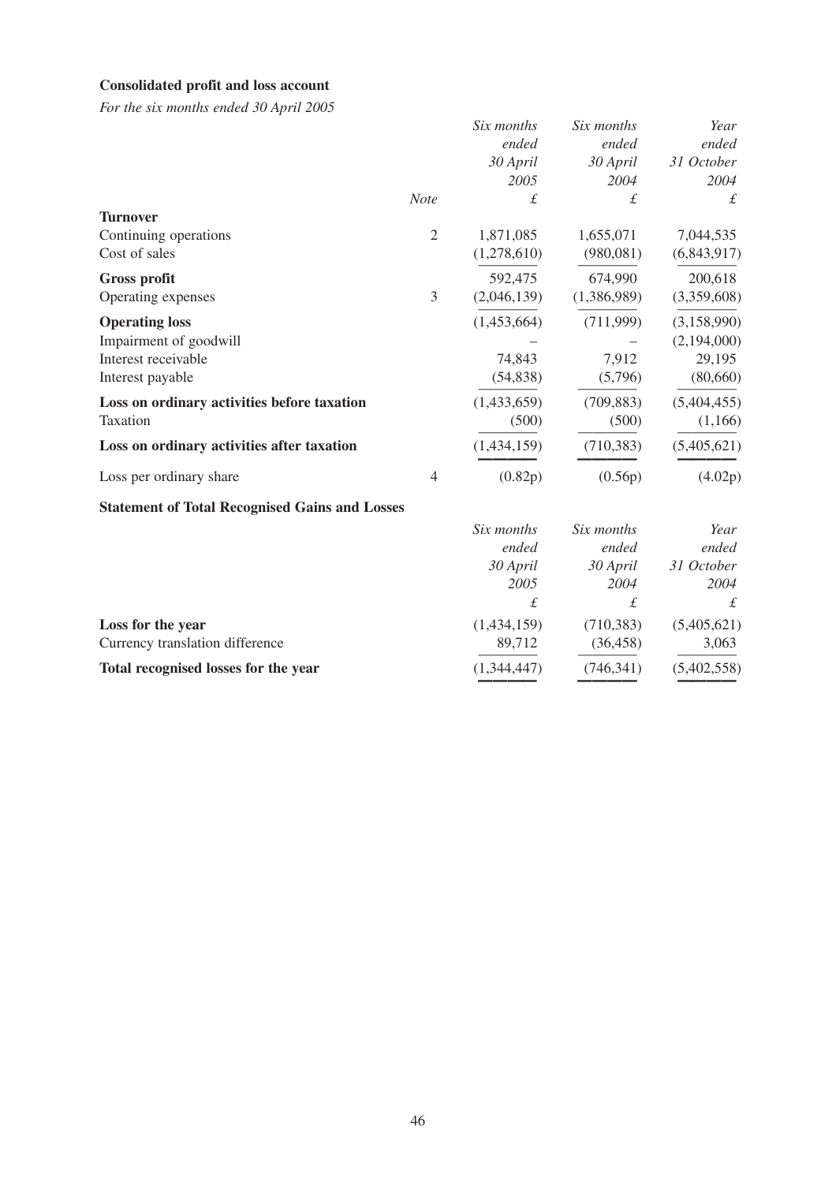# **Consolidated profit and loss account**

*For the six months ended 30 April 2005*

| For the stx months ended 50 April 2005                |                |             |             |             |
|-------------------------------------------------------|----------------|-------------|-------------|-------------|
|                                                       |                | Six months  | Six months  | Year        |
|                                                       |                | ended       | ended       | ended       |
|                                                       |                | 30 April    | 30 April    | 31 October  |
|                                                       |                | 2005        | 2004        | 2004        |
|                                                       | <b>Note</b>    | $\pounds$   | £           | £           |
| <b>Turnover</b>                                       |                |             |             |             |
| Continuing operations                                 | $\overline{2}$ | 1,871,085   | 1,655,071   | 7,044,535   |
| Cost of sales                                         |                | (1,278,610) | (980, 081)  | (6,843,917) |
| <b>Gross profit</b>                                   |                | 592,475     | 674,990     | 200,618     |
| Operating expenses                                    | 3              | (2,046,139) | (1,386,989) | (3,359,608) |
| <b>Operating loss</b>                                 |                | (1,453,664) | (711,999)   | (3,158,990) |
| Impairment of goodwill                                |                |             |             | (2,194,000) |
| Interest receivable                                   |                | 74,843      | 7,912       | 29,195      |
| Interest payable                                      |                | (54, 838)   | (5,796)     | (80,660)    |
| Loss on ordinary activities before taxation           |                | (1,433,659) | (709, 883)  | (5,404,455) |
| Taxation                                              |                | (500)       | (500)       | (1,166)     |
| Loss on ordinary activities after taxation            |                | (1,434,159) | (710, 383)  | (5,405,621) |
| Loss per ordinary share                               | $\overline{4}$ | (0.82p)     | (0.56p)     | (4.02p)     |
| <b>Statement of Total Recognised Gains and Losses</b> |                |             |             |             |
|                                                       |                | Six months  | Six months  | Year        |
|                                                       |                | ended       | ended       | ended       |
|                                                       |                | 30 April    | 30 April    | 31 October  |
|                                                       |                | 2005        | 2004        | 2004        |
|                                                       |                | $\pounds$   | £           | £           |
| Loss for the year                                     |                | (1,434,159) | (710, 383)  | (5,405,621) |
| Currency translation difference                       |                | 89,712      | (36, 458)   | 3,063       |
| Total recognised losses for the year                  |                | (1,344,447) | (746, 341)  | (5,402,558) |
|                                                       |                |             |             |             |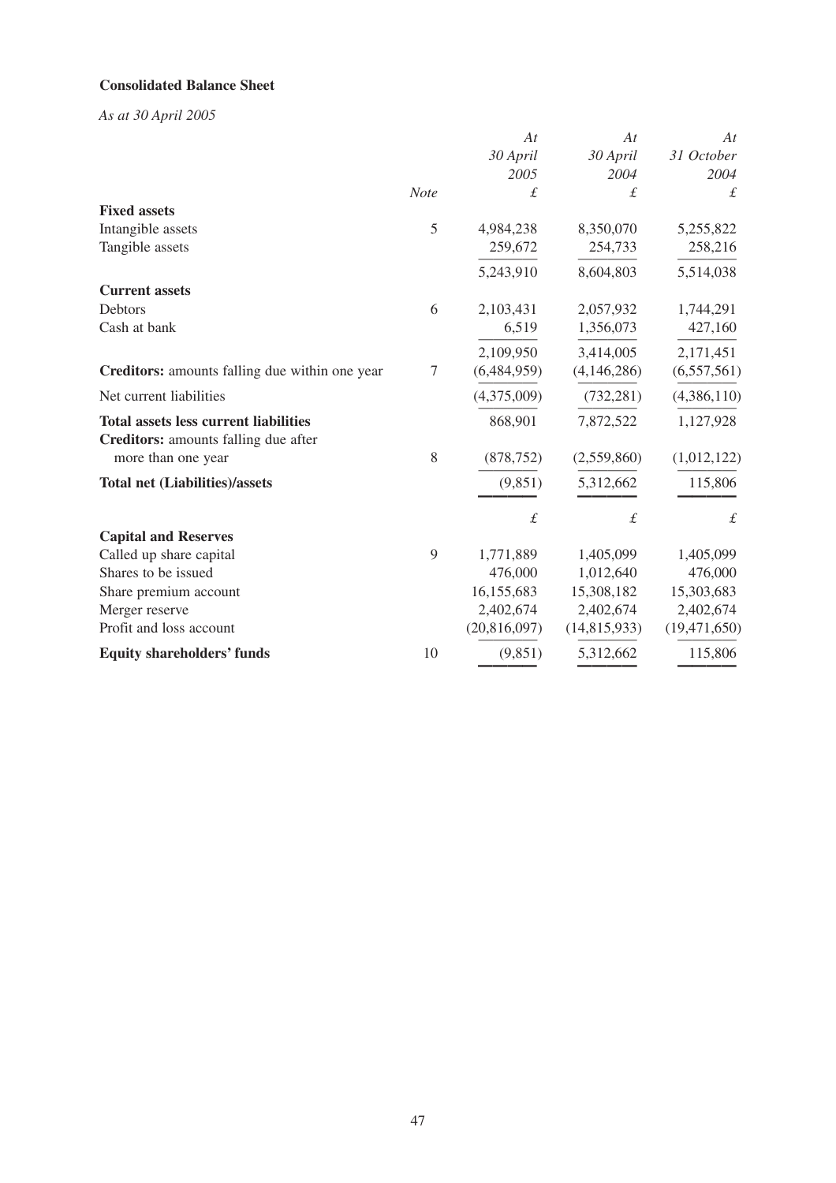# **Consolidated Balance Sheet**

*As at 30 April 2005*

|                                                       |             | At             | At             | At             |
|-------------------------------------------------------|-------------|----------------|----------------|----------------|
|                                                       |             | 30 April       | 30 April       | 31 October     |
|                                                       |             | 2005           | 2004           | 2004           |
|                                                       | <b>Note</b> | £              | £              | £              |
| <b>Fixed assets</b>                                   |             |                |                |                |
| Intangible assets                                     | 5           | 4,984,238      | 8,350,070      | 5,255,822      |
| Tangible assets                                       |             | 259,672        | 254,733        | 258,216        |
|                                                       |             | 5,243,910      | 8,604,803      | 5,514,038      |
| <b>Current assets</b>                                 |             |                |                |                |
| Debtors                                               | 6           | 2,103,431      | 2,057,932      | 1,744,291      |
| Cash at bank                                          |             | 6,519          | 1,356,073      | 427,160        |
|                                                       |             | 2,109,950      | 3,414,005      | 2,171,451      |
| <b>Creditors:</b> amounts falling due within one year | 7           | (6,484,959)    | (4,146,286)    | (6, 557, 561)  |
| Net current liabilities                               |             | (4,375,009)    | (732, 281)     | (4,386,110)    |
| <b>Total assets less current liabilities</b>          |             | 868,901        | 7,872,522      | 1,127,928      |
| Creditors: amounts falling due after                  |             |                |                |                |
| more than one year                                    | 8           | (878, 752)     | (2,559,860)    | (1,012,122)    |
| <b>Total net (Liabilities)/assets</b>                 |             | (9,851)        | 5,312,662      | 115,806        |
|                                                       |             |                |                |                |
|                                                       |             | $\mathcal{L}$  | $\pounds$      | £              |
| <b>Capital and Reserves</b>                           |             |                |                |                |
| Called up share capital                               | 9           | 1,771,889      | 1,405,099      | 1,405,099      |
| Shares to be issued                                   |             | 476,000        | 1,012,640      | 476,000        |
| Share premium account                                 |             | 16,155,683     | 15,308,182     | 15,303,683     |
| Merger reserve                                        |             | 2,402,674      | 2,402,674      | 2,402,674      |
| Profit and loss account                               |             | (20, 816, 097) | (14, 815, 933) | (19, 471, 650) |
| <b>Equity shareholders' funds</b>                     | 10          | (9,851)        | 5,312,662      | 115,806        |
|                                                       |             |                |                |                |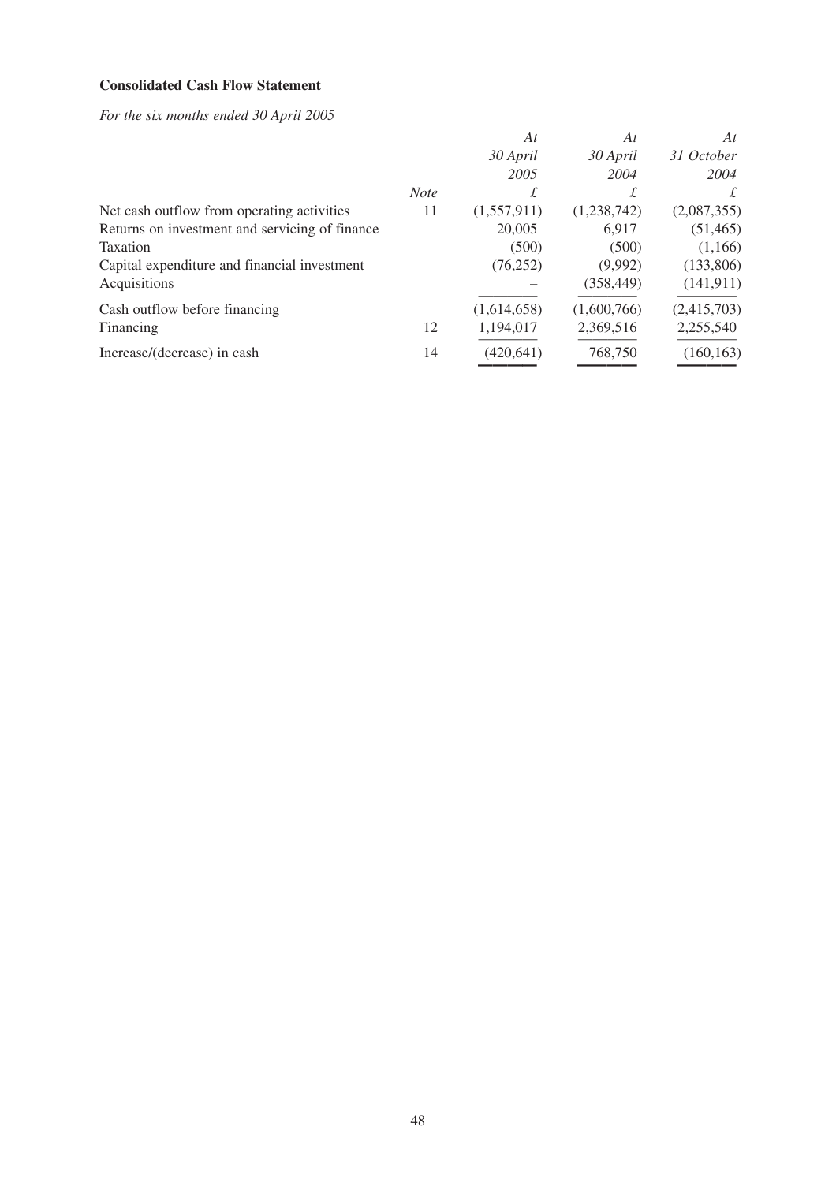# **Consolidated Cash Flow Statement**

*For the six months ended 30 April 2005*

|                                                |             | At          | At          | At          |
|------------------------------------------------|-------------|-------------|-------------|-------------|
|                                                |             | 30 April    | 30 April    | 31 October  |
|                                                |             | 2005        | 2004        | 2004        |
|                                                | <b>Note</b> | £           | £           | £           |
| Net cash outflow from operating activities     | 11          | (1,557,911) | (1,238,742) | (2,087,355) |
| Returns on investment and servicing of finance |             | 20,005      | 6,917       | (51, 465)   |
| Taxation                                       |             | (500)       | (500)       | (1,166)     |
| Capital expenditure and financial investment   |             | (76, 252)   | (9,992)     | (133,806)   |
| Acquisitions                                   |             |             | (358, 449)  | (141, 911)  |
| Cash outflow before financing                  |             | (1,614,658) | (1,600,766) | (2,415,703) |
| Financing                                      | 12          | 1,194,017   | 2,369,516   | 2,255,540   |
| Increase/(decrease) in cash                    | 14          | (420, 641)  | 768,750     | (160, 163)  |
|                                                |             |             |             |             |

———— ———— ————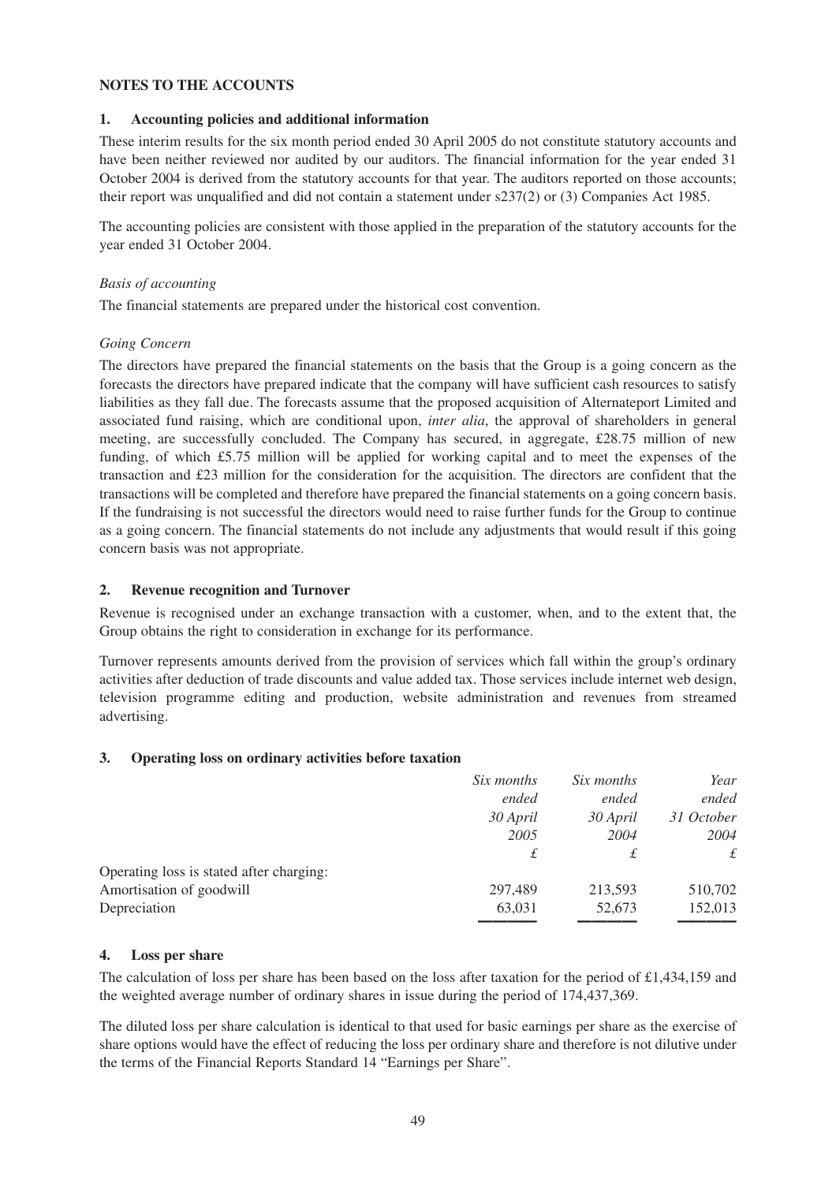### **NOTES TO THE ACCOUNTS**

### **1. Accounting policies and additional information**

These interim results for the six month period ended 30 April 2005 do not constitute statutory accounts and have been neither reviewed nor audited by our auditors. The financial information for the year ended 31 October 2004 is derived from the statutory accounts for that year. The auditors reported on those accounts; their report was unqualified and did not contain a statement under s237(2) or (3) Companies Act 1985.

The accounting policies are consistent with those applied in the preparation of the statutory accounts for the year ended 31 October 2004.

### *Basis of accounting*

The financial statements are prepared under the historical cost convention.

### *Going Concern*

The directors have prepared the financial statements on the basis that the Group is a going concern as the forecasts the directors have prepared indicate that the company will have sufficient cash resources to satisfy liabilities as they fall due. The forecasts assume that the proposed acquisition of Alternateport Limited and associated fund raising, which are conditional upon, *inter alia*, the approval of shareholders in general meeting, are successfully concluded. The Company has secured, in aggregate, £28.75 million of new funding, of which  $£5.75$  million will be applied for working capital and to meet the expenses of the transaction and £23 million for the consideration for the acquisition. The directors are confident that the transactions will be completed and therefore have prepared the financial statements on a going concern basis. If the fundraising is not successful the directors would need to raise further funds for the Group to continue as a going concern. The financial statements do not include any adjustments that would result if this going concern basis was not appropriate.

### **2. Revenue recognition and Turnover**

Revenue is recognised under an exchange transaction with a customer, when, and to the extent that, the Group obtains the right to consideration in exchange for its performance.

Turnover represents amounts derived from the provision of services which fall within the group's ordinary activities after deduction of trade discounts and value added tax. Those services include internet web design, television programme editing and production, website administration and revenues from streamed advertising.

### **3. Operating loss on ordinary activities before taxation**

|                                          | Six months | Six months | Year       |
|------------------------------------------|------------|------------|------------|
|                                          | ended      | ended      | ended      |
|                                          | 30 April   | 30 April   | 31 October |
|                                          | 2005       | 2004       | 2004       |
|                                          | £          | £          | £          |
| Operating loss is stated after charging: |            |            |            |
| Amortisation of goodwill                 | 297,489    | 213,593    | 510,702    |
| Depreciation                             | 63,031     | 52,673     | 152,013    |
|                                          |            |            |            |

### **4. Loss per share**

The calculation of loss per share has been based on the loss after taxation for the period of £1,434,159 and the weighted average number of ordinary shares in issue during the period of 174,437,369.

The diluted loss per share calculation is identical to that used for basic earnings per share as the exercise of share options would have the effect of reducing the loss per ordinary share and therefore is not dilutive under the terms of the Financial Reports Standard 14 "Earnings per Share".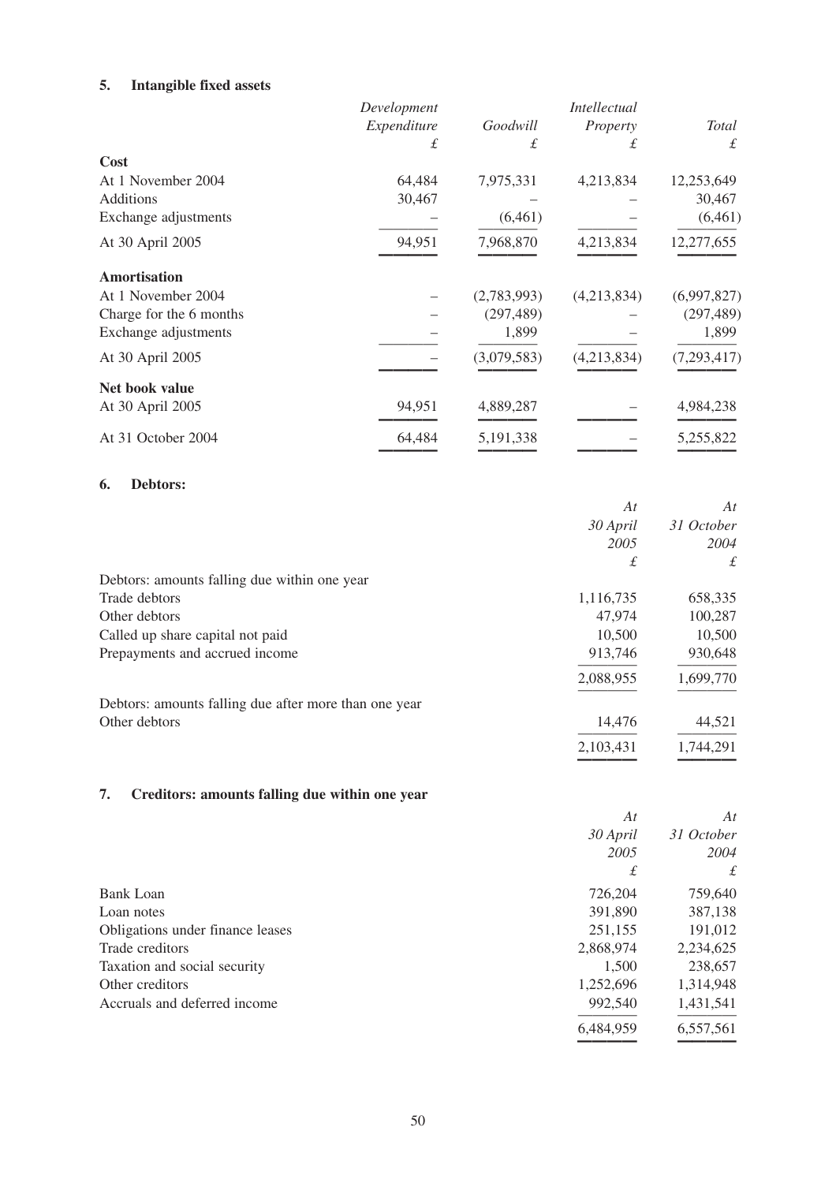# **5. Intangible fixed assets**

|                                                       | Development |             | Intellectual |             |
|-------------------------------------------------------|-------------|-------------|--------------|-------------|
|                                                       | Expenditure | Goodwill    | Property     | Total       |
|                                                       | $\pounds$   | $\pounds$   | $\pounds$    | £           |
| Cost                                                  |             |             |              |             |
| At 1 November 2004                                    | 64,484      | 7,975,331   | 4,213,834    | 12,253,649  |
| Additions                                             | 30,467      |             |              | 30,467      |
| Exchange adjustments                                  |             | (6,461)     |              | (6,461)     |
| At 30 April 2005                                      | 94,951      | 7,968,870   | 4,213,834    | 12,277,655  |
| <b>Amortisation</b>                                   |             |             |              |             |
| At 1 November 2004                                    |             | (2,783,993) | (4,213,834)  | (6,997,827) |
| Charge for the 6 months                               |             | (297, 489)  |              | (297, 489)  |
| Exchange adjustments                                  |             | 1,899       |              | 1,899       |
| At 30 April 2005                                      |             | (3,079,583) | (4,213,834)  | (7,293,417) |
| Net book value                                        |             |             |              |             |
| At 30 April 2005                                      | 94,951      | 4,889,287   |              | 4,984,238   |
| At 31 October 2004                                    | 64,484      | 5, 191, 338 |              | 5,255,822   |
|                                                       |             |             |              |             |
| <b>Debtors:</b><br>6.                                 |             |             |              |             |
|                                                       |             |             | At           | At          |
|                                                       |             |             | 30 April     | 31 October  |
|                                                       |             |             | 2005         | 2004        |
|                                                       |             |             | £            | £           |
| Debtors: amounts falling due within one year          |             |             |              |             |
| Trade debtors                                         |             |             | 1,116,735    | 658,335     |
| Other debtors                                         |             |             | 47,974       | 100,287     |
| Called up share capital not paid                      |             |             | 10,500       | 10,500      |
| Prepayments and accrued income                        |             |             | 913,746      | 930,648     |
|                                                       |             |             | 2,088,955    | 1,699,770   |
| Debtors: amounts falling due after more than one year |             |             |              |             |
| Other debtors                                         |             |             | 14,476       | 44,521      |
|                                                       |             |             | 2,103,431    | 1,744,291   |
|                                                       |             |             |              |             |

# **7. Creditors: amounts falling due within one year**

|                                  | At        | At         |
|----------------------------------|-----------|------------|
|                                  | 30 April  | 31 October |
|                                  | 2005      | 2004       |
|                                  | £         | £          |
| <b>Bank Loan</b>                 | 726,204   | 759,640    |
| Loan notes                       | 391,890   | 387,138    |
| Obligations under finance leases | 251,155   | 191,012    |
| Trade creditors                  | 2,868,974 | 2,234,625  |
| Taxation and social security     | 1,500     | 238,657    |
| Other creditors                  | 1,252,696 | 1,314,948  |
| Accruals and deferred income     | 992,540   | 1,431,541  |
|                                  | 6,484,959 | 6,557,561  |

———— ————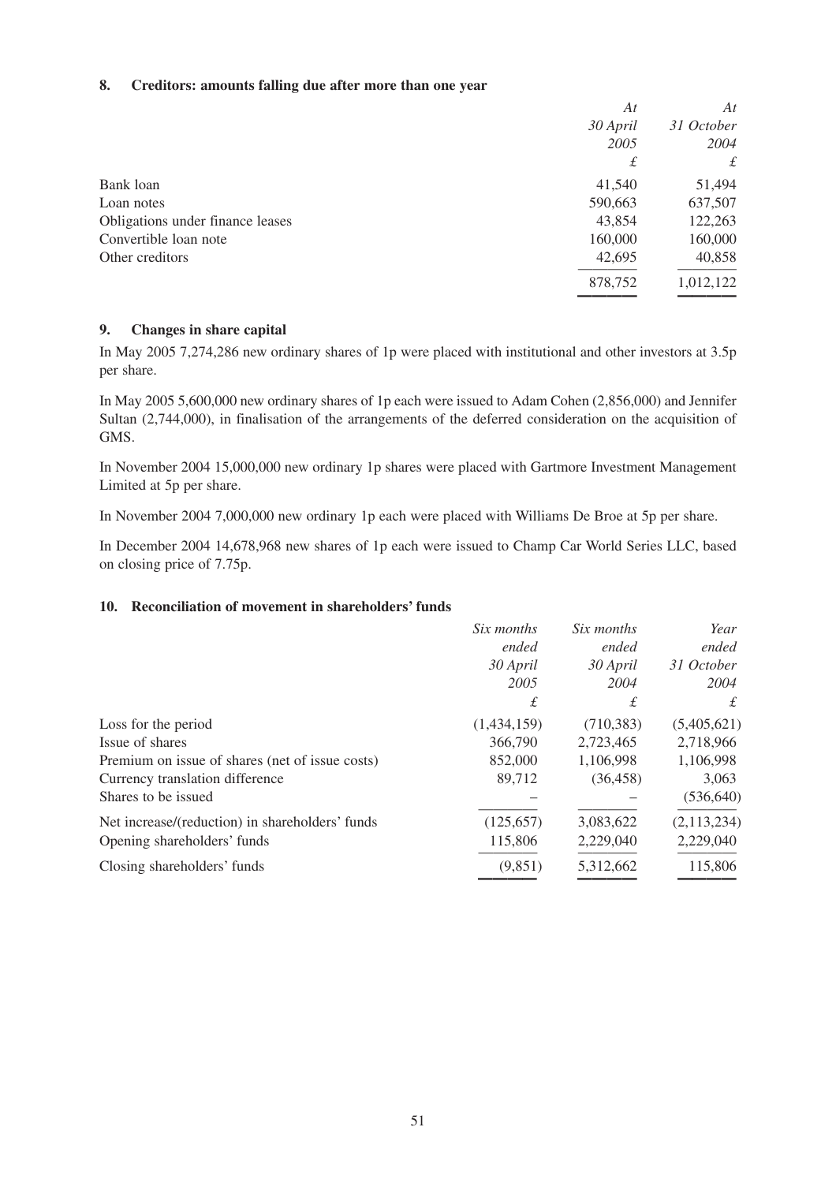### **8. Creditors: amounts falling due after more than one year**

|                                  | At       | At         |
|----------------------------------|----------|------------|
|                                  | 30 April | 31 October |
|                                  | 2005     | 2004       |
|                                  | £        | $\pounds$  |
| Bank loan                        | 41,540   | 51,494     |
| Loan notes                       | 590,663  | 637,507    |
| Obligations under finance leases | 43,854   | 122,263    |
| Convertible loan note            | 160,000  | 160,000    |
| Other creditors                  | 42,695   | 40,858     |
|                                  | 878,752  | 1,012,122  |
|                                  |          |            |

# **9. Changes in share capital**

In May 2005 7,274,286 new ordinary shares of 1p were placed with institutional and other investors at 3.5p per share.

In May 2005 5,600,000 new ordinary shares of 1p each were issued to Adam Cohen (2,856,000) and Jennifer Sultan (2,744,000), in finalisation of the arrangements of the deferred consideration on the acquisition of GMS.

In November 2004 15,000,000 new ordinary 1p shares were placed with Gartmore Investment Management Limited at 5p per share.

In November 2004 7,000,000 new ordinary 1p each were placed with Williams De Broe at 5p per share.

In December 2004 14,678,968 new shares of 1p each were issued to Champ Car World Series LLC, based on closing price of 7.75p.

# **10. Reconciliation of movement in shareholders' funds**

|                                                 | Six months  | Six months | Year        |
|-------------------------------------------------|-------------|------------|-------------|
|                                                 | ended       | ended      | ended       |
|                                                 | 30 April    | 30 April   | 31 October  |
|                                                 | 2005        | 2004       | 2004        |
|                                                 | £           | £          | £           |
| Loss for the period                             | (1,434,159) | (710, 383) | (5,405,621) |
| Issue of shares                                 | 366,790     | 2,723,465  | 2,718,966   |
| Premium on issue of shares (net of issue costs) | 852,000     | 1,106,998  | 1,106,998   |
| Currency translation difference                 | 89,712      | (36, 458)  | 3,063       |
| Shares to be issued                             |             |            | (536, 640)  |
| Net increase/(reduction) in shareholders' funds | (125, 657)  | 3,083,622  | (2,113,234) |
| Opening shareholders' funds                     | 115,806     | 2,229,040  | 2,229,040   |
| Closing shareholders' funds                     | (9,851)     | 5,312,662  | 115,806     |
|                                                 |             |            |             |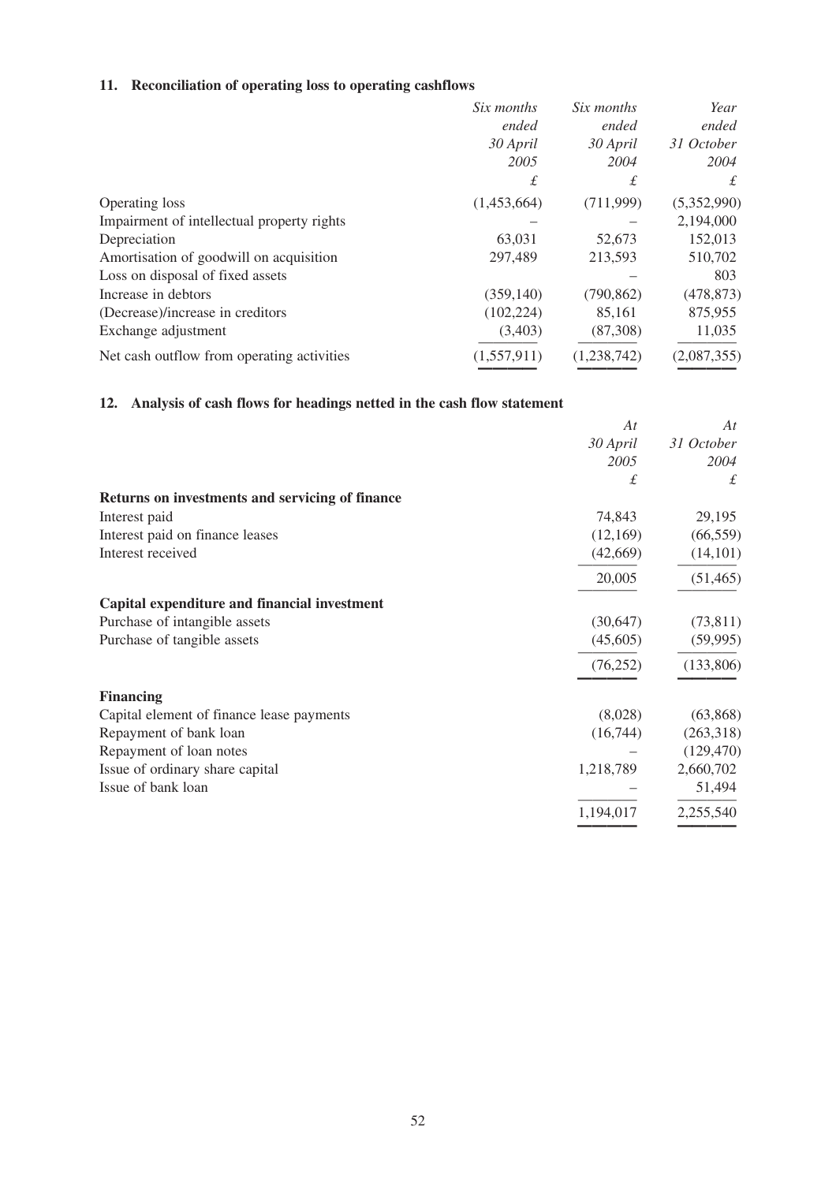# **11. Reconciliation of operating loss to operating cashflows**

|                                            | Six months  | Six months  | Year        |
|--------------------------------------------|-------------|-------------|-------------|
|                                            | ended       | ended       | ended       |
|                                            | 30 April    | 30 April    | 31 October  |
|                                            | 2005        | 2004        | 2004        |
|                                            | £           | £           | £           |
| Operating loss                             | (1,453,664) | (711,999)   | (5,352,990) |
| Impairment of intellectual property rights |             |             | 2,194,000   |
| Depreciation                               | 63,031      | 52,673      | 152,013     |
| Amortisation of goodwill on acquisition    | 297,489     | 213,593     | 510,702     |
| Loss on disposal of fixed assets           |             |             | 803         |
| Increase in debtors                        | (359, 140)  | (790, 862)  | (478, 873)  |
| (Decrease)/increase in creditors           | (102, 224)  | 85,161      | 875,955     |
| Exchange adjustment                        | (3,403)     | (87,308)    | 11,035      |
| Net cash outflow from operating activities | (1,557,911) | (1,238,742) | (2,087,355) |

———— ———— ————

# **12. Analysis of cash flows for headings netted in the cash flow statement**

|                                                 | At        | At         |
|-------------------------------------------------|-----------|------------|
|                                                 | 30 April  | 31 October |
|                                                 | 2005      | 2004       |
|                                                 | £         | £          |
| Returns on investments and servicing of finance |           |            |
| Interest paid                                   | 74,843    | 29,195     |
| Interest paid on finance leases                 | (12, 169) | (66, 559)  |
| Interest received                               | (42,669)  | (14,101)   |
|                                                 | 20,005    | (51, 465)  |
| Capital expenditure and financial investment    |           |            |
| Purchase of intangible assets                   | (30,647)  | (73, 811)  |
| Purchase of tangible assets                     | (45,605)  | (59, 995)  |
|                                                 | (76, 252) | (133,806)  |
| <b>Financing</b>                                |           |            |
| Capital element of finance lease payments       | (8,028)   | (63,868)   |
| Repayment of bank loan                          | (16,744)  | (263,318)  |
| Repayment of loan notes                         |           | (129, 470) |
| Issue of ordinary share capital                 | 1,218,789 | 2,660,702  |
| Issue of bank loan                              |           | 51,494     |
|                                                 | 1,194,017 | 2,255,540  |
|                                                 |           |            |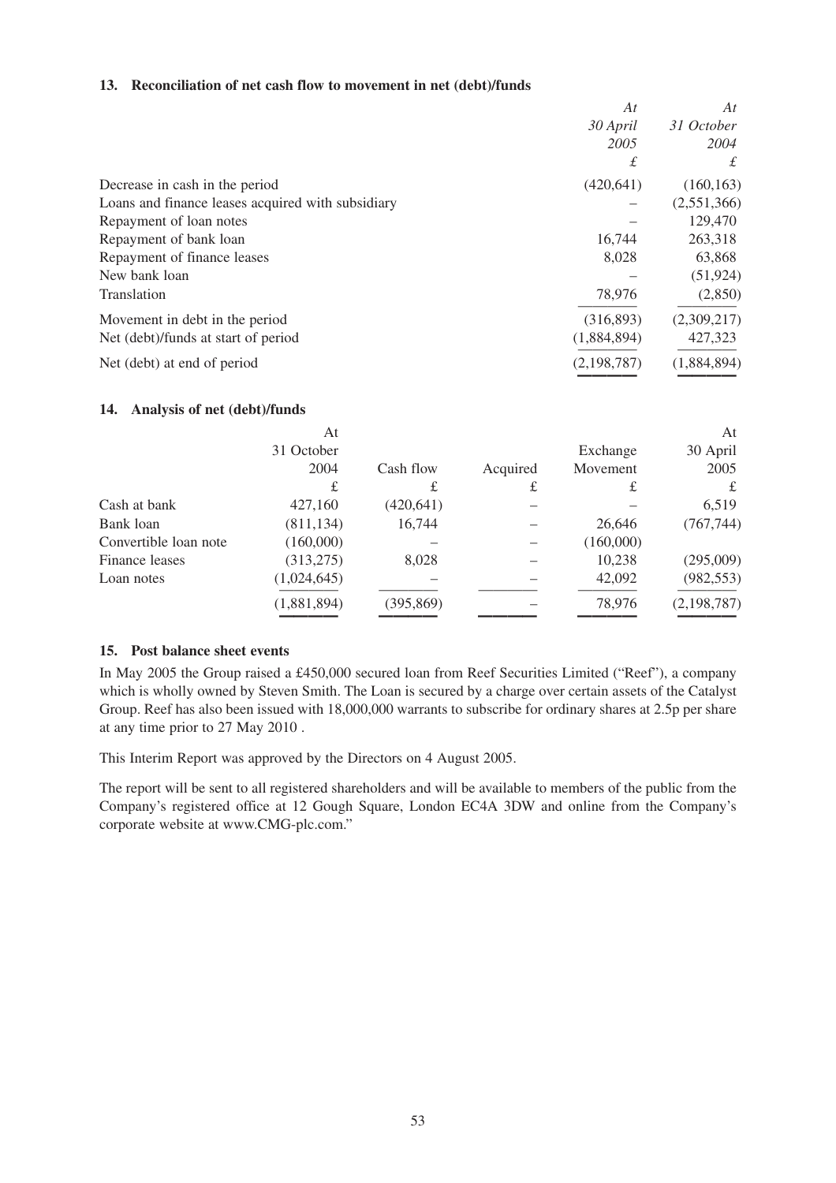# **13. Reconciliation of net cash flow to movement in net (debt)/funds**

|                                                   | At            | At          |
|---------------------------------------------------|---------------|-------------|
|                                                   | 30 April      | 31 October  |
|                                                   | 2005          | 2004        |
|                                                   | £             | £           |
| Decrease in cash in the period                    | (420, 641)    | (160, 163)  |
| Loans and finance leases acquired with subsidiary |               | (2,551,366) |
| Repayment of loan notes                           |               | 129,470     |
| Repayment of bank loan                            | 16,744        | 263,318     |
| Repayment of finance leases                       | 8,028         | 63,868      |
| New bank loan                                     |               | (51, 924)   |
| Translation                                       | 78,976        | (2,850)     |
| Movement in debt in the period                    | (316, 893)    | (2,309,217) |
| Net (debt)/funds at start of period               | (1,884,894)   | 427,323     |
| Net (debt) at end of period                       | (2, 198, 787) | (1,884,894) |

### **14. Analysis of net (debt)/funds**

|                       | At          |            |          |           | At            |
|-----------------------|-------------|------------|----------|-----------|---------------|
|                       | 31 October  |            |          | Exchange  | 30 April      |
|                       | 2004        | Cash flow  | Acquired | Movement  | 2005          |
|                       | £           | £          | £        | £         | £             |
| Cash at bank          | 427,160     | (420, 641) |          |           | 6,519         |
| Bank loan             | (811, 134)  | 16,744     |          | 26,646    | (767, 744)    |
| Convertible loan note | (160,000)   |            |          | (160,000) |               |
| Finance leases        | (313,275)   | 8,028      |          | 10,238    | (295,009)     |
| Loan notes            | (1,024,645) |            |          | 42,092    | (982, 553)    |
|                       | (1,881,894) | (395, 869) |          | 78,976    | (2, 198, 787) |
|                       |             |            |          |           |               |

———— ————

# **15. Post balance sheet events**

In May 2005 the Group raised a £450,000 secured loan from Reef Securities Limited ("Reef"), a company which is wholly owned by Steven Smith. The Loan is secured by a charge over certain assets of the Catalyst Group. Reef has also been issued with 18,000,000 warrants to subscribe for ordinary shares at 2.5p per share at any time prior to 27 May 2010 .

This Interim Report was approved by the Directors on 4 August 2005.

The report will be sent to all registered shareholders and will be available to members of the public from the Company's registered office at 12 Gough Square, London EC4A 3DW and online from the Company's corporate website at www.CMG-plc.com."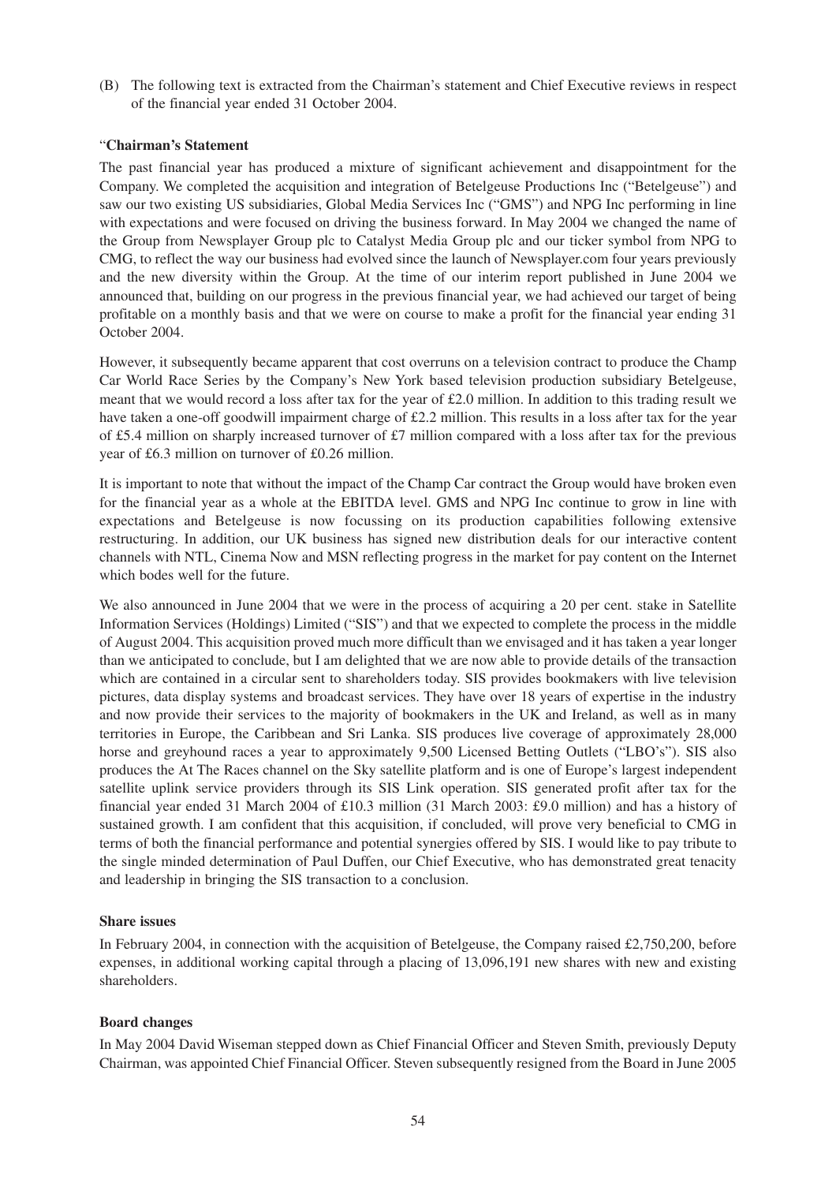(B) The following text is extracted from the Chairman's statement and Chief Executive reviews in respect of the financial year ended 31 October 2004.

### "**Chairman's Statement**

The past financial year has produced a mixture of significant achievement and disappointment for the Company. We completed the acquisition and integration of Betelgeuse Productions Inc ("Betelgeuse") and saw our two existing US subsidiaries, Global Media Services Inc ("GMS") and NPG Inc performing in line with expectations and were focused on driving the business forward. In May 2004 we changed the name of the Group from Newsplayer Group plc to Catalyst Media Group plc and our ticker symbol from NPG to CMG, to reflect the way our business had evolved since the launch of Newsplayer.com four years previously and the new diversity within the Group. At the time of our interim report published in June 2004 we announced that, building on our progress in the previous financial year, we had achieved our target of being profitable on a monthly basis and that we were on course to make a profit for the financial year ending 31 October 2004.

However, it subsequently became apparent that cost overruns on a television contract to produce the Champ Car World Race Series by the Company's New York based television production subsidiary Betelgeuse, meant that we would record a loss after tax for the year of £2.0 million. In addition to this trading result we have taken a one-off goodwill impairment charge of £2.2 million. This results in a loss after tax for the year of £5.4 million on sharply increased turnover of £7 million compared with a loss after tax for the previous year of £6.3 million on turnover of £0.26 million.

It is important to note that without the impact of the Champ Car contract the Group would have broken even for the financial year as a whole at the EBITDA level. GMS and NPG Inc continue to grow in line with expectations and Betelgeuse is now focussing on its production capabilities following extensive restructuring. In addition, our UK business has signed new distribution deals for our interactive content channels with NTL, Cinema Now and MSN reflecting progress in the market for pay content on the Internet which bodes well for the future.

We also announced in June 2004 that we were in the process of acquiring a 20 per cent. stake in Satellite Information Services (Holdings) Limited ("SIS") and that we expected to complete the process in the middle of August 2004. This acquisition proved much more difficult than we envisaged and it has taken a year longer than we anticipated to conclude, but I am delighted that we are now able to provide details of the transaction which are contained in a circular sent to shareholders today. SIS provides bookmakers with live television pictures, data display systems and broadcast services. They have over 18 years of expertise in the industry and now provide their services to the majority of bookmakers in the UK and Ireland, as well as in many territories in Europe, the Caribbean and Sri Lanka. SIS produces live coverage of approximately 28,000 horse and greyhound races a year to approximately 9,500 Licensed Betting Outlets ("LBO's"). SIS also produces the At The Races channel on the Sky satellite platform and is one of Europe's largest independent satellite uplink service providers through its SIS Link operation. SIS generated profit after tax for the financial year ended 31 March 2004 of £10.3 million (31 March 2003: £9.0 million) and has a history of sustained growth. I am confident that this acquisition, if concluded, will prove very beneficial to CMG in terms of both the financial performance and potential synergies offered by SIS. I would like to pay tribute to the single minded determination of Paul Duffen, our Chief Executive, who has demonstrated great tenacity and leadership in bringing the SIS transaction to a conclusion.

# **Share issues**

In February 2004, in connection with the acquisition of Betelgeuse, the Company raised £2,750,200, before expenses, in additional working capital through a placing of 13,096,191 new shares with new and existing shareholders.

# **Board changes**

In May 2004 David Wiseman stepped down as Chief Financial Officer and Steven Smith, previously Deputy Chairman, was appointed Chief Financial Officer. Steven subsequently resigned from the Board in June 2005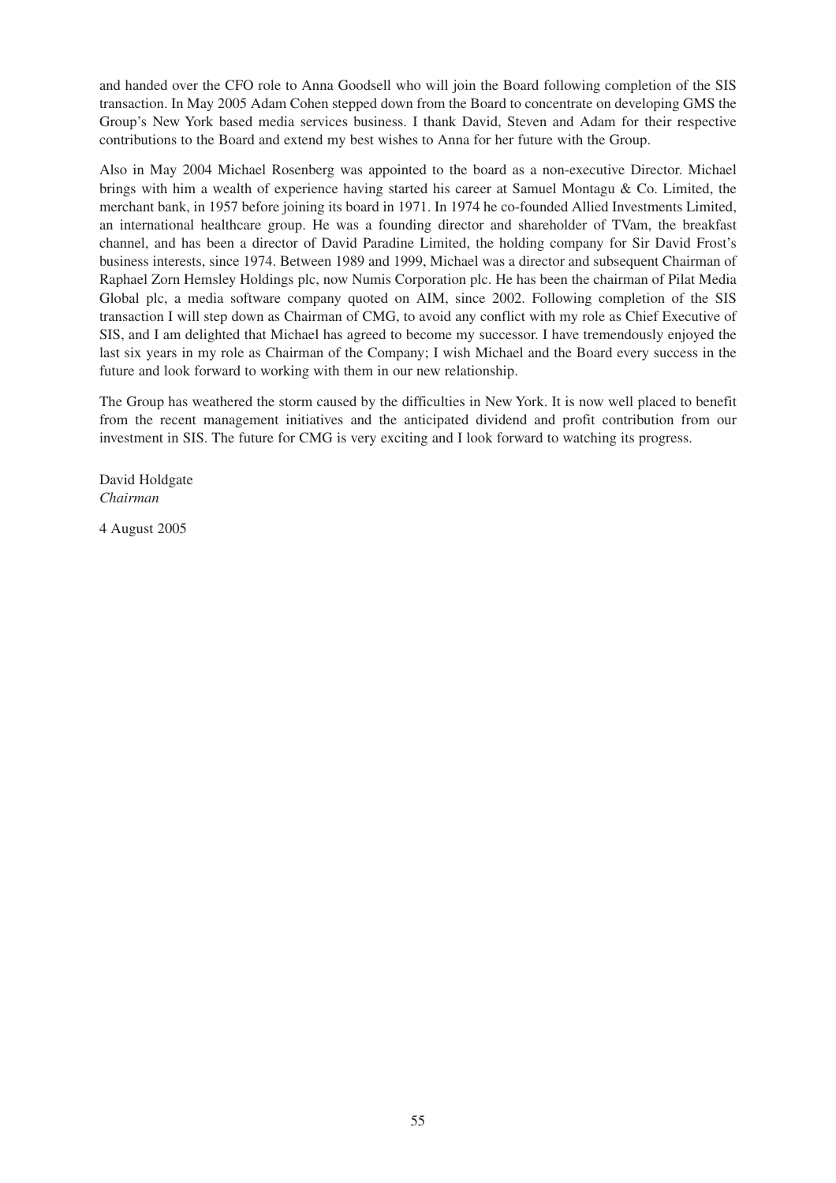and handed over the CFO role to Anna Goodsell who will join the Board following completion of the SIS transaction. In May 2005 Adam Cohen stepped down from the Board to concentrate on developing GMS the Group's New York based media services business. I thank David, Steven and Adam for their respective contributions to the Board and extend my best wishes to Anna for her future with the Group.

Also in May 2004 Michael Rosenberg was appointed to the board as a non-executive Director. Michael brings with him a wealth of experience having started his career at Samuel Montagu & Co. Limited, the merchant bank, in 1957 before joining its board in 1971. In 1974 he co-founded Allied Investments Limited, an international healthcare group. He was a founding director and shareholder of TVam, the breakfast channel, and has been a director of David Paradine Limited, the holding company for Sir David Frost's business interests, since 1974. Between 1989 and 1999, Michael was a director and subsequent Chairman of Raphael Zorn Hemsley Holdings plc, now Numis Corporation plc. He has been the chairman of Pilat Media Global plc, a media software company quoted on AIM, since 2002. Following completion of the SIS transaction I will step down as Chairman of CMG, to avoid any conflict with my role as Chief Executive of SIS, and I am delighted that Michael has agreed to become my successor. I have tremendously enjoyed the last six years in my role as Chairman of the Company; I wish Michael and the Board every success in the future and look forward to working with them in our new relationship.

The Group has weathered the storm caused by the difficulties in New York. It is now well placed to benefit from the recent management initiatives and the anticipated dividend and profit contribution from our investment in SIS. The future for CMG is very exciting and I look forward to watching its progress.

David Holdgate *Chairman*

4 August 2005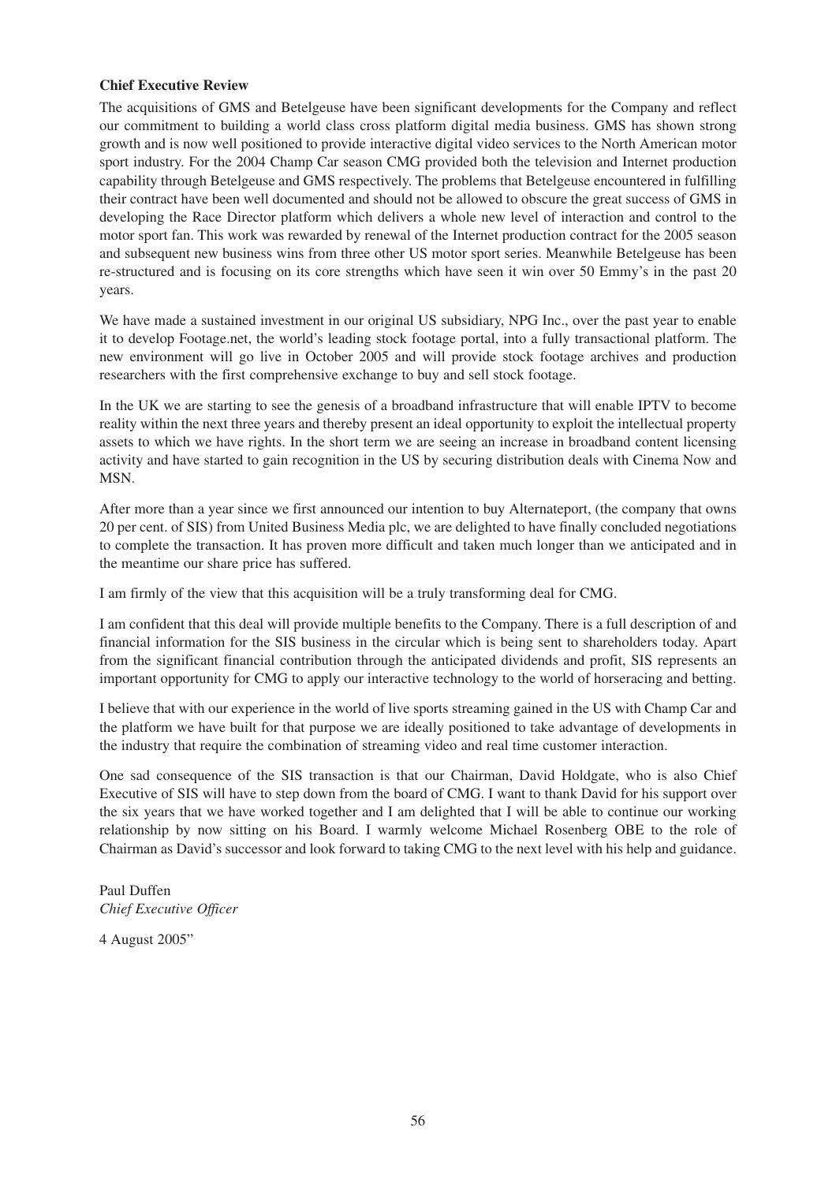# **Chief Executive Review**

The acquisitions of GMS and Betelgeuse have been significant developments for the Company and reflect our commitment to building a world class cross platform digital media business. GMS has shown strong growth and is now well positioned to provide interactive digital video services to the North American motor sport industry. For the 2004 Champ Car season CMG provided both the television and Internet production capability through Betelgeuse and GMS respectively. The problems that Betelgeuse encountered in fulfilling their contract have been well documented and should not be allowed to obscure the great success of GMS in developing the Race Director platform which delivers a whole new level of interaction and control to the motor sport fan. This work was rewarded by renewal of the Internet production contract for the 2005 season and subsequent new business wins from three other US motor sport series. Meanwhile Betelgeuse has been re-structured and is focusing on its core strengths which have seen it win over 50 Emmy's in the past 20 years.

We have made a sustained investment in our original US subsidiary, NPG Inc., over the past year to enable it to develop Footage.net, the world's leading stock footage portal, into a fully transactional platform. The new environment will go live in October 2005 and will provide stock footage archives and production researchers with the first comprehensive exchange to buy and sell stock footage.

In the UK we are starting to see the genesis of a broadband infrastructure that will enable IPTV to become reality within the next three years and thereby present an ideal opportunity to exploit the intellectual property assets to which we have rights. In the short term we are seeing an increase in broadband content licensing activity and have started to gain recognition in the US by securing distribution deals with Cinema Now and MSN.

After more than a year since we first announced our intention to buy Alternateport, (the company that owns 20 per cent. of SIS) from United Business Media plc, we are delighted to have finally concluded negotiations to complete the transaction. It has proven more difficult and taken much longer than we anticipated and in the meantime our share price has suffered.

I am firmly of the view that this acquisition will be a truly transforming deal for CMG.

I am confident that this deal will provide multiple benefits to the Company. There is a full description of and financial information for the SIS business in the circular which is being sent to shareholders today. Apart from the significant financial contribution through the anticipated dividends and profit, SIS represents an important opportunity for CMG to apply our interactive technology to the world of horseracing and betting.

I believe that with our experience in the world of live sports streaming gained in the US with Champ Car and the platform we have built for that purpose we are ideally positioned to take advantage of developments in the industry that require the combination of streaming video and real time customer interaction.

One sad consequence of the SIS transaction is that our Chairman, David Holdgate, who is also Chief Executive of SIS will have to step down from the board of CMG. I want to thank David for his support over the six years that we have worked together and I am delighted that I will be able to continue our working relationship by now sitting on his Board. I warmly welcome Michael Rosenberg OBE to the role of Chairman as David's successor and look forward to taking CMG to the next level with his help and guidance.

Paul Duffen *Chief Executive Officer*

4 August 2005"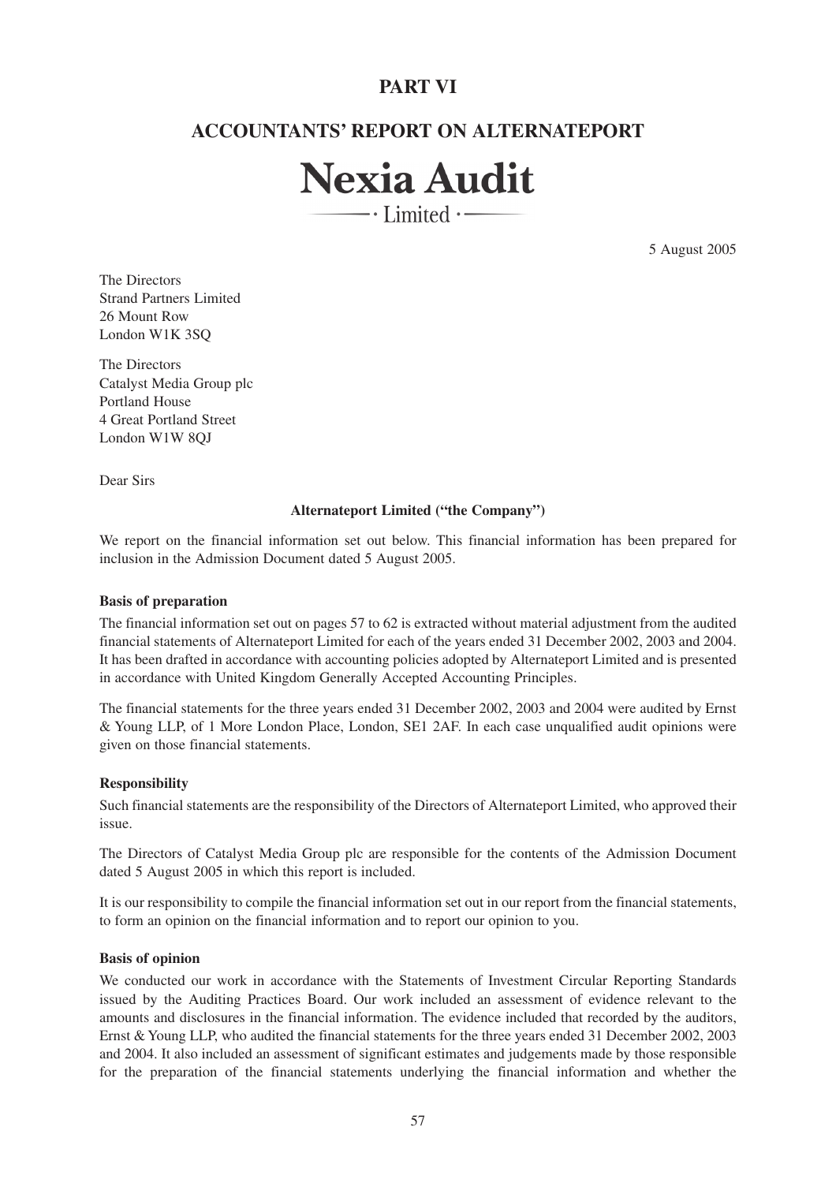# **PART VI**

# **ACCOUNTANTS' REPORT ON ALTERNATEPORT**



5 August 2005

The Directors Strand Partners Limited 26 Mount Row London W1K 3SO

The Directors Catalyst Media Group plc Portland House 4 Great Portland Street London W1W 8QJ

Dear Sirs

### **Alternateport Limited ("the Company")**

We report on the financial information set out below. This financial information has been prepared for inclusion in the Admission Document dated 5 August 2005.

### **Basis of preparation**

The financial information set out on pages 57 to 62 is extracted without material adjustment from the audited financial statements of Alternateport Limited for each of the years ended 31 December 2002, 2003 and 2004. It has been drafted in accordance with accounting policies adopted by Alternateport Limited and is presented in accordance with United Kingdom Generally Accepted Accounting Principles.

The financial statements for the three years ended 31 December 2002, 2003 and 2004 were audited by Ernst & Young LLP, of 1 More London Place, London, SE1 2AF. In each case unqualified audit opinions were given on those financial statements.

### **Responsibility**

Such financial statements are the responsibility of the Directors of Alternateport Limited, who approved their issue.

The Directors of Catalyst Media Group plc are responsible for the contents of the Admission Document dated 5 August 2005 in which this report is included.

It is our responsibility to compile the financial information set out in our report from the financial statements, to form an opinion on the financial information and to report our opinion to you.

# **Basis of opinion**

We conducted our work in accordance with the Statements of Investment Circular Reporting Standards issued by the Auditing Practices Board. Our work included an assessment of evidence relevant to the amounts and disclosures in the financial information. The evidence included that recorded by the auditors, Ernst & Young LLP, who audited the financial statements for the three years ended 31 December 2002, 2003 and 2004. It also included an assessment of significant estimates and judgements made by those responsible for the preparation of the financial statements underlying the financial information and whether the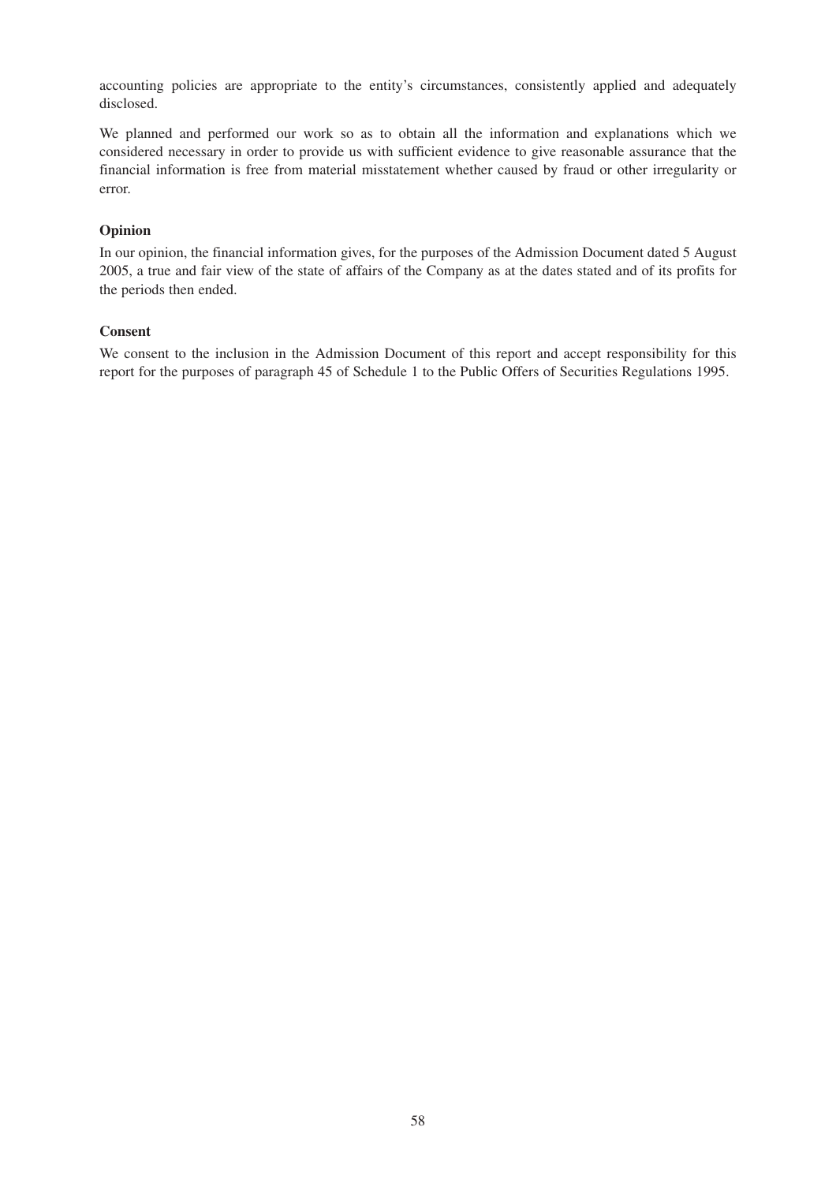accounting policies are appropriate to the entity's circumstances, consistently applied and adequately disclosed.

We planned and performed our work so as to obtain all the information and explanations which we considered necessary in order to provide us with sufficient evidence to give reasonable assurance that the financial information is free from material misstatement whether caused by fraud or other irregularity or error.

# **Opinion**

In our opinion, the financial information gives, for the purposes of the Admission Document dated 5 August 2005, a true and fair view of the state of affairs of the Company as at the dates stated and of its profits for the periods then ended.

### **Consent**

We consent to the inclusion in the Admission Document of this report and accept responsibility for this report for the purposes of paragraph 45 of Schedule 1 to the Public Offers of Securities Regulations 1995.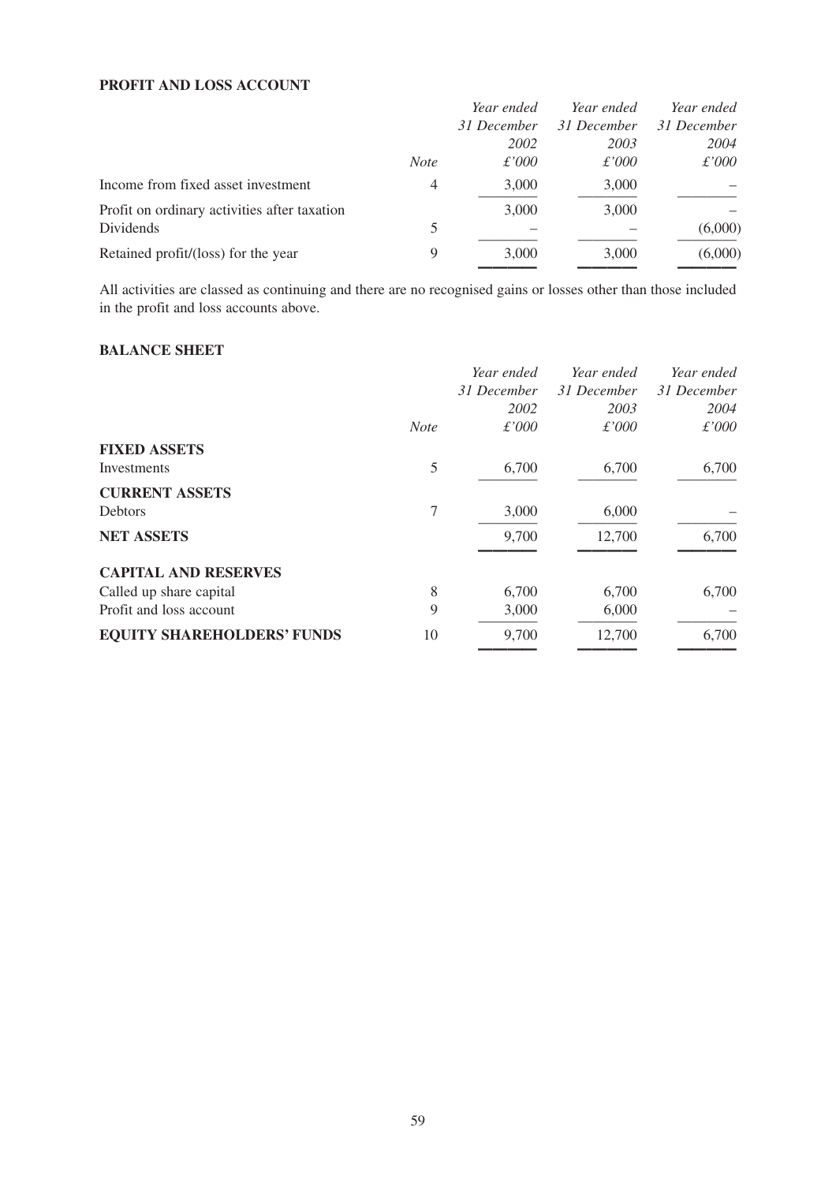# **PROFIT AND LOSS ACCOUNT**

|                                              |                | Year ended    | Year ended    | Year ended    |
|----------------------------------------------|----------------|---------------|---------------|---------------|
|                                              |                | 31 December   | 31 December   | 31 December   |
|                                              |                | 2002          | 2003          | 2004          |
|                                              | <b>Note</b>    | $\pounds'000$ | $\pounds'000$ | $\pounds'000$ |
| Income from fixed asset investment           | $\overline{4}$ | 3,000         | 3,000         |               |
| Profit on ordinary activities after taxation |                | 3,000         | 3,000         |               |
| Dividends                                    | 5              |               |               | (6,000)       |
| Retained profit/(loss) for the year          | 9              | 3,000         | 3,000         | (6,000)       |
|                                              |                |               |               |               |

All activities are classed as continuing and there are no recognised gains or losses other than those included in the profit and loss accounts above.

# **BALANCE SHEET**

|                                   |             | Year ended  | Year ended  | Year ended    |
|-----------------------------------|-------------|-------------|-------------|---------------|
|                                   |             | 31 December | 31 December | 31 December   |
|                                   |             | 2002        | 2003        | 2004          |
|                                   | <b>Note</b> | £'000       | £'000       | $\pounds'000$ |
| <b>FIXED ASSETS</b>               |             |             |             |               |
| Investments                       | 5           | 6,700       | 6,700       | 6,700         |
| <b>CURRENT ASSETS</b>             |             |             |             |               |
| Debtors                           | 7           | 3,000       | 6,000       |               |
| <b>NET ASSETS</b>                 |             | 9,700       | 12,700      | 6,700         |
| <b>CAPITAL AND RESERVES</b>       |             |             |             |               |
| Called up share capital           | 8           | 6,700       | 6,700       | 6,700         |
| Profit and loss account           | 9           | 3,000       | 6,000       |               |
| <b>EQUITY SHAREHOLDERS' FUNDS</b> | 10          | 9,700       | 12,700      | 6,700         |
|                                   |             |             |             |               |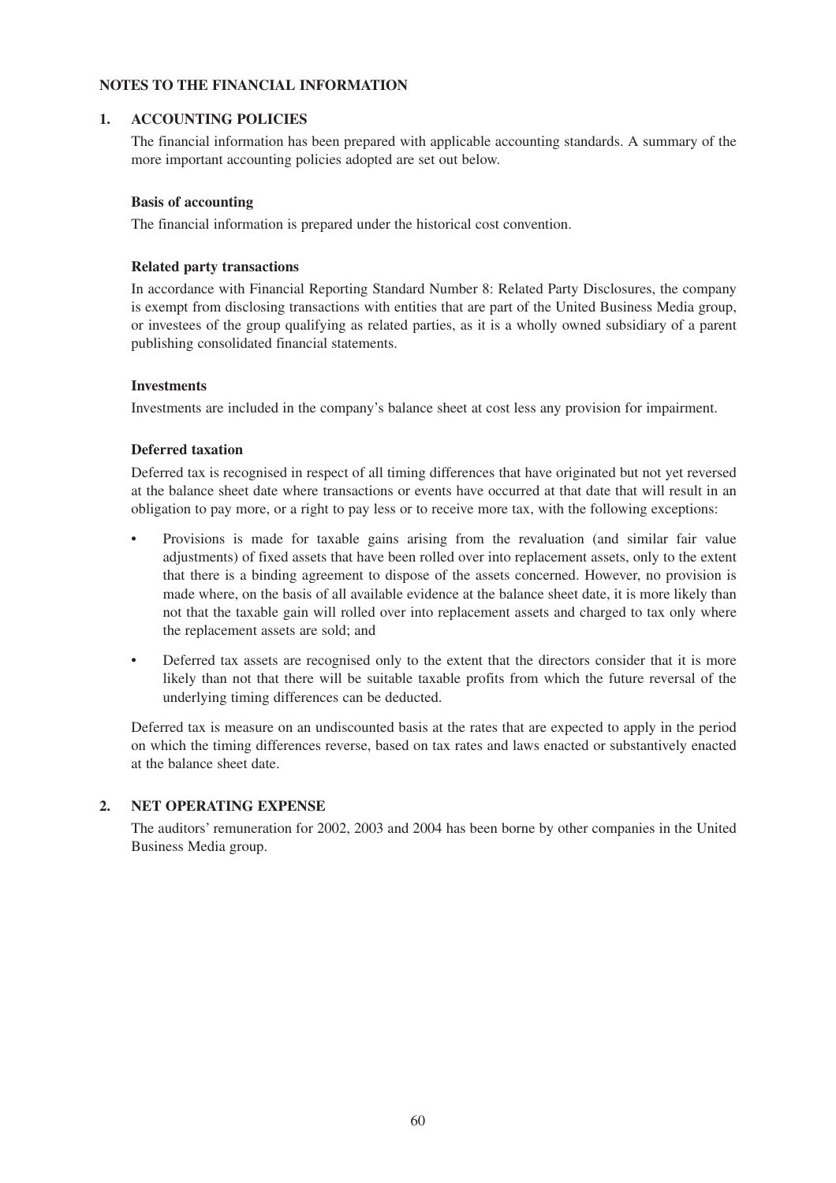# **NOTES TO THE FINANCIAL INFORMATION**

# **1. ACCOUNTING POLICIES**

The financial information has been prepared with applicable accounting standards. A summary of the more important accounting policies adopted are set out below.

# **Basis of accounting**

The financial information is prepared under the historical cost convention.

# **Related party transactions**

In accordance with Financial Reporting Standard Number 8: Related Party Disclosures, the company is exempt from disclosing transactions with entities that are part of the United Business Media group, or investees of the group qualifying as related parties, as it is a wholly owned subsidiary of a parent publishing consolidated financial statements.

# **Investments**

Investments are included in the company's balance sheet at cost less any provision for impairment.

# **Deferred taxation**

Deferred tax is recognised in respect of all timing differences that have originated but not yet reversed at the balance sheet date where transactions or events have occurred at that date that will result in an obligation to pay more, or a right to pay less or to receive more tax, with the following exceptions:

- Provisions is made for taxable gains arising from the revaluation (and similar fair value adjustments) of fixed assets that have been rolled over into replacement assets, only to the extent that there is a binding agreement to dispose of the assets concerned. However, no provision is made where, on the basis of all available evidence at the balance sheet date, it is more likely than not that the taxable gain will rolled over into replacement assets and charged to tax only where the replacement assets are sold; and
- Deferred tax assets are recognised only to the extent that the directors consider that it is more likely than not that there will be suitable taxable profits from which the future reversal of the underlying timing differences can be deducted.

Deferred tax is measure on an undiscounted basis at the rates that are expected to apply in the period on which the timing differences reverse, based on tax rates and laws enacted or substantively enacted at the balance sheet date.

# **2. NET OPERATING EXPENSE**

The auditors' remuneration for 2002, 2003 and 2004 has been borne by other companies in the United Business Media group.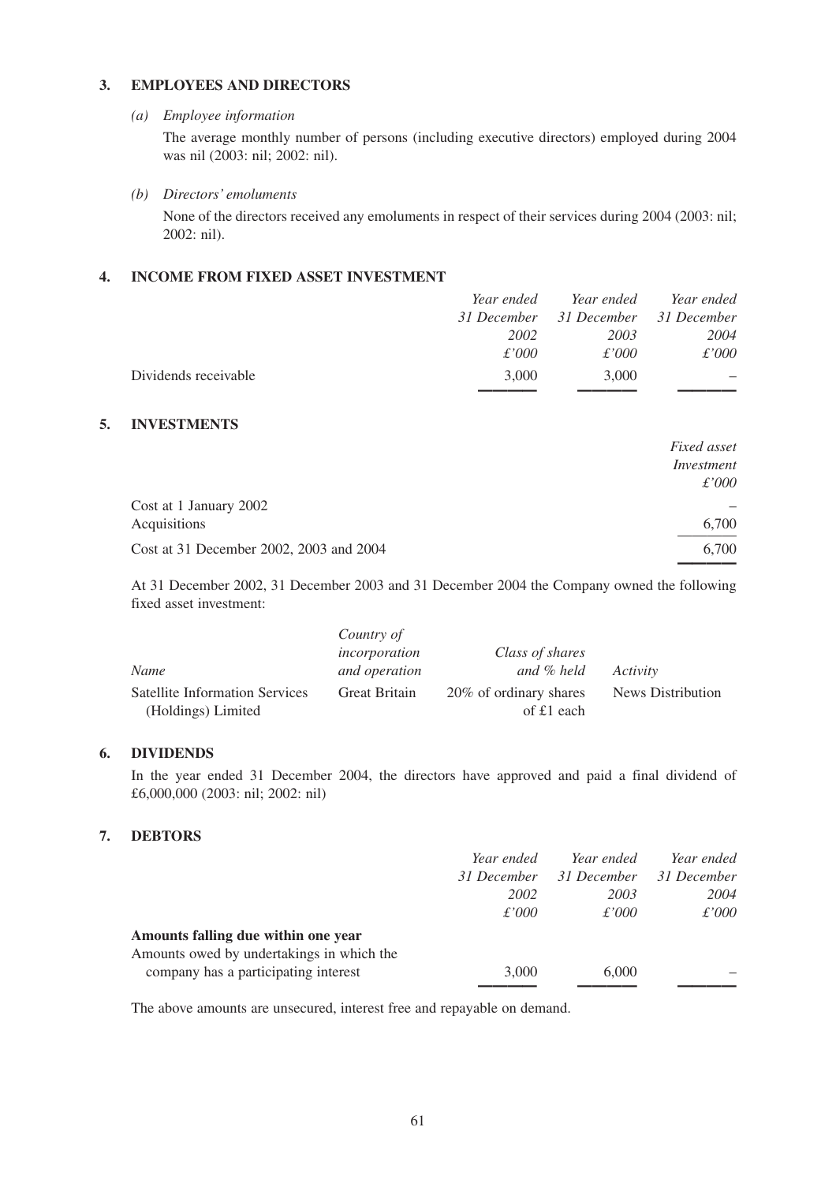# **3. EMPLOYEES AND DIRECTORS**

# *(a) Employee information*

The average monthly number of persons (including executive directors) employed during 2004 was nil (2003: nil; 2002: nil).

# *(b) Directors' emoluments*

None of the directors received any emoluments in respect of their services during 2004 (2003: nil; 2002: nil).

# **4. INCOME FROM FIXED ASSET INVESTMENT**

|                      | Year ended    | Year ended                          | Year ended    |  |
|----------------------|---------------|-------------------------------------|---------------|--|
|                      |               | 31 December 31 December 31 December |               |  |
|                      | 2002          | 2003                                | 2004          |  |
|                      | $\pounds'000$ | $\pounds'000$                       | $\pounds'000$ |  |
| Dividends receivable | 3,000         | 3,000                               |               |  |
|                      |               |                                     |               |  |

# **5. INVESTMENTS**

|                                         | Fixed asset   |
|-----------------------------------------|---------------|
|                                         | Investment    |
|                                         | $\pounds'000$ |
| Cost at 1 January 2002                  |               |
| <b>Acquisitions</b>                     | 6.700         |
| Cost at 31 December 2002, 2003 and 2004 | 6.700         |

At 31 December 2002, 31 December 2003 and 31 December 2004 the Company owned the following fixed asset investment:

————

|                                                             | Country of           |                                      |                          |
|-------------------------------------------------------------|----------------------|--------------------------------------|--------------------------|
|                                                             | incorporation        | Class of shares                      |                          |
| Name                                                        | and operation        | and % held                           | Activity                 |
| <b>Satellite Information Services</b><br>(Holdings) Limited | <b>Great Britain</b> | 20% of ordinary shares<br>of £1 each | <b>News Distribution</b> |

# **6. DIVIDENDS**

In the year ended 31 December 2004, the directors have approved and paid a final dividend of £6,000,000 (2003: nil; 2002: nil)

# **7. DEBTORS**

|                                           | Year ended  | Year ended  | Year ended  |
|-------------------------------------------|-------------|-------------|-------------|
|                                           | 31 December | 31 December | 31 December |
|                                           | 2002        | 2003        | 2004        |
|                                           | £'000       | £'000       | £'000       |
| Amounts falling due within one year       |             |             |             |
| Amounts owed by undertakings in which the |             |             |             |
| company has a participating interest      | 3,000       | 6.000       |             |
|                                           |             |             |             |

The above amounts are unsecured, interest free and repayable on demand.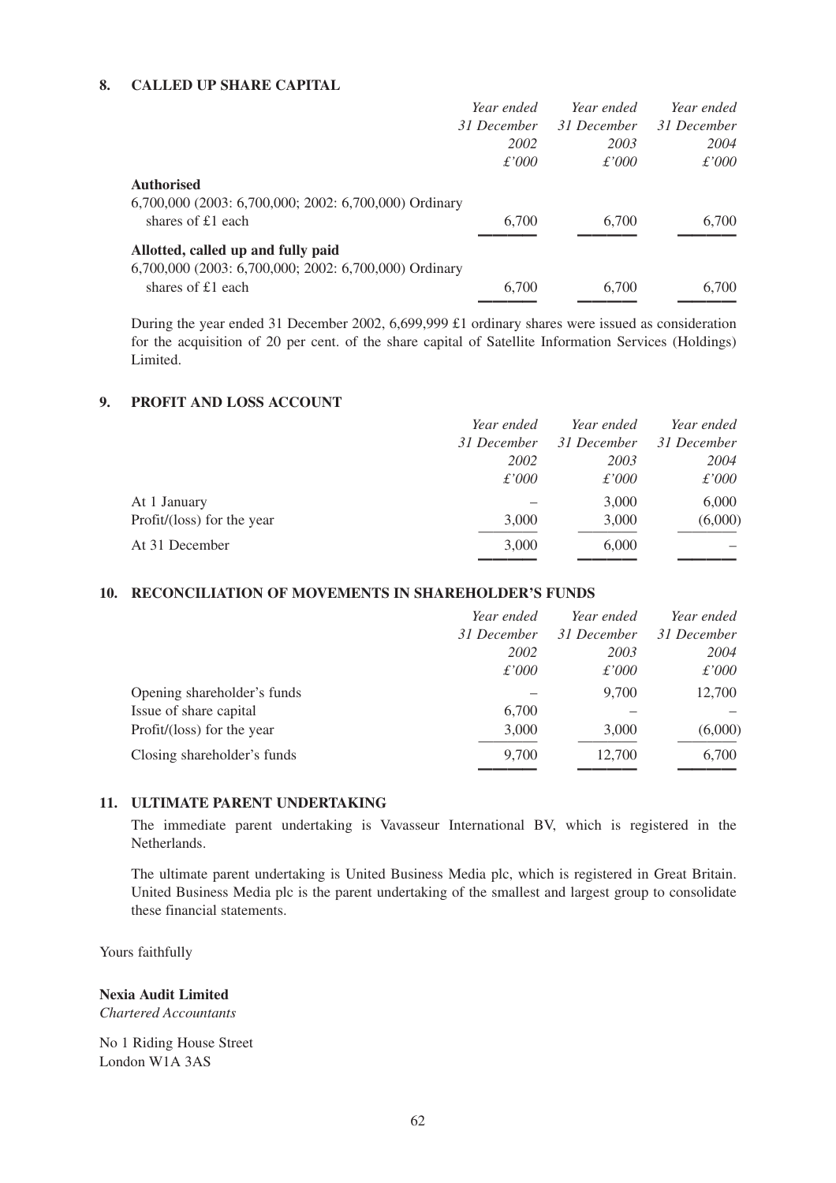# **8. CALLED UP SHARE CAPITAL**

|                                                                            | Year ended  | Year ended  | Year ended  |
|----------------------------------------------------------------------------|-------------|-------------|-------------|
|                                                                            | 31 December | 31 December | 31 December |
|                                                                            | 2002        | 2003        | 2004        |
|                                                                            | £'000       | £'000       | f'000       |
| <b>Authorised</b>                                                          |             |             |             |
| 6,700,000 (2003: 6,700,000; 2002: 6,700,000) Ordinary<br>shares of £1 each | 6.700       | 6.700       | 6,700       |
| Allotted, called up and fully paid                                         |             |             |             |
| 6,700,000 (2003: 6,700,000; 2002: 6,700,000) Ordinary                      |             |             |             |
| shares of £1 each                                                          | 6.700       | 6.700       | 6,700       |
|                                                                            |             |             |             |

During the year ended 31 December 2002, 6,699,999 £1 ordinary shares were issued as consideration for the acquisition of 20 per cent. of the share capital of Satellite Information Services (Holdings) Limited.

# **9. PROFIT AND LOSS ACCOUNT**

|                            | Year ended    | Year ended    | Year ended    |
|----------------------------|---------------|---------------|---------------|
|                            | 31 December   | 31 December   | 31 December   |
|                            | 2002          | 2003          | 2004          |
|                            | $\pounds'000$ | $\pounds'000$ | $\pounds'000$ |
| At 1 January               |               | 3,000         | 6,000         |
| Profit/(loss) for the year | 3,000         | 3,000         | (6,000)       |
| At 31 December             | 3,000         | 6,000         |               |
|                            |               |               |               |

# **10. RECONCILIATION OF MOVEMENTS IN SHAREHOLDER'S FUNDS**

|                             | Year ended  | Year ended  | Year ended  |
|-----------------------------|-------------|-------------|-------------|
|                             | 31 December | 31 December | 31 December |
|                             | 2002        | 2003        | 2004        |
|                             | £'000       | £'000       | £'000       |
| Opening shareholder's funds |             | 9,700       | 12,700      |
| Issue of share capital      | 6,700       |             |             |
| Profit/(loss) for the year  | 3,000       | 3,000       | (6,000)     |
| Closing shareholder's funds | 9.700       | 12,700      | 6,700       |
|                             |             |             |             |

### **11. ULTIMATE PARENT UNDERTAKING**

The immediate parent undertaking is Vavasseur International BV, which is registered in the Netherlands.

The ultimate parent undertaking is United Business Media plc, which is registered in Great Britain. United Business Media plc is the parent undertaking of the smallest and largest group to consolidate these financial statements.

Yours faithfully

### **Nexia Audit Limited**

*Chartered Accountants*

No 1 Riding House Street London W1A 3AS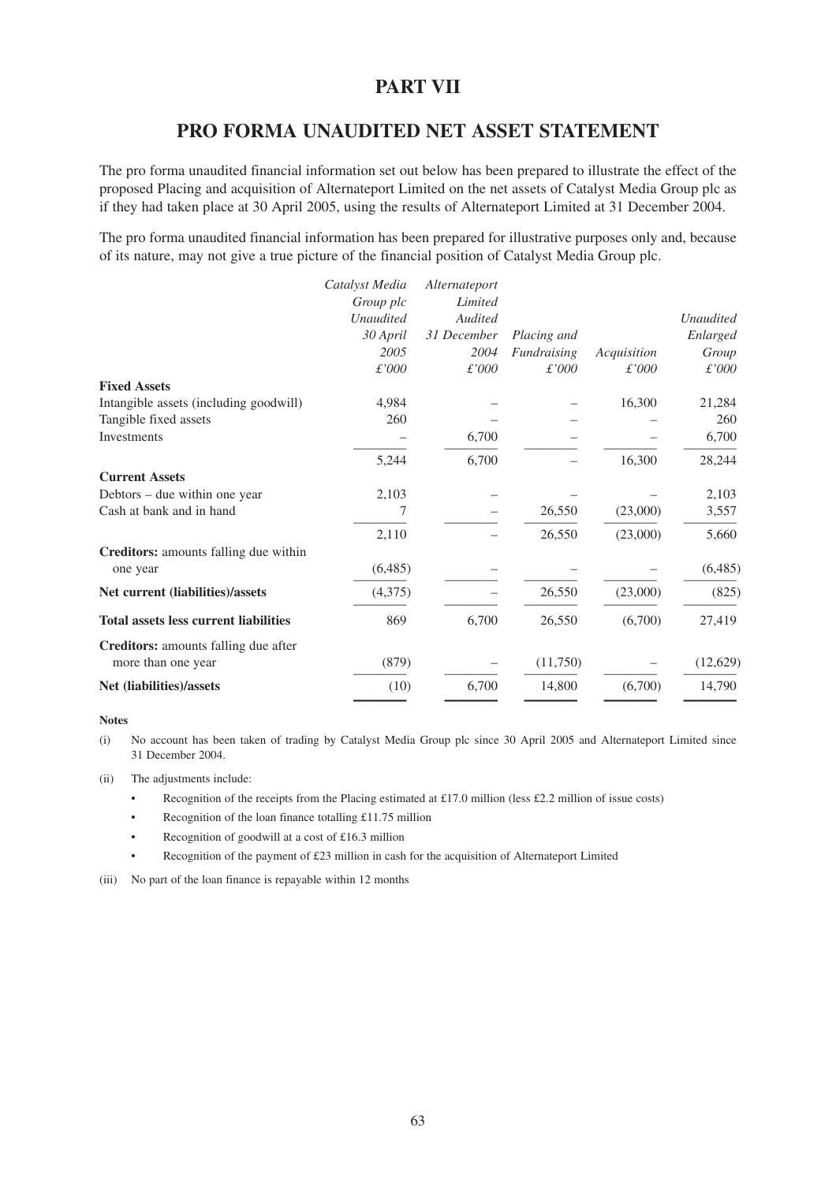# **PART VII**

# **PRO FORMA UNAUDITED NET ASSET STATEMENT**

The pro forma unaudited financial information set out below has been prepared to illustrate the effect of the proposed Placing and acquisition of Alternateport Limited on the net assets of Catalyst Media Group plc as if they had taken place at 30 April 2005, using the results of Alternateport Limited at 31 December 2004.

The pro forma unaudited financial information has been prepared for illustrative purposes only and, because of its nature, may not give a true picture of the financial position of Catalyst Media Group plc.

|                                              | Catalyst Media | Alternateport |             |             |                  |
|----------------------------------------------|----------------|---------------|-------------|-------------|------------------|
|                                              | Group plc      | Limited       |             |             |                  |
|                                              | Unaudited      | Audited       |             |             | <b>Unaudited</b> |
|                                              | 30 April       | 31 December   | Placing and |             | Enlarged         |
|                                              | 2005           | 2004          | Fundraising | Acquisition | Group            |
|                                              | £'000          | £'000         | £'000       | £'000       | £'000            |
| <b>Fixed Assets</b>                          |                |               |             |             |                  |
| Intangible assets (including goodwill)       | 4,984          |               |             | 16,300      | 21,284           |
| Tangible fixed assets                        | 260            |               |             |             | 260              |
| Investments                                  |                | 6,700         |             |             | 6,700            |
|                                              | 5,244          | 6,700         |             | 16,300      | 28,244           |
| <b>Current Assets</b>                        |                |               |             |             |                  |
| Debtors – due within one year                | 2,103          |               |             |             | 2,103            |
| Cash at bank and in hand                     | 7              |               | 26,550      | (23,000)    | 3,557            |
|                                              | 2,110          |               | 26,550      | (23,000)    | 5,660            |
| Creditors: amounts falling due within        |                |               |             |             |                  |
| one year                                     | (6,485)        |               |             |             | (6,485)          |
| Net current (liabilities)/assets             | (4,375)        |               | 26,550      | (23,000)    | (825)            |
| <b>Total assets less current liabilities</b> | 869            | 6,700         | 26,550      | (6,700)     | 27,419           |
| Creditors: amounts falling due after         |                |               |             |             |                  |
| more than one year                           | (879)          |               | (11,750)    |             | (12, 629)        |
| Net (liabilities)/assets                     | (10)           | 6,700         | 14,800      | (6,700)     | 14,790           |

**Notes**

(i) No account has been taken of trading by Catalyst Media Group plc since 30 April 2005 and Alternateport Limited since 31 December 2004.

———— ———— ———— ———— ————

(ii) The adjustments include:

- Recognition of the receipts from the Placing estimated at £17.0 million (less £2.2 million of issue costs)
- Recognition of the loan finance totalling £11.75 million
- Recognition of goodwill at a cost of £16.3 million
- Recognition of the payment of £23 million in cash for the acquisition of Alternateport Limited

(iii) No part of the loan finance is repayable within 12 months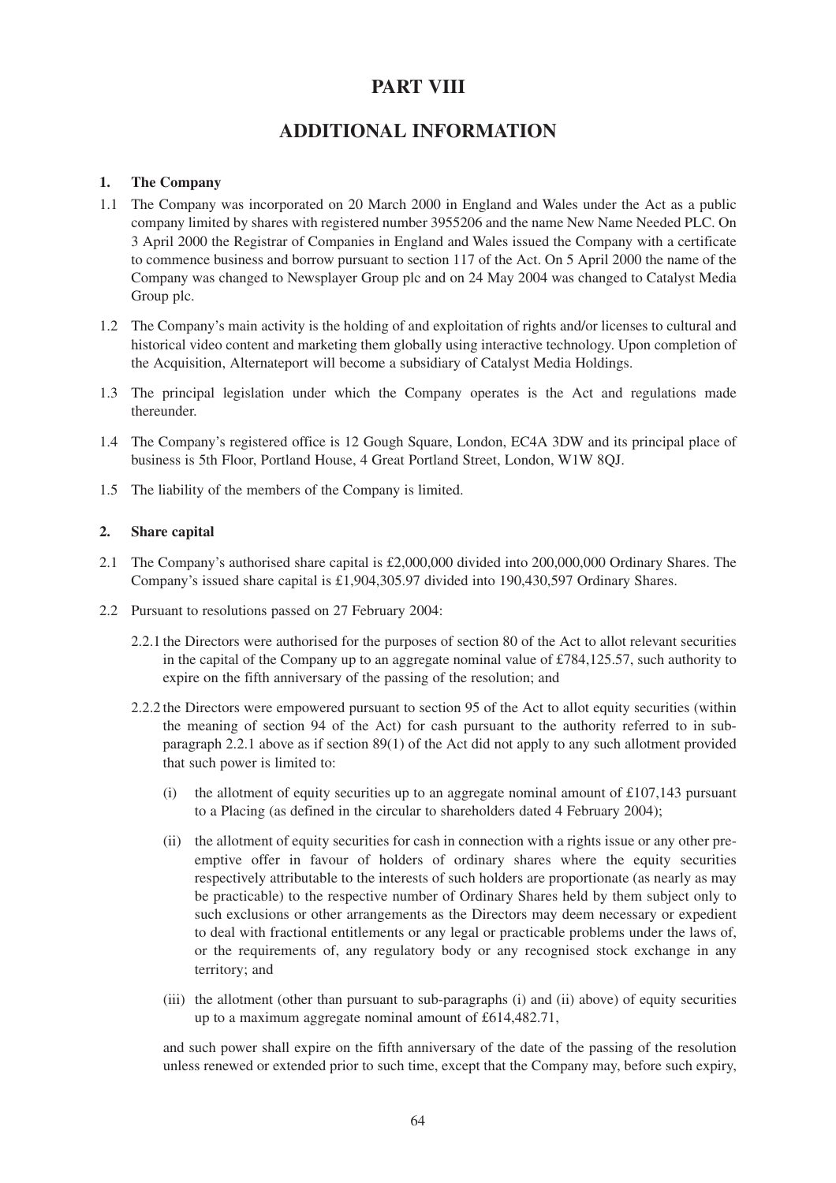# **PART VIII**

# **ADDITIONAL INFORMATION**

### **1. The Company**

- 1.1 The Company was incorporated on 20 March 2000 in England and Wales under the Act as a public company limited by shares with registered number 3955206 and the name New Name Needed PLC. On 3 April 2000 the Registrar of Companies in England and Wales issued the Company with a certificate to commence business and borrow pursuant to section 117 of the Act. On 5 April 2000 the name of the Company was changed to Newsplayer Group plc and on 24 May 2004 was changed to Catalyst Media Group plc.
- 1.2 The Company's main activity is the holding of and exploitation of rights and/or licenses to cultural and historical video content and marketing them globally using interactive technology. Upon completion of the Acquisition, Alternateport will become a subsidiary of Catalyst Media Holdings.
- 1.3 The principal legislation under which the Company operates is the Act and regulations made thereunder.
- 1.4 The Company's registered office is 12 Gough Square, London, EC4A 3DW and its principal place of business is 5th Floor, Portland House, 4 Great Portland Street, London, W1W 8QJ.
- 1.5 The liability of the members of the Company is limited.

### **2. Share capital**

- 2.1 The Company's authorised share capital is £2,000,000 divided into 200,000,000 Ordinary Shares. The Company's issued share capital is £1,904,305.97 divided into 190,430,597 Ordinary Shares.
- 2.2 Pursuant to resolutions passed on 27 February 2004:
	- 2.2.1 the Directors were authorised for the purposes of section 80 of the Act to allot relevant securities in the capital of the Company up to an aggregate nominal value of £784,125.57, such authority to expire on the fifth anniversary of the passing of the resolution; and
	- 2.2.2 the Directors were empowered pursuant to section 95 of the Act to allot equity securities (within the meaning of section 94 of the Act) for cash pursuant to the authority referred to in subparagraph 2.2.1 above as if section 89(1) of the Act did not apply to any such allotment provided that such power is limited to:
		- (i) the allotment of equity securities up to an aggregate nominal amount of  $£107,143$  pursuant to a Placing (as defined in the circular to shareholders dated 4 February 2004);
		- (ii) the allotment of equity securities for cash in connection with a rights issue or any other preemptive offer in favour of holders of ordinary shares where the equity securities respectively attributable to the interests of such holders are proportionate (as nearly as may be practicable) to the respective number of Ordinary Shares held by them subject only to such exclusions or other arrangements as the Directors may deem necessary or expedient to deal with fractional entitlements or any legal or practicable problems under the laws of, or the requirements of, any regulatory body or any recognised stock exchange in any territory; and
		- (iii) the allotment (other than pursuant to sub-paragraphs (i) and (ii) above) of equity securities up to a maximum aggregate nominal amount of £614,482.71,

and such power shall expire on the fifth anniversary of the date of the passing of the resolution unless renewed or extended prior to such time, except that the Company may, before such expiry,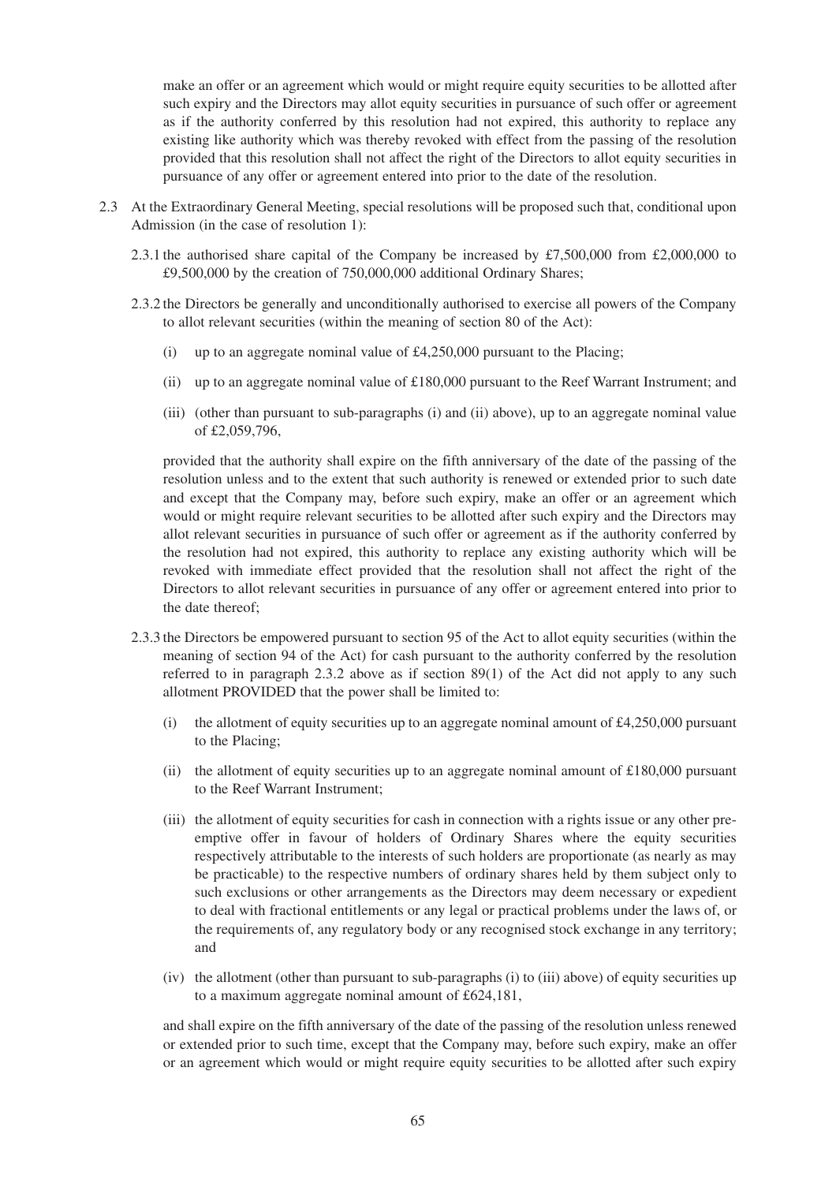make an offer or an agreement which would or might require equity securities to be allotted after such expiry and the Directors may allot equity securities in pursuance of such offer or agreement as if the authority conferred by this resolution had not expired, this authority to replace any existing like authority which was thereby revoked with effect from the passing of the resolution provided that this resolution shall not affect the right of the Directors to allot equity securities in pursuance of any offer or agreement entered into prior to the date of the resolution.

- 2.3 At the Extraordinary General Meeting, special resolutions will be proposed such that, conditional upon Admission (in the case of resolution 1):
	- 2.3.1 the authorised share capital of the Company be increased by £7,500,000 from £2,000,000 to £9,500,000 by the creation of 750,000,000 additional Ordinary Shares;
	- 2.3.2 the Directors be generally and unconditionally authorised to exercise all powers of the Company to allot relevant securities (within the meaning of section 80 of the Act):
		- (i) up to an aggregate nominal value of  $£4,250,000$  pursuant to the Placing;
		- (ii) up to an aggregate nominal value of  $£180,000$  pursuant to the Reef Warrant Instrument; and
		- (iii) (other than pursuant to sub-paragraphs (i) and (ii) above), up to an aggregate nominal value of £2,059,796,

provided that the authority shall expire on the fifth anniversary of the date of the passing of the resolution unless and to the extent that such authority is renewed or extended prior to such date and except that the Company may, before such expiry, make an offer or an agreement which would or might require relevant securities to be allotted after such expiry and the Directors may allot relevant securities in pursuance of such offer or agreement as if the authority conferred by the resolution had not expired, this authority to replace any existing authority which will be revoked with immediate effect provided that the resolution shall not affect the right of the Directors to allot relevant securities in pursuance of any offer or agreement entered into prior to the date thereof;

- 2.3.3 the Directors be empowered pursuant to section 95 of the Act to allot equity securities (within the meaning of section 94 of the Act) for cash pursuant to the authority conferred by the resolution referred to in paragraph 2.3.2 above as if section 89(1) of the Act did not apply to any such allotment PROVIDED that the power shall be limited to:
	- (i) the allotment of equity securities up to an aggregate nominal amount of £4,250,000 pursuant to the Placing;
	- (ii) the allotment of equity securities up to an aggregate nominal amount of  $\pounds 180,000$  pursuant to the Reef Warrant Instrument;
	- (iii) the allotment of equity securities for cash in connection with a rights issue or any other preemptive offer in favour of holders of Ordinary Shares where the equity securities respectively attributable to the interests of such holders are proportionate (as nearly as may be practicable) to the respective numbers of ordinary shares held by them subject only to such exclusions or other arrangements as the Directors may deem necessary or expedient to deal with fractional entitlements or any legal or practical problems under the laws of, or the requirements of, any regulatory body or any recognised stock exchange in any territory; and
	- (iv) the allotment (other than pursuant to sub-paragraphs (i) to (iii) above) of equity securities up to a maximum aggregate nominal amount of £624,181,

and shall expire on the fifth anniversary of the date of the passing of the resolution unless renewed or extended prior to such time, except that the Company may, before such expiry, make an offer or an agreement which would or might require equity securities to be allotted after such expiry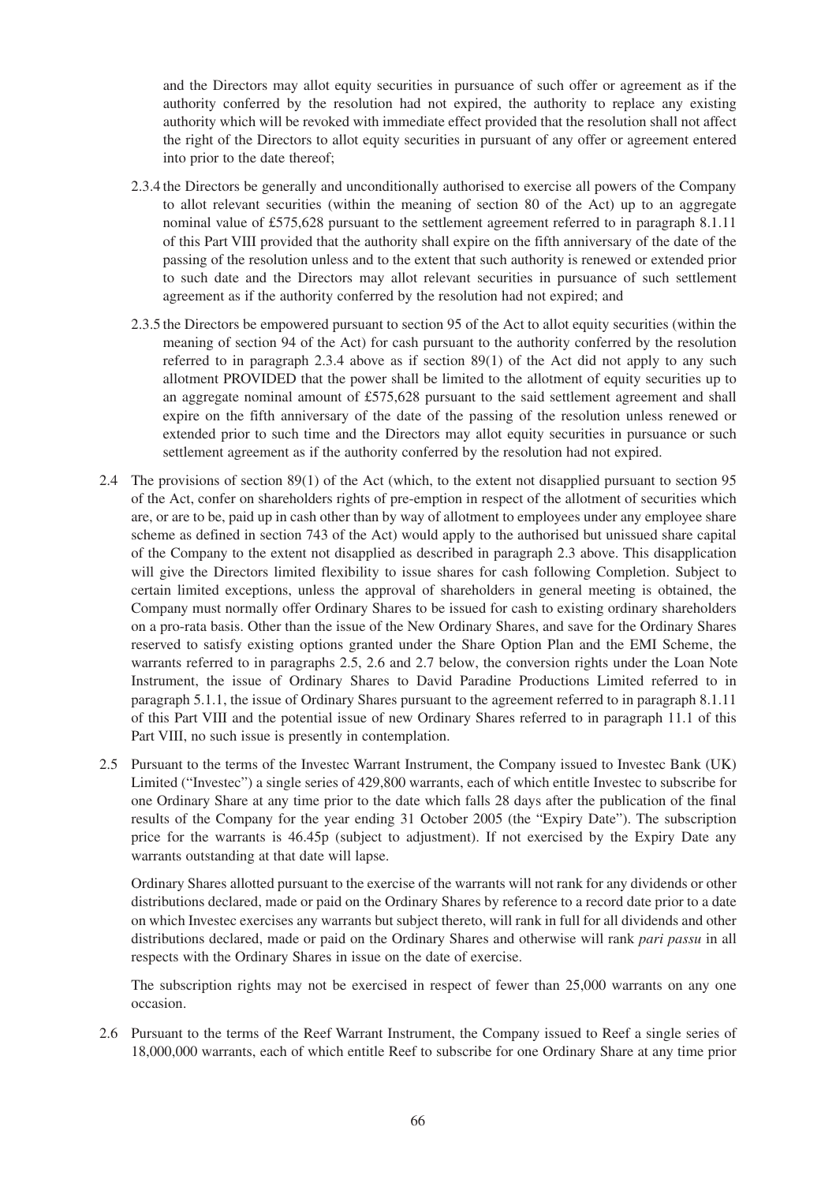and the Directors may allot equity securities in pursuance of such offer or agreement as if the authority conferred by the resolution had not expired, the authority to replace any existing authority which will be revoked with immediate effect provided that the resolution shall not affect the right of the Directors to allot equity securities in pursuant of any offer or agreement entered into prior to the date thereof;

- 2.3.4 the Directors be generally and unconditionally authorised to exercise all powers of the Company to allot relevant securities (within the meaning of section 80 of the Act) up to an aggregate nominal value of £575,628 pursuant to the settlement agreement referred to in paragraph 8.1.11 of this Part VIII provided that the authority shall expire on the fifth anniversary of the date of the passing of the resolution unless and to the extent that such authority is renewed or extended prior to such date and the Directors may allot relevant securities in pursuance of such settlement agreement as if the authority conferred by the resolution had not expired; and
- 2.3.5 the Directors be empowered pursuant to section 95 of the Act to allot equity securities (within the meaning of section 94 of the Act) for cash pursuant to the authority conferred by the resolution referred to in paragraph 2.3.4 above as if section 89(1) of the Act did not apply to any such allotment PROVIDED that the power shall be limited to the allotment of equity securities up to an aggregate nominal amount of £575,628 pursuant to the said settlement agreement and shall expire on the fifth anniversary of the date of the passing of the resolution unless renewed or extended prior to such time and the Directors may allot equity securities in pursuance or such settlement agreement as if the authority conferred by the resolution had not expired.
- 2.4 The provisions of section 89(1) of the Act (which, to the extent not disapplied pursuant to section 95 of the Act, confer on shareholders rights of pre-emption in respect of the allotment of securities which are, or are to be, paid up in cash other than by way of allotment to employees under any employee share scheme as defined in section 743 of the Act) would apply to the authorised but unissued share capital of the Company to the extent not disapplied as described in paragraph 2.3 above. This disapplication will give the Directors limited flexibility to issue shares for cash following Completion. Subject to certain limited exceptions, unless the approval of shareholders in general meeting is obtained, the Company must normally offer Ordinary Shares to be issued for cash to existing ordinary shareholders on a pro-rata basis. Other than the issue of the New Ordinary Shares, and save for the Ordinary Shares reserved to satisfy existing options granted under the Share Option Plan and the EMI Scheme, the warrants referred to in paragraphs 2.5, 2.6 and 2.7 below, the conversion rights under the Loan Note Instrument, the issue of Ordinary Shares to David Paradine Productions Limited referred to in paragraph 5.1.1, the issue of Ordinary Shares pursuant to the agreement referred to in paragraph 8.1.11 of this Part VIII and the potential issue of new Ordinary Shares referred to in paragraph 11.1 of this Part VIII, no such issue is presently in contemplation.
- 2.5 Pursuant to the terms of the Investec Warrant Instrument, the Company issued to Investec Bank (UK) Limited ("Investec") a single series of 429,800 warrants, each of which entitle Investec to subscribe for one Ordinary Share at any time prior to the date which falls 28 days after the publication of the final results of the Company for the year ending 31 October 2005 (the "Expiry Date"). The subscription price for the warrants is 46.45p (subject to adjustment). If not exercised by the Expiry Date any warrants outstanding at that date will lapse.

Ordinary Shares allotted pursuant to the exercise of the warrants will not rank for any dividends or other distributions declared, made or paid on the Ordinary Shares by reference to a record date prior to a date on which Investec exercises any warrants but subject thereto, will rank in full for all dividends and other distributions declared, made or paid on the Ordinary Shares and otherwise will rank *pari passu* in all respects with the Ordinary Shares in issue on the date of exercise.

The subscription rights may not be exercised in respect of fewer than 25,000 warrants on any one occasion.

2.6 Pursuant to the terms of the Reef Warrant Instrument, the Company issued to Reef a single series of 18,000,000 warrants, each of which entitle Reef to subscribe for one Ordinary Share at any time prior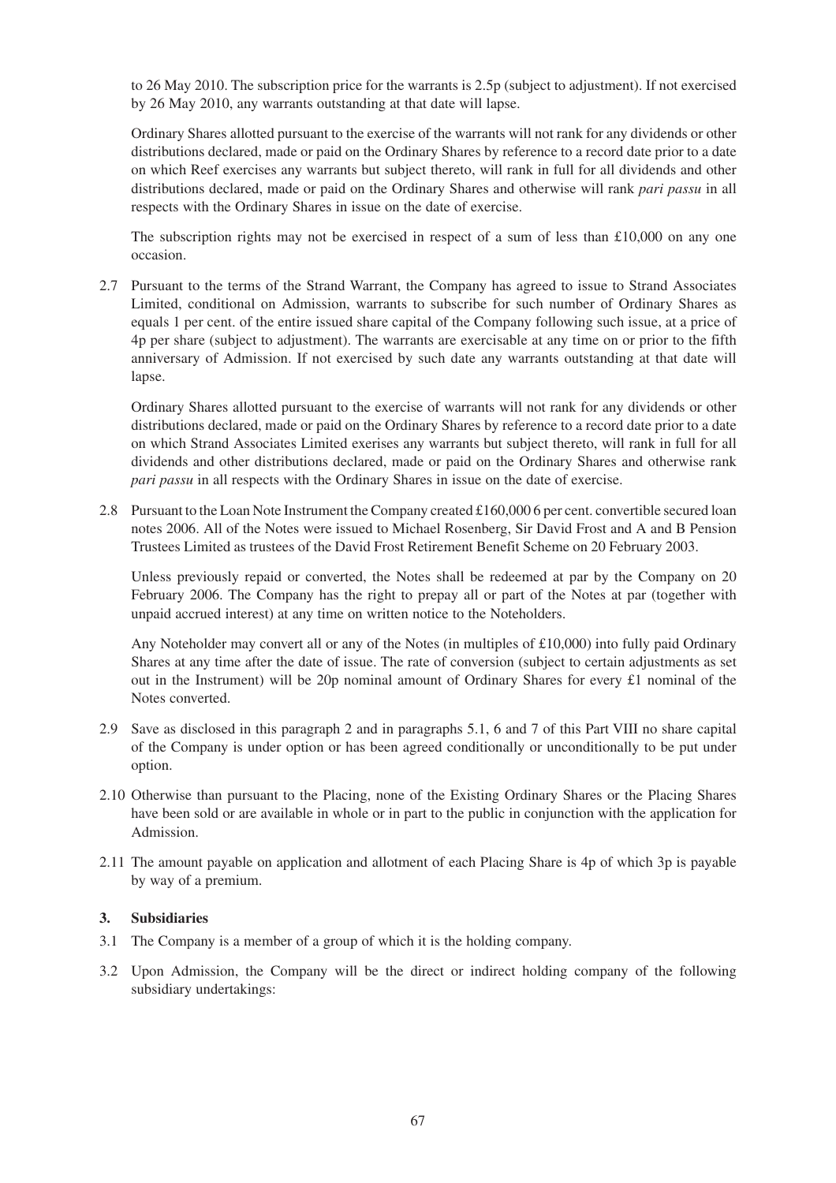to 26 May 2010. The subscription price for the warrants is 2.5p (subject to adjustment). If not exercised by 26 May 2010, any warrants outstanding at that date will lapse.

Ordinary Shares allotted pursuant to the exercise of the warrants will not rank for any dividends or other distributions declared, made or paid on the Ordinary Shares by reference to a record date prior to a date on which Reef exercises any warrants but subject thereto, will rank in full for all dividends and other distributions declared, made or paid on the Ordinary Shares and otherwise will rank *pari passu* in all respects with the Ordinary Shares in issue on the date of exercise.

The subscription rights may not be exercised in respect of a sum of less than £10,000 on any one occasion.

2.7 Pursuant to the terms of the Strand Warrant, the Company has agreed to issue to Strand Associates Limited, conditional on Admission, warrants to subscribe for such number of Ordinary Shares as equals 1 per cent. of the entire issued share capital of the Company following such issue, at a price of 4p per share (subject to adjustment). The warrants are exercisable at any time on or prior to the fifth anniversary of Admission. If not exercised by such date any warrants outstanding at that date will lapse.

Ordinary Shares allotted pursuant to the exercise of warrants will not rank for any dividends or other distributions declared, made or paid on the Ordinary Shares by reference to a record date prior to a date on which Strand Associates Limited exerises any warrants but subject thereto, will rank in full for all dividends and other distributions declared, made or paid on the Ordinary Shares and otherwise rank *pari passu* in all respects with the Ordinary Shares in issue on the date of exercise.

2.8 Pursuant to the Loan Note Instrument the Company created £160,000 6 per cent. convertible secured loan notes 2006. All of the Notes were issued to Michael Rosenberg, Sir David Frost and A and B Pension Trustees Limited as trustees of the David Frost Retirement Benefit Scheme on 20 February 2003.

Unless previously repaid or converted, the Notes shall be redeemed at par by the Company on 20 February 2006. The Company has the right to prepay all or part of the Notes at par (together with unpaid accrued interest) at any time on written notice to the Noteholders.

Any Noteholder may convert all or any of the Notes (in multiples of £10,000) into fully paid Ordinary Shares at any time after the date of issue. The rate of conversion (subject to certain adjustments as set out in the Instrument) will be 20p nominal amount of Ordinary Shares for every £1 nominal of the Notes converted.

- 2.9 Save as disclosed in this paragraph 2 and in paragraphs 5.1, 6 and 7 of this Part VIII no share capital of the Company is under option or has been agreed conditionally or unconditionally to be put under option.
- 2.10 Otherwise than pursuant to the Placing, none of the Existing Ordinary Shares or the Placing Shares have been sold or are available in whole or in part to the public in conjunction with the application for Admission.
- 2.11 The amount payable on application and allotment of each Placing Share is 4p of which 3p is payable by way of a premium.

# **3. Subsidiaries**

- 3.1 The Company is a member of a group of which it is the holding company.
- 3.2 Upon Admission, the Company will be the direct or indirect holding company of the following subsidiary undertakings: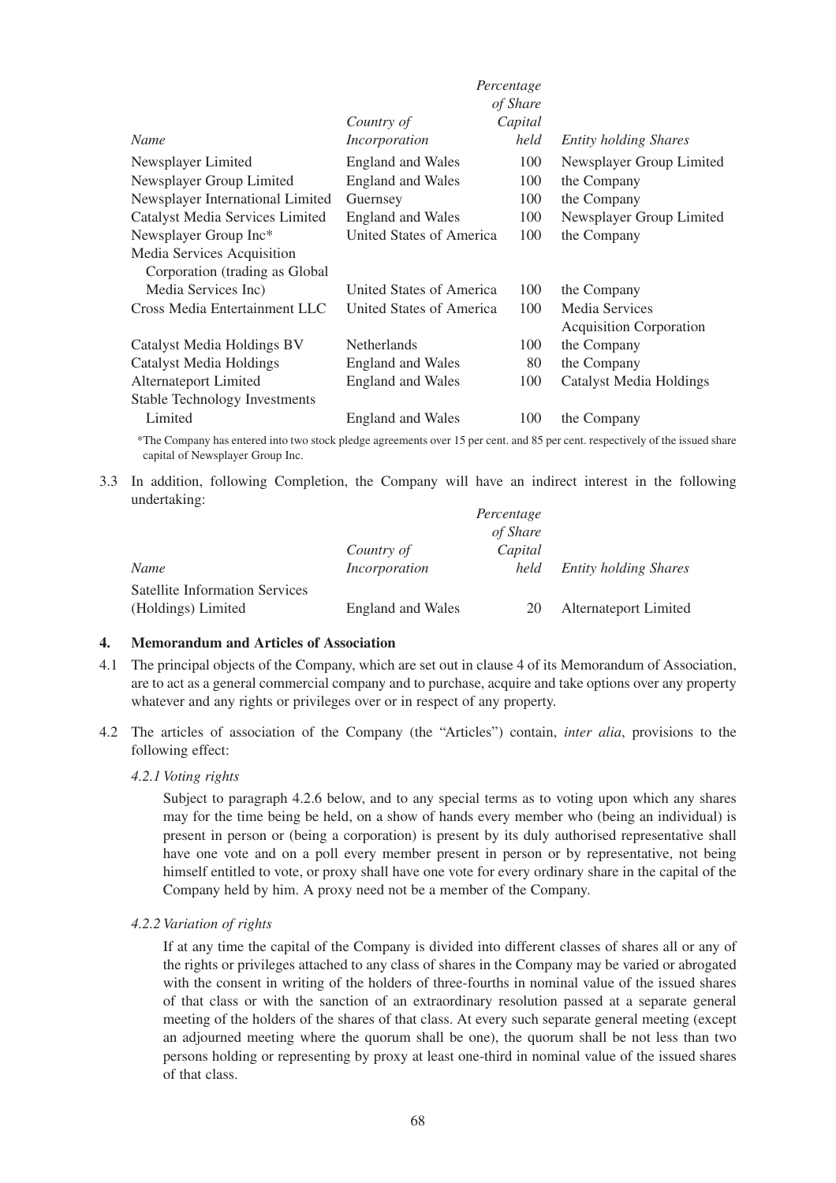|                                      | Percentage               |          |                                |  |
|--------------------------------------|--------------------------|----------|--------------------------------|--|
|                                      |                          | of Share |                                |  |
|                                      | Country of               | Capital  |                                |  |
| Name                                 | Incorporation            | held     | <b>Entity holding Shares</b>   |  |
| Newsplayer Limited                   | <b>England and Wales</b> | 100      | Newsplayer Group Limited       |  |
| Newsplayer Group Limited             | <b>England and Wales</b> | 100      | the Company                    |  |
| Newsplayer International Limited     | Guernsey                 | 100      | the Company                    |  |
| Catalyst Media Services Limited      | <b>England and Wales</b> | 100      | Newsplayer Group Limited       |  |
| Newsplayer Group Inc*                | United States of America | 100      | the Company                    |  |
| Media Services Acquisition           |                          |          |                                |  |
| Corporation (trading as Global       |                          |          |                                |  |
| Media Services Inc.                  | United States of America | 100      | the Company                    |  |
| Cross Media Entertainment LLC        | United States of America | 100      | Media Services                 |  |
|                                      |                          |          | <b>Acquisition Corporation</b> |  |
| Catalyst Media Holdings BV           | <b>Netherlands</b>       | 100      | the Company                    |  |
| <b>Catalyst Media Holdings</b>       | <b>England and Wales</b> | 80       | the Company                    |  |
| Alternateport Limited                | <b>England and Wales</b> | 100      | <b>Catalyst Media Holdings</b> |  |
| <b>Stable Technology Investments</b> |                          |          |                                |  |
| Limited                              | <b>England and Wales</b> | 100      | the Company                    |  |

\*The Company has entered into two stock pledge agreements over 15 per cent. and 85 per cent. respectively of the issued share capital of Newsplayer Group Inc.

3.3 In addition, following Completion, the Company will have an indirect interest in the following undertaking:

|                                       |                          | Percentage |                              |
|---------------------------------------|--------------------------|------------|------------------------------|
|                                       |                          | of Share   |                              |
|                                       | Country of               | Capital    |                              |
| Name                                  | Incorporation            | held       | <b>Entity holding Shares</b> |
| <b>Satellite Information Services</b> |                          |            |                              |
| (Holdings) Limited                    | <b>England and Wales</b> | 20         | Alternateport Limited        |

### **4. Memorandum and Articles of Association**

- 4.1 The principal objects of the Company, which are set out in clause 4 of its Memorandum of Association, are to act as a general commercial company and to purchase, acquire and take options over any property whatever and any rights or privileges over or in respect of any property.
- 4.2 The articles of association of the Company (the "Articles") contain, *inter alia*, provisions to the following effect:

### *4.2.1 Voting rights*

Subject to paragraph 4.2.6 below, and to any special terms as to voting upon which any shares may for the time being be held, on a show of hands every member who (being an individual) is present in person or (being a corporation) is present by its duly authorised representative shall have one vote and on a poll every member present in person or by representative, not being himself entitled to vote, or proxy shall have one vote for every ordinary share in the capital of the Company held by him. A proxy need not be a member of the Company.

### *4.2.2 Variation of rights*

If at any time the capital of the Company is divided into different classes of shares all or any of the rights or privileges attached to any class of shares in the Company may be varied or abrogated with the consent in writing of the holders of three-fourths in nominal value of the issued shares of that class or with the sanction of an extraordinary resolution passed at a separate general meeting of the holders of the shares of that class. At every such separate general meeting (except an adjourned meeting where the quorum shall be one), the quorum shall be not less than two persons holding or representing by proxy at least one-third in nominal value of the issued shares of that class.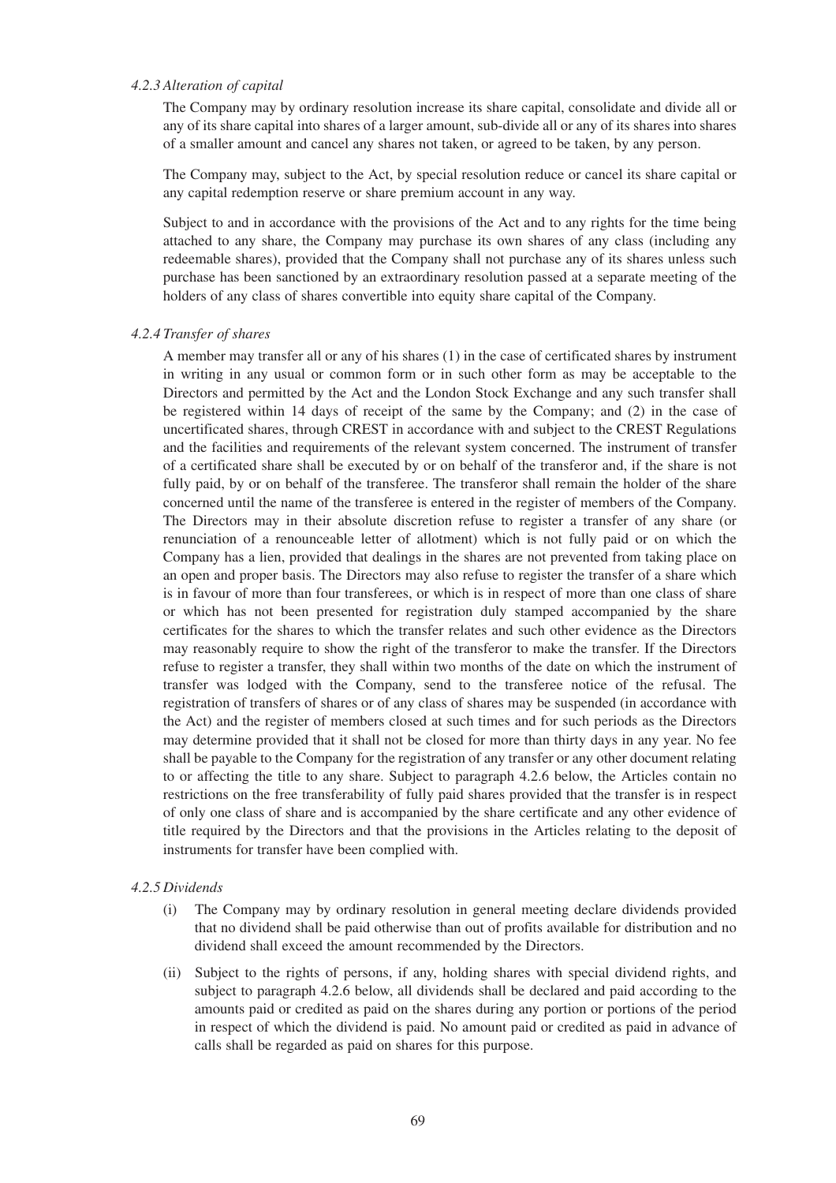#### *4.2.3 Alteration of capital*

The Company may by ordinary resolution increase its share capital, consolidate and divide all or any of its share capital into shares of a larger amount, sub-divide all or any of its shares into shares of a smaller amount and cancel any shares not taken, or agreed to be taken, by any person.

The Company may, subject to the Act, by special resolution reduce or cancel its share capital or any capital redemption reserve or share premium account in any way.

Subject to and in accordance with the provisions of the Act and to any rights for the time being attached to any share, the Company may purchase its own shares of any class (including any redeemable shares), provided that the Company shall not purchase any of its shares unless such purchase has been sanctioned by an extraordinary resolution passed at a separate meeting of the holders of any class of shares convertible into equity share capital of the Company.

#### *4.2.4 Transfer of shares*

A member may transfer all or any of his shares (1) in the case of certificated shares by instrument in writing in any usual or common form or in such other form as may be acceptable to the Directors and permitted by the Act and the London Stock Exchange and any such transfer shall be registered within 14 days of receipt of the same by the Company; and (2) in the case of uncertificated shares, through CREST in accordance with and subject to the CREST Regulations and the facilities and requirements of the relevant system concerned. The instrument of transfer of a certificated share shall be executed by or on behalf of the transferor and, if the share is not fully paid, by or on behalf of the transferee. The transferor shall remain the holder of the share concerned until the name of the transferee is entered in the register of members of the Company. The Directors may in their absolute discretion refuse to register a transfer of any share (or renunciation of a renounceable letter of allotment) which is not fully paid or on which the Company has a lien, provided that dealings in the shares are not prevented from taking place on an open and proper basis. The Directors may also refuse to register the transfer of a share which is in favour of more than four transferees, or which is in respect of more than one class of share or which has not been presented for registration duly stamped accompanied by the share certificates for the shares to which the transfer relates and such other evidence as the Directors may reasonably require to show the right of the transferor to make the transfer. If the Directors refuse to register a transfer, they shall within two months of the date on which the instrument of transfer was lodged with the Company, send to the transferee notice of the refusal. The registration of transfers of shares or of any class of shares may be suspended (in accordance with the Act) and the register of members closed at such times and for such periods as the Directors may determine provided that it shall not be closed for more than thirty days in any year. No fee shall be payable to the Company for the registration of any transfer or any other document relating to or affecting the title to any share. Subject to paragraph 4.2.6 below, the Articles contain no restrictions on the free transferability of fully paid shares provided that the transfer is in respect of only one class of share and is accompanied by the share certificate and any other evidence of title required by the Directors and that the provisions in the Articles relating to the deposit of instruments for transfer have been complied with.

#### *4.2.5 Dividends*

- (i) The Company may by ordinary resolution in general meeting declare dividends provided that no dividend shall be paid otherwise than out of profits available for distribution and no dividend shall exceed the amount recommended by the Directors.
- (ii) Subject to the rights of persons, if any, holding shares with special dividend rights, and subject to paragraph 4.2.6 below, all dividends shall be declared and paid according to the amounts paid or credited as paid on the shares during any portion or portions of the period in respect of which the dividend is paid. No amount paid or credited as paid in advance of calls shall be regarded as paid on shares for this purpose.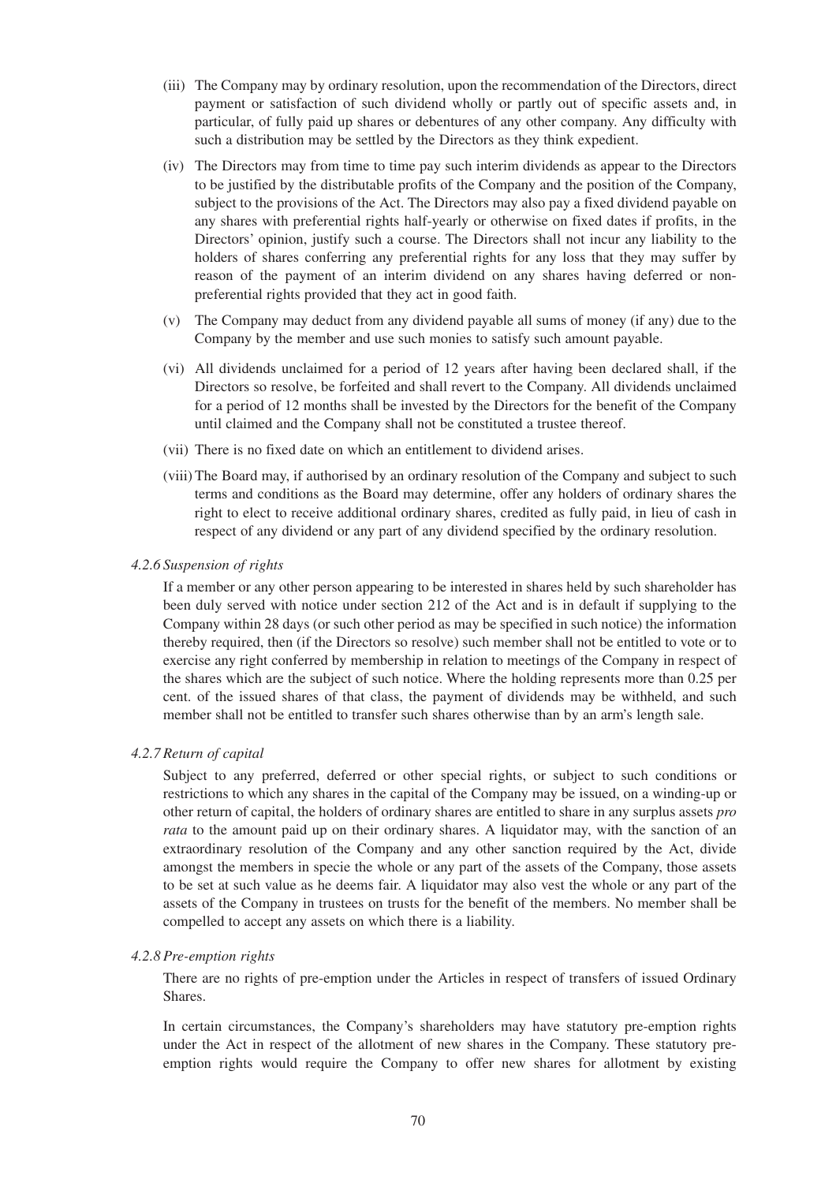- (iii) The Company may by ordinary resolution, upon the recommendation of the Directors, direct payment or satisfaction of such dividend wholly or partly out of specific assets and, in particular, of fully paid up shares or debentures of any other company. Any difficulty with such a distribution may be settled by the Directors as they think expedient.
- (iv) The Directors may from time to time pay such interim dividends as appear to the Directors to be justified by the distributable profits of the Company and the position of the Company, subject to the provisions of the Act. The Directors may also pay a fixed dividend payable on any shares with preferential rights half-yearly or otherwise on fixed dates if profits, in the Directors' opinion, justify such a course. The Directors shall not incur any liability to the holders of shares conferring any preferential rights for any loss that they may suffer by reason of the payment of an interim dividend on any shares having deferred or nonpreferential rights provided that they act in good faith.
- (v) The Company may deduct from any dividend payable all sums of money (if any) due to the Company by the member and use such monies to satisfy such amount payable.
- (vi) All dividends unclaimed for a period of 12 years after having been declared shall, if the Directors so resolve, be forfeited and shall revert to the Company. All dividends unclaimed for a period of 12 months shall be invested by the Directors for the benefit of the Company until claimed and the Company shall not be constituted a trustee thereof.
- (vii) There is no fixed date on which an entitlement to dividend arises.
- (viii) The Board may, if authorised by an ordinary resolution of the Company and subject to such terms and conditions as the Board may determine, offer any holders of ordinary shares the right to elect to receive additional ordinary shares, credited as fully paid, in lieu of cash in respect of any dividend or any part of any dividend specified by the ordinary resolution.
- *4.2.6 Suspension of rights*

If a member or any other person appearing to be interested in shares held by such shareholder has been duly served with notice under section 212 of the Act and is in default if supplying to the Company within 28 days (or such other period as may be specified in such notice) the information thereby required, then (if the Directors so resolve) such member shall not be entitled to vote or to exercise any right conferred by membership in relation to meetings of the Company in respect of the shares which are the subject of such notice. Where the holding represents more than 0.25 per cent. of the issued shares of that class, the payment of dividends may be withheld, and such member shall not be entitled to transfer such shares otherwise than by an arm's length sale.

*4.2.7 Return of capital*

Subject to any preferred, deferred or other special rights, or subject to such conditions or restrictions to which any shares in the capital of the Company may be issued, on a winding-up or other return of capital, the holders of ordinary shares are entitled to share in any surplus assets *pro rata* to the amount paid up on their ordinary shares. A liquidator may, with the sanction of an extraordinary resolution of the Company and any other sanction required by the Act, divide amongst the members in specie the whole or any part of the assets of the Company, those assets to be set at such value as he deems fair. A liquidator may also vest the whole or any part of the assets of the Company in trustees on trusts for the benefit of the members. No member shall be compelled to accept any assets on which there is a liability.

### *4.2.8 Pre-emption rights*

There are no rights of pre-emption under the Articles in respect of transfers of issued Ordinary Shares.

In certain circumstances, the Company's shareholders may have statutory pre-emption rights under the Act in respect of the allotment of new shares in the Company. These statutory preemption rights would require the Company to offer new shares for allotment by existing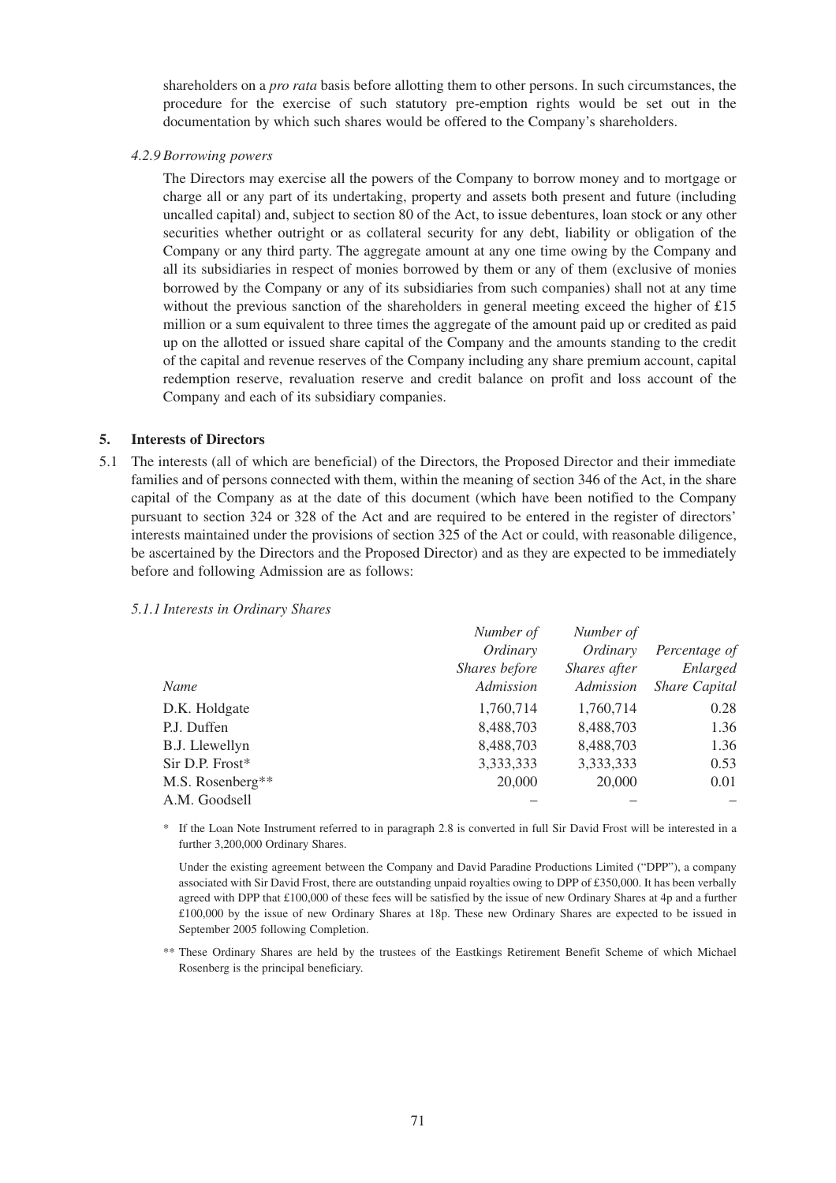shareholders on a *pro rata* basis before allotting them to other persons. In such circumstances, the procedure for the exercise of such statutory pre-emption rights would be set out in the documentation by which such shares would be offered to the Company's shareholders.

*4.2.9 Borrowing powers*

The Directors may exercise all the powers of the Company to borrow money and to mortgage or charge all or any part of its undertaking, property and assets both present and future (including uncalled capital) and, subject to section 80 of the Act, to issue debentures, loan stock or any other securities whether outright or as collateral security for any debt, liability or obligation of the Company or any third party. The aggregate amount at any one time owing by the Company and all its subsidiaries in respect of monies borrowed by them or any of them (exclusive of monies borrowed by the Company or any of its subsidiaries from such companies) shall not at any time without the previous sanction of the shareholders in general meeting exceed the higher of £15 million or a sum equivalent to three times the aggregate of the amount paid up or credited as paid up on the allotted or issued share capital of the Company and the amounts standing to the credit of the capital and revenue reserves of the Company including any share premium account, capital redemption reserve, revaluation reserve and credit balance on profit and loss account of the Company and each of its subsidiary companies.

## **5. Interests of Directors**

5.1 The interests (all of which are beneficial) of the Directors, the Proposed Director and their immediate families and of persons connected with them, within the meaning of section 346 of the Act, in the share capital of the Company as at the date of this document (which have been notified to the Company pursuant to section 324 or 328 of the Act and are required to be entered in the register of directors' interests maintained under the provisions of section 325 of the Act or could, with reasonable diligence, be ascertained by the Directors and the Proposed Director) and as they are expected to be immediately before and following Admission are as follows:

### *5.1.1 Interests in Ordinary Shares*

|                  | Number of     | Number of           |                      |
|------------------|---------------|---------------------|----------------------|
|                  | Ordinary      | Ordinary            | Percentage of        |
|                  | Shares before | <i>Shares after</i> | Enlarged             |
| Name             | Admission     | Admission           | <b>Share Capital</b> |
| D.K. Holdgate    | 1,760,714     | 1,760,714           | 0.28                 |
| P.J. Duffen      | 8,488,703     | 8,488,703           | 1.36                 |
| B.J. Llewellyn   | 8,488,703     | 8,488,703           | 1.36                 |
| Sir D.P. Frost*  | 3,333,333     | 3,333,333           | 0.53                 |
| M.S. Rosenberg** | 20,000        | 20,000              | 0.01                 |
| A.M. Goodsell    |               |                     |                      |

\* If the Loan Note Instrument referred to in paragraph 2.8 is converted in full Sir David Frost will be interested in a further 3,200,000 Ordinary Shares.

Under the existing agreement between the Company and David Paradine Productions Limited ("DPP"), a company associated with Sir David Frost, there are outstanding unpaid royalties owing to DPP of £350,000. It has been verbally agreed with DPP that £100,000 of these fees will be satisfied by the issue of new Ordinary Shares at 4p and a further £100,000 by the issue of new Ordinary Shares at 18p. These new Ordinary Shares are expected to be issued in September 2005 following Completion.

\*\* These Ordinary Shares are held by the trustees of the Eastkings Retirement Benefit Scheme of which Michael Rosenberg is the principal beneficiary.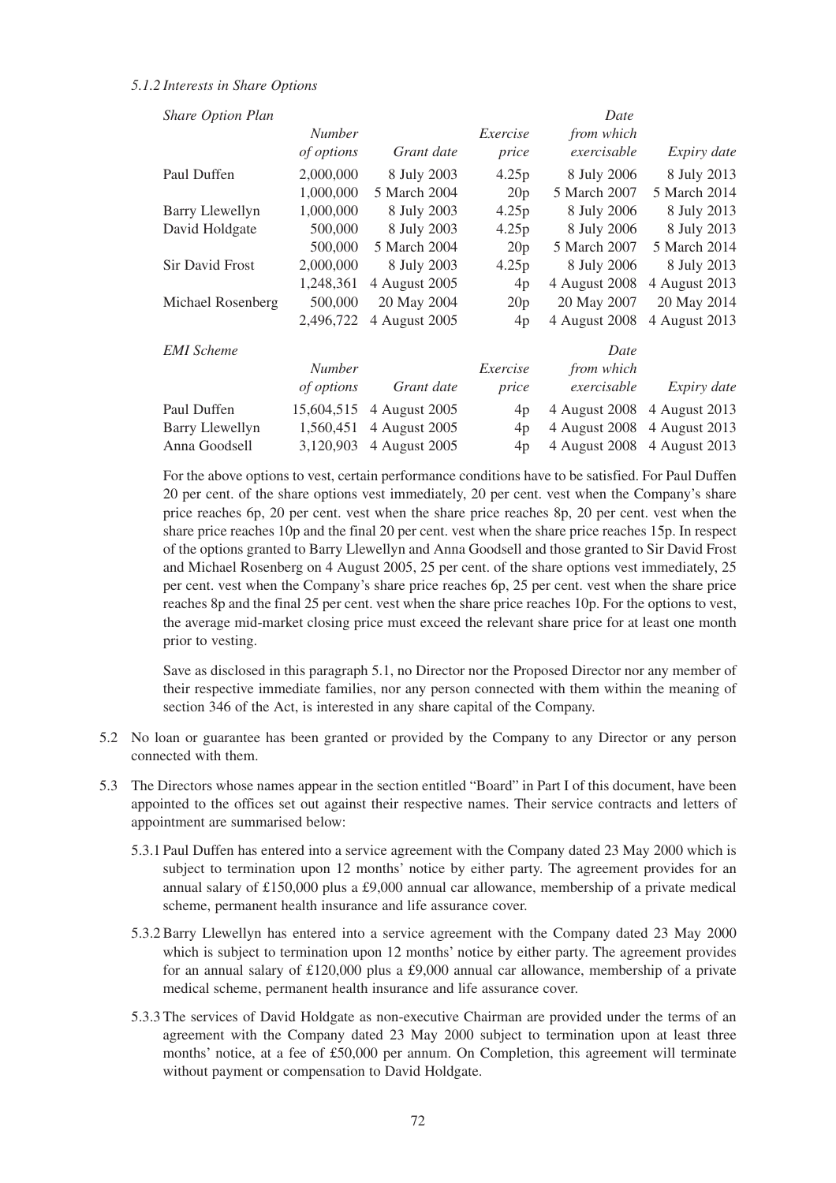### *5.1.2 Interests in Share Options*

| <b>Share Option Plan</b> |               |               |                 | Date          |               |
|--------------------------|---------------|---------------|-----------------|---------------|---------------|
|                          | <i>Number</i> |               | Exercise        | from which    |               |
|                          | of options    | Grant date    | price           | exercisable   | Expiry date   |
| Paul Duffen              | 2,000,000     | 8 July 2003   | 4.25p           | 8 July 2006   | 8 July 2013   |
|                          | 1,000,000     | 5 March 2004  | 20 <sub>p</sub> | 5 March 2007  | 5 March 2014  |
| <b>Barry Llewellyn</b>   | 1,000,000     | 8 July 2003   | 4.25p           | 8 July 2006   | 8 July 2013   |
| David Holdgate           | 500,000       | 8 July 2003   | 4.25p           | 8 July 2006   | 8 July 2013   |
|                          | 500,000       | 5 March 2004  | 20p             | 5 March 2007  | 5 March 2014  |
| <b>Sir David Frost</b>   | 2,000,000     | 8 July 2003   | 4.25p           | 8 July 2006   | 8 July 2013   |
|                          | 1,248,361     | 4 August 2005 | 4p              | 4 August 2008 | 4 August 2013 |
| Michael Rosenberg        | 500,000       | 20 May 2004   | 20p             | 20 May 2007   | 20 May 2014   |
|                          | 2,496,722     | 4 August 2005 | 4p              | 4 August 2008 | 4 August 2013 |
| <b>EMI</b> Scheme        |               |               |                 | Date          |               |
|                          | <b>Number</b> |               | Exercise        | from which    |               |
|                          | of options    | Grant date    | price           | exercisable   | Expiry date   |
| Paul Duffen              | 15,604,515    | 4 August 2005 | 4p              | 4 August 2008 | 4 August 2013 |
| <b>Barry Llewellyn</b>   | 1,560,451     | 4 August 2005 | 4p              | 4 August 2008 | 4 August 2013 |
| Anna Goodsell            | 3,120,903     | 4 August 2005 | 4p              | 4 August 2008 | 4 August 2013 |

For the above options to vest, certain performance conditions have to be satisfied. For Paul Duffen 20 per cent. of the share options vest immediately, 20 per cent. vest when the Company's share price reaches 6p, 20 per cent. vest when the share price reaches 8p, 20 per cent. vest when the share price reaches 10p and the final 20 per cent. vest when the share price reaches 15p. In respect of the options granted to Barry Llewellyn and Anna Goodsell and those granted to Sir David Frost and Michael Rosenberg on 4 August 2005, 25 per cent. of the share options vest immediately, 25 per cent. vest when the Company's share price reaches 6p, 25 per cent. vest when the share price reaches 8p and the final 25 per cent. vest when the share price reaches 10p. For the options to vest, the average mid-market closing price must exceed the relevant share price for at least one month prior to vesting.

Save as disclosed in this paragraph 5.1, no Director nor the Proposed Director nor any member of their respective immediate families, nor any person connected with them within the meaning of section 346 of the Act, is interested in any share capital of the Company.

- 5.2 No loan or guarantee has been granted or provided by the Company to any Director or any person connected with them.
- 5.3 The Directors whose names appear in the section entitled "Board" in Part I of this document, have been appointed to the offices set out against their respective names. Their service contracts and letters of appointment are summarised below:
	- 5.3.1 Paul Duffen has entered into a service agreement with the Company dated 23 May 2000 which is subject to termination upon 12 months' notice by either party. The agreement provides for an annual salary of £150,000 plus a £9,000 annual car allowance, membership of a private medical scheme, permanent health insurance and life assurance cover.
	- 5.3.2 Barry Llewellyn has entered into a service agreement with the Company dated 23 May 2000 which is subject to termination upon 12 months' notice by either party. The agreement provides for an annual salary of £120,000 plus a £9,000 annual car allowance, membership of a private medical scheme, permanent health insurance and life assurance cover.
	- 5.3.3 The services of David Holdgate as non-executive Chairman are provided under the terms of an agreement with the Company dated 23 May 2000 subject to termination upon at least three months' notice, at a fee of £50,000 per annum. On Completion, this agreement will terminate without payment or compensation to David Holdgate.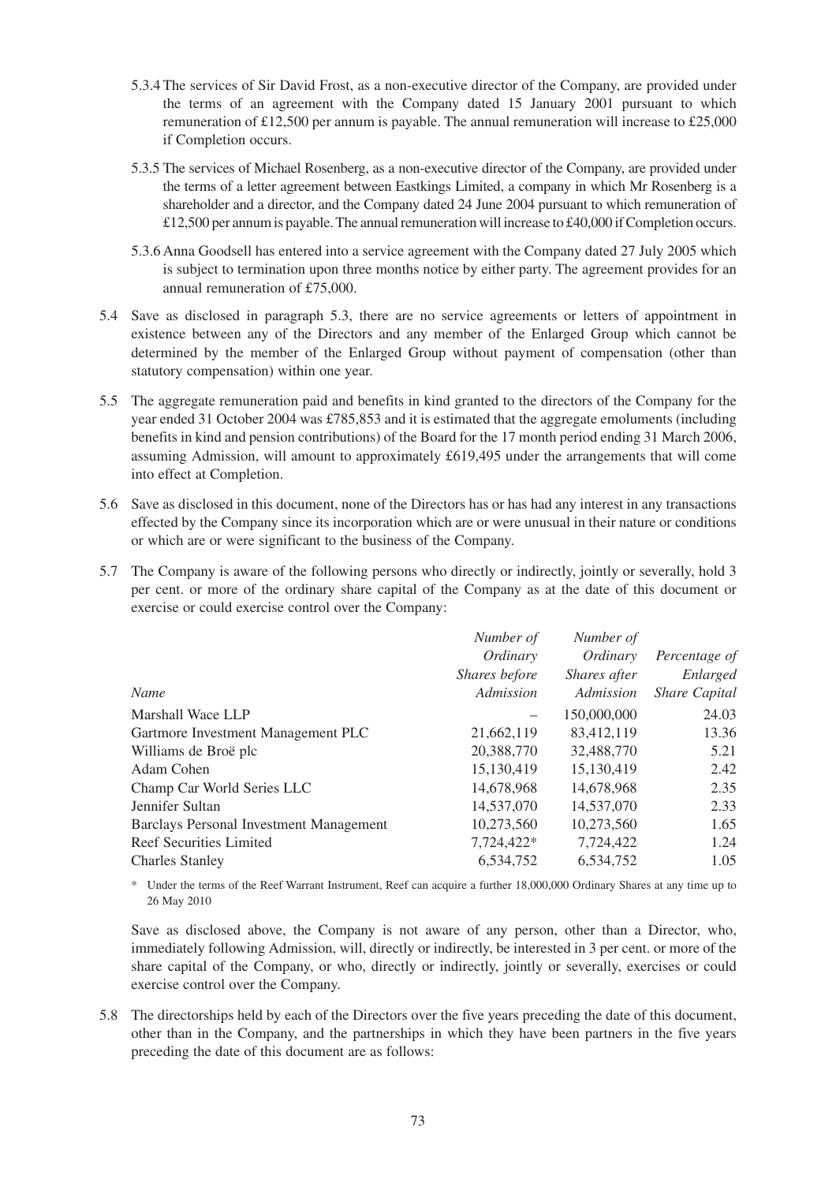- 5.3.4 The services of Sir David Frost, as a non-executive director of the Company, are provided under the terms of an agreement with the Company dated 15 January 2001 pursuant to which remuneration of £12,500 per annum is payable. The annual remuneration will increase to £25,000 if Completion occurs.
- 5.3.5 The services of Michael Rosenberg, as a non-executive director of the Company, are provided under the terms of a letter agreement between Eastkings Limited, a company in which Mr Rosenberg is a shareholder and a director, and the Company dated 24 June 2004 pursuant to which remuneration of £12,500 per annum is payable. The annual remuneration will increase to £40,000 if Completion occurs.
- 5.3.6 Anna Goodsell has entered into a service agreement with the Company dated 27 July 2005 which is subject to termination upon three months notice by either party. The agreement provides for an annual remuneration of £75,000.
- 5.4 Save as disclosed in paragraph 5.3, there are no service agreements or letters of appointment in existence between any of the Directors and any member of the Enlarged Group which cannot be determined by the member of the Enlarged Group without payment of compensation (other than statutory compensation) within one year.
- 5.5 The aggregate remuneration paid and benefits in kind granted to the directors of the Company for the year ended 31 October 2004 was £785,853 and it is estimated that the aggregate emoluments (including benefits in kind and pension contributions) of the Board for the 17 month period ending 31 March 2006, assuming Admission, will amount to approximately £619,495 under the arrangements that will come into effect at Completion.
- 5.6 Save as disclosed in this document, none of the Directors has or has had any interest in any transactions effected by the Company since its incorporation which are or were unusual in their nature or conditions or which are or were significant to the business of the Company.
- 5.7 The Company is aware of the following persons who directly or indirectly, jointly or severally, hold 3 per cent. or more of the ordinary share capital of the Company as at the date of this document or exercise or could exercise control over the Company:

|                                                | Number of            | Number of    |                      |
|------------------------------------------------|----------------------|--------------|----------------------|
|                                                | Ordinary             | Ordinary     | Percentage of        |
|                                                | <i>Shares before</i> | Shares after | Enlarged             |
| <b>Name</b>                                    | Admission            | Admission    | <b>Share Capital</b> |
| Marshall Wace LLP                              |                      | 150,000,000  | 24.03                |
| Gartmore Investment Management PLC             | 21,662,119           | 83,412,119   | 13.36                |
| Williams de Broë plc                           | 20,388,770           | 32,488,770   | 5.21                 |
| Adam Cohen                                     | 15,130,419           | 15.130.419   | 2.42                 |
| Champ Car World Series LLC                     | 14,678,968           | 14,678,968   | 2.35                 |
| Jennifer Sultan                                | 14,537,070           | 14,537,070   | 2.33                 |
| <b>Barclays Personal Investment Management</b> | 10,273,560           | 10,273,560   | 1.65                 |
| Reef Securities Limited                        | 7,724,422*           | 7,724,422    | 1.24                 |
| <b>Charles Stanley</b>                         | 6.534.752            | 6,534,752    | 1.05                 |

\* Under the terms of the Reef Warrant Instrument, Reef can acquire a further 18,000,000 Ordinary Shares at any time up to 26 May 2010

Save as disclosed above, the Company is not aware of any person, other than a Director, who, immediately following Admission, will, directly or indirectly, be interested in 3 per cent. or more of the share capital of the Company, or who, directly or indirectly, jointly or severally, exercises or could exercise control over the Company.

5.8 The directorships held by each of the Directors over the five years preceding the date of this document, other than in the Company, and the partnerships in which they have been partners in the five years preceding the date of this document are as follows: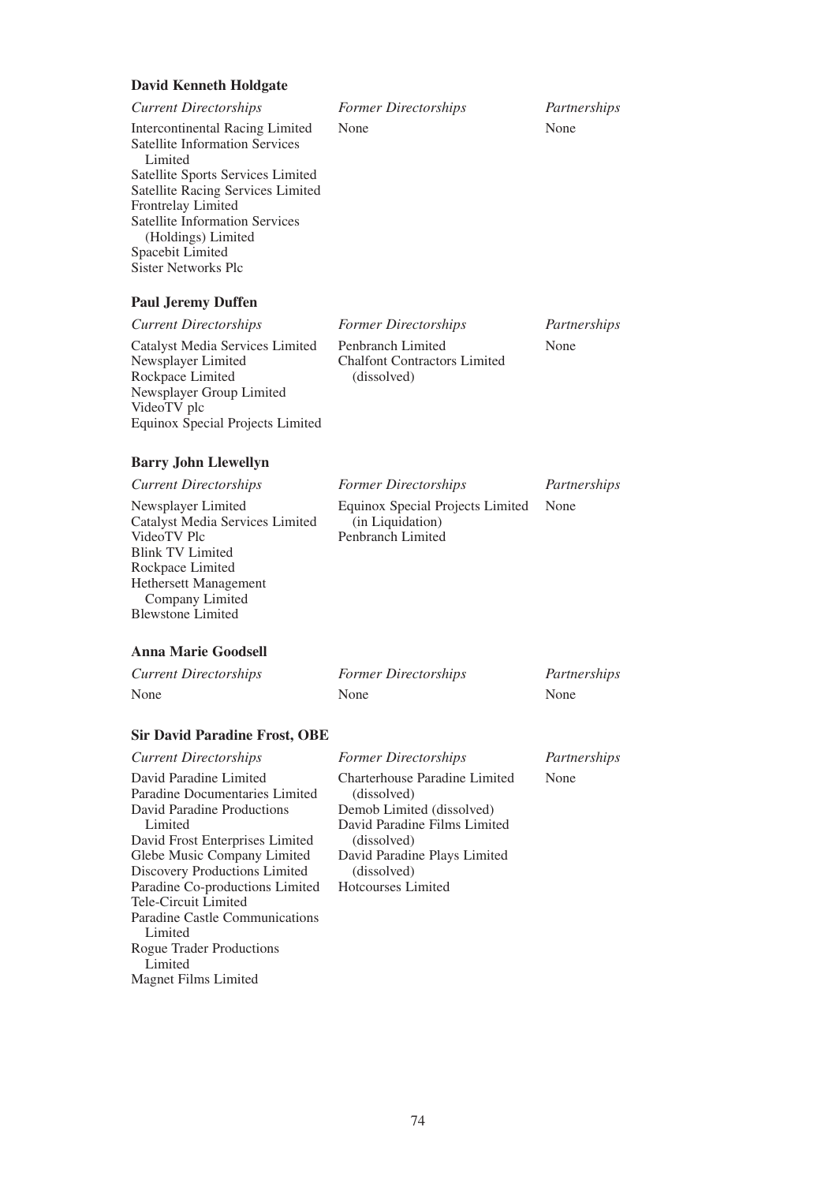# **David Kenneth Holdgate**

| <b>Current Directorships</b>                                                                                                                                | <b>Former Directorships</b> | Partnerships |
|-------------------------------------------------------------------------------------------------------------------------------------------------------------|-----------------------------|--------------|
| Intercontinental Racing Limited<br><b>Satellite Information Services</b><br>Limited                                                                         | None                        | None         |
| Satellite Sports Services Limited<br>Satellite Racing Services Limited<br>Frontrelay Limited<br><b>Satellite Information Services</b><br>(Holdings) Limited |                             |              |
| Spacebit Limited<br><b>Sister Networks Plc</b>                                                                                                              |                             |              |

# **Paul Jeremy Duffen**

| <b>Current Directorships</b>     | <b>Former Directorships</b>         | Partnerships |
|----------------------------------|-------------------------------------|--------------|
| Catalyst Media Services Limited  | Penbranch Limited                   | None         |
| Newsplayer Limited               | <b>Chalfont Contractors Limited</b> |              |
| Rockpace Limited                 | (dissolved)                         |              |
| Newsplayer Group Limited         |                                     |              |
| VideoTV plc                      |                                     |              |
| Equinox Special Projects Limited |                                     |              |

# **Barry John Llewellyn**

| <b>Current Directorships</b>                                                                                                                 | <b>Former Directorships</b>                                               | Partnerships |
|----------------------------------------------------------------------------------------------------------------------------------------------|---------------------------------------------------------------------------|--------------|
| Newsplayer Limited<br>Catalyst Media Services Limited<br>VideoTV Plc<br><b>Blink TV Limited</b><br>Rockpace Limited<br>Hethersett Management | Equinox Special Projects Limited<br>(in Liquidation)<br>Penbranch Limited | None         |
|                                                                                                                                              |                                                                           |              |

Company Limited Blewstone Limited

#### **Anna Marie Goodsell**

| <b>Current Directorships</b> | <b>Former Directorships</b> | Partnerships |
|------------------------------|-----------------------------|--------------|
| None                         | None                        | None         |

# **Sir David Paradine Frost, OBE**

| <b>Current Directorships</b>    | <b>Former Directorships</b>   | Partnerships |
|---------------------------------|-------------------------------|--------------|
| David Paradine Limited          | Charterhouse Paradine Limited | None         |
| Paradine Documentaries Limited  | (dissolved)                   |              |
| David Paradine Productions      | Demob Limited (dissolved)     |              |
| Limited                         | David Paradine Films Limited  |              |
| David Frost Enterprises Limited | (dissolved)                   |              |
| Glebe Music Company Limited     | David Paradine Plays Limited  |              |
| Discovery Productions Limited   | (dissolved)                   |              |
| Paradine Co-productions Limited | <b>Hotcourses Limited</b>     |              |
| Tele-Circuit Limited            |                               |              |
| Paradine Castle Communications  |                               |              |

Limited Magnet Films Limited

Rogue Trader Productions

Limited

74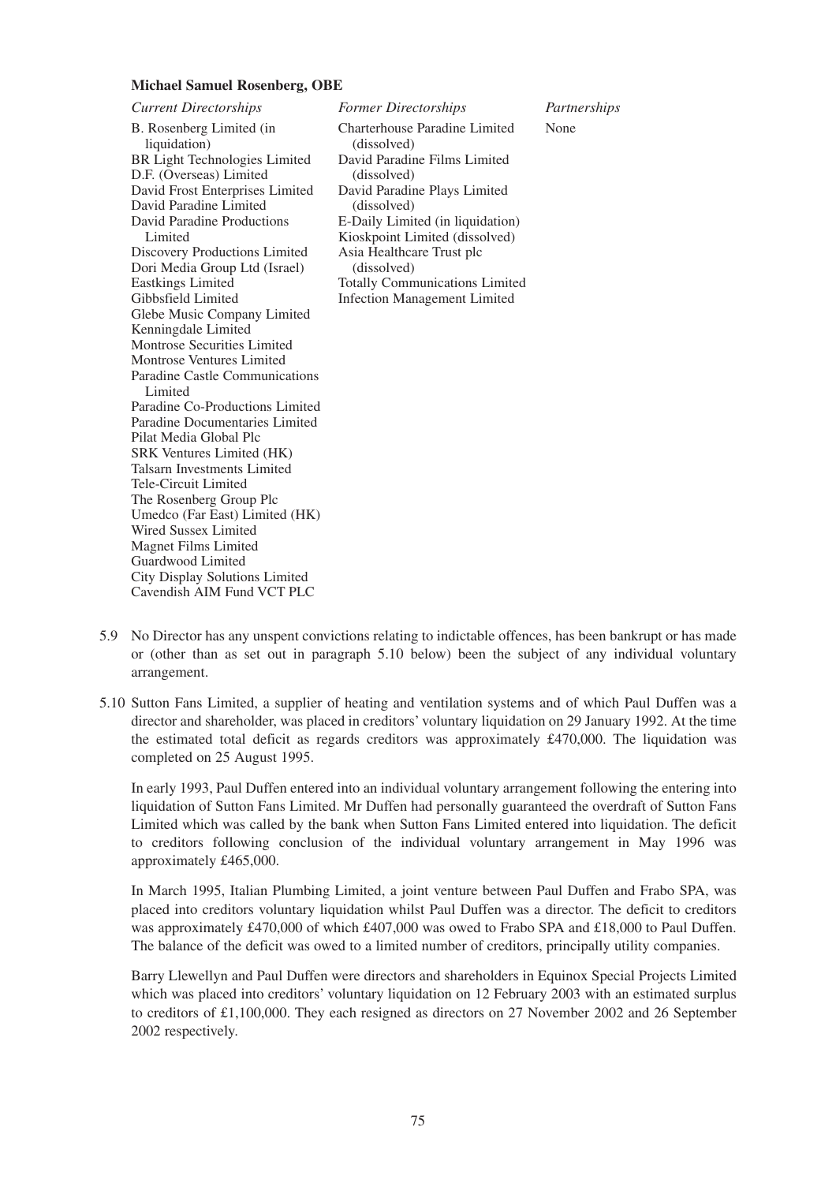#### **Michael Samuel Rosenberg, OBE**

B. Rosenberg Limited (in liquidation) BR Light Technologies Limited D.F. (Overseas) Limited David Frost Enterprises Limited David Paradine Limited David Paradine Productions Limited Discovery Productions Limited Dori Media Group Ltd (Israel) Eastkings Limited Gibbsfield Limited Glebe Music Company Limited Kenningdale Limited Montrose Securities Limited Montrose Ventures Limited Paradine Castle Communications Limited Paradine Co-Productions Limited Paradine Documentaries Limited Pilat Media Global Plc SRK Ventures Limited (HK) Talsarn Investments Limited Tele-Circuit Limited The Rosenberg Group Plc Umedco (Far East) Limited (HK) Wired Sussex Limited Magnet Films Limited Guardwood Limited City Display Solutions Limited Cavendish AIM Fund VCT PLC

*Current Directorships Former Directorships Partnerships* Charterhouse Paradine Limited (dissolved) David Paradine Films Limited (dissolved) David Paradine Plays Limited (dissolved) E-Daily Limited (in liquidation) Kioskpoint Limited (dissolved) Asia Healthcare Trust plc (dissolved) Totally Communications Limited Infection Management Limited None

- 5.9 No Director has any unspent convictions relating to indictable offences, has been bankrupt or has made or (other than as set out in paragraph 5.10 below) been the subject of any individual voluntary arrangement.
- 5.10 Sutton Fans Limited, a supplier of heating and ventilation systems and of which Paul Duffen was a director and shareholder, was placed in creditors' voluntary liquidation on 29 January 1992. At the time the estimated total deficit as regards creditors was approximately £470,000. The liquidation was completed on 25 August 1995.

In early 1993, Paul Duffen entered into an individual voluntary arrangement following the entering into liquidation of Sutton Fans Limited. Mr Duffen had personally guaranteed the overdraft of Sutton Fans Limited which was called by the bank when Sutton Fans Limited entered into liquidation. The deficit to creditors following conclusion of the individual voluntary arrangement in May 1996 was approximately £465,000.

In March 1995, Italian Plumbing Limited, a joint venture between Paul Duffen and Frabo SPA, was placed into creditors voluntary liquidation whilst Paul Duffen was a director. The deficit to creditors was approximately £470,000 of which £407,000 was owed to Frabo SPA and £18,000 to Paul Duffen. The balance of the deficit was owed to a limited number of creditors, principally utility companies.

Barry Llewellyn and Paul Duffen were directors and shareholders in Equinox Special Projects Limited which was placed into creditors' voluntary liquidation on 12 February 2003 with an estimated surplus to creditors of £1,100,000. They each resigned as directors on 27 November 2002 and 26 September 2002 respectively.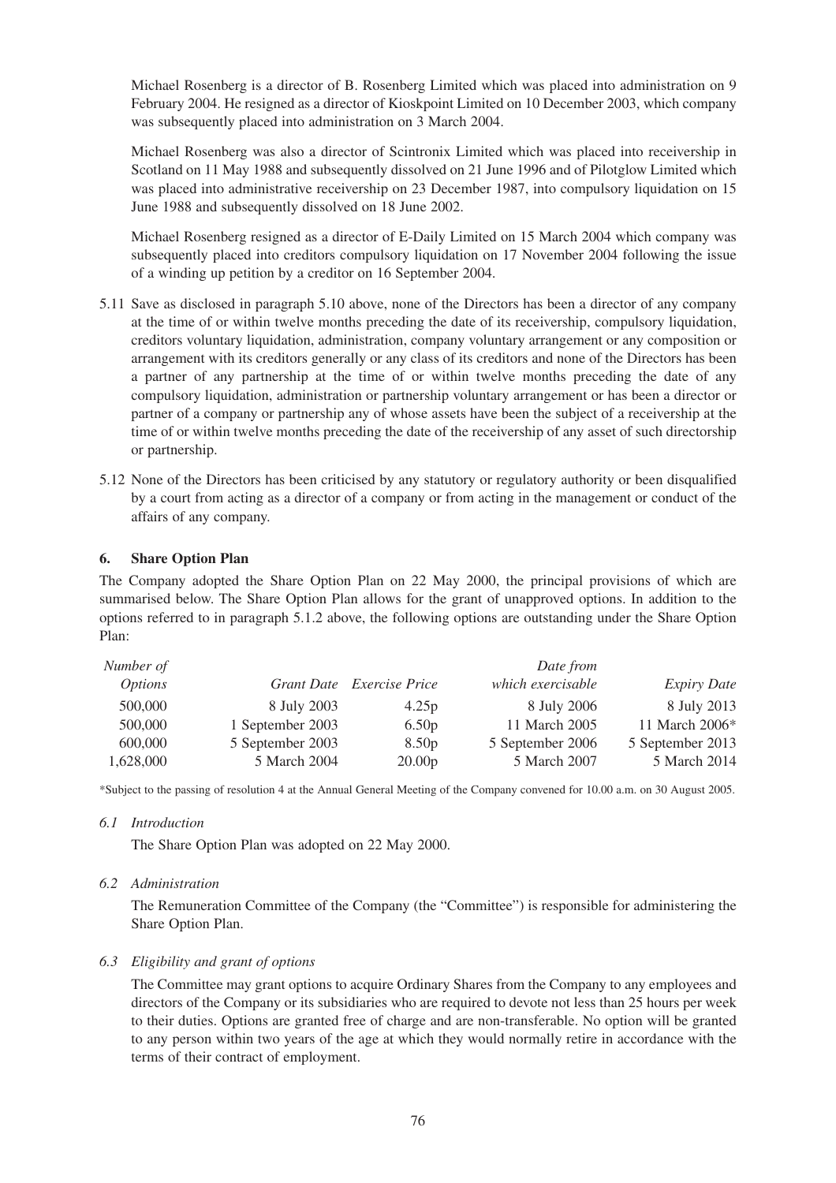Michael Rosenberg is a director of B. Rosenberg Limited which was placed into administration on 9 February 2004. He resigned as a director of Kioskpoint Limited on 10 December 2003, which company was subsequently placed into administration on 3 March 2004.

Michael Rosenberg was also a director of Scintronix Limited which was placed into receivership in Scotland on 11 May 1988 and subsequently dissolved on 21 June 1996 and of Pilotglow Limited which was placed into administrative receivership on 23 December 1987, into compulsory liquidation on 15 June 1988 and subsequently dissolved on 18 June 2002.

Michael Rosenberg resigned as a director of E-Daily Limited on 15 March 2004 which company was subsequently placed into creditors compulsory liquidation on 17 November 2004 following the issue of a winding up petition by a creditor on 16 September 2004.

- 5.11 Save as disclosed in paragraph 5.10 above, none of the Directors has been a director of any company at the time of or within twelve months preceding the date of its receivership, compulsory liquidation, creditors voluntary liquidation, administration, company voluntary arrangement or any composition or arrangement with its creditors generally or any class of its creditors and none of the Directors has been a partner of any partnership at the time of or within twelve months preceding the date of any compulsory liquidation, administration or partnership voluntary arrangement or has been a director or partner of a company or partnership any of whose assets have been the subject of a receivership at the time of or within twelve months preceding the date of the receivership of any asset of such directorship or partnership.
- 5.12 None of the Directors has been criticised by any statutory or regulatory authority or been disqualified by a court from acting as a director of a company or from acting in the management or conduct of the affairs of any company.

## **6. Share Option Plan**

The Company adopted the Share Option Plan on 22 May 2000, the principal provisions of which are summarised below. The Share Option Plan allows for the grant of unapproved options. In addition to the options referred to in paragraph 5.1.2 above, the following options are outstanding under the Share Option Plan:

| Number of      |                  |                           | Date from         |                    |
|----------------|------------------|---------------------------|-------------------|--------------------|
| <i>Options</i> |                  | Grant Date Exercise Price | which exercisable | <b>Expiry Date</b> |
| 500,000        | 8 July 2003      | 4.25p                     | 8 July 2006       | 8 July 2013        |
| 500,000        | 1 September 2003 | 6.50 <sub>p</sub>         | 11 March 2005     | 11 March 2006*     |
| 600,000        | 5 September 2003 | 8.50 <sub>p</sub>         | 5 September 2006  | 5 September 2013   |
| 1,628,000      | 5 March 2004     | 20.00 <sub>p</sub>        | 5 March 2007      | 5 March 2014       |

\*Subject to the passing of resolution 4 at the Annual General Meeting of the Company convened for 10.00 a.m. on 30 August 2005.

#### *6.1 Introduction*

The Share Option Plan was adopted on 22 May 2000.

#### *6.2 Administration*

The Remuneration Committee of the Company (the "Committee") is responsible for administering the Share Option Plan.

#### *6.3 Eligibility and grant of options*

The Committee may grant options to acquire Ordinary Shares from the Company to any employees and directors of the Company or its subsidiaries who are required to devote not less than 25 hours per week to their duties. Options are granted free of charge and are non-transferable. No option will be granted to any person within two years of the age at which they would normally retire in accordance with the terms of their contract of employment.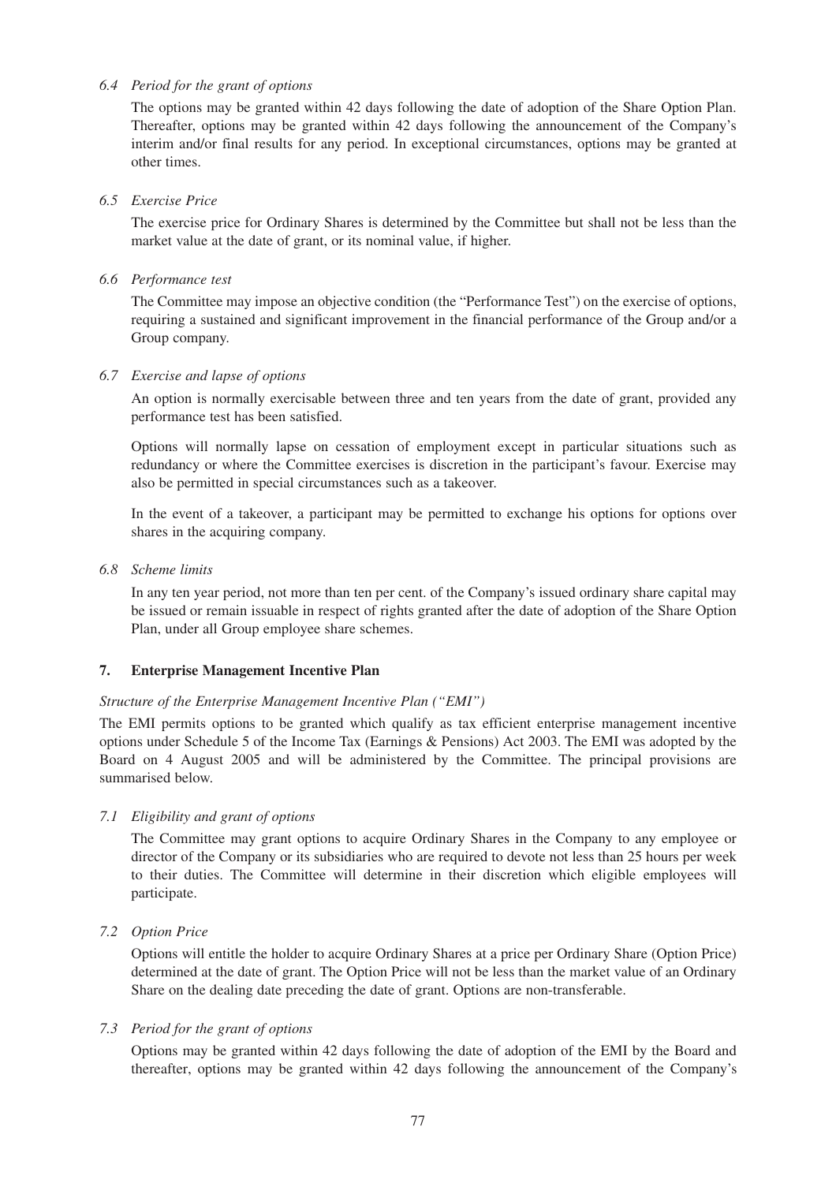# *6.4 Period for the grant of options*

The options may be granted within 42 days following the date of adoption of the Share Option Plan. Thereafter, options may be granted within 42 days following the announcement of the Company's interim and/or final results for any period. In exceptional circumstances, options may be granted at other times.

#### *6.5 Exercise Price*

The exercise price for Ordinary Shares is determined by the Committee but shall not be less than the market value at the date of grant, or its nominal value, if higher.

#### *6.6 Performance test*

The Committee may impose an objective condition (the "Performance Test") on the exercise of options, requiring a sustained and significant improvement in the financial performance of the Group and/or a Group company.

# *6.7 Exercise and lapse of options*

An option is normally exercisable between three and ten years from the date of grant, provided any performance test has been satisfied.

Options will normally lapse on cessation of employment except in particular situations such as redundancy or where the Committee exercises is discretion in the participant's favour. Exercise may also be permitted in special circumstances such as a takeover.

In the event of a takeover, a participant may be permitted to exchange his options for options over shares in the acquiring company.

#### *6.8 Scheme limits*

In any ten year period, not more than ten per cent. of the Company's issued ordinary share capital may be issued or remain issuable in respect of rights granted after the date of adoption of the Share Option Plan, under all Group employee share schemes.

# **7. Enterprise Management Incentive Plan**

# *Structure of the Enterprise Management Incentive Plan ("EMI")*

The EMI permits options to be granted which qualify as tax efficient enterprise management incentive options under Schedule 5 of the Income Tax (Earnings & Pensions) Act 2003. The EMI was adopted by the Board on 4 August 2005 and will be administered by the Committee. The principal provisions are summarised below.

# *7.1 Eligibility and grant of options*

The Committee may grant options to acquire Ordinary Shares in the Company to any employee or director of the Company or its subsidiaries who are required to devote not less than 25 hours per week to their duties. The Committee will determine in their discretion which eligible employees will participate.

*7.2 Option Price*

Options will entitle the holder to acquire Ordinary Shares at a price per Ordinary Share (Option Price) determined at the date of grant. The Option Price will not be less than the market value of an Ordinary Share on the dealing date preceding the date of grant. Options are non-transferable.

# *7.3 Period for the grant of options*

Options may be granted within 42 days following the date of adoption of the EMI by the Board and thereafter, options may be granted within 42 days following the announcement of the Company's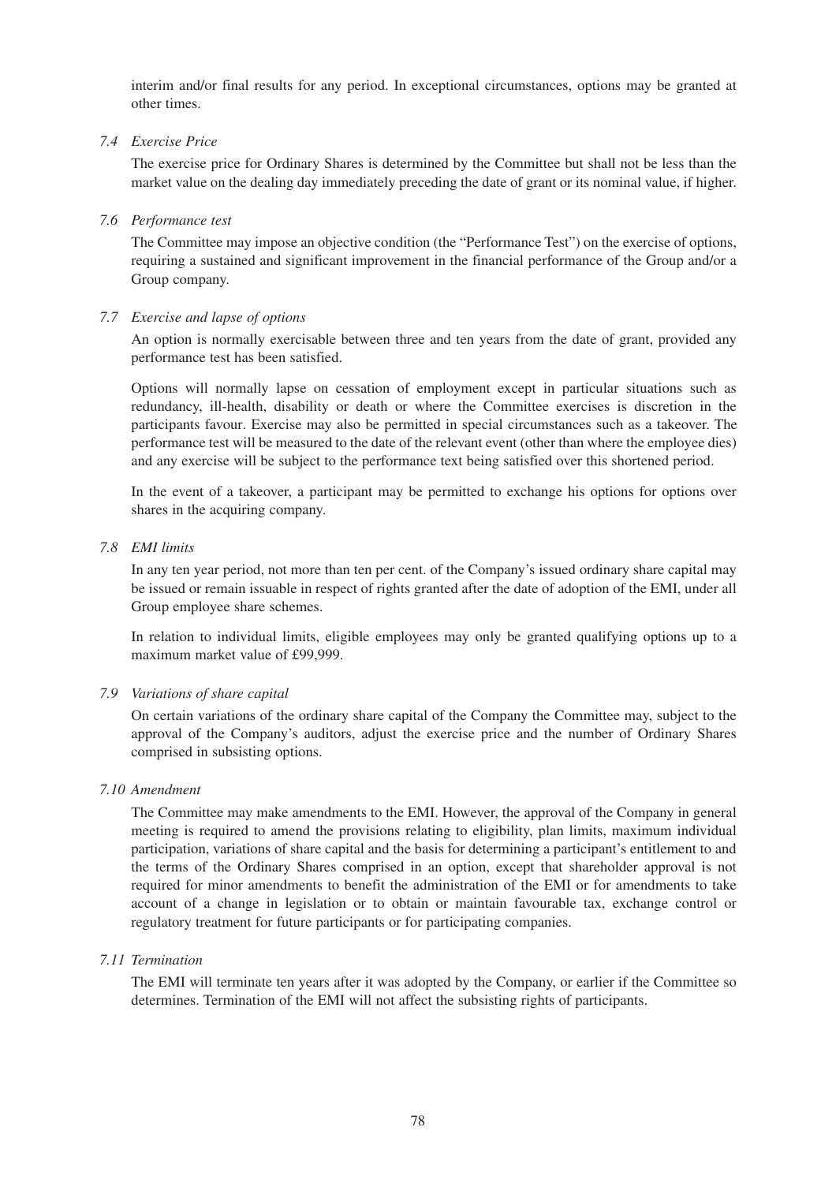interim and/or final results for any period. In exceptional circumstances, options may be granted at other times.

# *7.4 Exercise Price*

The exercise price for Ordinary Shares is determined by the Committee but shall not be less than the market value on the dealing day immediately preceding the date of grant or its nominal value, if higher.

## *7.6 Performance test*

The Committee may impose an objective condition (the "Performance Test") on the exercise of options, requiring a sustained and significant improvement in the financial performance of the Group and/or a Group company.

## *7.7 Exercise and lapse of options*

An option is normally exercisable between three and ten years from the date of grant, provided any performance test has been satisfied.

Options will normally lapse on cessation of employment except in particular situations such as redundancy, ill-health, disability or death or where the Committee exercises is discretion in the participants favour. Exercise may also be permitted in special circumstances such as a takeover. The performance test will be measured to the date of the relevant event (other than where the employee dies) and any exercise will be subject to the performance text being satisfied over this shortened period.

In the event of a takeover, a participant may be permitted to exchange his options for options over shares in the acquiring company.

# *7.8 EMI limits*

In any ten year period, not more than ten per cent. of the Company's issued ordinary share capital may be issued or remain issuable in respect of rights granted after the date of adoption of the EMI, under all Group employee share schemes.

In relation to individual limits, eligible employees may only be granted qualifying options up to a maximum market value of £99,999.

# *7.9 Variations of share capital*

On certain variations of the ordinary share capital of the Company the Committee may, subject to the approval of the Company's auditors, adjust the exercise price and the number of Ordinary Shares comprised in subsisting options.

## *7.10 Amendment*

The Committee may make amendments to the EMI. However, the approval of the Company in general meeting is required to amend the provisions relating to eligibility, plan limits, maximum individual participation, variations of share capital and the basis for determining a participant's entitlement to and the terms of the Ordinary Shares comprised in an option, except that shareholder approval is not required for minor amendments to benefit the administration of the EMI or for amendments to take account of a change in legislation or to obtain or maintain favourable tax, exchange control or regulatory treatment for future participants or for participating companies.

# *7.11 Termination*

The EMI will terminate ten years after it was adopted by the Company, or earlier if the Committee so determines. Termination of the EMI will not affect the subsisting rights of participants.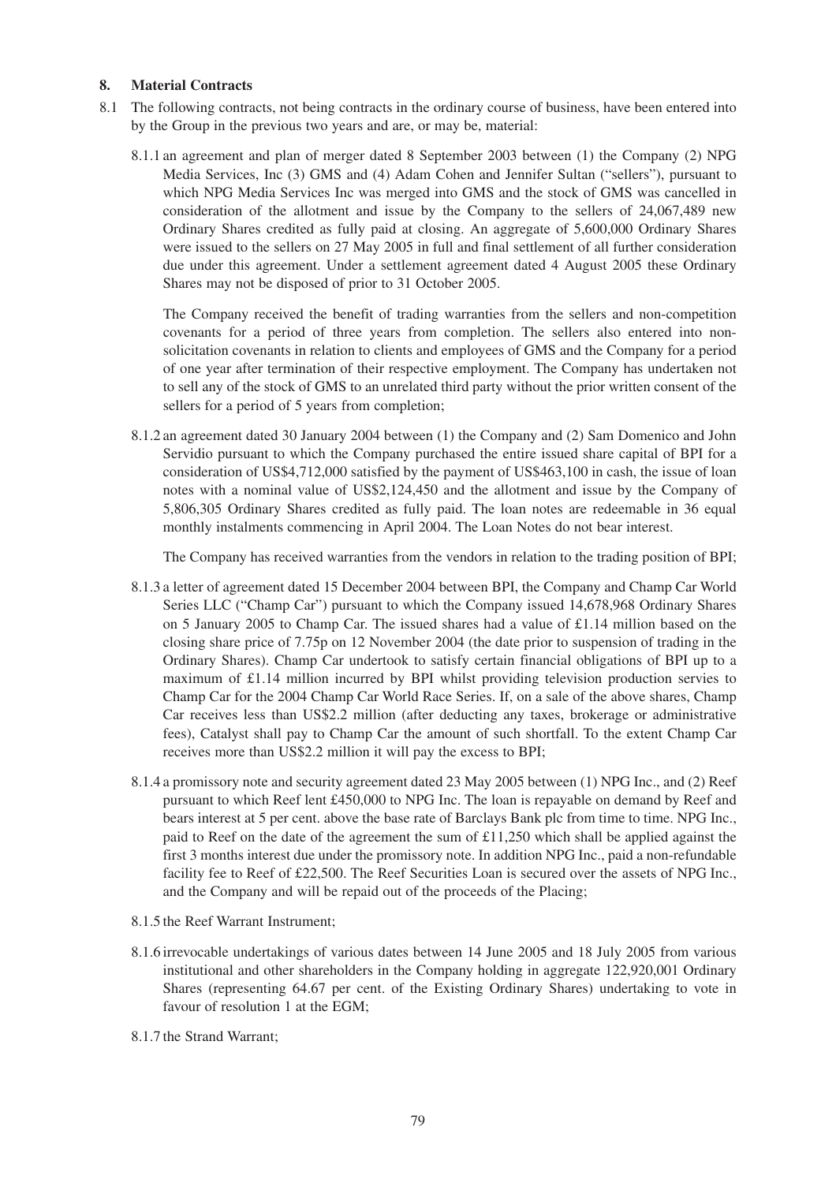# **8. Material Contracts**

- 8.1 The following contracts, not being contracts in the ordinary course of business, have been entered into by the Group in the previous two years and are, or may be, material:
	- 8.1.1 an agreement and plan of merger dated 8 September 2003 between (1) the Company (2) NPG Media Services, Inc (3) GMS and (4) Adam Cohen and Jennifer Sultan ("sellers"), pursuant to which NPG Media Services Inc was merged into GMS and the stock of GMS was cancelled in consideration of the allotment and issue by the Company to the sellers of 24,067,489 new Ordinary Shares credited as fully paid at closing. An aggregate of 5,600,000 Ordinary Shares were issued to the sellers on 27 May 2005 in full and final settlement of all further consideration due under this agreement. Under a settlement agreement dated 4 August 2005 these Ordinary Shares may not be disposed of prior to 31 October 2005.

The Company received the benefit of trading warranties from the sellers and non-competition covenants for a period of three years from completion. The sellers also entered into nonsolicitation covenants in relation to clients and employees of GMS and the Company for a period of one year after termination of their respective employment. The Company has undertaken not to sell any of the stock of GMS to an unrelated third party without the prior written consent of the sellers for a period of 5 years from completion;

8.1.2 an agreement dated 30 January 2004 between (1) the Company and (2) Sam Domenico and John Servidio pursuant to which the Company purchased the entire issued share capital of BPI for a consideration of US\$4,712,000 satisfied by the payment of US\$463,100 in cash, the issue of loan notes with a nominal value of US\$2,124,450 and the allotment and issue by the Company of 5,806,305 Ordinary Shares credited as fully paid. The loan notes are redeemable in 36 equal monthly instalments commencing in April 2004. The Loan Notes do not bear interest.

The Company has received warranties from the vendors in relation to the trading position of BPI;

- 8.1.3 a letter of agreement dated 15 December 2004 between BPI, the Company and Champ Car World Series LLC ("Champ Car") pursuant to which the Company issued 14,678,968 Ordinary Shares on 5 January 2005 to Champ Car. The issued shares had a value of £1.14 million based on the closing share price of 7.75p on 12 November 2004 (the date prior to suspension of trading in the Ordinary Shares). Champ Car undertook to satisfy certain financial obligations of BPI up to a maximum of £1.14 million incurred by BPI whilst providing television production servies to Champ Car for the 2004 Champ Car World Race Series. If, on a sale of the above shares, Champ Car receives less than US\$2.2 million (after deducting any taxes, brokerage or administrative fees), Catalyst shall pay to Champ Car the amount of such shortfall. To the extent Champ Car receives more than US\$2.2 million it will pay the excess to BPI;
- 8.1.4 a promissory note and security agreement dated 23 May 2005 between (1) NPG Inc., and (2) Reef pursuant to which Reef lent £450,000 to NPG Inc. The loan is repayable on demand by Reef and bears interest at 5 per cent. above the base rate of Barclays Bank plc from time to time. NPG Inc., paid to Reef on the date of the agreement the sum of £11,250 which shall be applied against the first 3 months interest due under the promissory note. In addition NPG Inc., paid a non-refundable facility fee to Reef of £22,500. The Reef Securities Loan is secured over the assets of NPG Inc., and the Company and will be repaid out of the proceeds of the Placing;
- 8.1.5 the Reef Warrant Instrument;
- 8.1.6 irrevocable undertakings of various dates between 14 June 2005 and 18 July 2005 from various institutional and other shareholders in the Company holding in aggregate 122,920,001 Ordinary Shares (representing 64.67 per cent. of the Existing Ordinary Shares) undertaking to vote in favour of resolution 1 at the EGM;
- 8.1.7 the Strand Warrant;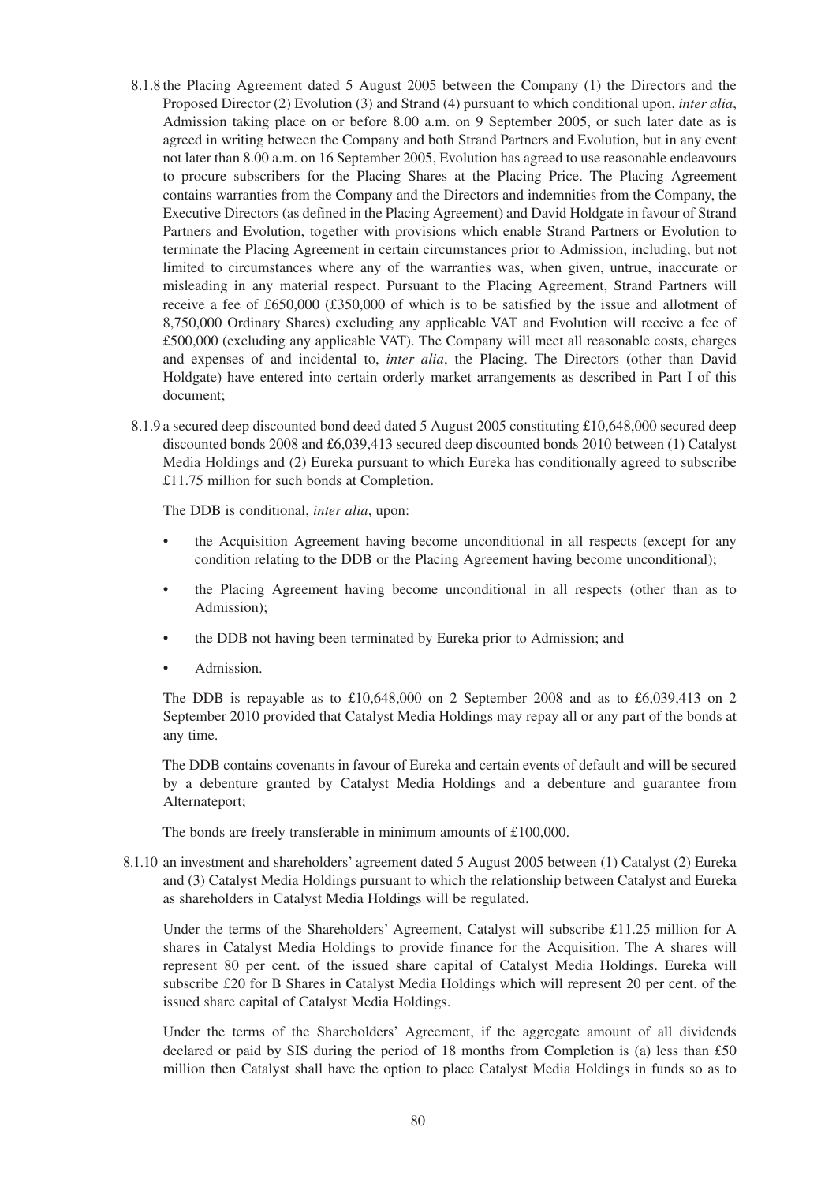- 8.1.8 the Placing Agreement dated 5 August 2005 between the Company (1) the Directors and the Proposed Director (2) Evolution (3) and Strand (4) pursuant to which conditional upon, *inter alia*, Admission taking place on or before 8.00 a.m. on 9 September 2005, or such later date as is agreed in writing between the Company and both Strand Partners and Evolution, but in any event not later than 8.00 a.m. on 16 September 2005, Evolution has agreed to use reasonable endeavours to procure subscribers for the Placing Shares at the Placing Price. The Placing Agreement contains warranties from the Company and the Directors and indemnities from the Company, the Executive Directors (as defined in the Placing Agreement) and David Holdgate in favour of Strand Partners and Evolution, together with provisions which enable Strand Partners or Evolution to terminate the Placing Agreement in certain circumstances prior to Admission, including, but not limited to circumstances where any of the warranties was, when given, untrue, inaccurate or misleading in any material respect. Pursuant to the Placing Agreement, Strand Partners will receive a fee of £650,000 (£350,000 of which is to be satisfied by the issue and allotment of 8,750,000 Ordinary Shares) excluding any applicable VAT and Evolution will receive a fee of £500,000 (excluding any applicable VAT). The Company will meet all reasonable costs, charges and expenses of and incidental to, *inter alia*, the Placing. The Directors (other than David Holdgate) have entered into certain orderly market arrangements as described in Part I of this document;
- 8.1.9 a secured deep discounted bond deed dated 5 August 2005 constituting £10,648,000 secured deep discounted bonds 2008 and £6,039,413 secured deep discounted bonds 2010 between (1) Catalyst Media Holdings and (2) Eureka pursuant to which Eureka has conditionally agreed to subscribe £11.75 million for such bonds at Completion.

The DDB is conditional, *inter alia*, upon:

- the Acquisition Agreement having become unconditional in all respects (except for any condition relating to the DDB or the Placing Agreement having become unconditional);
- the Placing Agreement having become unconditional in all respects (other than as to Admission);
- the DDB not having been terminated by Eureka prior to Admission; and
- Admission.

The DDB is repayable as to £10,648,000 on 2 September 2008 and as to £6,039,413 on 2 September 2010 provided that Catalyst Media Holdings may repay all or any part of the bonds at any time.

The DDB contains covenants in favour of Eureka and certain events of default and will be secured by a debenture granted by Catalyst Media Holdings and a debenture and guarantee from Alternateport;

The bonds are freely transferable in minimum amounts of £100,000.

8.1.10 an investment and shareholders' agreement dated 5 August 2005 between (1) Catalyst (2) Eureka and (3) Catalyst Media Holdings pursuant to which the relationship between Catalyst and Eureka as shareholders in Catalyst Media Holdings will be regulated.

Under the terms of the Shareholders' Agreement, Catalyst will subscribe £11.25 million for A shares in Catalyst Media Holdings to provide finance for the Acquisition. The A shares will represent 80 per cent. of the issued share capital of Catalyst Media Holdings. Eureka will subscribe £20 for B Shares in Catalyst Media Holdings which will represent 20 per cent. of the issued share capital of Catalyst Media Holdings.

Under the terms of the Shareholders' Agreement, if the aggregate amount of all dividends declared or paid by SIS during the period of 18 months from Completion is (a) less than  $£50$ million then Catalyst shall have the option to place Catalyst Media Holdings in funds so as to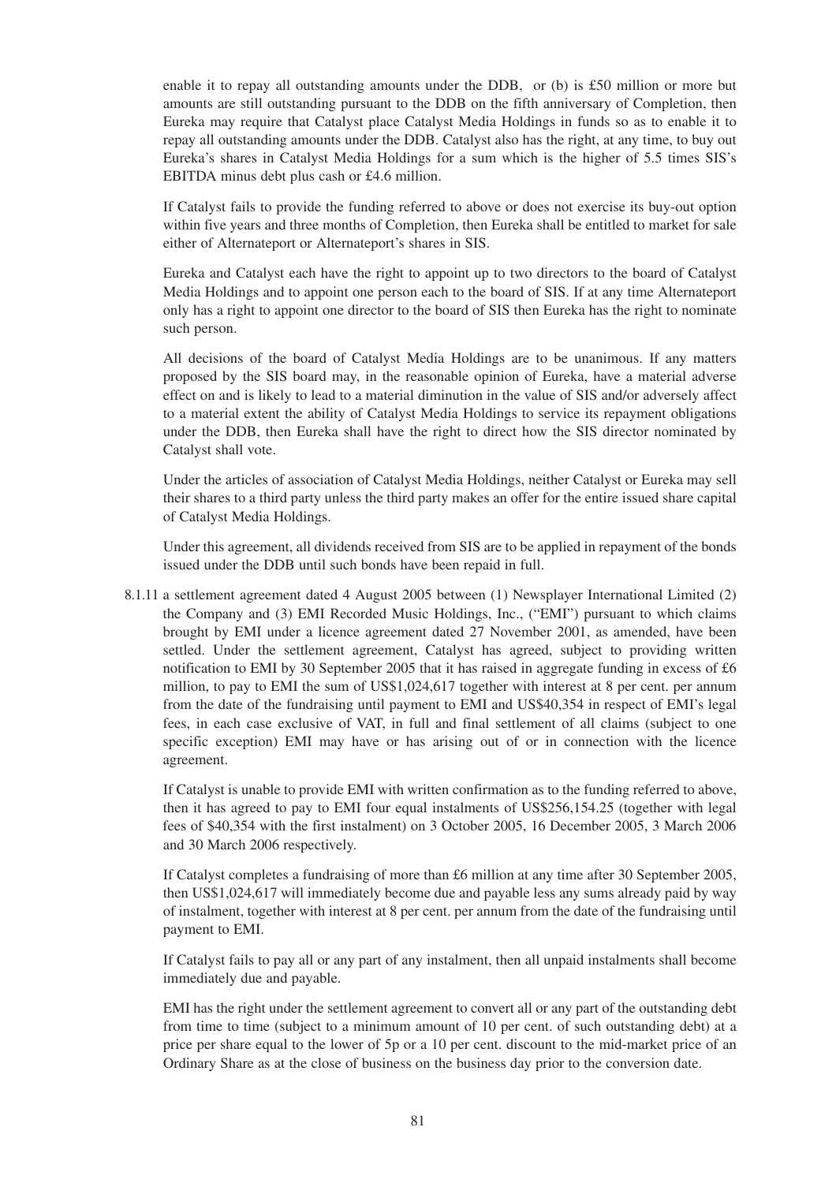enable it to repay all outstanding amounts under the DDB, or (b) is £50 million or more but amounts are still outstanding pursuant to the DDB on the fifth anniversary of Completion, then Eureka may require that Catalyst place Catalyst Media Holdings in funds so as to enable it to repay all outstanding amounts under the DDB. Catalyst also has the right, at any time, to buy out Eureka's shares in Catalyst Media Holdings for a sum which is the higher of 5.5 times SIS's EBITDA minus debt plus cash or £4.6 million.

If Catalyst fails to provide the funding referred to above or does not exercise its buy-out option within five years and three months of Completion, then Eureka shall be entitled to market for sale either of Alternateport or Alternateport's shares in SIS.

Eureka and Catalyst each have the right to appoint up to two directors to the board of Catalyst Media Holdings and to appoint one person each to the board of SIS. If at any time Alternateport only has a right to appoint one director to the board of SIS then Eureka has the right to nominate such person.

All decisions of the board of Catalyst Media Holdings are to be unanimous. If any matters proposed by the SIS board may, in the reasonable opinion of Eureka, have a material adverse effect on and is likely to lead to a material diminution in the value of SIS and/or adversely affect to a material extent the ability of Catalyst Media Holdings to service its repayment obligations under the DDB, then Eureka shall have the right to direct how the SIS director nominated by Catalyst shall vote.

Under the articles of association of Catalyst Media Holdings, neither Catalyst or Eureka may sell their shares to a third party unless the third party makes an offer for the entire issued share capital of Catalyst Media Holdings.

Under this agreement, all dividends received from SIS are to be applied in repayment of the bonds issued under the DDB until such bonds have been repaid in full.

8.1.11 a settlement agreement dated 4 August 2005 between (1) Newsplayer International Limited (2) the Company and (3) EMI Recorded Music Holdings, Inc., ("EMI") pursuant to which claims brought by EMI under a licence agreement dated 27 November 2001, as amended, have been settled. Under the settlement agreement, Catalyst has agreed, subject to providing written notification to EMI by 30 September 2005 that it has raised in aggregate funding in excess of £6 million, to pay to EMI the sum of US\$1,024,617 together with interest at 8 per cent, per annum from the date of the fundraising until payment to EMI and US\$40,354 in respect of EMI's legal fees, in each case exclusive of VAT, in full and final settlement of all claims (subject to one specific exception) EMI may have or has arising out of or in connection with the licence agreement.

If Catalyst is unable to provide EMI with written confirmation as to the funding referred to above, then it has agreed to pay to EMI four equal instalments of US\$256,154.25 (together with legal fees of \$40,354 with the first instalment) on 3 October 2005, 16 December 2005, 3 March 2006 and 30 March 2006 respectively.

If Catalyst completes a fundraising of more than £6 million at any time after 30 September 2005, then US\$1,024,617 will immediately become due and payable less any sums already paid by way of instalment, together with interest at 8 per cent. per annum from the date of the fundraising until payment to EMI.

If Catalyst fails to pay all or any part of any instalment, then all unpaid instalments shall become immediately due and payable.

EMI has the right under the settlement agreement to convert all or any part of the outstanding debt from time to time (subject to a minimum amount of 10 per cent. of such outstanding debt) at a price per share equal to the lower of 5p or a 10 per cent. discount to the mid-market price of an Ordinary Share as at the close of business on the business day prior to the conversion date.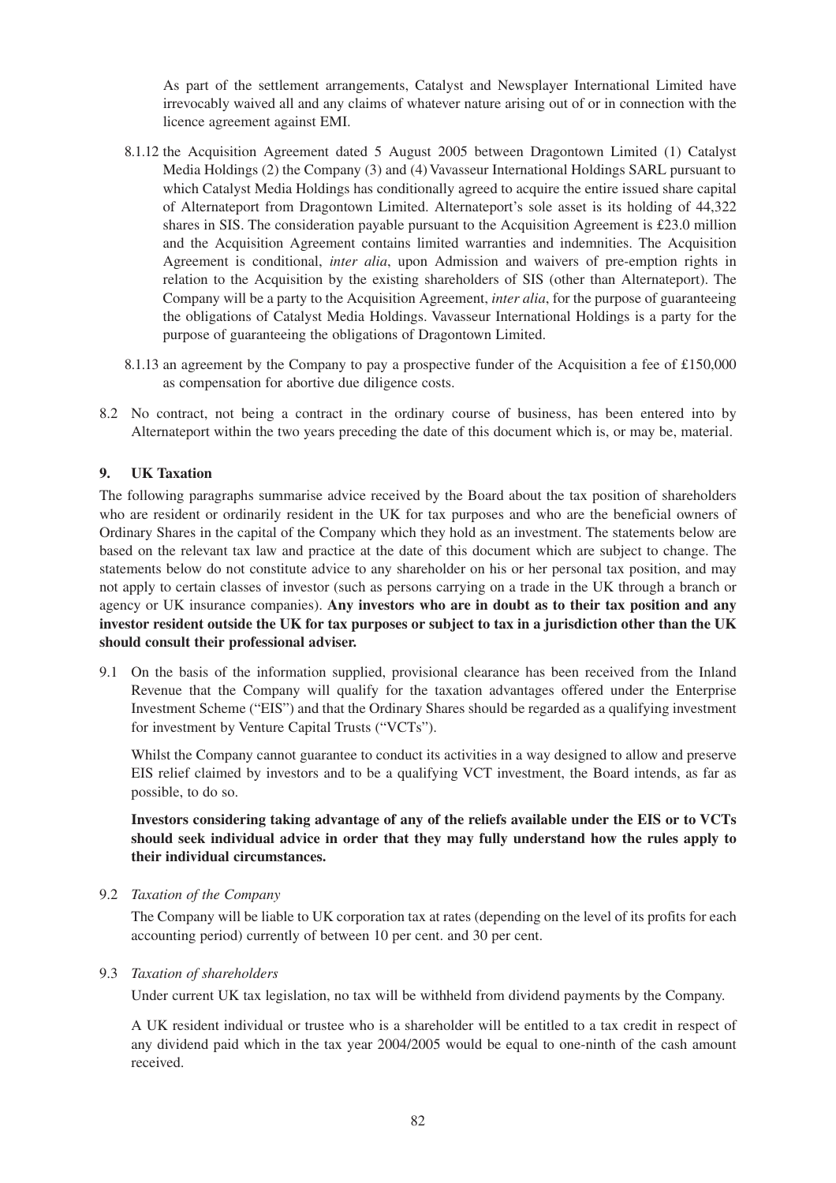As part of the settlement arrangements, Catalyst and Newsplayer International Limited have irrevocably waived all and any claims of whatever nature arising out of or in connection with the licence agreement against EMI.

- 8.1.12 the Acquisition Agreement dated 5 August 2005 between Dragontown Limited (1) Catalyst Media Holdings (2) the Company (3) and (4) Vavasseur International Holdings SARL pursuant to which Catalyst Media Holdings has conditionally agreed to acquire the entire issued share capital of Alternateport from Dragontown Limited. Alternateport's sole asset is its holding of 44,322 shares in SIS. The consideration payable pursuant to the Acquisition Agreement is £23.0 million and the Acquisition Agreement contains limited warranties and indemnities. The Acquisition Agreement is conditional, *inter alia*, upon Admission and waivers of pre-emption rights in relation to the Acquisition by the existing shareholders of SIS (other than Alternateport). The Company will be a party to the Acquisition Agreement, *inter alia*, for the purpose of guaranteeing the obligations of Catalyst Media Holdings. Vavasseur International Holdings is a party for the purpose of guaranteeing the obligations of Dragontown Limited.
- 8.1.13 an agreement by the Company to pay a prospective funder of the Acquisition a fee of £150,000 as compensation for abortive due diligence costs.
- 8.2 No contract, not being a contract in the ordinary course of business, has been entered into by Alternateport within the two years preceding the date of this document which is, or may be, material.

# **9. UK Taxation**

The following paragraphs summarise advice received by the Board about the tax position of shareholders who are resident or ordinarily resident in the UK for tax purposes and who are the beneficial owners of Ordinary Shares in the capital of the Company which they hold as an investment. The statements below are based on the relevant tax law and practice at the date of this document which are subject to change. The statements below do not constitute advice to any shareholder on his or her personal tax position, and may not apply to certain classes of investor (such as persons carrying on a trade in the UK through a branch or agency or UK insurance companies). **Any investors who are in doubt as to their tax position and any investor resident outside the UK for tax purposes or subject to tax in a jurisdiction other than the UK should consult their professional adviser.**

9.1 On the basis of the information supplied, provisional clearance has been received from the Inland Revenue that the Company will qualify for the taxation advantages offered under the Enterprise Investment Scheme ("EIS") and that the Ordinary Shares should be regarded as a qualifying investment for investment by Venture Capital Trusts ("VCTs").

Whilst the Company cannot guarantee to conduct its activities in a way designed to allow and preserve EIS relief claimed by investors and to be a qualifying VCT investment, the Board intends, as far as possible, to do so.

**Investors considering taking advantage of any of the reliefs available under the EIS or to VCTs should seek individual advice in order that they may fully understand how the rules apply to their individual circumstances.**

9.2 *Taxation of the Company*

The Company will be liable to UK corporation tax at rates (depending on the level of its profits for each accounting period) currently of between 10 per cent. and 30 per cent.

#### 9.3 *Taxation of shareholders*

Under current UK tax legislation, no tax will be withheld from dividend payments by the Company.

A UK resident individual or trustee who is a shareholder will be entitled to a tax credit in respect of any dividend paid which in the tax year 2004/2005 would be equal to one-ninth of the cash amount received.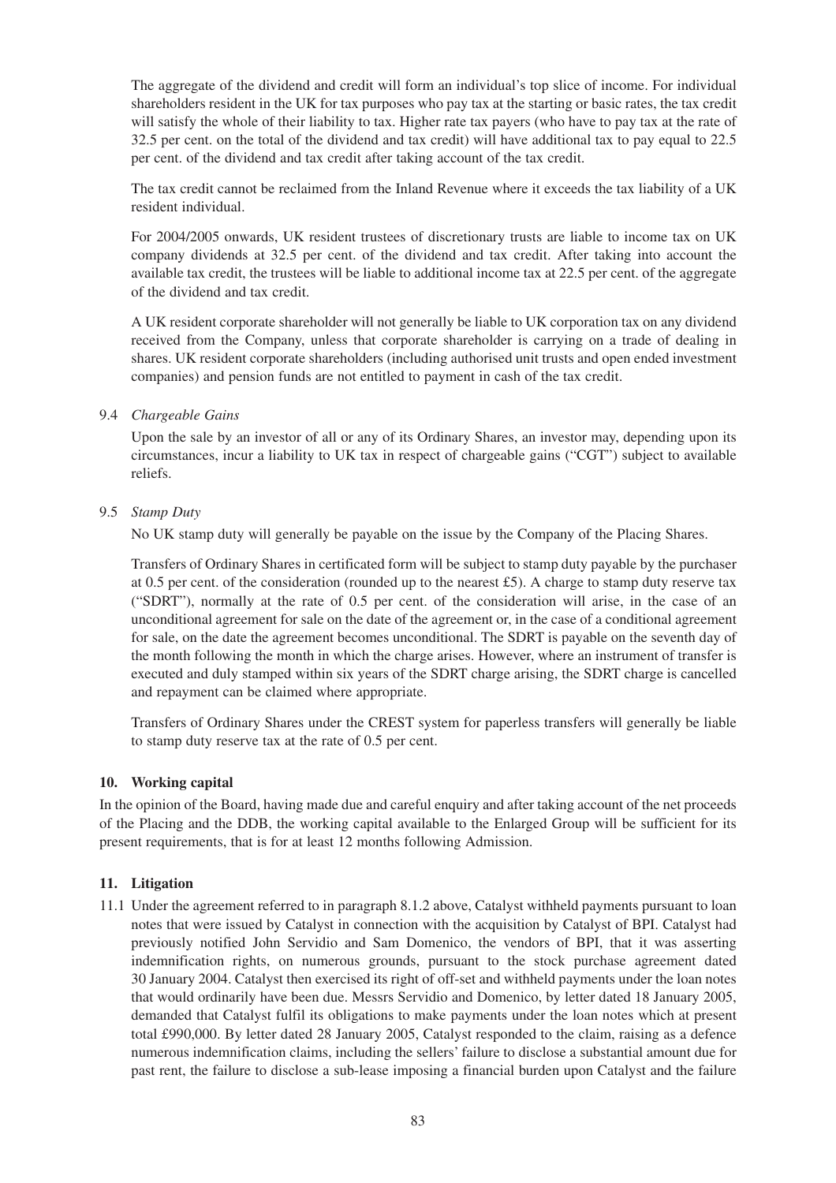The aggregate of the dividend and credit will form an individual's top slice of income. For individual shareholders resident in the UK for tax purposes who pay tax at the starting or basic rates, the tax credit will satisfy the whole of their liability to tax. Higher rate tax payers (who have to pay tax at the rate of 32.5 per cent. on the total of the dividend and tax credit) will have additional tax to pay equal to 22.5 per cent. of the dividend and tax credit after taking account of the tax credit.

The tax credit cannot be reclaimed from the Inland Revenue where it exceeds the tax liability of a UK resident individual.

For 2004/2005 onwards, UK resident trustees of discretionary trusts are liable to income tax on UK company dividends at 32.5 per cent. of the dividend and tax credit. After taking into account the available tax credit, the trustees will be liable to additional income tax at 22.5 per cent. of the aggregate of the dividend and tax credit.

A UK resident corporate shareholder will not generally be liable to UK corporation tax on any dividend received from the Company, unless that corporate shareholder is carrying on a trade of dealing in shares. UK resident corporate shareholders (including authorised unit trusts and open ended investment companies) and pension funds are not entitled to payment in cash of the tax credit.

# 9.4 *Chargeable Gains*

Upon the sale by an investor of all or any of its Ordinary Shares, an investor may, depending upon its circumstances, incur a liability to UK tax in respect of chargeable gains ("CGT") subject to available reliefs.

## 9.5 *Stamp Duty*

No UK stamp duty will generally be payable on the issue by the Company of the Placing Shares.

Transfers of Ordinary Shares in certificated form will be subject to stamp duty payable by the purchaser at 0.5 per cent. of the consideration (rounded up to the nearest £5). A charge to stamp duty reserve tax ("SDRT"), normally at the rate of 0.5 per cent. of the consideration will arise, in the case of an unconditional agreement for sale on the date of the agreement or, in the case of a conditional agreement for sale, on the date the agreement becomes unconditional. The SDRT is payable on the seventh day of the month following the month in which the charge arises. However, where an instrument of transfer is executed and duly stamped within six years of the SDRT charge arising, the SDRT charge is cancelled and repayment can be claimed where appropriate.

Transfers of Ordinary Shares under the CREST system for paperless transfers will generally be liable to stamp duty reserve tax at the rate of 0.5 per cent.

#### **10. Working capital**

In the opinion of the Board, having made due and careful enquiry and after taking account of the net proceeds of the Placing and the DDB, the working capital available to the Enlarged Group will be sufficient for its present requirements, that is for at least 12 months following Admission.

# **11. Litigation**

11.1 Under the agreement referred to in paragraph 8.1.2 above, Catalyst withheld payments pursuant to loan notes that were issued by Catalyst in connection with the acquisition by Catalyst of BPI. Catalyst had previously notified John Servidio and Sam Domenico, the vendors of BPI, that it was asserting indemnification rights, on numerous grounds, pursuant to the stock purchase agreement dated 30 January 2004. Catalyst then exercised its right of off-set and withheld payments under the loan notes that would ordinarily have been due. Messrs Servidio and Domenico, by letter dated 18 January 2005, demanded that Catalyst fulfil its obligations to make payments under the loan notes which at present total £990,000. By letter dated 28 January 2005, Catalyst responded to the claim, raising as a defence numerous indemnification claims, including the sellers' failure to disclose a substantial amount due for past rent, the failure to disclose a sub-lease imposing a financial burden upon Catalyst and the failure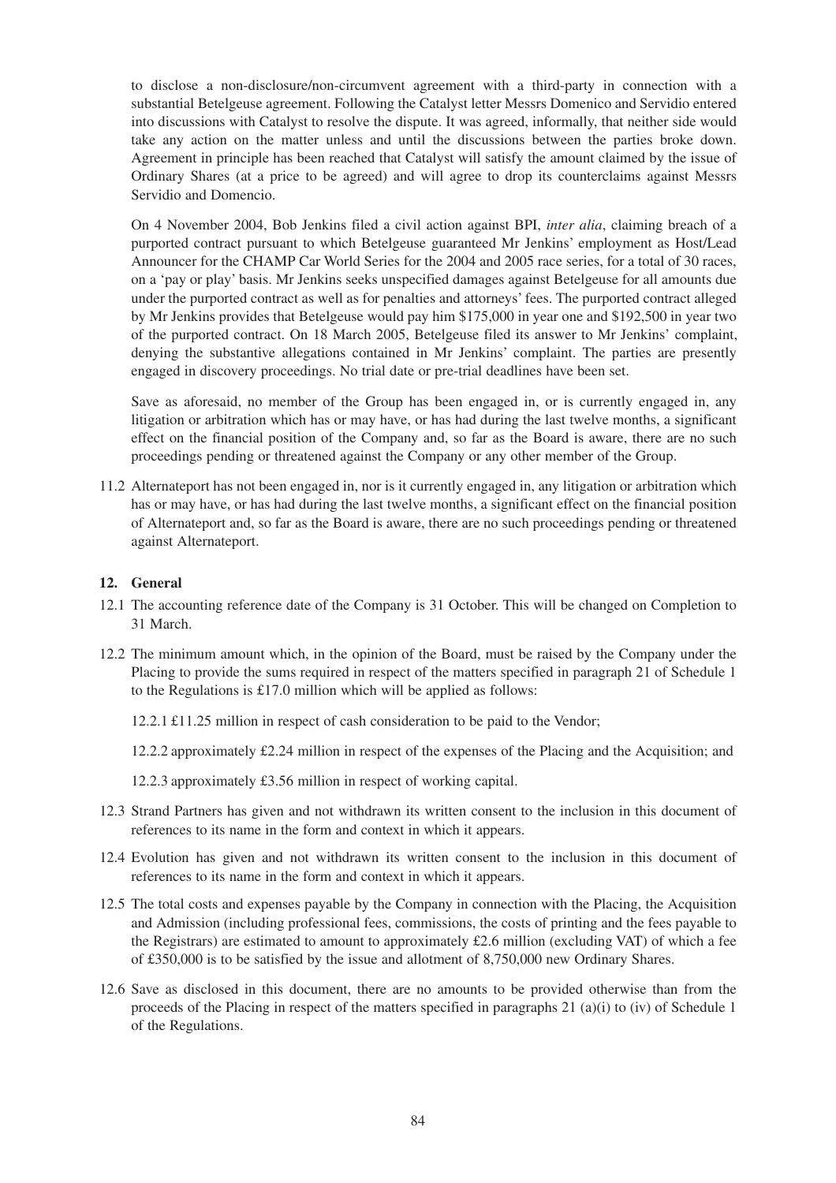to disclose a non-disclosure/non-circumvent agreement with a third-party in connection with a substantial Betelgeuse agreement. Following the Catalyst letter Messrs Domenico and Servidio entered into discussions with Catalyst to resolve the dispute. It was agreed, informally, that neither side would take any action on the matter unless and until the discussions between the parties broke down. Agreement in principle has been reached that Catalyst will satisfy the amount claimed by the issue of Ordinary Shares (at a price to be agreed) and will agree to drop its counterclaims against Messrs Servidio and Domencio.

On 4 November 2004, Bob Jenkins filed a civil action against BPI, *inter alia*, claiming breach of a purported contract pursuant to which Betelgeuse guaranteed Mr Jenkins' employment as Host/Lead Announcer for the CHAMP Car World Series for the 2004 and 2005 race series, for a total of 30 races, on a 'pay or play' basis. Mr Jenkins seeks unspecified damages against Betelgeuse for all amounts due under the purported contract as well as for penalties and attorneys' fees. The purported contract alleged by Mr Jenkins provides that Betelgeuse would pay him \$175,000 in year one and \$192,500 in year two of the purported contract. On 18 March 2005, Betelgeuse filed its answer to Mr Jenkins' complaint, denying the substantive allegations contained in Mr Jenkins' complaint. The parties are presently engaged in discovery proceedings. No trial date or pre-trial deadlines have been set.

Save as aforesaid, no member of the Group has been engaged in, or is currently engaged in, any litigation or arbitration which has or may have, or has had during the last twelve months, a significant effect on the financial position of the Company and, so far as the Board is aware, there are no such proceedings pending or threatened against the Company or any other member of the Group.

11.2 Alternateport has not been engaged in, nor is it currently engaged in, any litigation or arbitration which has or may have, or has had during the last twelve months, a significant effect on the financial position of Alternateport and, so far as the Board is aware, there are no such proceedings pending or threatened against Alternateport.

# **12. General**

- 12.1 The accounting reference date of the Company is 31 October. This will be changed on Completion to 31 March.
- 12.2 The minimum amount which, in the opinion of the Board, must be raised by the Company under the Placing to provide the sums required in respect of the matters specified in paragraph 21 of Schedule 1 to the Regulations is £17.0 million which will be applied as follows:

12.2.1 £11.25 million in respect of cash consideration to be paid to the Vendor;

12.2.2 approximately £2.24 million in respect of the expenses of the Placing and the Acquisition; and

12.2.3 approximately £3.56 million in respect of working capital.

- 12.3 Strand Partners has given and not withdrawn its written consent to the inclusion in this document of references to its name in the form and context in which it appears.
- 12.4 Evolution has given and not withdrawn its written consent to the inclusion in this document of references to its name in the form and context in which it appears.
- 12.5 The total costs and expenses payable by the Company in connection with the Placing, the Acquisition and Admission (including professional fees, commissions, the costs of printing and the fees payable to the Registrars) are estimated to amount to approximately £2.6 million (excluding VAT) of which a fee of £350,000 is to be satisfied by the issue and allotment of 8,750,000 new Ordinary Shares.
- 12.6 Save as disclosed in this document, there are no amounts to be provided otherwise than from the proceeds of the Placing in respect of the matters specified in paragraphs 21 (a)(i) to (iv) of Schedule 1 of the Regulations.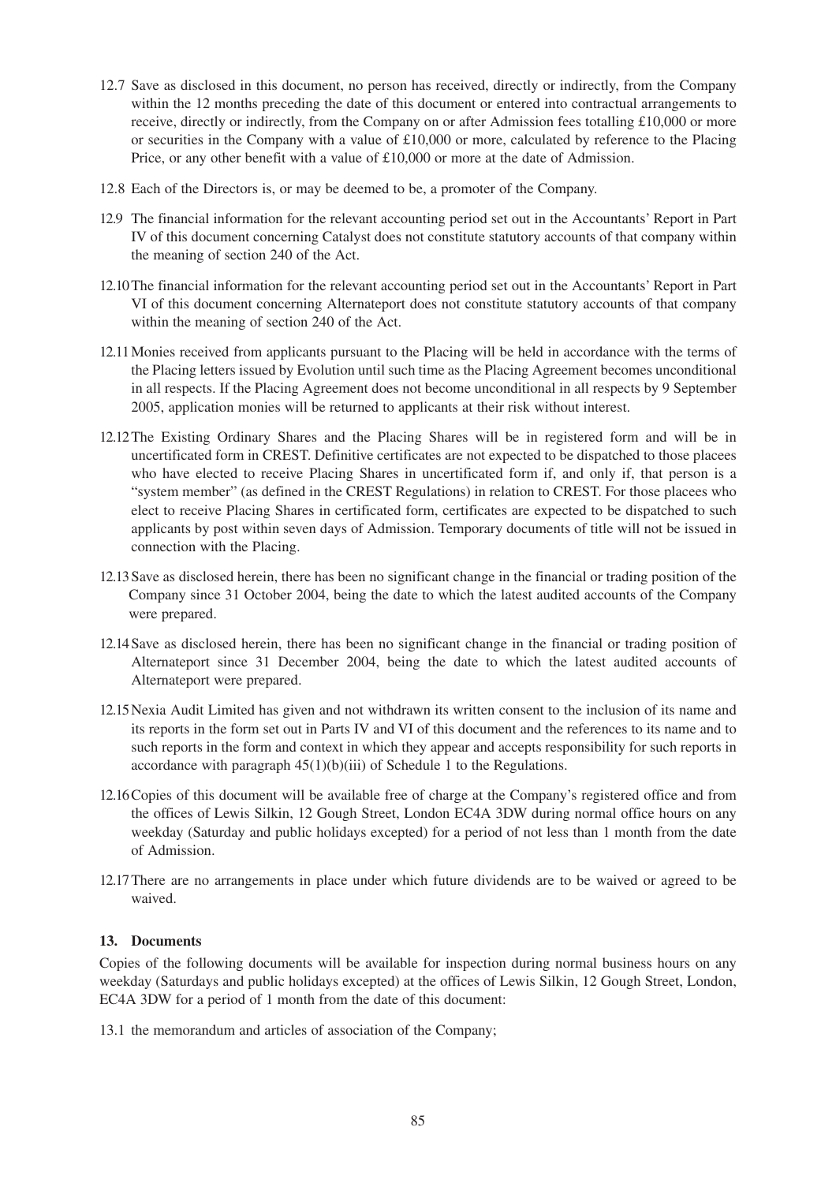- 12.7 Save as disclosed in this document, no person has received, directly or indirectly, from the Company within the 12 months preceding the date of this document or entered into contractual arrangements to receive, directly or indirectly, from the Company on or after Admission fees totalling £10,000 or more or securities in the Company with a value of £10,000 or more, calculated by reference to the Placing Price, or any other benefit with a value of £10,000 or more at the date of Admission.
- 12.8 Each of the Directors is, or may be deemed to be, a promoter of the Company.
- 12.9 The financial information for the relevant accounting period set out in the Accountants' Report in Part IV of this document concerning Catalyst does not constitute statutory accounts of that company within the meaning of section 240 of the Act.
- 12.10The financial information for the relevant accounting period set out in the Accountants' Report in Part VI of this document concerning Alternateport does not constitute statutory accounts of that company within the meaning of section 240 of the Act.
- 12.11Monies received from applicants pursuant to the Placing will be held in accordance with the terms of the Placing letters issued by Evolution until such time as the Placing Agreement becomes unconditional in all respects. If the Placing Agreement does not become unconditional in all respects by 9 September 2005, application monies will be returned to applicants at their risk without interest.
- 12.12The Existing Ordinary Shares and the Placing Shares will be in registered form and will be in uncertificated form in CREST. Definitive certificates are not expected to be dispatched to those placees who have elected to receive Placing Shares in uncertificated form if, and only if, that person is a "system member" (as defined in the CREST Regulations) in relation to CREST. For those placees who elect to receive Placing Shares in certificated form, certificates are expected to be dispatched to such applicants by post within seven days of Admission. Temporary documents of title will not be issued in connection with the Placing.
- 12.13Save as disclosed herein, there has been no significant change in the financial or trading position of the Company since 31 October 2004, being the date to which the latest audited accounts of the Company were prepared.
- 12.14Save as disclosed herein, there has been no significant change in the financial or trading position of Alternateport since 31 December 2004, being the date to which the latest audited accounts of Alternateport were prepared.
- 12.15Nexia Audit Limited has given and not withdrawn its written consent to the inclusion of its name and its reports in the form set out in Parts IV and VI of this document and the references to its name and to such reports in the form and context in which they appear and accepts responsibility for such reports in accordance with paragraph  $45(1)(b)(iii)$  of Schedule 1 to the Regulations.
- 12.16Copies of this document will be available free of charge at the Company's registered office and from the offices of Lewis Silkin, 12 Gough Street, London EC4A 3DW during normal office hours on any weekday (Saturday and public holidays excepted) for a period of not less than 1 month from the date of Admission.
- 12.17There are no arrangements in place under which future dividends are to be waived or agreed to be waived.

# **13. Documents**

Copies of the following documents will be available for inspection during normal business hours on any weekday (Saturdays and public holidays excepted) at the offices of Lewis Silkin, 12 Gough Street, London, EC4A 3DW for a period of 1 month from the date of this document:

13.1 the memorandum and articles of association of the Company;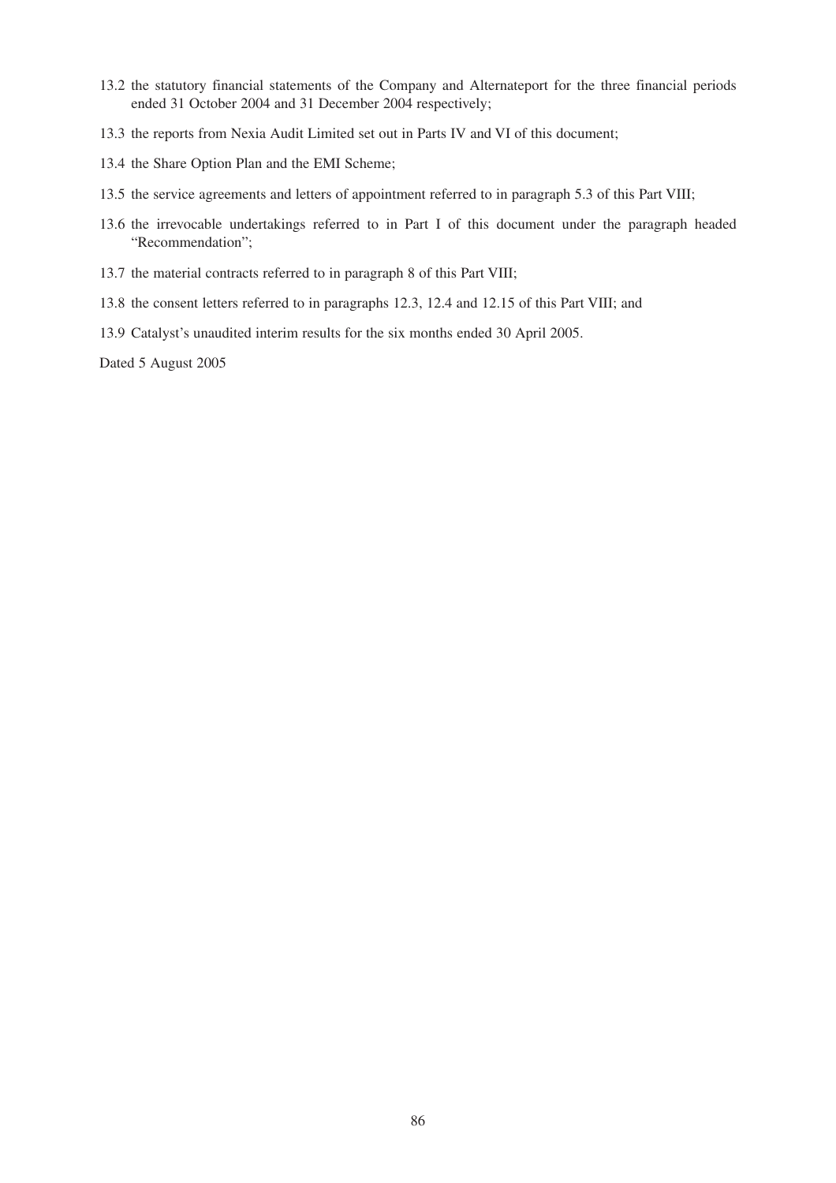- 13.2 the statutory financial statements of the Company and Alternateport for the three financial periods ended 31 October 2004 and 31 December 2004 respectively;
- 13.3 the reports from Nexia Audit Limited set out in Parts IV and VI of this document;
- 13.4 the Share Option Plan and the EMI Scheme;
- 13.5 the service agreements and letters of appointment referred to in paragraph 5.3 of this Part VIII;
- 13.6 the irrevocable undertakings referred to in Part I of this document under the paragraph headed "Recommendation";
- 13.7 the material contracts referred to in paragraph 8 of this Part VIII;
- 13.8 the consent letters referred to in paragraphs 12.3, 12.4 and 12.15 of this Part VIII; and
- 13.9 Catalyst's unaudited interim results for the six months ended 30 April 2005.

Dated 5 August 2005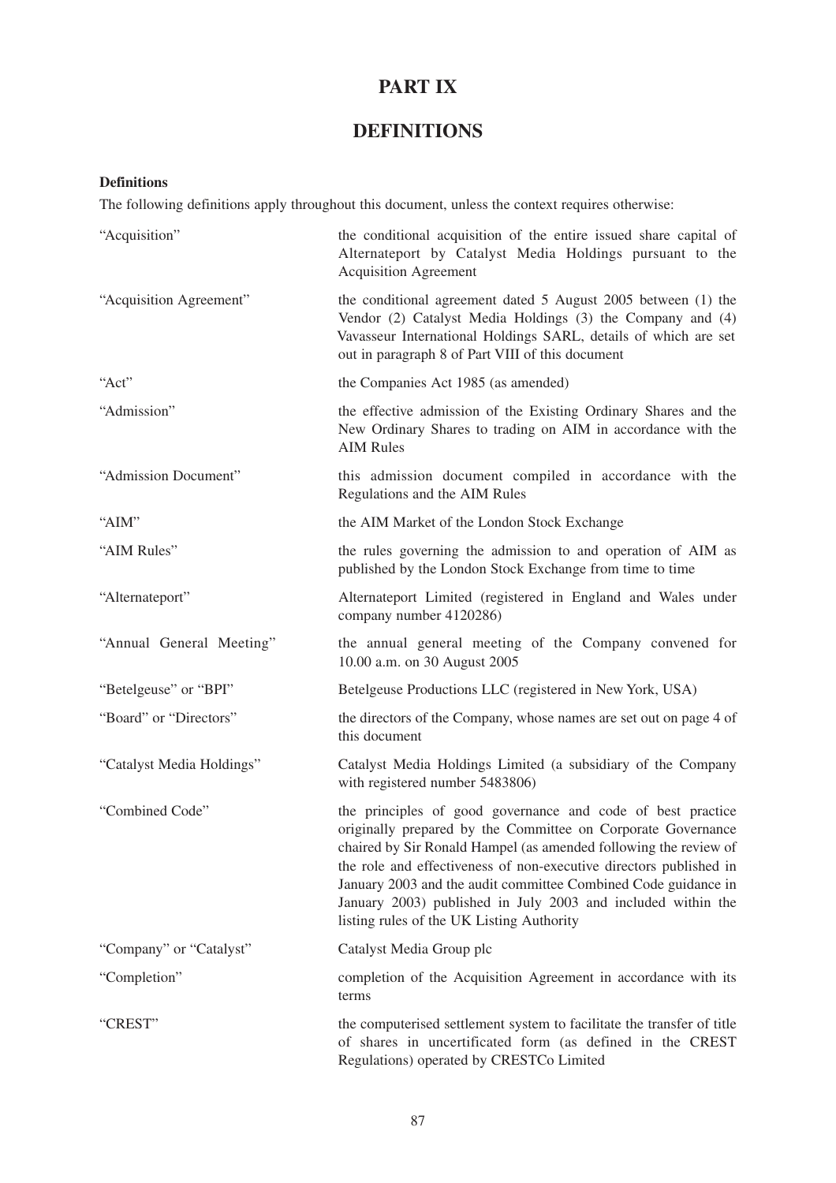# **PART IX**

# **DEFINITIONS**

# **Definitions**

The following definitions apply throughout this document, unless the context requires otherwise:

| "Acquisition"             | the conditional acquisition of the entire issued share capital of<br>Alternateport by Catalyst Media Holdings pursuant to the<br><b>Acquisition Agreement</b>                                                                                                                                                                                                                                                                                        |
|---------------------------|------------------------------------------------------------------------------------------------------------------------------------------------------------------------------------------------------------------------------------------------------------------------------------------------------------------------------------------------------------------------------------------------------------------------------------------------------|
| "Acquisition Agreement"   | the conditional agreement dated 5 August 2005 between (1) the<br>Vendor (2) Catalyst Media Holdings (3) the Company and (4)<br>Vavasseur International Holdings SARL, details of which are set<br>out in paragraph 8 of Part VIII of this document                                                                                                                                                                                                   |
| "Act"                     | the Companies Act 1985 (as amended)                                                                                                                                                                                                                                                                                                                                                                                                                  |
| "Admission"               | the effective admission of the Existing Ordinary Shares and the<br>New Ordinary Shares to trading on AIM in accordance with the<br><b>AIM Rules</b>                                                                                                                                                                                                                                                                                                  |
| "Admission Document"      | this admission document compiled in accordance with the<br>Regulations and the AIM Rules                                                                                                                                                                                                                                                                                                                                                             |
| "AIM"                     | the AIM Market of the London Stock Exchange                                                                                                                                                                                                                                                                                                                                                                                                          |
| "AIM Rules"               | the rules governing the admission to and operation of AIM as<br>published by the London Stock Exchange from time to time                                                                                                                                                                                                                                                                                                                             |
| "Alternateport"           | Alternateport Limited (registered in England and Wales under<br>company number 4120286)                                                                                                                                                                                                                                                                                                                                                              |
| "Annual General Meeting"  | the annual general meeting of the Company convened for<br>10.00 a.m. on 30 August 2005                                                                                                                                                                                                                                                                                                                                                               |
| "Betelgeuse" or "BPI"     | Betelgeuse Productions LLC (registered in New York, USA)                                                                                                                                                                                                                                                                                                                                                                                             |
| "Board" or "Directors"    | the directors of the Company, whose names are set out on page 4 of<br>this document                                                                                                                                                                                                                                                                                                                                                                  |
| "Catalyst Media Holdings" | Catalyst Media Holdings Limited (a subsidiary of the Company<br>with registered number 5483806)                                                                                                                                                                                                                                                                                                                                                      |
| "Combined Code"           | the principles of good governance and code of best practice<br>originally prepared by the Committee on Corporate Governance<br>chaired by Sir Ronald Hampel (as amended following the review of<br>the role and effectiveness of non-executive directors published in<br>January 2003 and the audit committee Combined Code guidance in<br>January 2003) published in July 2003 and included within the<br>listing rules of the UK Listing Authority |
| "Company" or "Catalyst"   | Catalyst Media Group plc                                                                                                                                                                                                                                                                                                                                                                                                                             |
| "Completion"              | completion of the Acquisition Agreement in accordance with its<br>terms                                                                                                                                                                                                                                                                                                                                                                              |
| "CREST"                   | the computerised settlement system to facilitate the transfer of title<br>of shares in uncertificated form (as defined in the CREST<br>Regulations) operated by CRESTCo Limited                                                                                                                                                                                                                                                                      |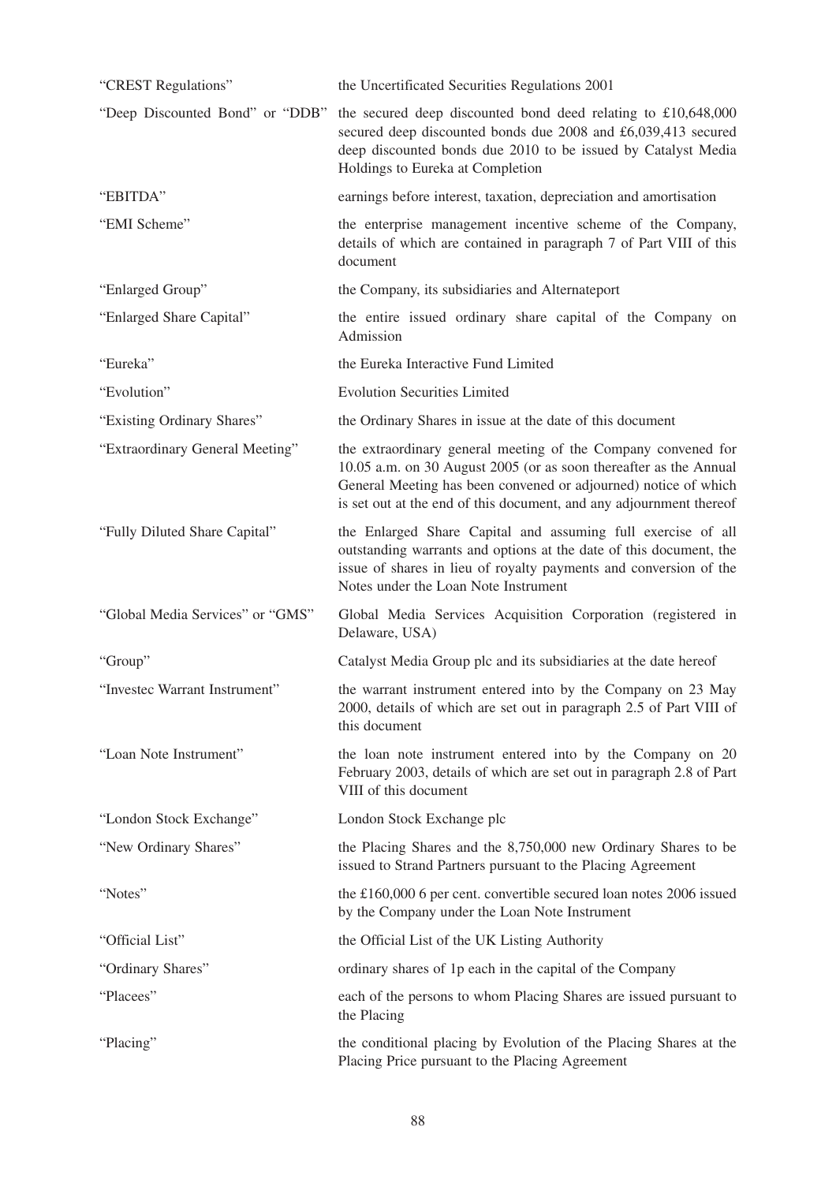| "CREST Regulations"              | the Uncertificated Securities Regulations 2001                                                                                                                                                                                                                               |
|----------------------------------|------------------------------------------------------------------------------------------------------------------------------------------------------------------------------------------------------------------------------------------------------------------------------|
| "Deep Discounted Bond" or "DDB"  | the secured deep discounted bond deed relating to £10,648,000<br>secured deep discounted bonds due 2008 and £6,039,413 secured<br>deep discounted bonds due 2010 to be issued by Catalyst Media<br>Holdings to Eureka at Completion                                          |
| "EBITDA"                         | earnings before interest, taxation, depreciation and amortisation                                                                                                                                                                                                            |
| "EMI Scheme"                     | the enterprise management incentive scheme of the Company,<br>details of which are contained in paragraph 7 of Part VIII of this<br>document                                                                                                                                 |
| "Enlarged Group"                 | the Company, its subsidiaries and Alternateport                                                                                                                                                                                                                              |
| "Enlarged Share Capital"         | the entire issued ordinary share capital of the Company on<br>Admission                                                                                                                                                                                                      |
| "Eureka"                         | the Eureka Interactive Fund Limited                                                                                                                                                                                                                                          |
| "Evolution"                      | <b>Evolution Securities Limited</b>                                                                                                                                                                                                                                          |
| "Existing Ordinary Shares"       | the Ordinary Shares in issue at the date of this document                                                                                                                                                                                                                    |
| "Extraordinary General Meeting"  | the extraordinary general meeting of the Company convened for<br>10.05 a.m. on 30 August 2005 (or as soon thereafter as the Annual<br>General Meeting has been convened or adjourned) notice of which<br>is set out at the end of this document, and any adjournment thereof |
| "Fully Diluted Share Capital"    | the Enlarged Share Capital and assuming full exercise of all<br>outstanding warrants and options at the date of this document, the<br>issue of shares in lieu of royalty payments and conversion of the<br>Notes under the Loan Note Instrument                              |
| "Global Media Services" or "GMS" | Global Media Services Acquisition Corporation (registered in<br>Delaware, USA)                                                                                                                                                                                               |
| "Group"                          | Catalyst Media Group plc and its subsidiaries at the date hereof                                                                                                                                                                                                             |
| "Investec Warrant Instrument"    | the warrant instrument entered into by the Company on 23 May<br>2000, details of which are set out in paragraph 2.5 of Part VIII of<br>this document                                                                                                                         |
| "Loan Note Instrument"           | the loan note instrument entered into by the Company on 20<br>February 2003, details of which are set out in paragraph 2.8 of Part<br>VIII of this document                                                                                                                  |
| "London Stock Exchange"          | London Stock Exchange plc                                                                                                                                                                                                                                                    |
| "New Ordinary Shares"            | the Placing Shares and the 8,750,000 new Ordinary Shares to be<br>issued to Strand Partners pursuant to the Placing Agreement                                                                                                                                                |
| "Notes"                          | the £160,000 6 per cent. convertible secured loan notes 2006 issued<br>by the Company under the Loan Note Instrument                                                                                                                                                         |
| "Official List"                  | the Official List of the UK Listing Authority                                                                                                                                                                                                                                |
| "Ordinary Shares"                | ordinary shares of 1p each in the capital of the Company                                                                                                                                                                                                                     |
| "Placees"                        | each of the persons to whom Placing Shares are issued pursuant to<br>the Placing                                                                                                                                                                                             |
| "Placing"                        | the conditional placing by Evolution of the Placing Shares at the<br>Placing Price pursuant to the Placing Agreement                                                                                                                                                         |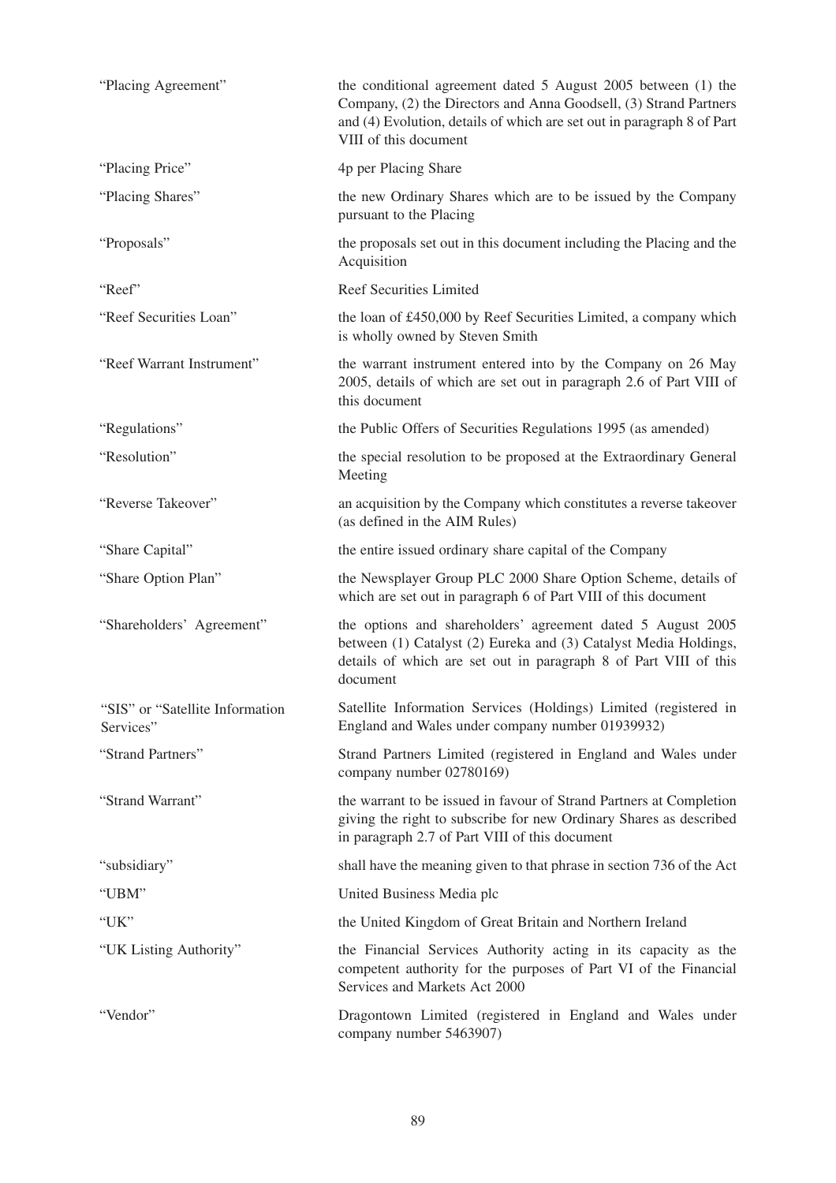| "Placing Agreement"                          | the conditional agreement dated 5 August 2005 between (1) the<br>Company, (2) the Directors and Anna Goodsell, (3) Strand Partners<br>and (4) Evolution, details of which are set out in paragraph 8 of Part<br>VIII of this document |
|----------------------------------------------|---------------------------------------------------------------------------------------------------------------------------------------------------------------------------------------------------------------------------------------|
| "Placing Price"                              | 4p per Placing Share                                                                                                                                                                                                                  |
| "Placing Shares"                             | the new Ordinary Shares which are to be issued by the Company<br>pursuant to the Placing                                                                                                                                              |
| "Proposals"                                  | the proposals set out in this document including the Placing and the<br>Acquisition                                                                                                                                                   |
| "Reef"                                       | Reef Securities Limited                                                                                                                                                                                                               |
| "Reef Securities Loan"                       | the loan of £450,000 by Reef Securities Limited, a company which<br>is wholly owned by Steven Smith                                                                                                                                   |
| "Reef Warrant Instrument"                    | the warrant instrument entered into by the Company on 26 May<br>2005, details of which are set out in paragraph 2.6 of Part VIII of<br>this document                                                                                  |
| "Regulations"                                | the Public Offers of Securities Regulations 1995 (as amended)                                                                                                                                                                         |
| "Resolution"                                 | the special resolution to be proposed at the Extraordinary General<br>Meeting                                                                                                                                                         |
| "Reverse Takeover"                           | an acquisition by the Company which constitutes a reverse takeover<br>(as defined in the AIM Rules)                                                                                                                                   |
| "Share Capital"                              | the entire issued ordinary share capital of the Company                                                                                                                                                                               |
| "Share Option Plan"                          | the Newsplayer Group PLC 2000 Share Option Scheme, details of<br>which are set out in paragraph 6 of Part VIII of this document                                                                                                       |
| "Shareholders' Agreement"                    | the options and shareholders' agreement dated 5 August 2005<br>between (1) Catalyst (2) Eureka and (3) Catalyst Media Holdings,<br>details of which are set out in paragraph 8 of Part VIII of this<br>document                       |
| "SIS" or "Satellite Information<br>Services" | Satellite Information Services (Holdings) Limited (registered in<br>England and Wales under company number 01939932)                                                                                                                  |
| "Strand Partners"                            | Strand Partners Limited (registered in England and Wales under<br>company number 02780169)                                                                                                                                            |
| "Strand Warrant"                             | the warrant to be issued in favour of Strand Partners at Completion<br>giving the right to subscribe for new Ordinary Shares as described<br>in paragraph 2.7 of Part VIII of this document                                           |
| "subsidiary"                                 | shall have the meaning given to that phrase in section 736 of the Act                                                                                                                                                                 |
| "UBM"                                        | United Business Media plc                                                                                                                                                                                                             |
| "UK"                                         | the United Kingdom of Great Britain and Northern Ireland                                                                                                                                                                              |
| "UK Listing Authority"                       | the Financial Services Authority acting in its capacity as the<br>competent authority for the purposes of Part VI of the Financial<br>Services and Markets Act 2000                                                                   |
| "Vendor"                                     | Dragontown Limited (registered in England and Wales under<br>company number 5463907)                                                                                                                                                  |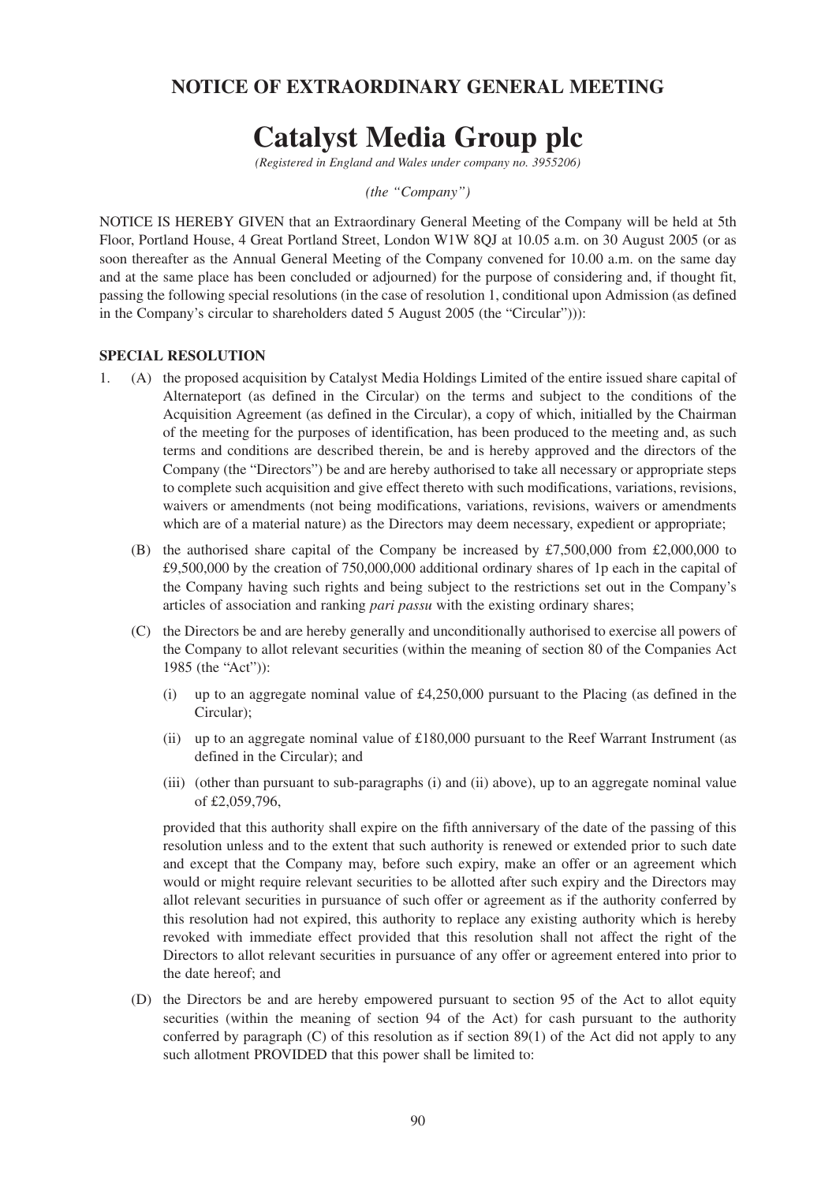# **NOTICE OF EXTRAORDINARY GENERAL MEETING**

# **Catalyst Media Group plc**

*(Registered in England and Wales under company no. 3955206)*

*(the "Company")*

NOTICE IS HEREBY GIVEN that an Extraordinary General Meeting of the Company will be held at 5th Floor, Portland House, 4 Great Portland Street, London W1W 8QJ at 10.05 a.m. on 30 August 2005 (or as soon thereafter as the Annual General Meeting of the Company convened for 10.00 a.m. on the same day and at the same place has been concluded or adjourned) for the purpose of considering and, if thought fit, passing the following special resolutions (in the case of resolution 1, conditional upon Admission (as defined in the Company's circular to shareholders dated 5 August 2005 (the "Circular"))):

## **SPECIAL RESOLUTION**

- 1. (A) the proposed acquisition by Catalyst Media Holdings Limited of the entire issued share capital of Alternateport (as defined in the Circular) on the terms and subject to the conditions of the Acquisition Agreement (as defined in the Circular), a copy of which, initialled by the Chairman of the meeting for the purposes of identification, has been produced to the meeting and, as such terms and conditions are described therein, be and is hereby approved and the directors of the Company (the "Directors") be and are hereby authorised to take all necessary or appropriate steps to complete such acquisition and give effect thereto with such modifications, variations, revisions, waivers or amendments (not being modifications, variations, revisions, waivers or amendments which are of a material nature) as the Directors may deem necessary, expedient or appropriate;
	- (B) the authorised share capital of the Company be increased by £7,500,000 from £2,000,000 to £9,500,000 by the creation of 750,000,000 additional ordinary shares of 1p each in the capital of the Company having such rights and being subject to the restrictions set out in the Company's articles of association and ranking *pari passu* with the existing ordinary shares;
	- (C) the Directors be and are hereby generally and unconditionally authorised to exercise all powers of the Company to allot relevant securities (within the meaning of section 80 of the Companies Act 1985 (the "Act")):
		- (i) up to an aggregate nominal value of  $\text{\pounds}4.250,000$  pursuant to the Placing (as defined in the Circular);
		- (ii) up to an aggregate nominal value of £180,000 pursuant to the Reef Warrant Instrument (as defined in the Circular); and
		- (iii) (other than pursuant to sub-paragraphs (i) and (ii) above), up to an aggregate nominal value of £2,059,796,

provided that this authority shall expire on the fifth anniversary of the date of the passing of this resolution unless and to the extent that such authority is renewed or extended prior to such date and except that the Company may, before such expiry, make an offer or an agreement which would or might require relevant securities to be allotted after such expiry and the Directors may allot relevant securities in pursuance of such offer or agreement as if the authority conferred by this resolution had not expired, this authority to replace any existing authority which is hereby revoked with immediate effect provided that this resolution shall not affect the right of the Directors to allot relevant securities in pursuance of any offer or agreement entered into prior to the date hereof; and

(D) the Directors be and are hereby empowered pursuant to section 95 of the Act to allot equity securities (within the meaning of section 94 of the Act) for cash pursuant to the authority conferred by paragraph (C) of this resolution as if section 89(1) of the Act did not apply to any such allotment PROVIDED that this power shall be limited to: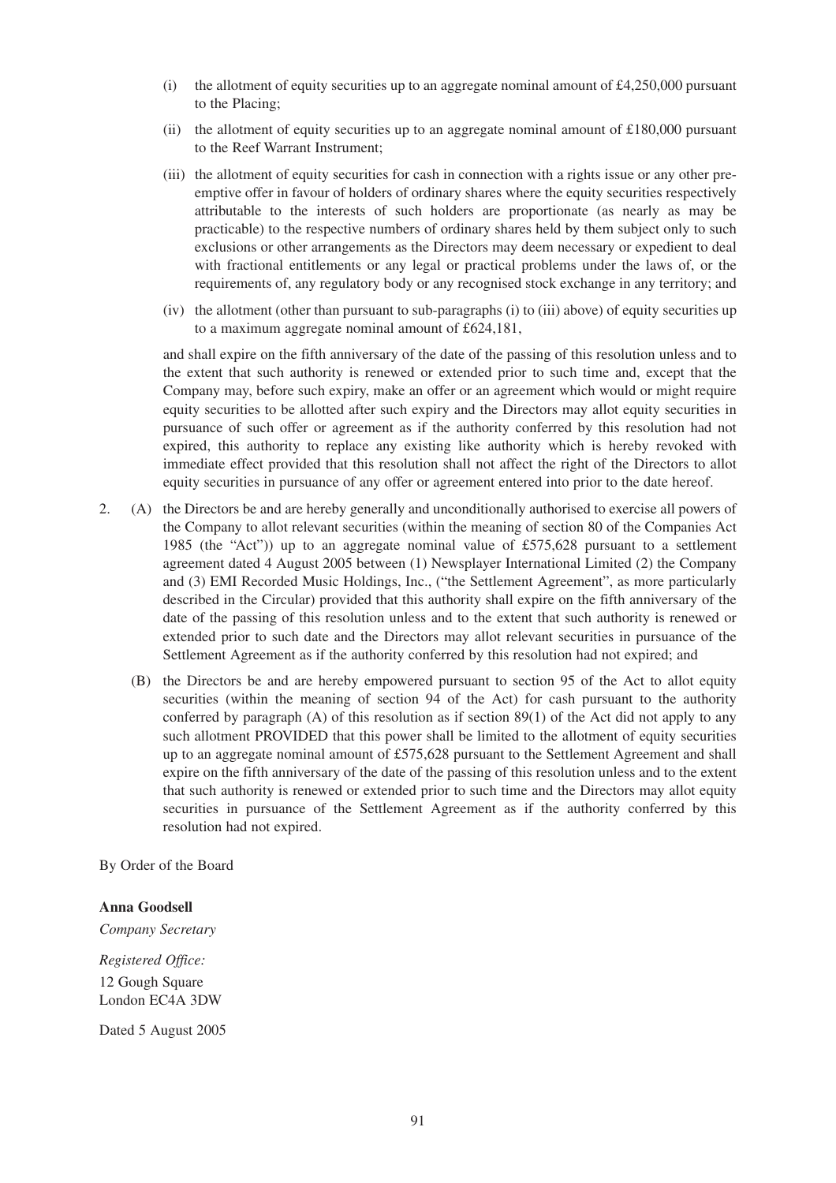- (i) the allotment of equity securities up to an aggregate nominal amount of £4,250,000 pursuant to the Placing;
- (ii) the allotment of equity securities up to an aggregate nominal amount of  $£180,000$  pursuant to the Reef Warrant Instrument;
- (iii) the allotment of equity securities for cash in connection with a rights issue or any other preemptive offer in favour of holders of ordinary shares where the equity securities respectively attributable to the interests of such holders are proportionate (as nearly as may be practicable) to the respective numbers of ordinary shares held by them subject only to such exclusions or other arrangements as the Directors may deem necessary or expedient to deal with fractional entitlements or any legal or practical problems under the laws of, or the requirements of, any regulatory body or any recognised stock exchange in any territory; and
- (iv) the allotment (other than pursuant to sub-paragraphs (i) to (iii) above) of equity securities up to a maximum aggregate nominal amount of £624,181,

and shall expire on the fifth anniversary of the date of the passing of this resolution unless and to the extent that such authority is renewed or extended prior to such time and, except that the Company may, before such expiry, make an offer or an agreement which would or might require equity securities to be allotted after such expiry and the Directors may allot equity securities in pursuance of such offer or agreement as if the authority conferred by this resolution had not expired, this authority to replace any existing like authority which is hereby revoked with immediate effect provided that this resolution shall not affect the right of the Directors to allot equity securities in pursuance of any offer or agreement entered into prior to the date hereof.

- 2. (A) the Directors be and are hereby generally and unconditionally authorised to exercise all powers of the Company to allot relevant securities (within the meaning of section 80 of the Companies Act 1985 (the "Act")) up to an aggregate nominal value of £575,628 pursuant to a settlement agreement dated 4 August 2005 between (1) Newsplayer International Limited (2) the Company and (3) EMI Recorded Music Holdings, Inc., ("the Settlement Agreement", as more particularly described in the Circular) provided that this authority shall expire on the fifth anniversary of the date of the passing of this resolution unless and to the extent that such authority is renewed or extended prior to such date and the Directors may allot relevant securities in pursuance of the Settlement Agreement as if the authority conferred by this resolution had not expired; and
	- (B) the Directors be and are hereby empowered pursuant to section 95 of the Act to allot equity securities (within the meaning of section 94 of the Act) for cash pursuant to the authority conferred by paragraph  $(A)$  of this resolution as if section  $89(1)$  of the Act did not apply to any such allotment PROVIDED that this power shall be limited to the allotment of equity securities up to an aggregate nominal amount of £575,628 pursuant to the Settlement Agreement and shall expire on the fifth anniversary of the date of the passing of this resolution unless and to the extent that such authority is renewed or extended prior to such time and the Directors may allot equity securities in pursuance of the Settlement Agreement as if the authority conferred by this resolution had not expired.

By Order of the Board

#### **Anna Goodsell**

*Company Secretary*

*Registered Office:* 12 Gough Square London EC4A 3DW

Dated 5 August 2005